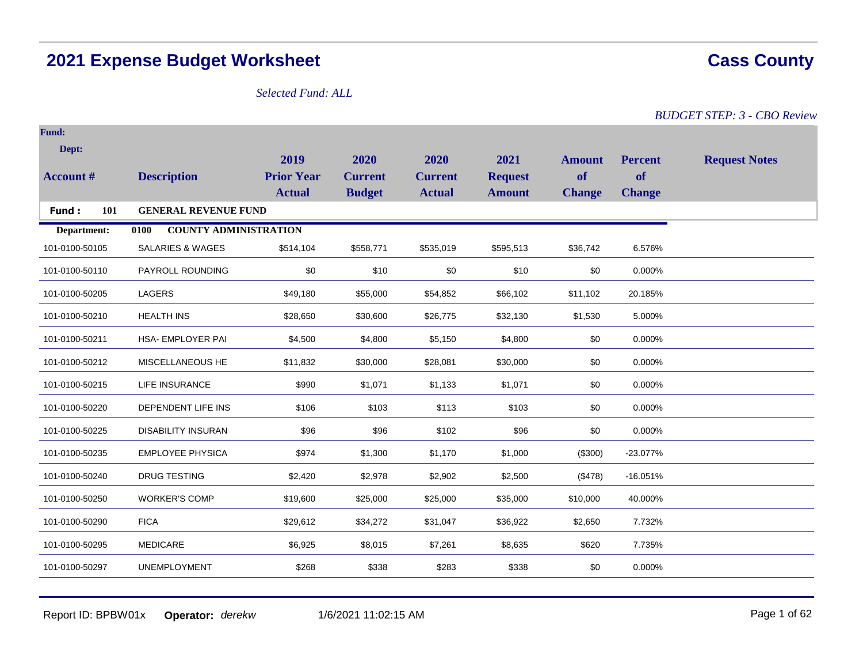# **2021 Expense Budget Worksheet Cass County**

# *Selected Fund: ALL*

*BUDGET STEP: 3 - CBO Review*

| <b>Fund:</b>     |                                      |                   |                |                |                |               |                |                      |
|------------------|--------------------------------------|-------------------|----------------|----------------|----------------|---------------|----------------|----------------------|
| Dept:            |                                      | 2019              | 2020           | 2020           | 2021           | <b>Amount</b> | <b>Percent</b> |                      |
| <b>Account #</b> | <b>Description</b>                   | <b>Prior Year</b> | <b>Current</b> | <b>Current</b> | <b>Request</b> | of            | <b>of</b>      | <b>Request Notes</b> |
|                  |                                      | <b>Actual</b>     | <b>Budget</b>  | <b>Actual</b>  | <b>Amount</b>  | <b>Change</b> | <b>Change</b>  |                      |
| 101<br>Fund:     | <b>GENERAL REVENUE FUND</b>          |                   |                |                |                |               |                |                      |
| Department:      | <b>COUNTY ADMINISTRATION</b><br>0100 |                   |                |                |                |               |                |                      |
| 101-0100-50105   | <b>SALARIES &amp; WAGES</b>          | \$514,104         | \$558,771      | \$535,019      | \$595,513      | \$36,742      | 6.576%         |                      |
| 101-0100-50110   | PAYROLL ROUNDING                     | \$0               | \$10           | \$0            | \$10           | \$0           | 0.000%         |                      |
| 101-0100-50205   | LAGERS                               | \$49,180          | \$55,000       | \$54,852       | \$66,102       | \$11,102      | 20.185%        |                      |
| 101-0100-50210   | <b>HEALTH INS</b>                    | \$28,650          | \$30,600       | \$26,775       | \$32,130       | \$1,530       | 5.000%         |                      |
| 101-0100-50211   | <b>HSA- EMPLOYER PAI</b>             | \$4,500           | \$4,800        | \$5,150        | \$4,800        | \$0           | 0.000%         |                      |
| 101-0100-50212   | MISCELLANEOUS HE                     | \$11,832          | \$30,000       | \$28,081       | \$30,000       | \$0           | 0.000%         |                      |
| 101-0100-50215   | <b>LIFE INSURANCE</b>                | \$990             | \$1,071        | \$1,133        | \$1,071        | \$0           | 0.000%         |                      |
| 101-0100-50220   | DEPENDENT LIFE INS                   | \$106             | \$103          | \$113          | \$103          | \$0           | 0.000%         |                      |
| 101-0100-50225   | <b>DISABILITY INSURAN</b>            | \$96              | \$96           | \$102          | \$96           | \$0           | 0.000%         |                      |
| 101-0100-50235   | <b>EMPLOYEE PHYSICA</b>              | \$974             | \$1,300        | \$1,170        | \$1,000        | (\$300)       | $-23.077%$     |                      |
| 101-0100-50240   | <b>DRUG TESTING</b>                  | \$2,420           | \$2,978        | \$2,902        | \$2,500        | (\$478)       | $-16.051%$     |                      |
| 101-0100-50250   | <b>WORKER'S COMP</b>                 | \$19,600          | \$25,000       | \$25,000       | \$35,000       | \$10,000      | 40.000%        |                      |
| 101-0100-50290   | <b>FICA</b>                          | \$29,612          | \$34,272       | \$31,047       | \$36,922       | \$2,650       | 7.732%         |                      |
| 101-0100-50295   | <b>MEDICARE</b>                      | \$6,925           | \$8,015        | \$7,261        | \$8,635        | \$620         | 7.735%         |                      |
| 101-0100-50297   | <b>UNEMPLOYMENT</b>                  | \$268             | \$338          | \$283          | \$338          | \$0           | 0.000%         |                      |
|                  |                                      |                   |                |                |                |               |                |                      |

Report ID: BPBW01x **Operator:** *derekw* 1/6/2021 11:02:15 AM Page 1 of 62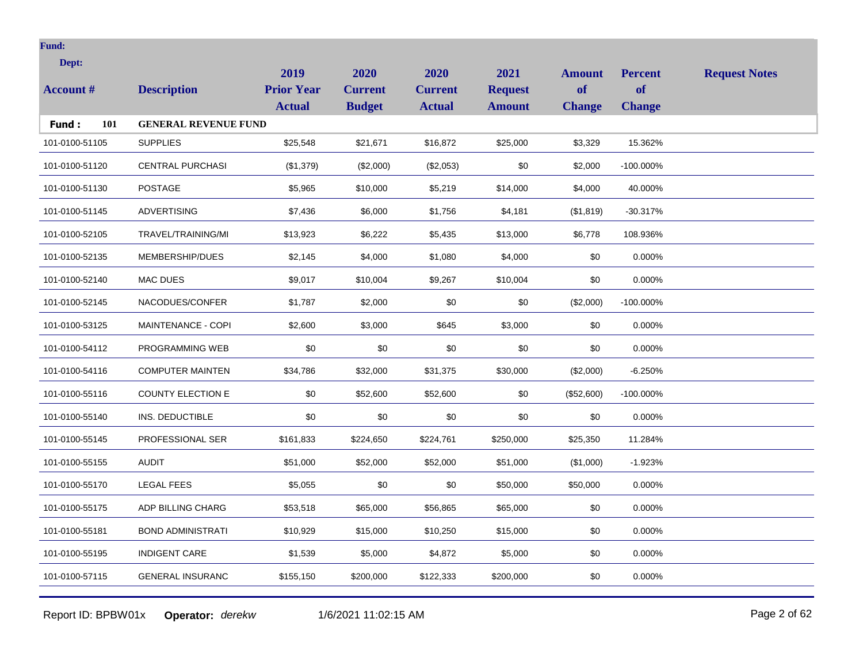| Dept:            |                             | 2019                               | 2020                            | 2020                            | 2021                            | <b>Amount</b>       | <b>Percent</b>             | <b>Request Notes</b> |
|------------------|-----------------------------|------------------------------------|---------------------------------|---------------------------------|---------------------------------|---------------------|----------------------------|----------------------|
| <b>Account #</b> | <b>Description</b>          | <b>Prior Year</b><br><b>Actual</b> | <b>Current</b><br><b>Budget</b> | <b>Current</b><br><b>Actual</b> | <b>Request</b><br><b>Amount</b> | of<br><b>Change</b> | <b>of</b><br><b>Change</b> |                      |
| 101<br>Fund:     | <b>GENERAL REVENUE FUND</b> |                                    |                                 |                                 |                                 |                     |                            |                      |
| 101-0100-51105   | <b>SUPPLIES</b>             | \$25,548                           | \$21,671                        | \$16,872                        | \$25,000                        | \$3,329             | 15.362%                    |                      |
| 101-0100-51120   | <b>CENTRAL PURCHASI</b>     | (\$1,379)                          | (\$2,000)                       | (\$2,053)                       | \$0                             | \$2,000             | -100.000%                  |                      |
| 101-0100-51130   | <b>POSTAGE</b>              | \$5,965                            | \$10,000                        | \$5,219                         | \$14,000                        | \$4,000             | 40.000%                    |                      |
| 101-0100-51145   | <b>ADVERTISING</b>          | \$7,436                            | \$6,000                         | \$1,756                         | \$4,181                         | (\$1,819)           | $-30.317%$                 |                      |
| 101-0100-52105   | TRAVEL/TRAINING/MI          | \$13,923                           | \$6,222                         | \$5,435                         | \$13,000                        | \$6,778             | 108.936%                   |                      |
| 101-0100-52135   | MEMBERSHIP/DUES             | \$2,145                            | \$4,000                         | \$1,080                         | \$4,000                         | \$0                 | 0.000%                     |                      |
| 101-0100-52140   | <b>MAC DUES</b>             | \$9,017                            | \$10,004                        | \$9,267                         | \$10,004                        | \$0                 | 0.000%                     |                      |
| 101-0100-52145   | NACODUES/CONFER             | \$1,787                            | \$2,000                         | \$0                             | \$0                             | (\$2,000)           | $-100.000\%$               |                      |
| 101-0100-53125   | MAINTENANCE - COPI          | \$2,600                            | \$3,000                         | \$645                           | \$3,000                         | \$0                 | 0.000%                     |                      |
| 101-0100-54112   | PROGRAMMING WEB             | \$0                                | \$0                             | \$0                             | \$0                             | \$0                 | 0.000%                     |                      |
| 101-0100-54116   | <b>COMPUTER MAINTEN</b>     | \$34,786                           | \$32,000                        | \$31,375                        | \$30,000                        | (\$2,000)           | $-6.250%$                  |                      |
| 101-0100-55116   | <b>COUNTY ELECTION E</b>    | \$0                                | \$52,600                        | \$52,600                        | \$0                             | (\$52,600)          | $-100.000\%$               |                      |
| 101-0100-55140   | INS. DEDUCTIBLE             | \$0                                | \$0                             | \$0                             | \$0                             | \$0                 | 0.000%                     |                      |
| 101-0100-55145   | PROFESSIONAL SER            | \$161,833                          | \$224,650                       | \$224,761                       | \$250,000                       | \$25,350            | 11.284%                    |                      |
| 101-0100-55155   | <b>AUDIT</b>                | \$51,000                           | \$52,000                        | \$52,000                        | \$51,000                        | (\$1,000)           | $-1.923%$                  |                      |
| 101-0100-55170   | <b>LEGAL FEES</b>           | \$5,055                            | \$0                             | \$0                             | \$50,000                        | \$50,000            | 0.000%                     |                      |
| 101-0100-55175   | ADP BILLING CHARG           | \$53,518                           | \$65,000                        | \$56,865                        | \$65,000                        | \$0                 | 0.000%                     |                      |
| 101-0100-55181   | <b>BOND ADMINISTRATI</b>    | \$10,929                           | \$15,000                        | \$10,250                        | \$15,000                        | \$0                 | 0.000%                     |                      |
| 101-0100-55195   | <b>INDIGENT CARE</b>        | \$1,539                            | \$5,000                         | \$4,872                         | \$5,000                         | \$0                 | 0.000%                     |                      |
| 101-0100-57115   | <b>GENERAL INSURANC</b>     | \$155,150                          | \$200,000                       | \$122,333                       | \$200,000                       | \$0                 | 0.000%                     |                      |
|                  |                             |                                    |                                 |                                 |                                 |                     |                            |                      |

Report ID: BPBW01x **Operator:** *derekw* 1/6/2021 11:02:15 AM Page 2 of 62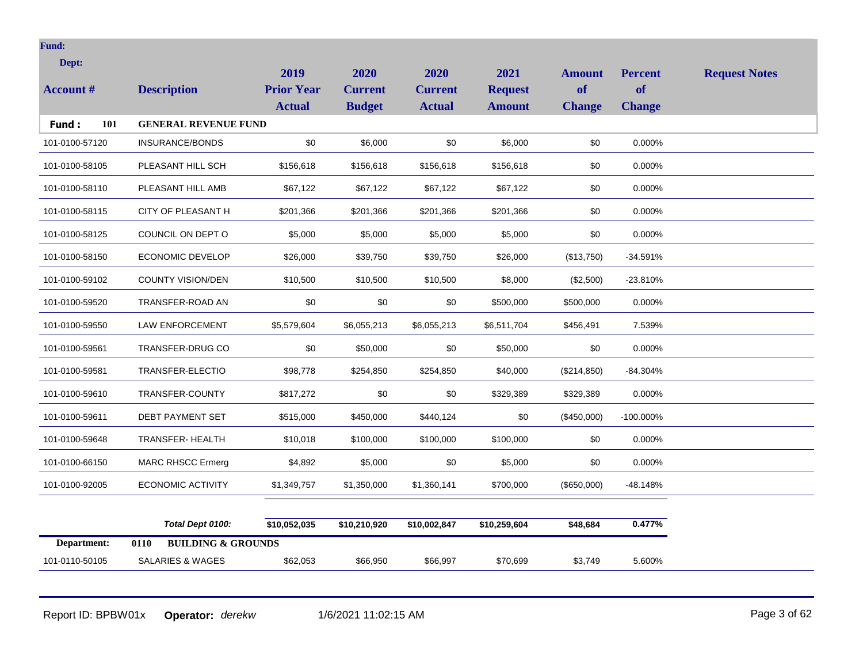| Dept:            |                                                           | 2019              | 2020           | 2020           | 2021           | <b>Amount</b> | <b>Percent</b> | <b>Request Notes</b> |
|------------------|-----------------------------------------------------------|-------------------|----------------|----------------|----------------|---------------|----------------|----------------------|
| <b>Account #</b> | <b>Description</b>                                        | <b>Prior Year</b> | <b>Current</b> | <b>Current</b> | <b>Request</b> | of            | of             |                      |
|                  |                                                           | <b>Actual</b>     | <b>Budget</b>  | <b>Actual</b>  | <b>Amount</b>  | <b>Change</b> | <b>Change</b>  |                      |
| 101<br>Fund:     | <b>GENERAL REVENUE FUND</b>                               |                   |                |                |                |               |                |                      |
| 101-0100-57120   | <b>INSURANCE/BONDS</b>                                    | \$0               | \$6,000        | \$0            | \$6,000        | \$0           | 0.000%         |                      |
| 101-0100-58105   | PLEASANT HILL SCH                                         | \$156,618         | \$156,618      | \$156,618      | \$156,618      | \$0           | 0.000%         |                      |
| 101-0100-58110   | PLEASANT HILL AMB                                         | \$67,122          | \$67,122       | \$67,122       | \$67,122       | \$0           | 0.000%         |                      |
| 101-0100-58115   | CITY OF PLEASANT H                                        | \$201,366         | \$201,366      | \$201,366      | \$201,366      | \$0           | 0.000%         |                      |
| 101-0100-58125   | COUNCIL ON DEPT O                                         | \$5,000           | \$5,000        | \$5,000        | \$5,000        | \$0           | 0.000%         |                      |
| 101-0100-58150   | <b>ECONOMIC DEVELOP</b>                                   | \$26,000          | \$39,750       | \$39,750       | \$26,000       | (\$13,750)    | $-34.591%$     |                      |
| 101-0100-59102   | COUNTY VISION/DEN                                         | \$10,500          | \$10,500       | \$10,500       | \$8,000        | (\$2,500)     | $-23.810%$     |                      |
| 101-0100-59520   | TRANSFER-ROAD AN                                          | \$0               | \$0            | \$0            | \$500,000      | \$500,000     | 0.000%         |                      |
| 101-0100-59550   | <b>LAW ENFORCEMENT</b>                                    | \$5,579,604       | \$6,055,213    | \$6,055,213    | \$6,511,704    | \$456,491     | 7.539%         |                      |
| 101-0100-59561   | TRANSFER-DRUG CO                                          | \$0               | \$50,000       | \$0            | \$50,000       | \$0           | 0.000%         |                      |
| 101-0100-59581   | TRANSFER-ELECTIO                                          | \$98,778          | \$254,850      | \$254,850      | \$40,000       | (\$214,850)   | $-84.304%$     |                      |
| 101-0100-59610   | TRANSFER-COUNTY                                           | \$817,272         | \$0            | \$0            | \$329,389      | \$329,389     | 0.000%         |                      |
| 101-0100-59611   | DEBT PAYMENT SET                                          | \$515,000         | \$450,000      | \$440,124      | \$0            | (\$450,000)   | -100.000%      |                      |
| 101-0100-59648   | TRANSFER- HEALTH                                          | \$10,018          | \$100,000      | \$100,000      | \$100,000      | \$0           | 0.000%         |                      |
| 101-0100-66150   | <b>MARC RHSCC Ermerg</b>                                  | \$4,892           | \$5,000        | \$0            | \$5,000        | \$0           | 0.000%         |                      |
| 101-0100-92005   | <b>ECONOMIC ACTIVITY</b>                                  | \$1,349,757       | \$1,350,000    | \$1,360,141    | \$700,000      | (\$650,000)   | $-48.148%$     |                      |
| Department:      | Total Dept 0100:<br>0110<br><b>BUILDING &amp; GROUNDS</b> | \$10,052,035      | \$10,210,920   | \$10,002,847   | \$10,259,604   | \$48,684      | 0.477%         |                      |

101-0110-50105 SALARIES & WAGES \$62,053 \$66,950 \$66,997 \$70,699 \$3,749 5.600%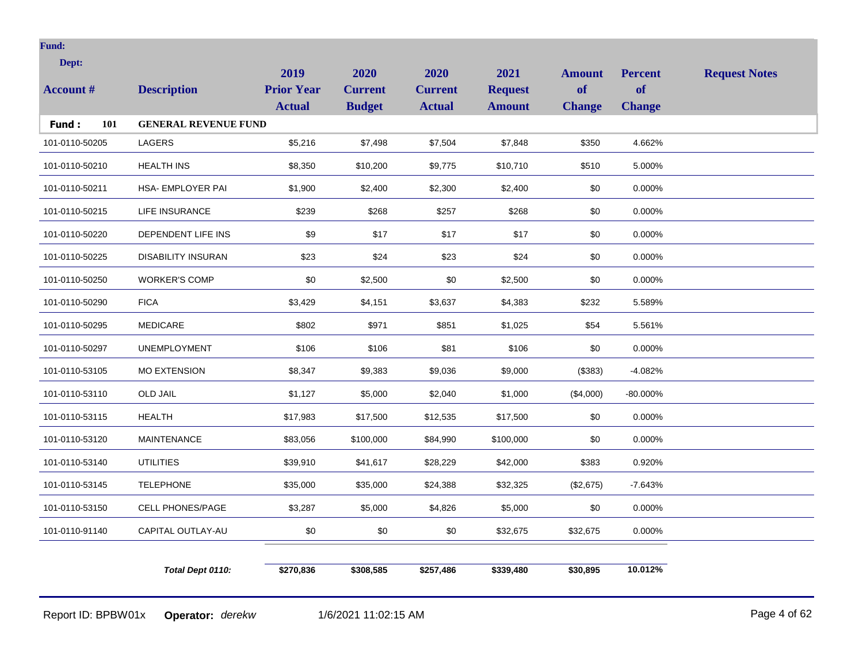| Dept:            |                             | 2019              | 2020           | 2020           | 2021           | <b>Amount</b> | <b>Percent</b> | <b>Request Notes</b> |
|------------------|-----------------------------|-------------------|----------------|----------------|----------------|---------------|----------------|----------------------|
| <b>Account #</b> | <b>Description</b>          | <b>Prior Year</b> | <b>Current</b> | <b>Current</b> | <b>Request</b> | <b>of</b>     | <b>of</b>      |                      |
|                  |                             | <b>Actual</b>     | <b>Budget</b>  | <b>Actual</b>  | <b>Amount</b>  | <b>Change</b> | <b>Change</b>  |                      |
| 101<br>Fund:     | <b>GENERAL REVENUE FUND</b> |                   |                |                |                |               |                |                      |
| 101-0110-50205   | LAGERS                      | \$5,216           | \$7,498        | \$7,504        | \$7,848        | \$350         | 4.662%         |                      |
| 101-0110-50210   | <b>HEALTH INS</b>           | \$8,350           | \$10,200       | \$9,775        | \$10,710       | \$510         | 5.000%         |                      |
| 101-0110-50211   | HSA- EMPLOYER PAI           | \$1,900           | \$2,400        | \$2,300        | \$2,400        | \$0           | 0.000%         |                      |
| 101-0110-50215   | LIFE INSURANCE              | \$239             | \$268          | \$257          | \$268          | \$0           | 0.000%         |                      |
| 101-0110-50220   | DEPENDENT LIFE INS          | \$9               | \$17           | \$17           | \$17           | \$0           | 0.000%         |                      |
| 101-0110-50225   | <b>DISABILITY INSURAN</b>   | \$23              | \$24           | \$23           | \$24           | \$0           | 0.000%         |                      |
| 101-0110-50250   | <b>WORKER'S COMP</b>        | \$0               | \$2,500        | \$0            | \$2,500        | \$0           | 0.000%         |                      |
| 101-0110-50290   | <b>FICA</b>                 | \$3,429           | \$4,151        | \$3,637        | \$4,383        | \$232         | 5.589%         |                      |
| 101-0110-50295   | <b>MEDICARE</b>             | \$802             | \$971          | \$851          | \$1,025        | \$54          | 5.561%         |                      |
| 101-0110-50297   | <b>UNEMPLOYMENT</b>         | \$106             | \$106          | \$81           | \$106          | \$0           | 0.000%         |                      |
| 101-0110-53105   | <b>MO EXTENSION</b>         | \$8,347           | \$9,383        | \$9,036        | \$9,000        | (\$383)       | $-4.082%$      |                      |
| 101-0110-53110   | <b>OLD JAIL</b>             | \$1,127           | \$5,000        | \$2,040        | \$1,000        | (\$4,000)     | $-80.000\%$    |                      |
| 101-0110-53115   | <b>HEALTH</b>               | \$17,983          | \$17,500       | \$12,535       | \$17,500       | \$0           | 0.000%         |                      |
| 101-0110-53120   | <b>MAINTENANCE</b>          | \$83,056          | \$100,000      | \$84,990       | \$100,000      | \$0           | 0.000%         |                      |
| 101-0110-53140   | <b>UTILITIES</b>            | \$39,910          | \$41,617       | \$28,229       | \$42,000       | \$383         | 0.920%         |                      |
| 101-0110-53145   | <b>TELEPHONE</b>            | \$35,000          | \$35,000       | \$24,388       | \$32,325       | (\$2,675)     | $-7.643%$      |                      |
| 101-0110-53150   | <b>CELL PHONES/PAGE</b>     | \$3,287           | \$5,000        | \$4,826        | \$5,000        | \$0           | 0.000%         |                      |
| 101-0110-91140   | CAPITAL OUTLAY-AU           | $\$0$             | \$0            | \$0            | \$32,675       | \$32,675      | $0.000\%$      |                      |
|                  |                             |                   |                |                |                |               |                |                      |
|                  | Total Dept 0110:            | \$270,836         | \$308,585      | \$257,486      | \$339,480      | \$30,895      | 10.012%        |                      |
|                  |                             |                   |                |                |                |               |                |                      |

Report ID: BPBW01x **Operator:** *derekw* 1/6/2021 11:02:15 AM Page 4 of 62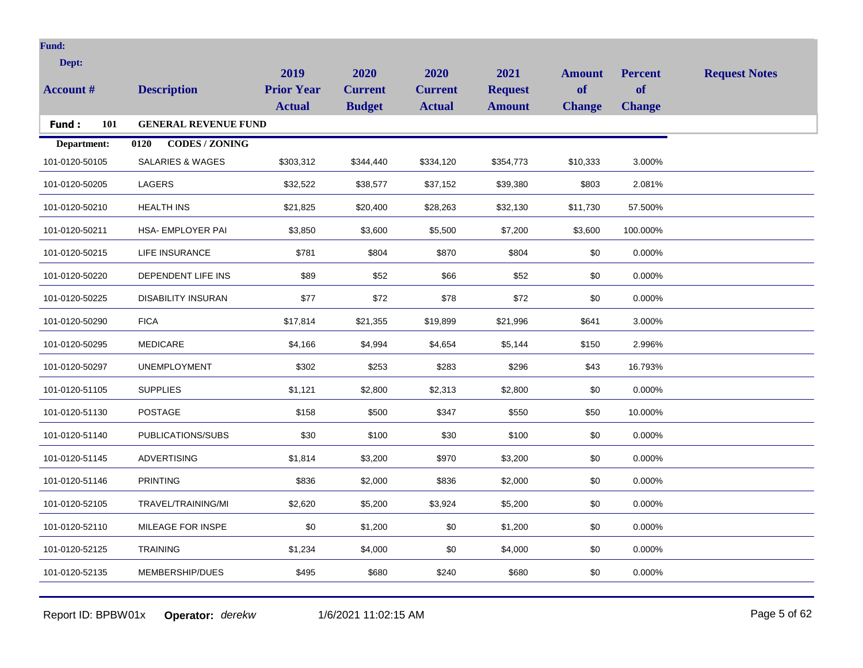| Dept:            |                               | 2019              | 2020           | 2020           | 2021           | <b>Amount</b> | <b>Percent</b> | <b>Request Notes</b> |
|------------------|-------------------------------|-------------------|----------------|----------------|----------------|---------------|----------------|----------------------|
| <b>Account #</b> | <b>Description</b>            | <b>Prior Year</b> | <b>Current</b> | <b>Current</b> | <b>Request</b> | of            | <b>of</b>      |                      |
|                  |                               | <b>Actual</b>     | <b>Budget</b>  | <b>Actual</b>  | <b>Amount</b>  | <b>Change</b> | <b>Change</b>  |                      |
| 101<br>Fund:     | <b>GENERAL REVENUE FUND</b>   |                   |                |                |                |               |                |                      |
| Department:      | <b>CODES / ZONING</b><br>0120 |                   |                |                |                |               |                |                      |
| 101-0120-50105   | <b>SALARIES &amp; WAGES</b>   | \$303,312         | \$344,440      | \$334,120      | \$354,773      | \$10,333      | 3.000%         |                      |
| 101-0120-50205   | LAGERS                        | \$32,522          | \$38,577       | \$37,152       | \$39,380       | \$803         | 2.081%         |                      |
| 101-0120-50210   | <b>HEALTH INS</b>             | \$21,825          | \$20,400       | \$28,263       | \$32,130       | \$11,730      | 57.500%        |                      |
| 101-0120-50211   | <b>HSA- EMPLOYER PAI</b>      | \$3,850           | \$3,600        | \$5,500        | \$7,200        | \$3,600       | 100.000%       |                      |
| 101-0120-50215   | <b>LIFE INSURANCE</b>         | \$781             | \$804          | \$870          | \$804          | \$0           | 0.000%         |                      |
| 101-0120-50220   | DEPENDENT LIFE INS            | \$89              | \$52           | \$66           | \$52           | \$0           | 0.000%         |                      |
| 101-0120-50225   | <b>DISABILITY INSURAN</b>     | \$77              | \$72           | \$78           | \$72           | \$0           | 0.000%         |                      |
| 101-0120-50290   | <b>FICA</b>                   | \$17,814          | \$21,355       | \$19,899       | \$21,996       | \$641         | 3.000%         |                      |
| 101-0120-50295   | <b>MEDICARE</b>               | \$4,166           | \$4,994        | \$4,654        | \$5,144        | \$150         | 2.996%         |                      |
| 101-0120-50297   | <b>UNEMPLOYMENT</b>           | \$302             | \$253          | \$283          | \$296          | \$43          | 16.793%        |                      |
| 101-0120-51105   | <b>SUPPLIES</b>               | \$1,121           | \$2,800        | \$2,313        | \$2,800        | \$0           | 0.000%         |                      |
| 101-0120-51130   | <b>POSTAGE</b>                | \$158             | \$500          | \$347          | \$550          | \$50          | 10.000%        |                      |
| 101-0120-51140   | PUBLICATIONS/SUBS             | \$30              | \$100          | \$30           | \$100          | \$0           | 0.000%         |                      |
| 101-0120-51145   | <b>ADVERTISING</b>            | \$1,814           | \$3,200        | \$970          | \$3,200        | \$0           | 0.000%         |                      |
| 101-0120-51146   | <b>PRINTING</b>               | \$836             | \$2,000        | \$836          | \$2,000        | \$0           | 0.000%         |                      |
| 101-0120-52105   | TRAVEL/TRAINING/MI            | \$2,620           | \$5,200        | \$3,924        | \$5,200        | \$0           | 0.000%         |                      |
| 101-0120-52110   | MILEAGE FOR INSPE             | \$0               | \$1,200        | \$0            | \$1,200        | \$0           | 0.000%         |                      |
| 101-0120-52125   | <b>TRAINING</b>               | \$1,234           | \$4,000        | \$0            | \$4,000        | \$0           | 0.000%         |                      |
| 101-0120-52135   | MEMBERSHIP/DUES               | \$495             | \$680          | \$240          | \$680          | \$0           | 0.000%         |                      |
|                  |                               |                   |                |                |                |               |                |                      |

Report ID: BPBW01x **Operator:** *derekw* 1/6/2021 11:02:15 AM Page 5 of 62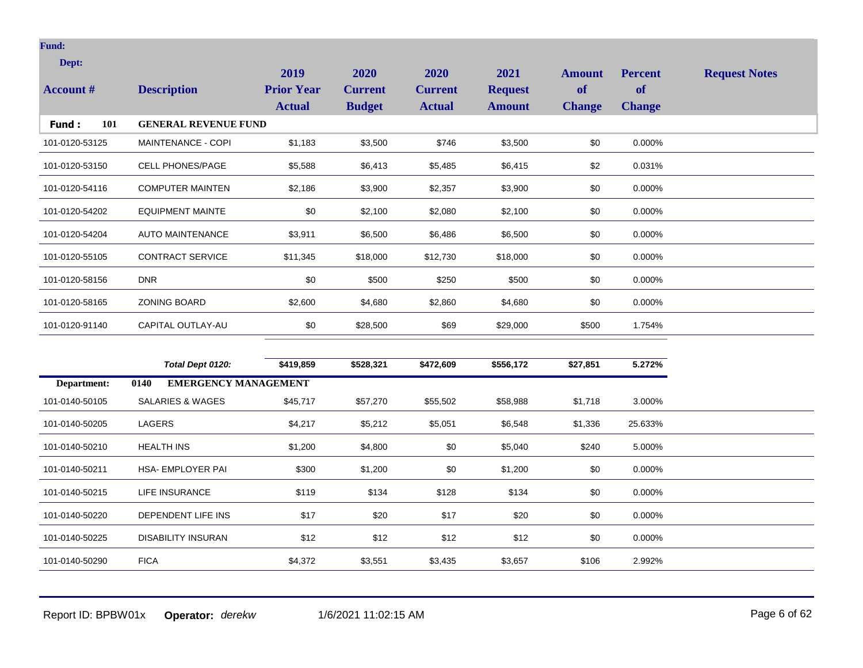| Dept:<br><b>Account #</b> | <b>Description</b>          | 2019<br><b>Prior Year</b><br><b>Actual</b> | 2020<br><b>Current</b><br><b>Budget</b> | <b>2020</b><br><b>Current</b><br><b>Actual</b> | 2021<br><b>Request</b><br><b>Amount</b> | <b>Amount</b><br>of<br><b>Change</b> | <b>Percent</b><br><b>of</b><br><b>Change</b> | <b>Request Notes</b> |
|---------------------------|-----------------------------|--------------------------------------------|-----------------------------------------|------------------------------------------------|-----------------------------------------|--------------------------------------|----------------------------------------------|----------------------|
| 101<br>Fund:              | <b>GENERAL REVENUE FUND</b> |                                            |                                         |                                                |                                         |                                      |                                              |                      |
| 101-0120-53125            | MAINTENANCE - COPI          | \$1,183                                    | \$3,500                                 | \$746                                          | \$3,500                                 | \$0                                  | 0.000%                                       |                      |
| 101-0120-53150            | <b>CELL PHONES/PAGE</b>     | \$5,588                                    | \$6,413                                 | \$5,485                                        | \$6,415                                 | \$2                                  | 0.031%                                       |                      |
| 101-0120-54116            | <b>COMPUTER MAINTEN</b>     | \$2,186                                    | \$3,900                                 | \$2,357                                        | \$3,900                                 | \$0                                  | 0.000%                                       |                      |
| 101-0120-54202            | <b>EQUIPMENT MAINTE</b>     | \$0                                        | \$2,100                                 | \$2,080                                        | \$2,100                                 | \$0                                  | 0.000%                                       |                      |
| 101-0120-54204            | <b>AUTO MAINTENANCE</b>     | \$3,911                                    | \$6,500                                 | \$6,486                                        | \$6,500                                 | \$0                                  | 0.000%                                       |                      |
| 101-0120-55105            | <b>CONTRACT SERVICE</b>     | \$11,345                                   | \$18,000                                | \$12,730                                       | \$18,000                                | \$0                                  | 0.000%                                       |                      |
| 101-0120-58156            | <b>DNR</b>                  | \$0                                        | \$500                                   | \$250                                          | \$500                                   | \$0                                  | 0.000%                                       |                      |
| 101-0120-58165            | <b>ZONING BOARD</b>         | \$2,600                                    | \$4,680                                 | \$2,860                                        | \$4,680                                 | \$0                                  | 0.000%                                       |                      |
| 101-0120-91140            | CAPITAL OUTLAY-AU           | \$0                                        | \$28,500                                | \$69                                           | \$29,000                                | \$500                                | 1.754%                                       |                      |
|                           |                             |                                            |                                         |                                                |                                         |                                      |                                              |                      |

|                | Total Dept 0120:                    | \$419,859 | \$528,321 | \$472,609 | \$556,172 | \$27,851 | 5.272%    |
|----------------|-------------------------------------|-----------|-----------|-----------|-----------|----------|-----------|
| Department:    | <b>EMERGENCY MANAGEMENT</b><br>0140 |           |           |           |           |          |           |
| 101-0140-50105 | SALARIES & WAGES                    | \$45,717  | \$57,270  | \$55,502  | \$58,988  | \$1,718  | 3.000%    |
| 101-0140-50205 | LAGERS                              | \$4,217   | \$5,212   | \$5,051   | \$6,548   | \$1,336  | 25.633%   |
| 101-0140-50210 | <b>HEALTH INS</b>                   | \$1,200   | \$4,800   | \$0       | \$5,040   | \$240    | 5.000%    |
| 101-0140-50211 | <b>HSA- EMPLOYER PAI</b>            | \$300     | \$1,200   | \$0       | \$1,200   | \$0      | $0.000\%$ |
| 101-0140-50215 | LIFE INSURANCE                      | \$119     | \$134     | \$128     | \$134     | \$0      | $0.000\%$ |
| 101-0140-50220 | DEPENDENT LIFE INS                  | \$17      | \$20      | \$17      | \$20      | \$0      | $0.000\%$ |
| 101-0140-50225 | DISABILITY INSURAN                  | \$12      | \$12      | \$12      | \$12      | \$0      | $0.000\%$ |
| 101-0140-50290 | <b>FICA</b>                         | \$4,372   | \$3,551   | \$3,435   | \$3,657   | \$106    | 2.992%    |

Report ID: BPBW01x **Operator:** *derekw* 1/6/2021 11:02:15 AM Page 6 of 62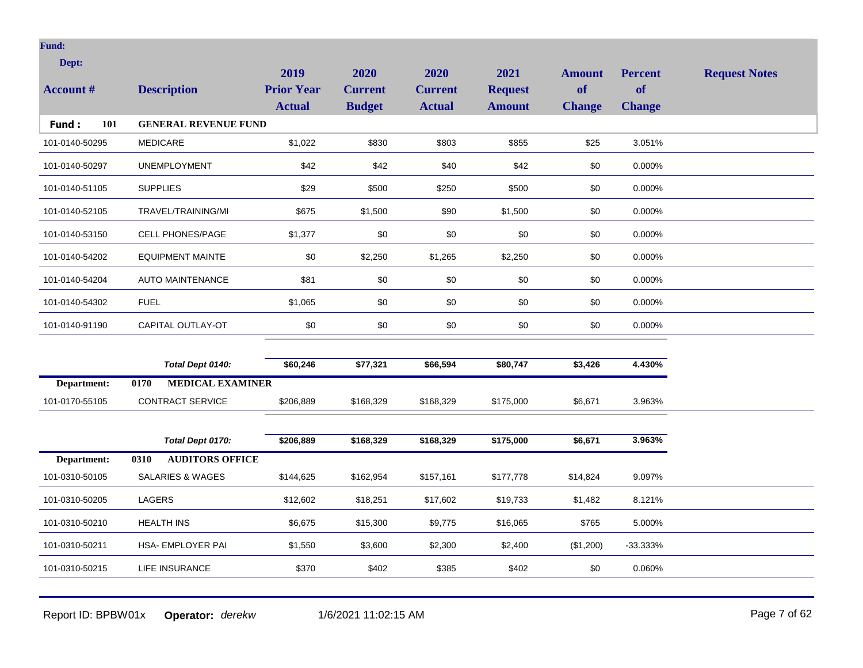| Dept:            |                                 | 2019              | 2020           | 2020           | 2021           | <b>Amount</b> | <b>Percent</b> | <b>Request Notes</b> |
|------------------|---------------------------------|-------------------|----------------|----------------|----------------|---------------|----------------|----------------------|
| <b>Account #</b> | <b>Description</b>              | <b>Prior Year</b> | <b>Current</b> | <b>Current</b> | <b>Request</b> | <b>of</b>     | <b>of</b>      |                      |
|                  |                                 | <b>Actual</b>     | <b>Budget</b>  | <b>Actual</b>  | <b>Amount</b>  | <b>Change</b> | <b>Change</b>  |                      |
| 101<br>Fund:     | <b>GENERAL REVENUE FUND</b>     |                   |                |                |                |               |                |                      |
| 101-0140-50295   | <b>MEDICARE</b>                 | \$1,022           | \$830          | \$803          | \$855          | \$25          | 3.051%         |                      |
| 101-0140-50297   | <b>UNEMPLOYMENT</b>             | \$42              | \$42           | \$40           | \$42           | \$0           | 0.000%         |                      |
| 101-0140-51105   | <b>SUPPLIES</b>                 | \$29              | \$500          | \$250          | \$500          | \$0           | 0.000%         |                      |
| 101-0140-52105   | TRAVEL/TRAINING/MI              | \$675             | \$1,500        | \$90           | \$1,500        | \$0           | 0.000%         |                      |
| 101-0140-53150   | <b>CELL PHONES/PAGE</b>         | \$1,377           | \$0            | \$0            | \$0            | \$0           | 0.000%         |                      |
| 101-0140-54202   | <b>EQUIPMENT MAINTE</b>         | \$0               | \$2,250        | \$1,265        | \$2,250        | \$0           | 0.000%         |                      |
| 101-0140-54204   | <b>AUTO MAINTENANCE</b>         | \$81              | \$0            | \$0            | \$0            | \$0           | 0.000%         |                      |
| 101-0140-54302   | <b>FUEL</b>                     | \$1,065           | \$0            | \$0            | \$0            | \$0           | 0.000%         |                      |
| 101-0140-91190   | CAPITAL OUTLAY-OT               | \$0               | \$0            | \$0            | $\$0$          | \$0           | 0.000%         |                      |
|                  |                                 |                   |                |                |                |               |                |                      |
|                  | Total Dept 0140:                | \$60,246          | \$77,321       | \$66,594       | \$80,747       | \$3,426       | 4.430%         |                      |
| Department:      | <b>MEDICAL EXAMINER</b><br>0170 |                   |                |                |                |               |                |                      |
| 101-0170-55105   | <b>CONTRACT SERVICE</b>         | \$206,889         | \$168,329      | \$168,329      | \$175,000      | \$6,671       | 3.963%         |                      |
|                  |                                 |                   |                |                |                |               |                |                      |
|                  | Total Dept 0170:                | \$206,889         | \$168,329      | \$168,329      | \$175,000      | \$6,671       | 3.963%         |                      |
| Department:      | <b>AUDITORS OFFICE</b><br>0310  |                   |                |                |                |               |                |                      |
| 101-0310-50105   | <b>SALARIES &amp; WAGES</b>     | \$144,625         | \$162,954      | \$157,161      | \$177,778      | \$14,824      | 9.097%         |                      |
| 101-0310-50205   | <b>LAGERS</b>                   | \$12,602          | \$18,251       | \$17,602       | \$19,733       | \$1,482       | 8.121%         |                      |
| 101-0310-50210   | <b>HEALTH INS</b>               | \$6,675           | \$15,300       | \$9,775        | \$16,065       | \$765         | 5.000%         |                      |
| 101-0310-50211   | <b>HSA- EMPLOYER PAI</b>        | \$1,550           | \$3,600        | \$2,300        | \$2,400        | (\$1,200)     | $-33.333%$     |                      |
| 101-0310-50215   | LIFE INSURANCE                  | \$370             | \$402          | \$385          | \$402          | \$0           | 0.060%         |                      |
|                  |                                 |                   |                |                |                |               |                |                      |

Report ID: BPBW01x **Operator:** *derekw* 1/6/2021 11:02:15 AM Page 7 of 62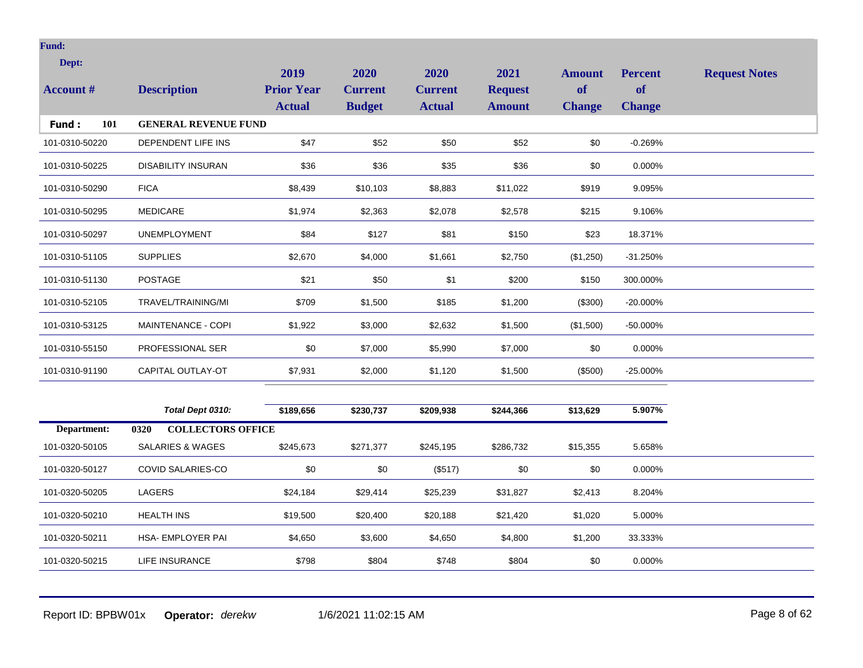| Dept:<br><b>Account #</b> | <b>Description</b>          | 2019<br><b>Prior Year</b><br><b>Actual</b> | 2020<br><b>Current</b><br><b>Budget</b> | 2020<br><b>Current</b><br><b>Actual</b> | 2021<br><b>Request</b><br><b>Amount</b> | <b>Amount</b><br>of<br><b>Change</b> | <b>Percent</b><br><b>of</b><br><b>Change</b> | <b>Request Notes</b> |
|---------------------------|-----------------------------|--------------------------------------------|-----------------------------------------|-----------------------------------------|-----------------------------------------|--------------------------------------|----------------------------------------------|----------------------|
| 101<br>Fund:              | <b>GENERAL REVENUE FUND</b> |                                            |                                         |                                         |                                         |                                      |                                              |                      |
| 101-0310-50220            | DEPENDENT LIFE INS          | \$47                                       | \$52                                    | \$50                                    | \$52                                    | \$0                                  | $-0.269%$                                    |                      |
| 101-0310-50225            | <b>DISABILITY INSURAN</b>   | \$36                                       | \$36                                    | \$35                                    | \$36                                    | \$0                                  | 0.000%                                       |                      |
| 101-0310-50290            | <b>FICA</b>                 | \$8,439                                    | \$10,103                                | \$8,883                                 | \$11,022                                | \$919                                | 9.095%                                       |                      |
| 101-0310-50295            | <b>MEDICARE</b>             | \$1,974                                    | \$2,363                                 | \$2,078                                 | \$2,578                                 | \$215                                | 9.106%                                       |                      |
| 101-0310-50297            | <b>UNEMPLOYMENT</b>         | \$84                                       | \$127                                   | \$81                                    | \$150                                   | \$23                                 | 18.371%                                      |                      |
| 101-0310-51105            | <b>SUPPLIES</b>             | \$2,670                                    | \$4,000                                 | \$1,661                                 | \$2,750                                 | (\$1,250)                            | $-31.250%$                                   |                      |
| 101-0310-51130            | <b>POSTAGE</b>              | \$21                                       | \$50                                    | \$1                                     | \$200                                   | \$150                                | 300.000%                                     |                      |
| 101-0310-52105            | TRAVEL/TRAINING/MI          | \$709                                      | \$1,500                                 | \$185                                   | \$1,200                                 | (\$300)                              | $-20.000\%$                                  |                      |
| 101-0310-53125            | MAINTENANCE - COPI          | \$1,922                                    | \$3,000                                 | \$2,632                                 | \$1,500                                 | (\$1,500)                            | $-50.000\%$                                  |                      |
| 101-0310-55150            | <b>PROFESSIONAL SER</b>     | \$0                                        | \$7,000                                 | \$5,990                                 | \$7,000                                 | \$0                                  | 0.000%                                       |                      |
| 101-0310-91190            | CAPITAL OUTLAY-OT           | \$7,931                                    | \$2,000                                 | \$1,120                                 | \$1,500                                 | (\$500)                              | $-25.000\%$                                  |                      |
|                           |                             |                                            |                                         |                                         |                                         |                                      |                                              |                      |

|                | Total Dept 0310:                 | \$189,656 | \$230,737 | \$209,938 | \$244,366 | \$13,629 | 5.907%    |
|----------------|----------------------------------|-----------|-----------|-----------|-----------|----------|-----------|
| Department:    | 0320<br><b>COLLECTORS OFFICE</b> |           |           |           |           |          |           |
| 101-0320-50105 | SALARIES & WAGES                 | \$245,673 | \$271,377 | \$245,195 | \$286,732 | \$15,355 | 5.658%    |
| 101-0320-50127 | COVID SALARIES-CO                | \$0       | \$0       | (\$517)   | \$0       | \$0      | $0.000\%$ |
| 101-0320-50205 | <b>LAGERS</b>                    | \$24,184  | \$29,414  | \$25,239  | \$31,827  | \$2,413  | 8.204%    |
| 101-0320-50210 | <b>HEALTH INS</b>                | \$19,500  | \$20,400  | \$20,188  | \$21,420  | \$1,020  | 5.000%    |
| 101-0320-50211 | <b>HSA- EMPLOYER PAI</b>         | \$4,650   | \$3,600   | \$4,650   | \$4,800   | \$1,200  | 33.333%   |
| 101-0320-50215 | LIFE INSURANCE                   | \$798     | \$804     | \$748     | \$804     | \$0      | 0.000%    |

Report ID: BPBW01x **Operator:** *derekw* 1/6/2021 11:02:15 AM Page 8 of 62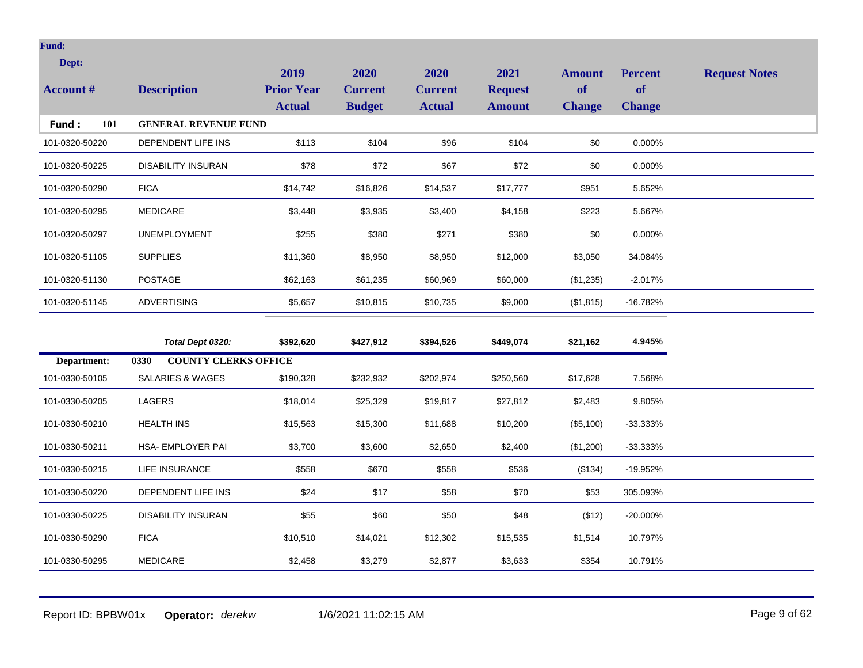| Dept:               |                             | 2019              | 2020           | <b>2020</b>    | 2021           | <b>Amount</b> | <b>Percent</b> | <b>Request Notes</b> |
|---------------------|-----------------------------|-------------------|----------------|----------------|----------------|---------------|----------------|----------------------|
| <b>Account</b> #    | <b>Description</b>          | <b>Prior Year</b> | <b>Current</b> | <b>Current</b> | <b>Request</b> | of            | <b>of</b>      |                      |
|                     |                             | <b>Actual</b>     | <b>Budget</b>  | <b>Actual</b>  | <b>Amount</b>  | <b>Change</b> | <b>Change</b>  |                      |
| 101<br><b>Fund:</b> | <b>GENERAL REVENUE FUND</b> |                   |                |                |                |               |                |                      |
| 101-0320-50220      | DEPENDENT LIFE INS          | \$113             | \$104          | \$96           | \$104          | \$0           | 0.000%         |                      |
| 101-0320-50225      | <b>DISABILITY INSURAN</b>   | \$78              | \$72           | \$67           | \$72           | \$0           | 0.000%         |                      |
| 101-0320-50290      | <b>FICA</b>                 | \$14,742          | \$16,826       | \$14,537       | \$17,777       | \$951         | 5.652%         |                      |
| 101-0320-50295      | <b>MEDICARE</b>             | \$3,448           | \$3,935        | \$3,400        | \$4,158        | \$223         | 5.667%         |                      |
| 101-0320-50297      | <b>UNEMPLOYMENT</b>         | \$255             | \$380          | \$271          | \$380          | \$0           | 0.000%         |                      |
| 101-0320-51105      | <b>SUPPLIES</b>             | \$11,360          | \$8,950        | \$8,950        | \$12,000       | \$3,050       | 34.084%        |                      |
| 101-0320-51130      | <b>POSTAGE</b>              | \$62,163          | \$61,235       | \$60,969       | \$60,000       | (\$1,235)     | $-2.017%$      |                      |
| 101-0320-51145      | <b>ADVERTISING</b>          | \$5,657           | \$10,815       | \$10,735       | \$9,000        | (\$1,815)     | $-16.782%$     |                      |

|                | Total Dept 0320:                    | \$392,620 | \$427,912 | \$394,526 | \$449,074 | \$21,162  | 4.945%      |
|----------------|-------------------------------------|-----------|-----------|-----------|-----------|-----------|-------------|
| Department:    | <b>COUNTY CLERKS OFFICE</b><br>0330 |           |           |           |           |           |             |
| 101-0330-50105 | SALARIES & WAGES                    | \$190,328 | \$232,932 | \$202,974 | \$250,560 | \$17,628  | 7.568%      |
| 101-0330-50205 | LAGERS                              | \$18,014  | \$25,329  | \$19,817  | \$27,812  | \$2,483   | 9.805%      |
| 101-0330-50210 | <b>HEALTH INS</b>                   | \$15,563  | \$15,300  | \$11,688  | \$10,200  | (\$5,100) | $-33.333\%$ |
| 101-0330-50211 | HSA- EMPLOYER PAI                   | \$3,700   | \$3,600   | \$2,650   | \$2,400   | (\$1,200) | $-33.333\%$ |
| 101-0330-50215 | LIFE INSURANCE                      | \$558     | \$670     | \$558     | \$536     | (\$134)   | -19.952%    |
| 101-0330-50220 | DEPENDENT LIFE INS                  | \$24      | \$17      | \$58      | \$70      | \$53      | 305.093%    |
| 101-0330-50225 | <b>DISABILITY INSURAN</b>           | \$55      | \$60      | \$50      | \$48      | (\$12)    | $-20.000\%$ |
| 101-0330-50290 | <b>FICA</b>                         | \$10,510  | \$14,021  | \$12,302  | \$15,535  | \$1,514   | 10.797%     |
| 101-0330-50295 | <b>MEDICARE</b>                     | \$2,458   | \$3,279   | \$2,877   | \$3,633   | \$354     | 10.791%     |
|                |                                     |           |           |           |           |           |             |

Report ID: BPBW01x **Operator:** *derekw* 1/6/2021 11:02:15 AM Page 9 of 62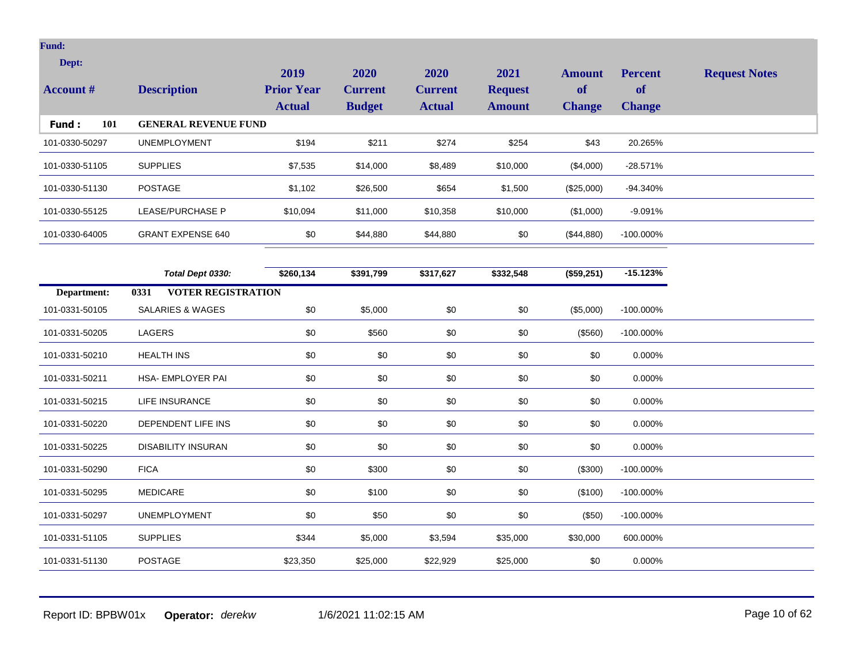| Dept:            |                                   | 2019              | 2020           | 2020           | 2021           | <b>Amount</b> | <b>Percent</b> | <b>Request Notes</b> |
|------------------|-----------------------------------|-------------------|----------------|----------------|----------------|---------------|----------------|----------------------|
| <b>Account #</b> | <b>Description</b>                | <b>Prior Year</b> | <b>Current</b> | <b>Current</b> | <b>Request</b> | of            | <b>of</b>      |                      |
|                  |                                   | <b>Actual</b>     | <b>Budget</b>  | <b>Actual</b>  | <b>Amount</b>  | <b>Change</b> | <b>Change</b>  |                      |
| 101<br>Fund:     | <b>GENERAL REVENUE FUND</b>       |                   |                |                |                |               |                |                      |
| 101-0330-50297   | <b>UNEMPLOYMENT</b>               | \$194             | \$211          | \$274          | \$254          | \$43          | 20.265%        |                      |
| 101-0330-51105   | <b>SUPPLIES</b>                   | \$7,535           | \$14,000       | \$8,489        | \$10,000       | (\$4,000)     | $-28.571%$     |                      |
| 101-0330-51130   | <b>POSTAGE</b>                    | \$1,102           | \$26,500       | \$654          | \$1,500        | (\$25,000)    | -94.340%       |                      |
| 101-0330-55125   | LEASE/PURCHASE P                  | \$10,094          | \$11,000       | \$10,358       | \$10,000       | (\$1,000)     | $-9.091%$      |                      |
| 101-0330-64005   | <b>GRANT EXPENSE 640</b>          | \$0               | \$44,880       | \$44,880       | \$0            | (\$44,880)    | -100.000%      |                      |
|                  |                                   |                   |                |                |                |               |                |                      |
|                  | Total Dept 0330:                  | \$260,134         | \$391,799      | \$317,627      | \$332,548      | (\$59,251)    | $-15.123%$     |                      |
| Department:      | <b>VOTER REGISTRATION</b><br>0331 |                   |                |                |                |               |                |                      |
| 101-0331-50105   | SALARIES & WAGES                  | \$0               | \$5,000        | \$0            | \$0            | (\$5,000)     | -100.000%      |                      |
| 101-0331-50205   | LAGERS                            | \$0               | \$560          | \$0            | \$0            | (\$560)       | -100.000%      |                      |
| 101-0331-50210   | <b>HEALTH INS</b>                 | \$0               | \$0            | \$0            | \$0            | \$0           | 0.000%         |                      |
| 101-0331-50211   | HSA- EMPLOYER PAI                 | \$0               | \$0            | \$0            | \$0            | \$0           | 0.000%         |                      |
| 101-0331-50215   | LIFE INSURANCE                    | \$0               | \$0            | \$0            | \$0            | \$0           | 0.000%         |                      |
| 101-0331-50220   | DEPENDENT LIFE INS                | \$0               | \$0            | \$0            | \$0            | \$0           | 0.000%         |                      |
| 101-0331-50225   | <b>DISABILITY INSURAN</b>         | \$0               | \$0            | \$0            | \$0            | \$0           | 0.000%         |                      |
| 101-0331-50290   | <b>FICA</b>                       | \$0               | \$300          | \$0            | \$0            | (\$300)       | -100.000%      |                      |
| 101-0331-50295   | <b>MEDICARE</b>                   | \$0               | \$100          | \$0            | \$0            | (\$100)       | -100.000%      |                      |
| 101-0331-50297   | <b>UNEMPLOYMENT</b>               | \$0               | \$50           | \$0            | \$0            | (\$50)        | $-100.000\%$   |                      |
| 101-0331-51105   | <b>SUPPLIES</b>                   | \$344             | \$5,000        | \$3,594        | \$35,000       | \$30,000      | 600.000%       |                      |
| 101-0331-51130   | <b>POSTAGE</b>                    | \$23,350          | \$25,000       | \$22,929       | \$25,000       | \$0           | 0.000%         |                      |

Report ID: BPBW01x **Operator:** *derekw* 1/6/2021 11:02:15 AM Page 10 of 62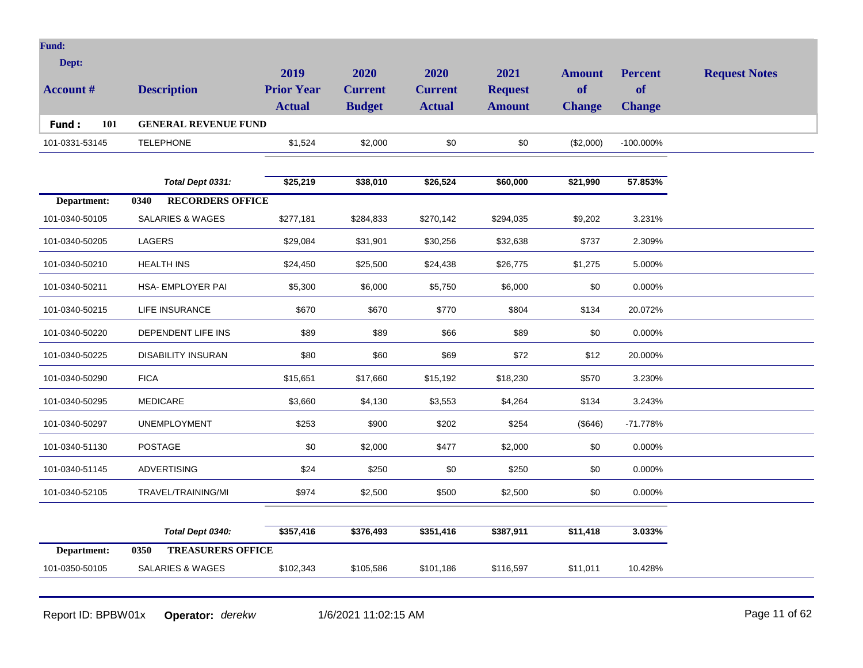| T |  |  |
|---|--|--|
|   |  |  |

| Dept:<br><b>Account</b> # | <b>Description</b>          | 2019<br><b>Prior Year</b><br><b>Actual</b> | 2020<br><b>Current</b><br><b>Budget</b> | 2020<br>Current<br><b>Actual</b> | 2021<br><b>Request</b><br><b>Amount</b> | <b>Amount</b><br><b>of</b><br><b>Change</b> | <b>Percent</b><br><b>of</b><br><b>Change</b> | <b>Request Notes</b> |
|---------------------------|-----------------------------|--------------------------------------------|-----------------------------------------|----------------------------------|-----------------------------------------|---------------------------------------------|----------------------------------------------|----------------------|
| Fund:<br>101              | <b>GENERAL REVENUE FUND</b> |                                            |                                         |                                  |                                         |                                             |                                              |                      |
| 101-0331-53145            | <b>TELEPHONE</b>            | \$1,524                                    | \$2,000                                 | \$0                              | \$0                                     | (\$2,000)                                   | $-100.000\%$                                 |                      |
|                           |                             |                                            |                                         |                                  |                                         |                                             |                                              |                      |

|                | Total Dept 0331:                | \$25,219  | \$38,010  | \$26,524  | \$60,000  | \$21,990 | 57.853%    |
|----------------|---------------------------------|-----------|-----------|-----------|-----------|----------|------------|
| Department:    | <b>RECORDERS OFFICE</b><br>0340 |           |           |           |           |          |            |
| 101-0340-50105 | SALARIES & WAGES                | \$277,181 | \$284,833 | \$270,142 | \$294,035 | \$9,202  | 3.231%     |
| 101-0340-50205 | LAGERS                          | \$29,084  | \$31,901  | \$30,256  | \$32,638  | \$737    | 2.309%     |
| 101-0340-50210 | <b>HEALTH INS</b>               | \$24,450  | \$25,500  | \$24,438  | \$26,775  | \$1,275  | 5.000%     |
| 101-0340-50211 | HSA- EMPLOYER PAI               | \$5,300   | \$6,000   | \$5,750   | \$6,000   | \$0      | 0.000%     |
| 101-0340-50215 | LIFE INSURANCE                  | \$670     | \$670     | \$770     | \$804     | \$134    | 20.072%    |
| 101-0340-50220 | DEPENDENT LIFE INS              | \$89      | \$89      | \$66      | \$89      | \$0      | 0.000%     |
| 101-0340-50225 | <b>DISABILITY INSURAN</b>       | \$80      | \$60      | \$69      | \$72      | \$12     | 20.000%    |
| 101-0340-50290 | <b>FICA</b>                     | \$15,651  | \$17,660  | \$15,192  | \$18,230  | \$570    | 3.230%     |
| 101-0340-50295 | <b>MEDICARE</b>                 | \$3,660   | \$4,130   | \$3,553   | \$4,264   | \$134    | 3.243%     |
| 101-0340-50297 | <b>UNEMPLOYMENT</b>             | \$253     | \$900     | \$202     | \$254     | (\$646)  | $-71.778%$ |
| 101-0340-51130 | <b>POSTAGE</b>                  | \$0       | \$2,000   | \$477     | \$2,000   | \$0      | 0.000%     |
| 101-0340-51145 | <b>ADVERTISING</b>              | \$24      | \$250     | \$0       | \$250     | \$0      | 0.000%     |
| 101-0340-52105 | TRAVEL/TRAINING/MI              | \$974     | \$2,500   | \$500     | \$2,500   | \$0      | 0.000%     |
|                |                                 |           |           |           |           |          |            |
|                | Total Dept 0340:                | \$357,416 | \$376,493 | \$351,416 | \$387,911 | \$11,418 | 3.033%     |

Report ID: BPBW01x **Operator:** *derekw* 1/6/2021 11:02:15 AM Page 11 of 62

101-0350-50105 SALARIES & WAGES \$102,343 \$105,586 \$101,186 \$116,597 \$11,011 10.428%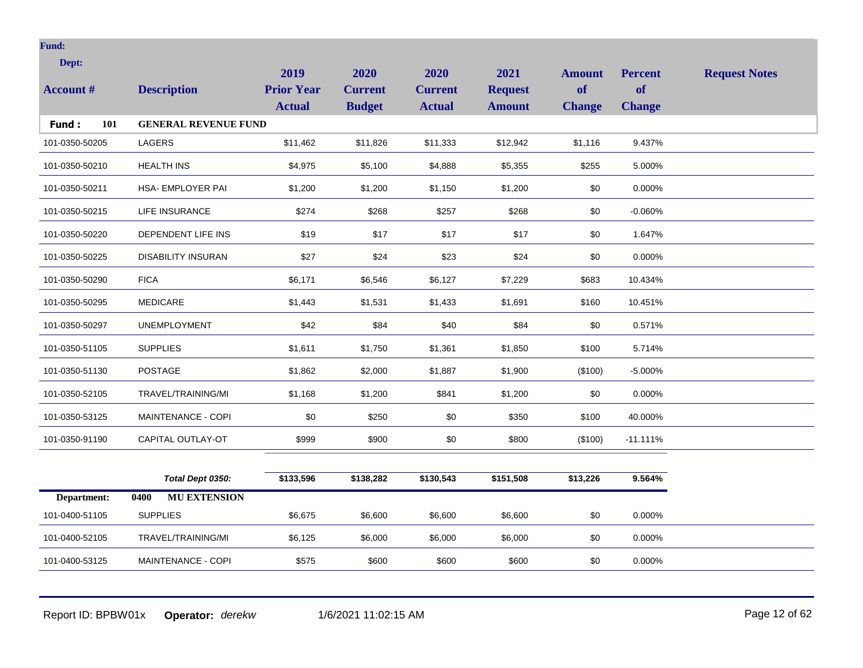| Dept:            |                             | 2019              | 2020           | 2020           | 2021           |                     |                             |                      |
|------------------|-----------------------------|-------------------|----------------|----------------|----------------|---------------------|-----------------------------|----------------------|
| <b>Account #</b> | <b>Description</b>          | <b>Prior Year</b> | <b>Current</b> | <b>Current</b> | <b>Request</b> | <b>Amount</b><br>of | <b>Percent</b><br><b>of</b> | <b>Request Notes</b> |
|                  |                             | <b>Actual</b>     | <b>Budget</b>  | <b>Actual</b>  | <b>Amount</b>  | <b>Change</b>       | <b>Change</b>               |                      |
| 101<br>Fund:     | <b>GENERAL REVENUE FUND</b> |                   |                |                |                |                     |                             |                      |
| 101-0350-50205   | LAGERS                      | \$11,462          | \$11,826       | \$11,333       | \$12,942       | \$1,116             | 9.437%                      |                      |
| 101-0350-50210   | <b>HEALTH INS</b>           | \$4,975           | \$5,100        | \$4,888        | \$5,355        | \$255               | 5.000%                      |                      |
| 101-0350-50211   | HSA- EMPLOYER PAI           | \$1,200           | \$1,200        | \$1,150        | \$1,200        | \$0                 | 0.000%                      |                      |
| 101-0350-50215   | LIFE INSURANCE              | \$274             | \$268          | \$257          | \$268          | \$0                 | $-0.060%$                   |                      |
| 101-0350-50220   | DEPENDENT LIFE INS          | \$19              | \$17           | \$17           | \$17           | \$0                 | 1.647%                      |                      |
| 101-0350-50225   | <b>DISABILITY INSURAN</b>   | \$27              | \$24           | \$23           | \$24           | \$0                 | 0.000%                      |                      |
| 101-0350-50290   | <b>FICA</b>                 | \$6,171           | \$6,546        | \$6,127        | \$7,229        | \$683               | 10.434%                     |                      |
| 101-0350-50295   | MEDICARE                    | \$1,443           | \$1,531        | \$1,433        | \$1,691        | \$160               | 10.451%                     |                      |
| 101-0350-50297   | <b>UNEMPLOYMENT</b>         | \$42              | \$84           | \$40           | \$84           | \$0                 | 0.571%                      |                      |
| 101-0350-51105   | <b>SUPPLIES</b>             | \$1,611           | \$1,750        | \$1,361        | \$1,850        | \$100               | 5.714%                      |                      |
| 101-0350-51130   | <b>POSTAGE</b>              | \$1,862           | \$2,000        | \$1,887        | \$1,900        | (\$100)             | $-5.000%$                   |                      |
| 101-0350-52105   | TRAVEL/TRAINING/MI          | \$1,168           | \$1,200        | \$841          | \$1,200        | \$0                 | 0.000%                      |                      |
| 101-0350-53125   | MAINTENANCE - COPI          | \$0               | \$250          | \$0            | \$350          | \$100               | 40.000%                     |                      |
| 101-0350-91190   | CAPITAL OUTLAY-OT           | \$999             | \$900          | \$0            | \$800          | (\$100)             | $-11.111%$                  |                      |
|                  |                             |                   |                |                |                |                     |                             |                      |
|                  | Total Dept 0350:            | \$133,596         | \$138,282      | \$130,543      | \$151,508      | \$13,226            | 9.564%                      |                      |
| Department:      | <b>MU EXTENSION</b><br>0400 |                   |                |                |                |                     |                             |                      |
| 101-0400-51105   | <b>SUPPLIES</b>             | \$6,675           | \$6,600        | \$6,600        | \$6,600        | \$0                 | 0.000%                      |                      |

Report ID: BPBW01x **Operator:** *derekw* 1/6/2021 11:02:15 AM Page 12 of 62

101-0400-52105 TRAVEL/TRAINING/MI \$6,125 \$6,000 \$6,000 \$6,000 \$6,000 \$0 0.000%

101-0400-53125 MAINTENANCE - COPI \$575 \$600 \$600 \$600 \$600 \$0 0.000%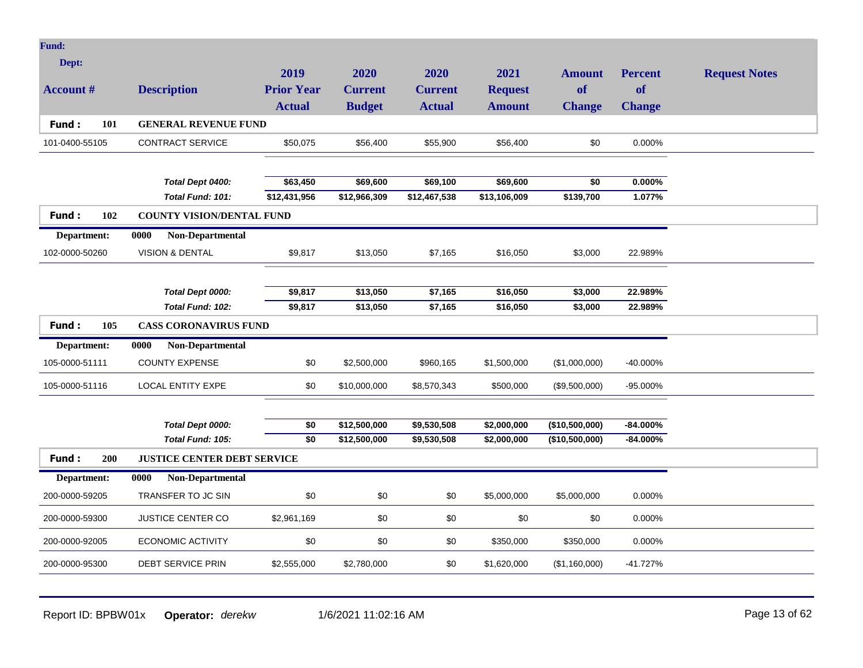| Fund:               |                                    |                   |                |                |                |                |                |                      |
|---------------------|------------------------------------|-------------------|----------------|----------------|----------------|----------------|----------------|----------------------|
| Dept:               |                                    |                   |                |                |                |                |                |                      |
|                     |                                    | 2019              | 2020           | 2020           | 2021           | <b>Amount</b>  | <b>Percent</b> | <b>Request Notes</b> |
| <b>Account #</b>    | <b>Description</b>                 | <b>Prior Year</b> | <b>Current</b> | <b>Current</b> | <b>Request</b> | <b>of</b>      | <b>of</b>      |                      |
|                     |                                    | <b>Actual</b>     | <b>Budget</b>  | <b>Actual</b>  | <b>Amount</b>  | <b>Change</b>  | <b>Change</b>  |                      |
| Fund:<br>101        | <b>GENERAL REVENUE FUND</b>        |                   |                |                |                |                |                |                      |
| 101-0400-55105      | <b>CONTRACT SERVICE</b>            | \$50,075          | \$56,400       | \$55,900       | \$56,400       | \$0            | 0.000%         |                      |
|                     |                                    |                   |                |                |                |                |                |                      |
|                     | Total Dept 0400:                   | \$63,450          | \$69,600       | \$69,100       | \$69,600       | \$0            | $0.000\%$      |                      |
|                     | Total Fund: 101:                   | \$12,431,956      | \$12,966,309   | \$12,467,538   | \$13,106,009   | \$139,700      | 1.077%         |                      |
| Fund:<br>102        | <b>COUNTY VISION/DENTAL FUND</b>   |                   |                |                |                |                |                |                      |
| Department:         | 0000<br>Non-Departmental           |                   |                |                |                |                |                |                      |
| 102-0000-50260      | <b>VISION &amp; DENTAL</b>         | \$9,817           | \$13,050       | \$7,165        | \$16,050       | \$3,000        | 22.989%        |                      |
|                     |                                    |                   |                |                |                |                |                |                      |
|                     | Total Dept 0000:                   | \$9,817           | \$13,050       | \$7,165        | \$16,050       | \$3,000        | 22.989%        |                      |
|                     | Total Fund: 102:                   | \$9,817           | \$13,050       | \$7,165        | \$16,050       | \$3,000        | 22.989%        |                      |
| 105<br><b>Fund:</b> | <b>CASS CORONAVIRUS FUND</b>       |                   |                |                |                |                |                |                      |
| Department:         | 0000<br>Non-Departmental           |                   |                |                |                |                |                |                      |
| 105-0000-51111      | <b>COUNTY EXPENSE</b>              | \$0               | \$2,500,000    | \$960,165      | \$1,500,000    | (\$1,000,000)  | $-40.000\%$    |                      |
| 105-0000-51116      | <b>LOCAL ENTITY EXPE</b>           | \$0               | \$10,000,000   | \$8,570,343    | \$500,000      | (\$9,500,000)  | -95.000%       |                      |
|                     |                                    |                   |                |                |                |                |                |                      |
|                     | Total Dept 0000:                   | \$0               | \$12,500,000   | \$9,530,508    | \$2,000,000    | (\$10,500,000) | $-84.000\%$    |                      |
|                     | Total Fund: 105:                   | $\overline{50}$   | \$12,500,000   | \$9,530,508    | \$2,000,000    | (\$10,500,000) | $-84.000\%$    |                      |
| Fund:<br>200        | <b>JUSTICE CENTER DEBT SERVICE</b> |                   |                |                |                |                |                |                      |
| Department:         | Non-Departmental<br>0000           |                   |                |                |                |                |                |                      |
| 200-0000-59205      | TRANSFER TO JC SIN                 | \$0               | \$0            | \$0            | \$5,000,000    | \$5,000,000    | 0.000%         |                      |
| 200-0000-59300      | <b>JUSTICE CENTER CO</b>           | \$2,961,169       | \$0            | \$0            | \$0            | \$0            | 0.000%         |                      |
| 200-0000-92005      | <b>ECONOMIC ACTIVITY</b>           | \$0               | \$0            | \$0            | \$350,000      | \$350,000      | 0.000%         |                      |
| 200-0000-95300      | <b>DEBT SERVICE PRIN</b>           | \$2,555,000       | \$2,780,000    | \$0            | \$1,620,000    | (\$1,160,000)  | $-41.727%$     |                      |
|                     |                                    |                   |                |                |                |                |                |                      |

Report ID: BPBW01x **Operator:** *derekw* 1/6/2021 11:02:16 AM <br>
Report ID: BPBW01x **Operator:** *derekw* 1/6/2021 11:02:16 AM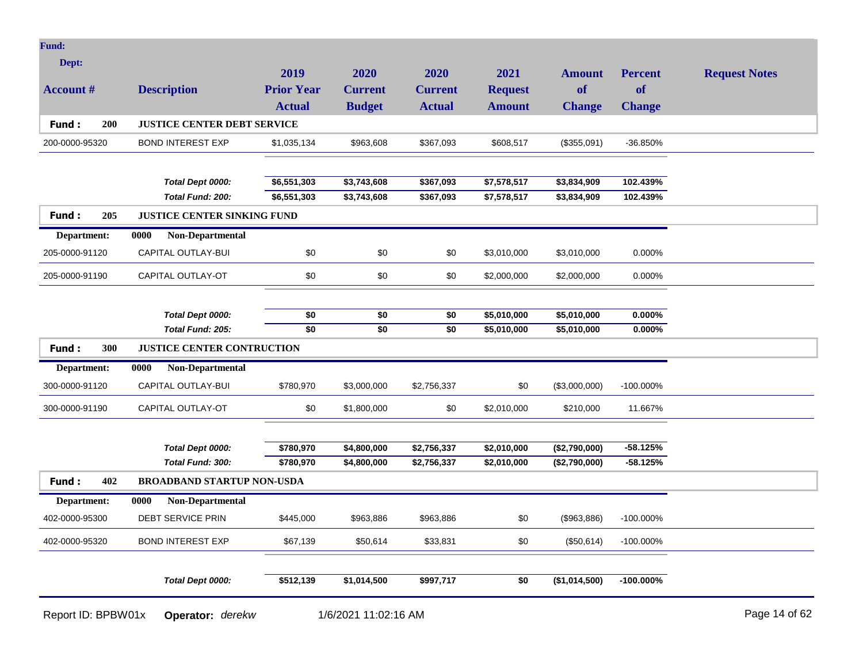| Fund:               |                                    |                   |                      |                |                |               |                |                      |
|---------------------|------------------------------------|-------------------|----------------------|----------------|----------------|---------------|----------------|----------------------|
| Dept:               |                                    | 2019              | 2020                 | 2020           | 2021           | <b>Amount</b> | <b>Percent</b> | <b>Request Notes</b> |
| <b>Account #</b>    | <b>Description</b>                 | <b>Prior Year</b> | <b>Current</b>       | <b>Current</b> | <b>Request</b> | <b>of</b>     | of             |                      |
|                     |                                    | <b>Actual</b>     | <b>Budget</b>        | <b>Actual</b>  | <b>Amount</b>  | <b>Change</b> | <b>Change</b>  |                      |
| Fund:<br>200        | <b>JUSTICE CENTER DEBT SERVICE</b> |                   |                      |                |                |               |                |                      |
| 200-0000-95320      | <b>BOND INTEREST EXP</b>           | \$1,035,134       | \$963,608            | \$367,093      | \$608,517      | (\$355,091)   | -36.850%       |                      |
|                     |                                    |                   |                      |                |                |               |                |                      |
|                     | Total Dept 0000:                   | \$6,551,303       | \$3,743,608          | \$367,093      | \$7,578,517    | \$3,834,909   | 102.439%       |                      |
|                     | Total Fund: 200:                   | \$6,551,303       | \$3,743,608          | \$367,093      | \$7,578,517    | \$3,834,909   | 102.439%       |                      |
| Fund:<br>205        | <b>JUSTICE CENTER SINKING FUND</b> |                   |                      |                |                |               |                |                      |
| Department:         | Non-Departmental<br>0000           |                   |                      |                |                |               |                |                      |
| 205-0000-91120      | CAPITAL OUTLAY-BUI                 | \$0               | \$0                  | \$0            | \$3,010,000    | \$3,010,000   | 0.000%         |                      |
| 205-0000-91190      | CAPITAL OUTLAY-OT                  | \$0               | \$0                  | \$0            | \$2,000,000    | \$2,000,000   | 0.000%         |                      |
|                     |                                    |                   |                      |                |                |               |                |                      |
|                     | Total Dept 0000:                   | \$0               | \$0                  | \$0            | \$5,010,000    | \$5,010,000   | $0.000\%$      |                      |
|                     | Total Fund: 205:                   | \$0               | \$0                  | \$0            | \$5,010,000    | \$5,010,000   | $0.000\%$      |                      |
| 300<br><b>Fund:</b> | <b>JUSTICE CENTER CONTRUCTION</b>  |                   |                      |                |                |               |                |                      |
| Department:         | 0000<br>Non-Departmental           |                   |                      |                |                |               |                |                      |
| 300-0000-91120      | CAPITAL OUTLAY-BUI                 | \$780,970         | \$3,000,000          | \$2,756,337    | \$0            | (\$3,000,000) | $-100.000\%$   |                      |
| 300-0000-91190      | CAPITAL OUTLAY-OT                  | \$0               | \$1,800,000          | \$0            | \$2,010,000    | \$210,000     | 11.667%        |                      |
|                     |                                    |                   |                      |                |                |               |                |                      |
|                     | Total Dept 0000:                   | \$780,970         | \$4,800,000          | \$2,756,337    | \$2,010,000    | (\$2,790,000) | $-58.125%$     |                      |
|                     | Total Fund: 300:                   | \$780,970         | \$4,800,000          | \$2,756,337    | \$2,010,000    | (\$2,790,000) | $-58.125%$     |                      |
| Fund:<br>402        | <b>BROADBAND STARTUP NON-USDA</b>  |                   |                      |                |                |               |                |                      |
| Department:         | 0000<br><b>Non-Departmental</b>    |                   |                      |                |                |               |                |                      |
| 402-0000-95300      | <b>DEBT SERVICE PRIN</b>           | \$445,000         | \$963,886            | \$963,886      | \$0            | (\$963,886)   | $-100.000\%$   |                      |
| 402-0000-95320      | <b>BOND INTEREST EXP</b>           | \$67,139          | \$50,614             | \$33,831       | \$0            | (\$50,614)    | -100.000%      |                      |
|                     | Total Dept 0000:                   | \$512,139         | \$1,014,500          | \$997,717      | \$0            | (\$1,014,500) | $-100.000\%$   |                      |
|                     |                                    |                   |                      |                |                |               |                |                      |
| Report ID: BPBW01x  | Operator: derekw                   |                   | 1/6/2021 11:02:16 AM |                |                |               |                | Page 14 of 62        |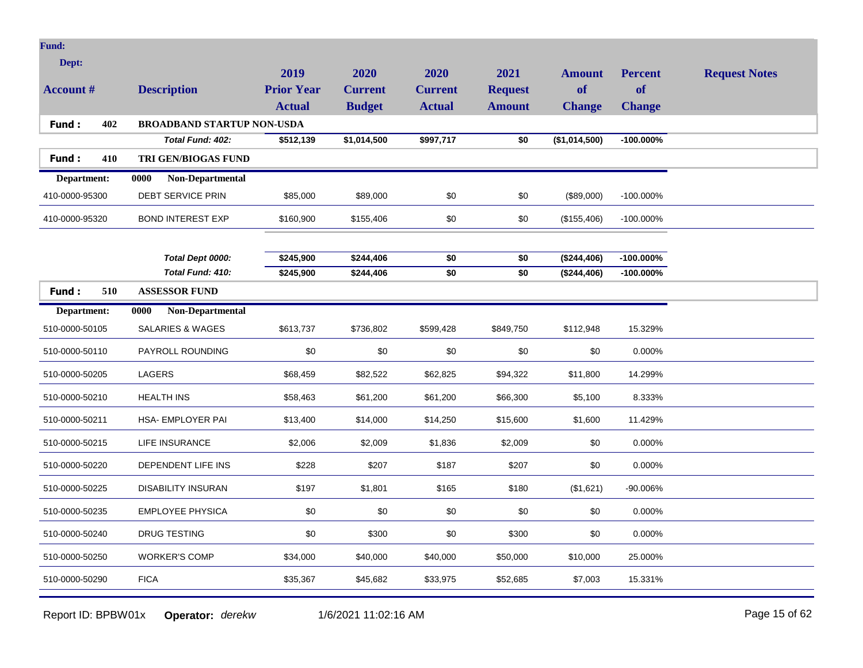| Fund:               |                                   |                   |                |                |                |               |                |                      |
|---------------------|-----------------------------------|-------------------|----------------|----------------|----------------|---------------|----------------|----------------------|
| Dept:               |                                   | 2019              | 2020           | 2020           | 2021           | <b>Amount</b> | <b>Percent</b> | <b>Request Notes</b> |
| <b>Account #</b>    | <b>Description</b>                | <b>Prior Year</b> | <b>Current</b> | <b>Current</b> | <b>Request</b> | <b>of</b>     | <b>of</b>      |                      |
|                     |                                   | <b>Actual</b>     | <b>Budget</b>  | <b>Actual</b>  | <b>Amount</b>  | <b>Change</b> | <b>Change</b>  |                      |
| 402<br>Fund:        | <b>BROADBAND STARTUP NON-USDA</b> |                   |                |                |                |               |                |                      |
|                     | Total Fund: 402:                  | \$512,139         | \$1,014,500    | \$997,717      | \$0            | (\$1,014,500) | $-100.000\%$   |                      |
| 410<br><b>Fund:</b> | <b>TRI GEN/BIOGAS FUND</b>        |                   |                |                |                |               |                |                      |
| Department:         | 0000<br>Non-Departmental          |                   |                |                |                |               |                |                      |
| 410-0000-95300      | DEBT SERVICE PRIN                 | \$85,000          | \$89,000       | \$0            | \$0            | (\$89,000)    | -100.000%      |                      |
| 410-0000-95320      | <b>BOND INTEREST EXP</b>          | \$160,900         | \$155,406      | \$0            | \$0            | (\$155,406)   | -100.000%      |                      |
|                     |                                   |                   |                |                |                |               |                |                      |
|                     | Total Dept 0000:                  | \$245,900         | \$244,406      | \$0            | \$0            | (\$244,406)   | $-100.000\%$   |                      |
|                     | Total Fund: 410:                  | \$245,900         | \$244,406      | \$0            | \$0            | (\$244,406)   | -100.000%      |                      |
| 510<br>Fund:        | <b>ASSESSOR FUND</b>              |                   |                |                |                |               |                |                      |
| Department:         | 0000<br>Non-Departmental          |                   |                |                |                |               |                |                      |
| 510-0000-50105      | <b>SALARIES &amp; WAGES</b>       | \$613,737         | \$736,802      | \$599,428      | \$849,750      | \$112,948     | 15.329%        |                      |
| 510-0000-50110      | PAYROLL ROUNDING                  | \$0               | \$0            | \$0            | \$0            | \$0           | 0.000%         |                      |
| 510-0000-50205      | LAGERS                            | \$68,459          | \$82,522       | \$62,825       | \$94,322       | \$11,800      | 14.299%        |                      |
| 510-0000-50210      | <b>HEALTH INS</b>                 | \$58,463          | \$61,200       | \$61,200       | \$66,300       | \$5,100       | 8.333%         |                      |
| 510-0000-50211      | HSA- EMPLOYER PAI                 | \$13,400          | \$14,000       | \$14,250       | \$15,600       | \$1,600       | 11.429%        |                      |
| 510-0000-50215      | LIFE INSURANCE                    | \$2,006           | \$2,009        | \$1,836        | \$2,009        | \$0           | 0.000%         |                      |
| 510-0000-50220      | DEPENDENT LIFE INS                | \$228             | \$207          | \$187          | \$207          | \$0           | 0.000%         |                      |
| 510-0000-50225      | <b>DISABILITY INSURAN</b>         | \$197             | \$1,801        | \$165          | \$180          | (\$1,621)     | -90.006%       |                      |
| 510-0000-50235      | <b>EMPLOYEE PHYSICA</b>           | \$0               | \$0            | \$0            | \$0            | \$0           | 0.000%         |                      |
| 510-0000-50240      | DRUG TESTING                      | \$0               | \$300          | \$0            | \$300          | \$0           | 0.000%         |                      |
| 510-0000-50250      | <b>WORKER'S COMP</b>              | \$34,000          | \$40,000       | \$40,000       | \$50,000       | \$10,000      | 25.000%        |                      |
| 510-0000-50290      | <b>FICA</b>                       | \$35,367          | \$45,682       | \$33,975       | \$52,685       | \$7,003       | 15.331%        |                      |

Report ID: BPBW01x **Operator:** *derekw* 1/6/2021 11:02:16 AM Page 15 of 62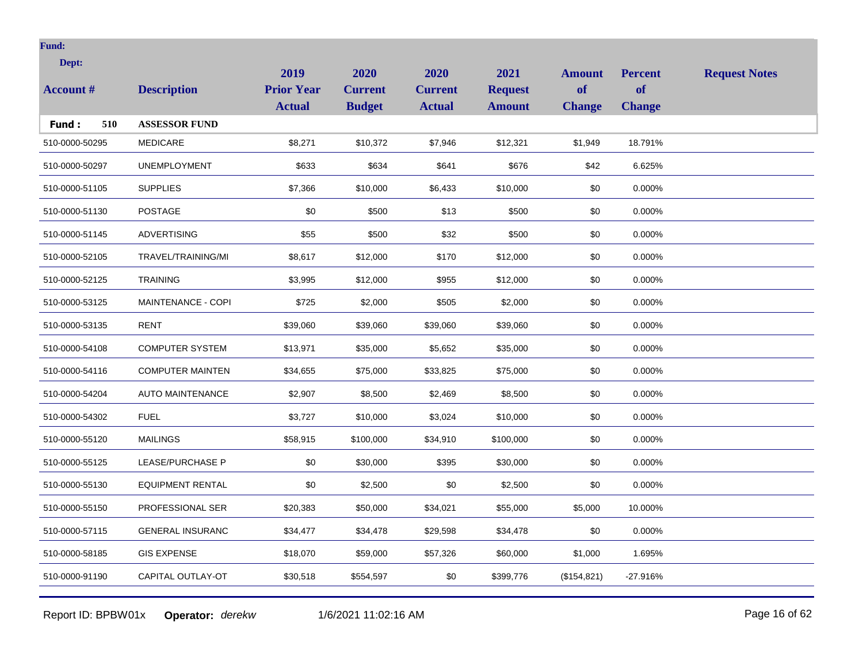| Dept:<br><b>Account #</b> | <b>Description</b>      | 2019<br><b>Prior Year</b><br><b>Actual</b> | 2020<br><b>Current</b><br><b>Budget</b> | 2020<br><b>Current</b><br><b>Actual</b> | 2021<br><b>Request</b><br><b>Amount</b> | <b>Amount</b><br>of<br><b>Change</b> | <b>Percent</b><br><b>of</b><br><b>Change</b> | <b>Request Notes</b> |
|---------------------------|-------------------------|--------------------------------------------|-----------------------------------------|-----------------------------------------|-----------------------------------------|--------------------------------------|----------------------------------------------|----------------------|
| 510<br>Fund:              | <b>ASSESSOR FUND</b>    |                                            |                                         |                                         |                                         |                                      |                                              |                      |
| 510-0000-50295            | <b>MEDICARE</b>         | \$8,271                                    | \$10,372                                | \$7,946                                 | \$12,321                                | \$1,949                              | 18.791%                                      |                      |
| 510-0000-50297            | <b>UNEMPLOYMENT</b>     | \$633                                      | \$634                                   | \$641                                   | \$676                                   | \$42                                 | 6.625%                                       |                      |
| 510-0000-51105            | <b>SUPPLIES</b>         | \$7,366                                    | \$10,000                                | \$6,433                                 | \$10,000                                | \$0                                  | 0.000%                                       |                      |
| 510-0000-51130            | <b>POSTAGE</b>          | \$0                                        | \$500                                   | \$13                                    | \$500                                   | \$0                                  | 0.000%                                       |                      |
| 510-0000-51145            | <b>ADVERTISING</b>      | \$55                                       | \$500                                   | \$32                                    | \$500                                   | \$0                                  | 0.000%                                       |                      |
| 510-0000-52105            | TRAVEL/TRAINING/MI      | \$8,617                                    | \$12,000                                | \$170                                   | \$12,000                                | \$0                                  | 0.000%                                       |                      |
| 510-0000-52125            | <b>TRAINING</b>         | \$3,995                                    | \$12,000                                | \$955                                   | \$12,000                                | \$0                                  | 0.000%                                       |                      |
| 510-0000-53125            | MAINTENANCE - COPI      | \$725                                      | \$2,000                                 | \$505                                   | \$2,000                                 | \$0                                  | 0.000%                                       |                      |
| 510-0000-53135            | <b>RENT</b>             | \$39,060                                   | \$39,060                                | \$39,060                                | \$39,060                                | \$0                                  | 0.000%                                       |                      |
| 510-0000-54108            | <b>COMPUTER SYSTEM</b>  | \$13,971                                   | \$35,000                                | \$5,652                                 | \$35,000                                | \$0                                  | 0.000%                                       |                      |
| 510-0000-54116            | <b>COMPUTER MAINTEN</b> | \$34,655                                   | \$75,000                                | \$33,825                                | \$75,000                                | \$0                                  | 0.000%                                       |                      |
| 510-0000-54204            | <b>AUTO MAINTENANCE</b> | \$2,907                                    | \$8,500                                 | \$2,469                                 | \$8,500                                 | \$0                                  | 0.000%                                       |                      |
| 510-0000-54302            | <b>FUEL</b>             | \$3,727                                    | \$10,000                                | \$3,024                                 | \$10,000                                | \$0                                  | 0.000%                                       |                      |
| 510-0000-55120            | <b>MAILINGS</b>         | \$58,915                                   | \$100,000                               | \$34,910                                | \$100,000                               | \$0                                  | 0.000%                                       |                      |
| 510-0000-55125            | <b>LEASE/PURCHASE P</b> | \$0                                        | \$30,000                                | \$395                                   | \$30,000                                | \$0                                  | 0.000%                                       |                      |
| 510-0000-55130            | <b>EQUIPMENT RENTAL</b> | \$0                                        | \$2,500                                 | \$0                                     | \$2,500                                 | \$0                                  | 0.000%                                       |                      |
| 510-0000-55150            | PROFESSIONAL SER        | \$20,383                                   | \$50,000                                | \$34,021                                | \$55,000                                | \$5,000                              | 10.000%                                      |                      |
| 510-0000-57115            | <b>GENERAL INSURANC</b> | \$34,477                                   | \$34,478                                | \$29,598                                | \$34,478                                | \$0                                  | 0.000%                                       |                      |
| 510-0000-58185            | <b>GIS EXPENSE</b>      | \$18,070                                   | \$59,000                                | \$57,326                                | \$60,000                                | \$1,000                              | 1.695%                                       |                      |
| 510-0000-91190            | CAPITAL OUTLAY-OT       | \$30,518                                   | \$554,597                               | \$0                                     | \$399,776                               | (\$154,821)                          | $-27.916%$                                   |                      |
|                           |                         |                                            |                                         |                                         |                                         |                                      |                                              |                      |

Report ID: BPBW01x **Operator:** *derekw* 1/6/2021 11:02:16 AM Page 16 of 62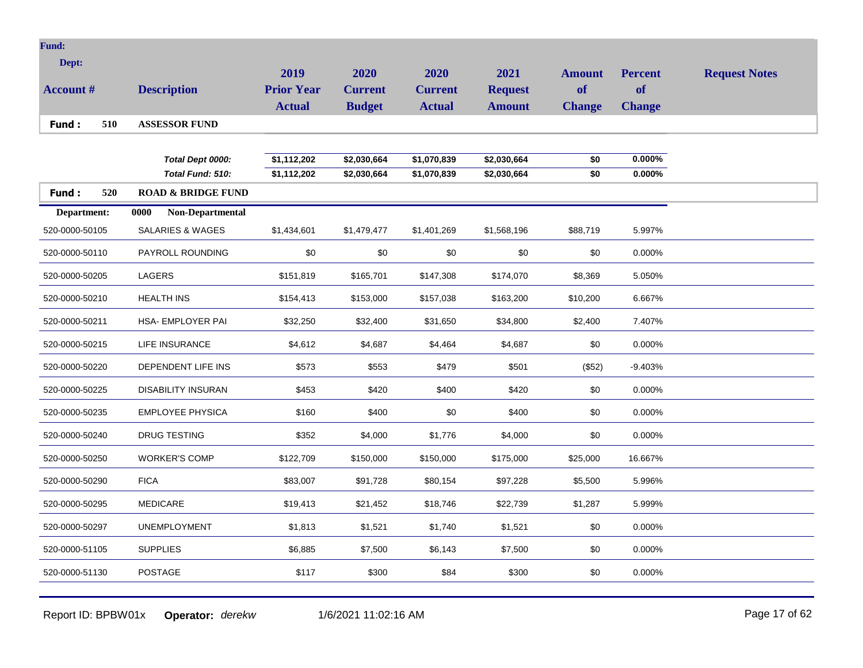| 2019<br>2020<br>2020<br>2021<br><b>Amount</b><br><b>Percent</b><br><b>Request Notes</b><br>of<br><b>Prior Year</b><br><b>of</b><br><b>Account #</b><br><b>Description</b><br><b>Current</b><br><b>Current</b><br><b>Request</b><br><b>Actual</b><br><b>Budget</b><br><b>Actual</b><br><b>Amount</b><br><b>Change</b><br><b>Change</b><br>510<br><b>ASSESSOR FUND</b><br>Fund:<br>$0.000\%$<br>\$1,112,202<br>\$1,070,839<br>Total Dept 0000:<br>\$2,030,664<br>\$2,030,664<br>\$0<br>\$1,112,202<br>\$1,070,839<br>\$0<br>$0.000\%$<br>Total Fund: 510:<br>\$2,030,664<br>\$2,030,664<br>520<br>Fund:<br><b>ROAD &amp; BRIDGE FUND</b><br>Department:<br>Non-Departmental<br>0000<br>520-0000-50105<br><b>SALARIES &amp; WAGES</b><br>\$1,434,601<br>\$1,479,477<br>\$1,401,269<br>\$1,568,196<br>\$88,719<br>5.997%<br>\$0<br>\$0<br>\$0<br>\$0<br>\$0<br>PAYROLL ROUNDING<br>0.000%<br>520-0000-50110<br><b>LAGERS</b><br>\$165,701<br>\$147,308<br>520-0000-50205<br>\$151,819<br>\$174,070<br>\$8,369<br>5.050%<br><b>HEALTH INS</b><br>\$153,000<br>\$157,038<br>\$163,200<br>6.667%<br>520-0000-50210<br>\$154,413<br>\$10,200<br>520-0000-50211<br>HSA- EMPLOYER PAI<br>\$32,250<br>\$31,650<br>\$34,800<br>7.407%<br>\$32,400<br>\$2,400<br>\$4,612<br>\$4,687<br>\$0<br>0.000%<br>520-0000-50215<br><b>LIFE INSURANCE</b><br>\$4,464<br>\$4,687<br>DEPENDENT LIFE INS<br>\$573<br>\$479<br>520-0000-50220<br>\$553<br>\$501<br>(\$52)<br>$-9.403%$<br>\$453<br>\$420<br>\$400<br>\$420<br>\$0<br>520-0000-50225<br><b>DISABILITY INSURAN</b><br>0.000%<br><b>EMPLOYEE PHYSICA</b><br>\$160<br>\$400<br>\$0<br>\$400<br>\$0<br>0.000%<br>520-0000-50235<br><b>DRUG TESTING</b><br>\$352<br>\$4,000<br>\$1,776<br>\$4,000<br>\$0<br>0.000%<br>520-0000-50240<br>520-0000-50250<br><b>WORKER'S COMP</b><br>\$122,709<br>\$150,000<br>\$150,000<br>\$175,000<br>\$25,000<br>16.667%<br><b>FICA</b><br>\$83,007<br>\$91,728<br>520-0000-50290<br>\$80,154<br>\$97,228<br>\$5,500<br>5.996%<br>520-0000-50295<br><b>MEDICARE</b><br>\$19,413<br>\$21,452<br>\$18,746<br>\$22,739<br>\$1,287<br>5.999%<br>520-0000-50297<br><b>UNEMPLOYMENT</b><br>\$1,813<br>\$1,521<br>\$1,740<br>\$1,521<br>\$0<br>0.000%<br>520-0000-51105<br><b>SUPPLIES</b><br>\$6,885<br>\$7,500<br>\$6,143<br>\$7,500<br>\$0<br>0.000% | <b>Fund:</b> |  |  |  |  |
|------------------------------------------------------------------------------------------------------------------------------------------------------------------------------------------------------------------------------------------------------------------------------------------------------------------------------------------------------------------------------------------------------------------------------------------------------------------------------------------------------------------------------------------------------------------------------------------------------------------------------------------------------------------------------------------------------------------------------------------------------------------------------------------------------------------------------------------------------------------------------------------------------------------------------------------------------------------------------------------------------------------------------------------------------------------------------------------------------------------------------------------------------------------------------------------------------------------------------------------------------------------------------------------------------------------------------------------------------------------------------------------------------------------------------------------------------------------------------------------------------------------------------------------------------------------------------------------------------------------------------------------------------------------------------------------------------------------------------------------------------------------------------------------------------------------------------------------------------------------------------------------------------------------------------------------------------------------------------------------------------------------------------------------------------------------------------------------------------------------------------------------------------------------------------------------------------------------------------------------------------------------------------------------------------------------|--------------|--|--|--|--|
|                                                                                                                                                                                                                                                                                                                                                                                                                                                                                                                                                                                                                                                                                                                                                                                                                                                                                                                                                                                                                                                                                                                                                                                                                                                                                                                                                                                                                                                                                                                                                                                                                                                                                                                                                                                                                                                                                                                                                                                                                                                                                                                                                                                                                                                                                                                  | Dept:        |  |  |  |  |
|                                                                                                                                                                                                                                                                                                                                                                                                                                                                                                                                                                                                                                                                                                                                                                                                                                                                                                                                                                                                                                                                                                                                                                                                                                                                                                                                                                                                                                                                                                                                                                                                                                                                                                                                                                                                                                                                                                                                                                                                                                                                                                                                                                                                                                                                                                                  |              |  |  |  |  |
|                                                                                                                                                                                                                                                                                                                                                                                                                                                                                                                                                                                                                                                                                                                                                                                                                                                                                                                                                                                                                                                                                                                                                                                                                                                                                                                                                                                                                                                                                                                                                                                                                                                                                                                                                                                                                                                                                                                                                                                                                                                                                                                                                                                                                                                                                                                  |              |  |  |  |  |
|                                                                                                                                                                                                                                                                                                                                                                                                                                                                                                                                                                                                                                                                                                                                                                                                                                                                                                                                                                                                                                                                                                                                                                                                                                                                                                                                                                                                                                                                                                                                                                                                                                                                                                                                                                                                                                                                                                                                                                                                                                                                                                                                                                                                                                                                                                                  |              |  |  |  |  |
|                                                                                                                                                                                                                                                                                                                                                                                                                                                                                                                                                                                                                                                                                                                                                                                                                                                                                                                                                                                                                                                                                                                                                                                                                                                                                                                                                                                                                                                                                                                                                                                                                                                                                                                                                                                                                                                                                                                                                                                                                                                                                                                                                                                                                                                                                                                  |              |  |  |  |  |
|                                                                                                                                                                                                                                                                                                                                                                                                                                                                                                                                                                                                                                                                                                                                                                                                                                                                                                                                                                                                                                                                                                                                                                                                                                                                                                                                                                                                                                                                                                                                                                                                                                                                                                                                                                                                                                                                                                                                                                                                                                                                                                                                                                                                                                                                                                                  |              |  |  |  |  |
|                                                                                                                                                                                                                                                                                                                                                                                                                                                                                                                                                                                                                                                                                                                                                                                                                                                                                                                                                                                                                                                                                                                                                                                                                                                                                                                                                                                                                                                                                                                                                                                                                                                                                                                                                                                                                                                                                                                                                                                                                                                                                                                                                                                                                                                                                                                  |              |  |  |  |  |
|                                                                                                                                                                                                                                                                                                                                                                                                                                                                                                                                                                                                                                                                                                                                                                                                                                                                                                                                                                                                                                                                                                                                                                                                                                                                                                                                                                                                                                                                                                                                                                                                                                                                                                                                                                                                                                                                                                                                                                                                                                                                                                                                                                                                                                                                                                                  |              |  |  |  |  |
|                                                                                                                                                                                                                                                                                                                                                                                                                                                                                                                                                                                                                                                                                                                                                                                                                                                                                                                                                                                                                                                                                                                                                                                                                                                                                                                                                                                                                                                                                                                                                                                                                                                                                                                                                                                                                                                                                                                                                                                                                                                                                                                                                                                                                                                                                                                  |              |  |  |  |  |
|                                                                                                                                                                                                                                                                                                                                                                                                                                                                                                                                                                                                                                                                                                                                                                                                                                                                                                                                                                                                                                                                                                                                                                                                                                                                                                                                                                                                                                                                                                                                                                                                                                                                                                                                                                                                                                                                                                                                                                                                                                                                                                                                                                                                                                                                                                                  |              |  |  |  |  |
|                                                                                                                                                                                                                                                                                                                                                                                                                                                                                                                                                                                                                                                                                                                                                                                                                                                                                                                                                                                                                                                                                                                                                                                                                                                                                                                                                                                                                                                                                                                                                                                                                                                                                                                                                                                                                                                                                                                                                                                                                                                                                                                                                                                                                                                                                                                  |              |  |  |  |  |
|                                                                                                                                                                                                                                                                                                                                                                                                                                                                                                                                                                                                                                                                                                                                                                                                                                                                                                                                                                                                                                                                                                                                                                                                                                                                                                                                                                                                                                                                                                                                                                                                                                                                                                                                                                                                                                                                                                                                                                                                                                                                                                                                                                                                                                                                                                                  |              |  |  |  |  |
|                                                                                                                                                                                                                                                                                                                                                                                                                                                                                                                                                                                                                                                                                                                                                                                                                                                                                                                                                                                                                                                                                                                                                                                                                                                                                                                                                                                                                                                                                                                                                                                                                                                                                                                                                                                                                                                                                                                                                                                                                                                                                                                                                                                                                                                                                                                  |              |  |  |  |  |
|                                                                                                                                                                                                                                                                                                                                                                                                                                                                                                                                                                                                                                                                                                                                                                                                                                                                                                                                                                                                                                                                                                                                                                                                                                                                                                                                                                                                                                                                                                                                                                                                                                                                                                                                                                                                                                                                                                                                                                                                                                                                                                                                                                                                                                                                                                                  |              |  |  |  |  |
|                                                                                                                                                                                                                                                                                                                                                                                                                                                                                                                                                                                                                                                                                                                                                                                                                                                                                                                                                                                                                                                                                                                                                                                                                                                                                                                                                                                                                                                                                                                                                                                                                                                                                                                                                                                                                                                                                                                                                                                                                                                                                                                                                                                                                                                                                                                  |              |  |  |  |  |
|                                                                                                                                                                                                                                                                                                                                                                                                                                                                                                                                                                                                                                                                                                                                                                                                                                                                                                                                                                                                                                                                                                                                                                                                                                                                                                                                                                                                                                                                                                                                                                                                                                                                                                                                                                                                                                                                                                                                                                                                                                                                                                                                                                                                                                                                                                                  |              |  |  |  |  |
|                                                                                                                                                                                                                                                                                                                                                                                                                                                                                                                                                                                                                                                                                                                                                                                                                                                                                                                                                                                                                                                                                                                                                                                                                                                                                                                                                                                                                                                                                                                                                                                                                                                                                                                                                                                                                                                                                                                                                                                                                                                                                                                                                                                                                                                                                                                  |              |  |  |  |  |
|                                                                                                                                                                                                                                                                                                                                                                                                                                                                                                                                                                                                                                                                                                                                                                                                                                                                                                                                                                                                                                                                                                                                                                                                                                                                                                                                                                                                                                                                                                                                                                                                                                                                                                                                                                                                                                                                                                                                                                                                                                                                                                                                                                                                                                                                                                                  |              |  |  |  |  |
|                                                                                                                                                                                                                                                                                                                                                                                                                                                                                                                                                                                                                                                                                                                                                                                                                                                                                                                                                                                                                                                                                                                                                                                                                                                                                                                                                                                                                                                                                                                                                                                                                                                                                                                                                                                                                                                                                                                                                                                                                                                                                                                                                                                                                                                                                                                  |              |  |  |  |  |
| <b>POSTAGE</b><br>\$84<br>\$0<br>520-0000-51130<br>\$117<br>\$300<br>\$300<br>0.000%                                                                                                                                                                                                                                                                                                                                                                                                                                                                                                                                                                                                                                                                                                                                                                                                                                                                                                                                                                                                                                                                                                                                                                                                                                                                                                                                                                                                                                                                                                                                                                                                                                                                                                                                                                                                                                                                                                                                                                                                                                                                                                                                                                                                                             |              |  |  |  |  |

Report ID: BPBW01x **Operator:** *derekw* 1/6/2021 11:02:16 AM Page 17 of 62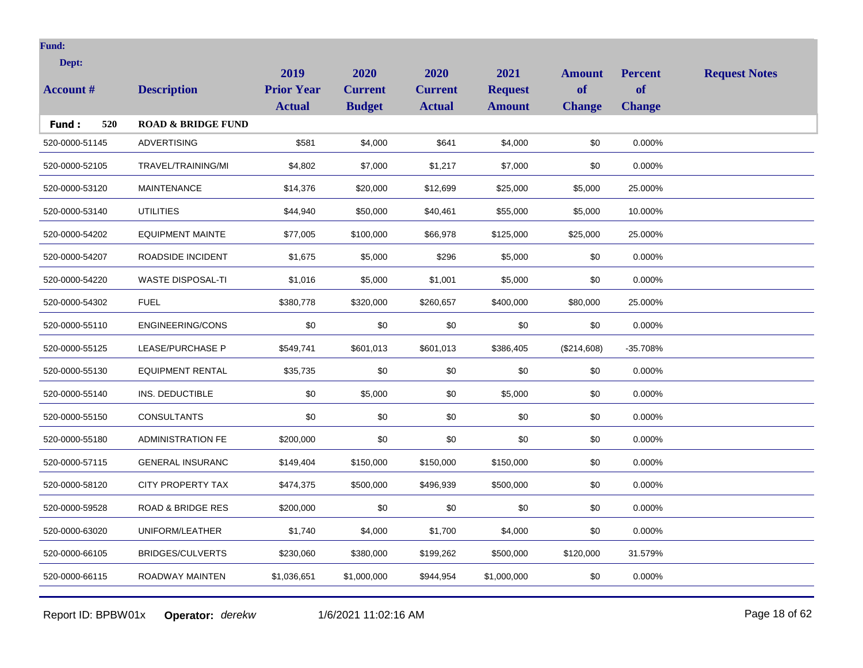| Dept:            |                               | 2019                               | 2020                            | 2020                            | 2021                            | <b>Amount</b>              | <b>Percent</b>             | <b>Request Notes</b> |
|------------------|-------------------------------|------------------------------------|---------------------------------|---------------------------------|---------------------------------|----------------------------|----------------------------|----------------------|
| <b>Account #</b> | <b>Description</b>            | <b>Prior Year</b><br><b>Actual</b> | <b>Current</b><br><b>Budget</b> | <b>Current</b><br><b>Actual</b> | <b>Request</b><br><b>Amount</b> | <b>of</b><br><b>Change</b> | <b>of</b><br><b>Change</b> |                      |
| 520<br>Fund:     | <b>ROAD &amp; BRIDGE FUND</b> |                                    |                                 |                                 |                                 |                            |                            |                      |
| 520-0000-51145   | <b>ADVERTISING</b>            | \$581                              | \$4,000                         | \$641                           | \$4,000                         | \$0                        | 0.000%                     |                      |
| 520-0000-52105   | TRAVEL/TRAINING/MI            | \$4,802                            | \$7,000                         | \$1,217                         | \$7,000                         | \$0                        | 0.000%                     |                      |
| 520-0000-53120   | <b>MAINTENANCE</b>            | \$14,376                           | \$20,000                        | \$12,699                        | \$25,000                        | \$5,000                    | 25.000%                    |                      |
| 520-0000-53140   | <b>UTILITIES</b>              | \$44,940                           | \$50,000                        | \$40,461                        | \$55,000                        | \$5,000                    | 10.000%                    |                      |
| 520-0000-54202   | <b>EQUIPMENT MAINTE</b>       | \$77,005                           | \$100,000                       | \$66,978                        | \$125,000                       | \$25,000                   | 25.000%                    |                      |
| 520-0000-54207   | ROADSIDE INCIDENT             | \$1,675                            | \$5,000                         | \$296                           | \$5,000                         | \$0                        | 0.000%                     |                      |
| 520-0000-54220   | <b>WASTE DISPOSAL-TI</b>      | \$1,016                            | \$5,000                         | \$1,001                         | \$5,000                         | \$0                        | 0.000%                     |                      |
| 520-0000-54302   | <b>FUEL</b>                   | \$380,778                          | \$320,000                       | \$260,657                       | \$400,000                       | \$80,000                   | 25.000%                    |                      |
| 520-0000-55110   | <b>ENGINEERING/CONS</b>       | \$0                                | \$0                             | \$0                             | \$0                             | \$0                        | 0.000%                     |                      |
| 520-0000-55125   | <b>LEASE/PURCHASE P</b>       | \$549,741                          | \$601,013                       | \$601,013                       | \$386,405                       | (\$214,608)                | $-35.708%$                 |                      |
| 520-0000-55130   | <b>EQUIPMENT RENTAL</b>       | \$35,735                           | \$0                             | \$0                             | \$0                             | \$0                        | 0.000%                     |                      |
| 520-0000-55140   | INS. DEDUCTIBLE               | \$0                                | \$5,000                         | \$0                             | \$5,000                         | \$0                        | 0.000%                     |                      |
| 520-0000-55150   | <b>CONSULTANTS</b>            | \$0                                | \$0                             | \$0                             | \$0                             | \$0                        | 0.000%                     |                      |
| 520-0000-55180   | <b>ADMINISTRATION FE</b>      | \$200,000                          | \$0                             | \$0                             | \$0                             | \$0                        | 0.000%                     |                      |
| 520-0000-57115   | <b>GENERAL INSURANC</b>       | \$149,404                          | \$150,000                       | \$150,000                       | \$150,000                       | \$0                        | 0.000%                     |                      |
| 520-0000-58120   | CITY PROPERTY TAX             | \$474,375                          | \$500,000                       | \$496,939                       | \$500,000                       | \$0                        | 0.000%                     |                      |
| 520-0000-59528   | <b>ROAD &amp; BRIDGE RES</b>  | \$200,000                          | \$0                             | \$0                             | \$0                             | \$0                        | 0.000%                     |                      |
| 520-0000-63020   | UNIFORM/LEATHER               | \$1,740                            | \$4,000                         | \$1,700                         | \$4,000                         | \$0                        | 0.000%                     |                      |
| 520-0000-66105   | <b>BRIDGES/CULVERTS</b>       | \$230,060                          | \$380,000                       | \$199,262                       | \$500,000                       | \$120,000                  | 31.579%                    |                      |
| 520-0000-66115   | ROADWAY MAINTEN               | \$1,036,651                        | \$1,000,000                     | \$944,954                       | \$1,000,000                     | \$0                        | 0.000%                     |                      |
|                  |                               |                                    |                                 |                                 |                                 |                            |                            |                      |

Report ID: BPBW01x **Operator:** *derekw* 1/6/2021 11:02:16 AM Page 18 of 62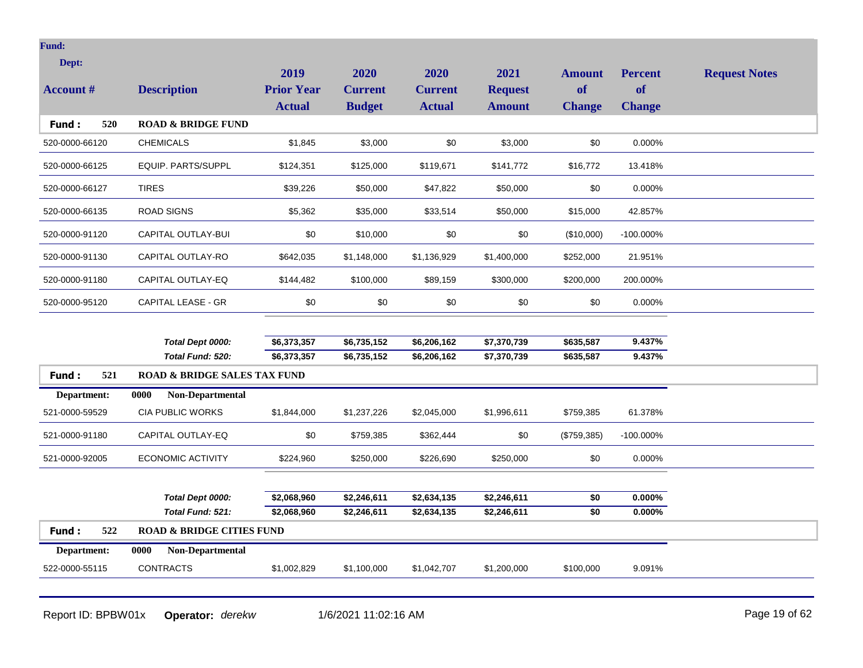| Dept:            |                                         | 2019              | 2020           | 2020           | 2021           | <b>Amount</b> | <b>Percent</b> | <b>Request Notes</b> |
|------------------|-----------------------------------------|-------------------|----------------|----------------|----------------|---------------|----------------|----------------------|
| <b>Account #</b> | <b>Description</b>                      | <b>Prior Year</b> | <b>Current</b> | <b>Current</b> | <b>Request</b> | of            | <b>of</b>      |                      |
|                  |                                         | <b>Actual</b>     | <b>Budget</b>  | <b>Actual</b>  | <b>Amount</b>  | <b>Change</b> | <b>Change</b>  |                      |
| Fund:<br>520     | <b>ROAD &amp; BRIDGE FUND</b>           |                   |                |                |                |               |                |                      |
| 520-0000-66120   | <b>CHEMICALS</b>                        | \$1,845           | \$3,000        | \$0            | \$3,000        | \$0           | 0.000%         |                      |
| 520-0000-66125   | EQUIP. PARTS/SUPPL                      | \$124,351         | \$125,000      | \$119,671      | \$141,772      | \$16,772      | 13.418%        |                      |
| 520-0000-66127   | <b>TIRES</b>                            | \$39,226          | \$50,000       | \$47,822       | \$50,000       | \$0           | 0.000%         |                      |
| 520-0000-66135   | <b>ROAD SIGNS</b>                       | \$5,362           | \$35,000       | \$33,514       | \$50,000       | \$15,000      | 42.857%        |                      |
| 520-0000-91120   | CAPITAL OUTLAY-BUI                      | \$0               | \$10,000       | \$0            | \$0            | (\$10,000)    | -100.000%      |                      |
| 520-0000-91130   | CAPITAL OUTLAY-RO                       | \$642,035         | \$1,148,000    | \$1,136,929    | \$1,400,000    | \$252,000     | 21.951%        |                      |
| 520-0000-91180   | CAPITAL OUTLAY-EQ                       | \$144,482         | \$100,000      | \$89,159       | \$300,000      | \$200,000     | 200.000%       |                      |
| 520-0000-95120   | <b>CAPITAL LEASE - GR</b>               | \$0               | \$0            | \$0            | \$0            | \$0           | 0.000%         |                      |
|                  |                                         |                   |                |                |                |               |                |                      |
|                  | Total Dept 0000:                        | \$6,373,357       | \$6,735,152    | \$6,206,162    | \$7,370,739    | \$635,587     | 9.437%         |                      |
|                  | Total Fund: 520:                        | \$6,373,357       | \$6,735,152    | \$6,206,162    | \$7,370,739    | \$635,587     | 9.437%         |                      |
| 521<br>Fund:     | <b>ROAD &amp; BRIDGE SALES TAX FUND</b> |                   |                |                |                |               |                |                      |
| Department:      | 0000<br><b>Non-Departmental</b>         |                   |                |                |                |               |                |                      |
| 521-0000-59529   | <b>CIA PUBLIC WORKS</b>                 | \$1,844,000       | \$1,237,226    | \$2,045,000    | \$1,996,611    | \$759,385     | 61.378%        |                      |
| 521-0000-91180   | CAPITAL OUTLAY-EQ                       | \$0               | \$759,385      | \$362,444      | \$0            | (\$759,385)   | -100.000%      |                      |
| 521-0000-92005   | <b>ECONOMIC ACTIVITY</b>                | \$224,960         | \$250,000      | \$226,690      | \$250,000      | \$0           | 0.000%         |                      |
|                  |                                         |                   |                |                |                |               |                |                      |
|                  | Total Dept 0000:                        | \$2,068,960       | \$2,246,611    | \$2,634,135    | \$2,246,611    | \$0           | 0.000%         |                      |
|                  | Total Fund: 521:                        | \$2,068,960       | \$2,246,611    | \$2,634,135    | \$2,246,611    | \$0           | $0.000\%$      |                      |
| 522<br>Fund:     | <b>ROAD &amp; BRIDGE CITIES FUND</b>    |                   |                |                |                |               |                |                      |
| Department:      | Non-Departmental<br>0000                |                   |                |                |                |               |                |                      |
| 522-0000-55115   | <b>CONTRACTS</b>                        | \$1,002,829       | \$1,100,000    | \$1,042,707    | \$1,200,000    | \$100,000     | 9.091%         |                      |
|                  |                                         |                   |                |                |                |               |                |                      |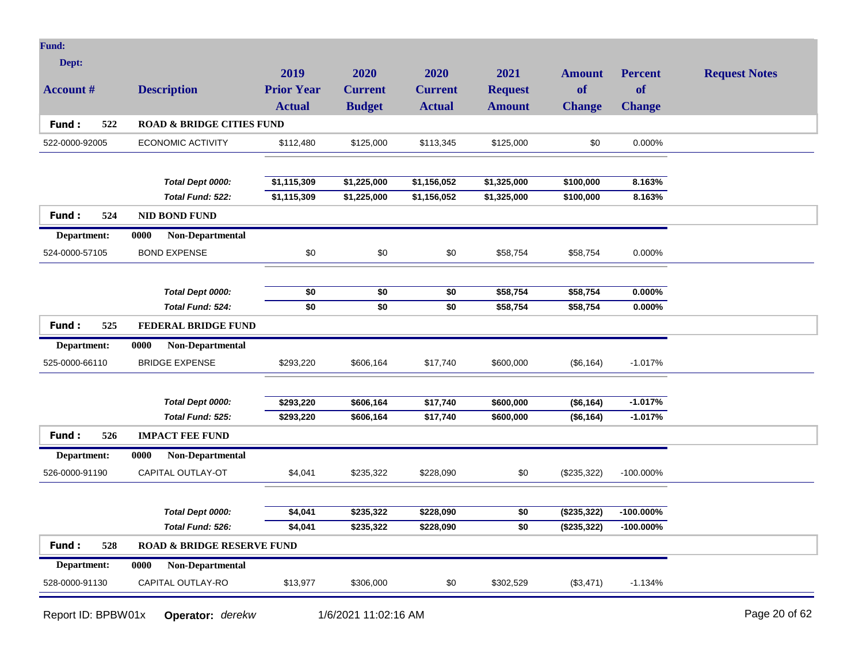| <b>Fund:</b>     |                                       |                   |                 |                 |                     |               |                |                      |
|------------------|---------------------------------------|-------------------|-----------------|-----------------|---------------------|---------------|----------------|----------------------|
| Dept:            |                                       |                   |                 |                 |                     |               |                |                      |
|                  |                                       | 2019              | 2020            | 2020            | 2021                | <b>Amount</b> | <b>Percent</b> | <b>Request Notes</b> |
| <b>Account #</b> | <b>Description</b>                    | <b>Prior Year</b> | <b>Current</b>  | <b>Current</b>  | <b>Request</b>      | of            | of             |                      |
|                  |                                       | <b>Actual</b>     | <b>Budget</b>   | <b>Actual</b>   | <b>Amount</b>       | <b>Change</b> | <b>Change</b>  |                      |
| 522<br>Fund:     | <b>ROAD &amp; BRIDGE CITIES FUND</b>  |                   |                 |                 |                     |               |                |                      |
| 522-0000-92005   | <b>ECONOMIC ACTIVITY</b>              | \$112,480         | \$125,000       | \$113,345       | \$125,000           | \$0           | 0.000%         |                      |
|                  |                                       |                   |                 |                 |                     |               |                |                      |
|                  | Total Dept 0000:                      | \$1,115,309       | \$1,225,000     | \$1,156,052     | \$1,325,000         | \$100,000     | 8.163%         |                      |
|                  | Total Fund: 522:                      | \$1,115,309       | \$1,225,000     | \$1,156,052     | $\sqrt{$1,325,000}$ | \$100,000     | 8.163%         |                      |
| Fund:<br>524     | <b>NID BOND FUND</b>                  |                   |                 |                 |                     |               |                |                      |
| Department:      | Non-Departmental<br>0000              |                   |                 |                 |                     |               |                |                      |
| 524-0000-57105   | <b>BOND EXPENSE</b>                   | \$0               | \$0             | \$0             | \$58,754            | \$58,754      | 0.000%         |                      |
|                  |                                       |                   |                 |                 |                     |               |                |                      |
|                  | Total Dept 0000:                      | \$0               | \$0             | \$0             | \$58,754            | \$58,754      | $0.000\%$      |                      |
|                  | Total Fund: 524:                      | $\overline{50}$   | $\overline{50}$ | $\overline{50}$ | \$58,754            | \$58,754      | 0.000%         |                      |
| Fund:<br>525     | <b>FEDERAL BRIDGE FUND</b>            |                   |                 |                 |                     |               |                |                      |
|                  |                                       |                   |                 |                 |                     |               |                |                      |
| Department:      | 0000<br><b>Non-Departmental</b>       |                   |                 |                 |                     |               |                |                      |
| 525-0000-66110   | <b>BRIDGE EXPENSE</b>                 | \$293,220         | \$606,164       | \$17,740        | \$600,000           | (\$6,164)     | $-1.017%$      |                      |
|                  |                                       |                   |                 |                 |                     |               |                |                      |
|                  | Total Dept 0000:                      | \$293,220         | \$606,164       | \$17,740        | \$600,000           | (\$6,164)     | $-1.017%$      |                      |
|                  | Total Fund: 525:                      | \$293,220         | \$606,164       | \$17,740        | \$600,000           | (\$6,164)     | $-1.017%$      |                      |
| Fund:<br>526     | <b>IMPACT FEE FUND</b>                |                   |                 |                 |                     |               |                |                      |
| Department:      | Non-Departmental<br>0000              |                   |                 |                 |                     |               |                |                      |
| 526-0000-91190   | CAPITAL OUTLAY-OT                     | \$4,041           | \$235,322       | \$228,090       | \$0                 | (\$235,322)   | -100.000%      |                      |
|                  |                                       |                   |                 |                 |                     |               |                |                      |
|                  | Total Dept 0000:                      | \$4,041           | \$235,322       | \$228,090       | \$0                 | (\$235,322)   | $-100.000\%$   |                      |
|                  | Total Fund: 526:                      | \$4,041           | \$235,322       | \$228,090       | \$0                 | (\$235,322)   | $-100.000\%$   |                      |
| 528<br>Fund:     | <b>ROAD &amp; BRIDGE RESERVE FUND</b> |                   |                 |                 |                     |               |                |                      |
| Department:      | Non-Departmental<br>0000              |                   |                 |                 |                     |               |                |                      |
| 528-0000-91130   | CAPITAL OUTLAY-RO                     | \$13,977          | \$306,000       | \$0             | \$302,529           | (\$3,471)     | $-1.134%$      |                      |
|                  |                                       |                   |                 |                 |                     |               |                |                      |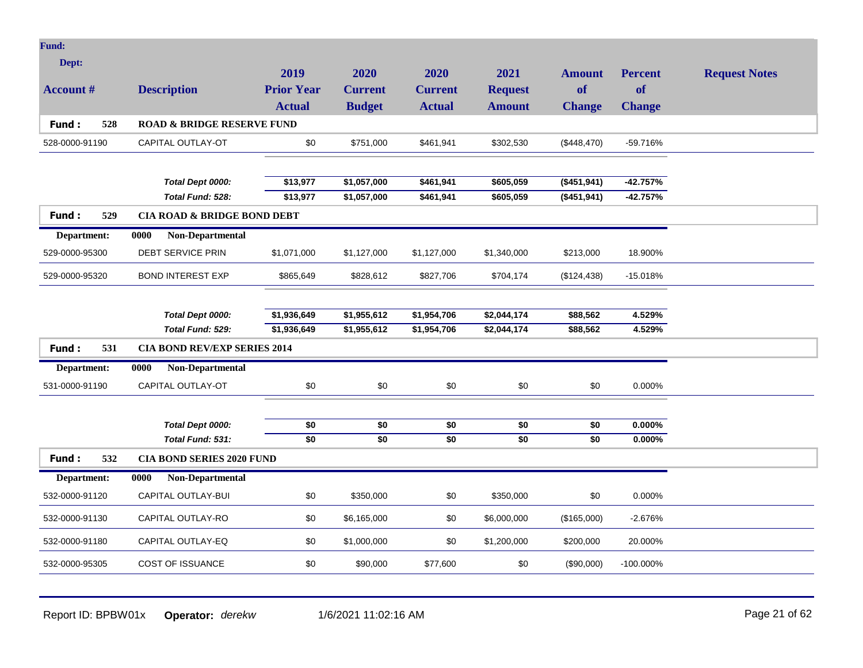| <b>Fund:</b>     |                                        |                   |                        |                        |                |                        |                        |                      |
|------------------|----------------------------------------|-------------------|------------------------|------------------------|----------------|------------------------|------------------------|----------------------|
| Dept:            |                                        | 2019              | 2020                   | 2020                   | 2021           |                        |                        |                      |
| <b>Account #</b> | <b>Description</b>                     | <b>Prior Year</b> | <b>Current</b>         | <b>Current</b>         | <b>Request</b> | Amount<br>of           | <b>Percent</b><br>of   | <b>Request Notes</b> |
|                  |                                        | <b>Actual</b>     | <b>Budget</b>          | <b>Actual</b>          | <b>Amount</b>  | <b>Change</b>          | <b>Change</b>          |                      |
| Fund:<br>528     | <b>ROAD &amp; BRIDGE RESERVE FUND</b>  |                   |                        |                        |                |                        |                        |                      |
|                  |                                        |                   |                        |                        |                |                        |                        |                      |
| 528-0000-91190   | CAPITAL OUTLAY-OT                      | \$0               | \$751,000              | \$461,941              | \$302,530      | (\$448,470)            | -59.716%               |                      |
|                  |                                        |                   |                        |                        |                |                        |                        |                      |
|                  | Total Dept 0000:                       | \$13,977          | \$1,057,000            | \$461,941              | \$605,059      | (\$451,941)            | $-42.757%$             |                      |
|                  | Total Fund: 528:                       | \$13,977          | \$1,057,000            | \$461,941              | \$605,059      | (\$451,941)            | $-42.757%$             |                      |
| Fund:<br>529     | <b>CIA ROAD &amp; BRIDGE BOND DEBT</b> |                   |                        |                        |                |                        |                        |                      |
| Department:      | Non-Departmental<br>0000               |                   |                        |                        |                |                        |                        |                      |
| 529-0000-95300   | <b>DEBT SERVICE PRIN</b>               | \$1,071,000       | \$1,127,000            | \$1,127,000            | \$1,340,000    | \$213,000              | 18.900%                |                      |
| 529-0000-95320   | <b>BOND INTEREST EXP</b>               | \$865,649         | \$828,612              | \$827,706              | \$704,174      | (\$124,438)            | $-15.018%$             |                      |
|                  |                                        |                   |                        |                        |                |                        |                        |                      |
|                  | Total Dept 0000:                       | \$1,936,649       | \$1,955,612            | \$1,954,706            | \$2,044,174    | \$88,562               | 4.529%                 |                      |
|                  | Total Fund: 529:                       | \$1,936,649       | \$1,955,612            | \$1,954,706            | \$2,044,174    | \$88,562               | 4.529%                 |                      |
| Fund:<br>531     | <b>CIA BOND REV/EXP SERIES 2014</b>    |                   |                        |                        |                |                        |                        |                      |
| Department:      | Non-Departmental<br>0000               |                   |                        |                        |                |                        |                        |                      |
| 531-0000-91190   | CAPITAL OUTLAY-OT                      | \$0               | \$0                    | \$0                    | \$0            | \$0                    | 0.000%                 |                      |
|                  |                                        |                   |                        |                        |                |                        |                        |                      |
|                  | Total Dept 0000:<br>Total Fund: 531:   | \$0<br>\$0        | \$0<br>$\overline{50}$ | \$0<br>$\overline{50}$ | \$0<br>\$0     | \$0<br>$\overline{50}$ | $0.000\%$<br>$0.000\%$ |                      |
|                  |                                        |                   |                        |                        |                |                        |                        |                      |
| 532<br>Fund:     | <b>CIA BOND SERIES 2020 FUND</b>       |                   |                        |                        |                |                        |                        |                      |
| Department:      | 0000<br>Non-Departmental               |                   |                        |                        |                |                        |                        |                      |
| 532-0000-91120   | CAPITAL OUTLAY-BUI                     | \$0               | \$350,000              | \$0                    | \$350,000      | \$0                    | 0.000%                 |                      |
| 532-0000-91130   | CAPITAL OUTLAY-RO                      | \$0               | \$6,165,000            | \$0                    | \$6,000,000    | (\$165,000)            | $-2.676%$              |                      |
| 532-0000-91180   | CAPITAL OUTLAY-EQ                      | \$0               | \$1,000,000            | \$0                    | \$1,200,000    | \$200,000              | 20.000%                |                      |
| 532-0000-95305   | COST OF ISSUANCE                       | \$0               | \$90,000               | \$77,600               | \$0            | (\$90,000)             | -100.000%              |                      |
|                  |                                        |                   |                        |                        |                |                        |                        |                      |

Report ID: BPBW01x **Operator:** *derekw* 1/6/2021 11:02:16 AM Page 21 of 62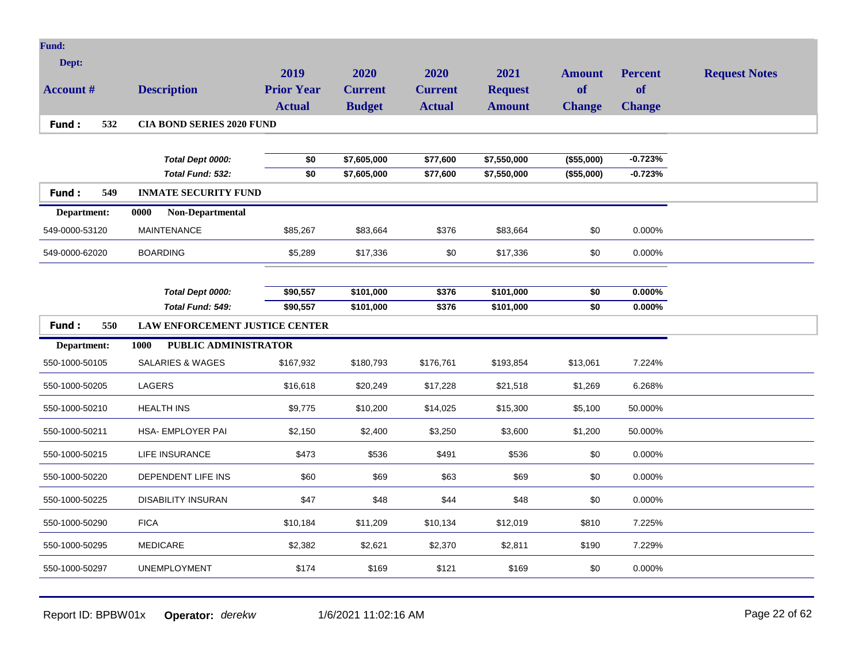| <b>Fund:</b>     |                                       |                   |                |                |                |                 |                |                      |
|------------------|---------------------------------------|-------------------|----------------|----------------|----------------|-----------------|----------------|----------------------|
| Dept:            |                                       | 2019              | 2020           | 2020           | 2021           | <b>Amount</b>   | <b>Percent</b> | <b>Request Notes</b> |
| <b>Account #</b> | <b>Description</b>                    | <b>Prior Year</b> | <b>Current</b> | <b>Current</b> | <b>Request</b> | of              | <b>of</b>      |                      |
|                  |                                       | <b>Actual</b>     | <b>Budget</b>  | <b>Actual</b>  | <b>Amount</b>  | <b>Change</b>   | <b>Change</b>  |                      |
| Fund:<br>532     | <b>CIA BOND SERIES 2020 FUND</b>      |                   |                |                |                |                 |                |                      |
|                  |                                       |                   |                |                |                |                 |                |                      |
|                  | Total Dept 0000:                      | \$0               | \$7,605,000    | \$77,600       | \$7,550,000    | (\$55,000)      | $-0.723%$      |                      |
|                  | Total Fund: 532:                      | \$0               | \$7,605,000    | \$77,600       | \$7,550,000    | (\$55,000)      | $-0.723%$      |                      |
| Fund:<br>549     | <b>INMATE SECURITY FUND</b>           |                   |                |                |                |                 |                |                      |
| Department:      | Non-Departmental<br>0000              |                   |                |                |                |                 |                |                      |
| 549-0000-53120   | <b>MAINTENANCE</b>                    | \$85,267          | \$83,664       | \$376          | \$83,664       | \$0             | 0.000%         |                      |
| 549-0000-62020   | <b>BOARDING</b>                       | \$5,289           | \$17,336       | \$0            | \$17,336       | \$0             | 0.000%         |                      |
|                  |                                       |                   |                |                |                |                 |                |                      |
|                  | Total Dept 0000:                      | \$90,557          | \$101,000      | \$376          | \$101,000      | \$0             | $0.000\%$      |                      |
|                  | Total Fund: 549:                      | \$90,557          | \$101,000      | \$376          | \$101,000      | $\overline{50}$ | $0.000\%$      |                      |
| Fund:<br>550     |                                       |                   |                |                |                |                 |                |                      |
|                  | <b>LAW ENFORCEMENT JUSTICE CENTER</b> |                   |                |                |                |                 |                |                      |
| Department:      | 1000<br><b>PUBLIC ADMINISTRATOR</b>   |                   |                |                |                |                 |                |                      |
| 550-1000-50105   | <b>SALARIES &amp; WAGES</b>           | \$167,932         | \$180,793      | \$176,761      | \$193,854      | \$13,061        | 7.224%         |                      |
| 550-1000-50205   | LAGERS                                | \$16,618          | \$20,249       | \$17,228       | \$21,518       | \$1,269         | 6.268%         |                      |
| 550-1000-50210   | <b>HEALTH INS</b>                     | \$9,775           | \$10,200       | \$14,025       | \$15,300       | \$5,100         | 50.000%        |                      |
| 550-1000-50211   | <b>HSA- EMPLOYER PAI</b>              | \$2.150           | \$2,400        | \$3,250        | \$3,600        | \$1,200         | 50.000%        |                      |
| 550-1000-50215   | <b>LIFE INSURANCE</b>                 | \$473             | \$536          | \$491          | \$536          | \$0             | 0.000%         |                      |
| 550-1000-50220   | DEPENDENT LIFE INS                    | \$60              | \$69           | \$63           | \$69           | \$0             | 0.000%         |                      |
| 550-1000-50225   | <b>DISABILITY INSURAN</b>             | \$47              | \$48           | \$44           | \$48           | \$0             | 0.000%         |                      |
| 550-1000-50290   | <b>FICA</b>                           | \$10,184          | \$11,209       | \$10,134       | \$12,019       | \$810           | 7.225%         |                      |
| 550-1000-50295   | <b>MEDICARE</b>                       | \$2,382           | \$2,621        | \$2,370        | \$2,811        | \$190           | 7.229%         |                      |
| 550-1000-50297   | <b>UNEMPLOYMENT</b>                   | \$174             | \$169          | \$121          | \$169          | \$0             | 0.000%         |                      |

Report ID: BPBW01x **Operator:** *derekw* 1/6/2021 11:02:16 AM Page 22 of 62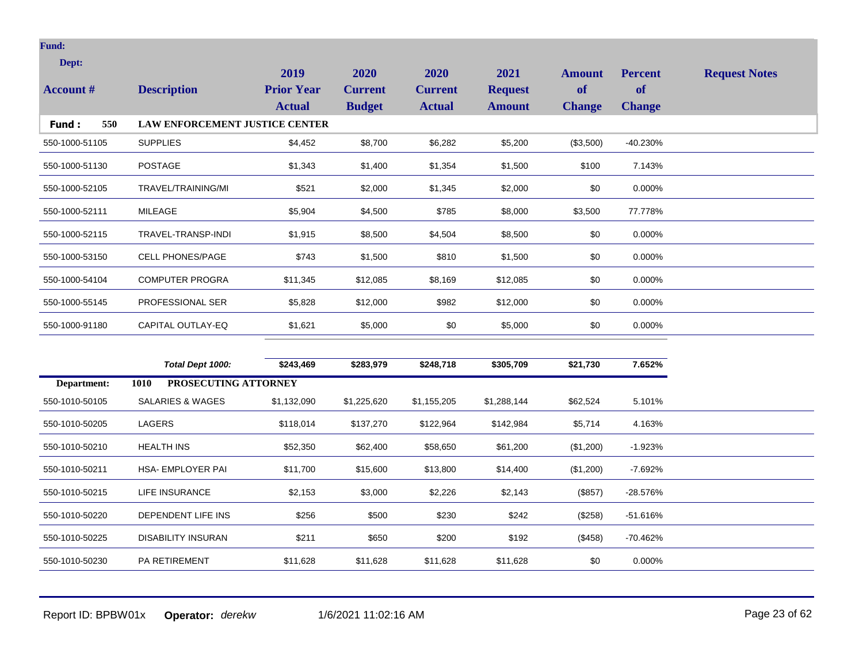| Dept:            |                                       | 2019              | 2020           | 2020           | 2021           | <b>Amount</b> | <b>Percent</b> | <b>Request Notes</b> |
|------------------|---------------------------------------|-------------------|----------------|----------------|----------------|---------------|----------------|----------------------|
| <b>Account #</b> | <b>Description</b>                    | <b>Prior Year</b> | <b>Current</b> | <b>Current</b> | <b>Request</b> | of            | <b>of</b>      |                      |
|                  |                                       | <b>Actual</b>     | <b>Budget</b>  | <b>Actual</b>  | <b>Amount</b>  | <b>Change</b> | <b>Change</b>  |                      |
| 550<br>Fund:     | <b>LAW ENFORCEMENT JUSTICE CENTER</b> |                   |                |                |                |               |                |                      |
| 550-1000-51105   | <b>SUPPLIES</b>                       | \$4,452           | \$8,700        | \$6,282        | \$5,200        | (\$3,500)     | $-40.230%$     |                      |
| 550-1000-51130   | <b>POSTAGE</b>                        | \$1,343           | \$1,400        | \$1,354        | \$1,500        | \$100         | 7.143%         |                      |
| 550-1000-52105   | TRAVEL/TRAINING/MI                    | \$521             | \$2,000        | \$1,345        | \$2,000        | \$0           | 0.000%         |                      |
| 550-1000-52111   | <b>MILEAGE</b>                        | \$5,904           | \$4,500        | \$785          | \$8,000        | \$3,500       | 77.778%        |                      |
| 550-1000-52115   | TRAVEL-TRANSP-INDI                    | \$1,915           | \$8,500        | \$4,504        | \$8,500        | \$0           | 0.000%         |                      |
| 550-1000-53150   | <b>CELL PHONES/PAGE</b>               | \$743             | \$1,500        | \$810          | \$1,500        | \$0           | 0.000%         |                      |
| 550-1000-54104   | <b>COMPUTER PROGRA</b>                | \$11,345          | \$12,085       | \$8,169        | \$12,085       | \$0           | 0.000%         |                      |
| 550-1000-55145   | PROFESSIONAL SER                      | \$5,828           | \$12,000       | \$982          | \$12,000       | \$0           | 0.000%         |                      |
| 550-1000-91180   | CAPITAL OUTLAY-EQ                     | \$1,621           | \$5,000        | \$0            | \$5,000        | \$0           | 0.000%         |                      |
|                  |                                       |                   |                |                |                |               |                |                      |
|                  | Total Dept 1000:                      | \$243,469         | \$283,979      | \$248,718      | \$305,709      | \$21,730      | 7.652%         |                      |
| Department:      | PROSECUTING ATTORNEY<br>1010          |                   |                |                |                |               |                |                      |
| 550-1010-50105   | <b>SALARIES &amp; WAGES</b>           | \$1,132,090       | \$1,225,620    | \$1,155,205    | \$1,288,144    | \$62,524      | 5.101%         |                      |
| 550-1010-50205   | LAGERS                                | \$118,014         | \$137,270      | \$122,964      | \$142,984      | \$5,714       | 4.163%         |                      |
| 550-1010-50210   | <b>HEALTH INS</b>                     | \$52,350          | \$62,400       | \$58,650       | \$61,200       | (\$1,200)     | $-1.923%$      |                      |
| 550-1010-50211   | HSA- EMPLOYER PAI                     | \$11,700          | \$15,600       | \$13,800       | \$14,400       | (\$1,200)     | $-7.692%$      |                      |
| 550-1010-50215   | <b>LIFE INSURANCE</b>                 | \$2,153           | \$3,000        | \$2,226        | \$2,143        | (\$857)       | $-28.576%$     |                      |

550-1010-50220 DEPENDENT LIFE INS \$256 \$500 \$230 \$242 (\$258) -51.616%

550-1010-50225 DISABILITY INSURAN \$211 \$650 \$200 \$192 (\$458) -70.462%

550-1010-50230 PA RETIREMENT \$11,628 \$11,628 \$11,628 \$11,628 \$0 0.000%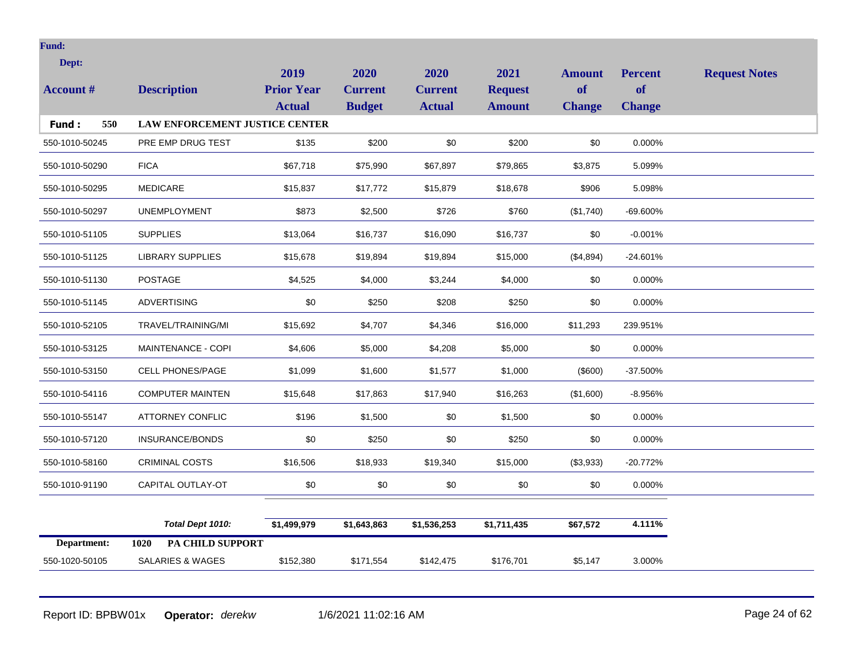| Dept:            |                                       | 2019              | 2020           | 2020           | 2021           | <b>Amount</b> | <b>Percent</b> | <b>Request Notes</b> |
|------------------|---------------------------------------|-------------------|----------------|----------------|----------------|---------------|----------------|----------------------|
| <b>Account #</b> | <b>Description</b>                    | <b>Prior Year</b> | <b>Current</b> | <b>Current</b> | <b>Request</b> | <b>of</b>     | <b>of</b>      |                      |
|                  |                                       | <b>Actual</b>     | <b>Budget</b>  | <b>Actual</b>  | <b>Amount</b>  | <b>Change</b> | <b>Change</b>  |                      |
| Fund:<br>550     | <b>LAW ENFORCEMENT JUSTICE CENTER</b> |                   |                |                |                |               |                |                      |
| 550-1010-50245   | PRE EMP DRUG TEST                     | \$135             | \$200          | \$0            | \$200          | \$0           | 0.000%         |                      |
| 550-1010-50290   | <b>FICA</b>                           | \$67,718          | \$75,990       | \$67,897       | \$79,865       | \$3,875       | 5.099%         |                      |
| 550-1010-50295   | <b>MEDICARE</b>                       | \$15,837          | \$17,772       | \$15,879       | \$18,678       | \$906         | 5.098%         |                      |
| 550-1010-50297   | <b>UNEMPLOYMENT</b>                   | \$873             | \$2,500        | \$726          | \$760          | (\$1,740)     | -69.600%       |                      |
| 550-1010-51105   | <b>SUPPLIES</b>                       | \$13,064          | \$16,737       | \$16,090       | \$16,737       | \$0           | $-0.001%$      |                      |
| 550-1010-51125   | <b>LIBRARY SUPPLIES</b>               | \$15,678          | \$19,894       | \$19,894       | \$15,000       | (\$4,894)     | $-24.601%$     |                      |
| 550-1010-51130   | <b>POSTAGE</b>                        | \$4,525           | \$4,000        | \$3,244        | \$4,000        | \$0           | 0.000%         |                      |
| 550-1010-51145   | <b>ADVERTISING</b>                    | \$0               | \$250          | \$208          | \$250          | \$0           | 0.000%         |                      |
| 550-1010-52105   | TRAVEL/TRAINING/MI                    | \$15,692          | \$4,707        | \$4,346        | \$16,000       | \$11,293      | 239.951%       |                      |
| 550-1010-53125   | MAINTENANCE - COPI                    | \$4,606           | \$5,000        | \$4,208        | \$5,000        | \$0           | 0.000%         |                      |
| 550-1010-53150   | <b>CELL PHONES/PAGE</b>               | \$1,099           | \$1,600        | \$1,577        | \$1,000        | (\$600)       | -37.500%       |                      |
| 550-1010-54116   | <b>COMPUTER MAINTEN</b>               | \$15,648          | \$17,863       | \$17,940       | \$16,263       | (\$1,600)     | $-8.956%$      |                      |
| 550-1010-55147   | <b>ATTORNEY CONFLIC</b>               | \$196             | \$1,500        | \$0            | \$1,500        | \$0           | 0.000%         |                      |
| 550-1010-57120   | <b>INSURANCE/BONDS</b>                | \$0               | \$250          | \$0            | \$250          | \$0           | 0.000%         |                      |
| 550-1010-58160   | <b>CRIMINAL COSTS</b>                 | \$16,506          | \$18,933       | \$19,340       | \$15,000       | (\$3,933)     | $-20.772%$     |                      |
| 550-1010-91190   | CAPITAL OUTLAY-OT                     | \$0               | $\$0$          | \$0            | \$0            | \$0           | 0.000%         |                      |
|                  |                                       |                   |                |                |                |               |                |                      |
|                  | Total Dept 1010:                      | \$1,499,979       | \$1,643,863    | \$1,536,253    | \$1,711,435    | \$67,572      | 4.111%         |                      |
| Department:      | PA CHILD SUPPORT<br>1020              |                   |                |                |                |               |                |                      |
| 550-1020-50105   | <b>SALARIES &amp; WAGES</b>           | \$152,380         | \$171,554      | \$142,475      | \$176,701      | \$5,147       | 3.000%         |                      |

Report ID: BPBW01x **Operator:** *derekw* 1/6/2021 11:02:16 AM Page 24 of 62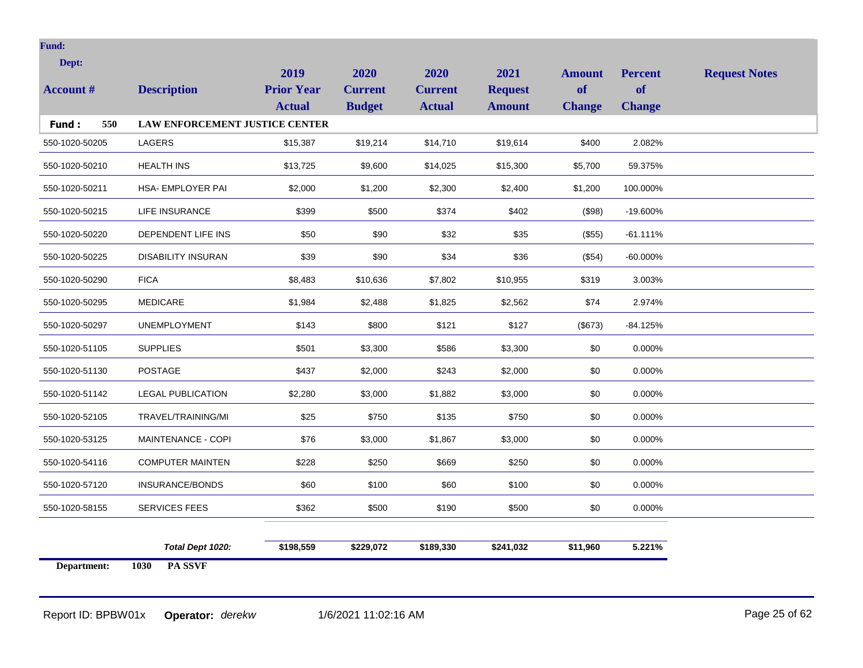| Dept:<br><b>Account #</b> | <b>Description</b>                    | 2019<br><b>Prior Year</b><br><b>Actual</b> | 2020<br><b>Current</b><br><b>Budget</b> | 2020<br><b>Current</b><br><b>Actual</b> | 2021<br><b>Request</b><br><b>Amount</b> | <b>Amount</b><br>of<br><b>Change</b> | <b>Percent</b><br><b>of</b><br><b>Change</b> | <b>Request Notes</b> |
|---------------------------|---------------------------------------|--------------------------------------------|-----------------------------------------|-----------------------------------------|-----------------------------------------|--------------------------------------|----------------------------------------------|----------------------|
| Fund:<br>550              | <b>LAW ENFORCEMENT JUSTICE CENTER</b> |                                            |                                         |                                         |                                         |                                      |                                              |                      |
| 550-1020-50205            | LAGERS                                | \$15,387                                   | \$19,214                                | \$14,710                                | \$19,614                                | \$400                                | 2.082%                                       |                      |
| 550-1020-50210            | <b>HEALTH INS</b>                     | \$13,725                                   | \$9,600                                 | \$14,025                                | \$15,300                                | \$5,700                              | 59.375%                                      |                      |
| 550-1020-50211            | HSA- EMPLOYER PAI                     | \$2,000                                    | \$1,200                                 | \$2,300                                 | \$2,400                                 | \$1,200                              | 100.000%                                     |                      |
| 550-1020-50215            | LIFE INSURANCE                        | \$399                                      | \$500                                   | \$374                                   | \$402                                   | (\$98)                               | -19.600%                                     |                      |
| 550-1020-50220            | DEPENDENT LIFE INS                    | \$50                                       | \$90                                    | \$32                                    | \$35                                    | (\$55)                               | $-61.111%$                                   |                      |
| 550-1020-50225            | <b>DISABILITY INSURAN</b>             | \$39                                       | \$90                                    | \$34                                    | \$36                                    | (\$54)                               | $-60.000\%$                                  |                      |
| 550-1020-50290            | <b>FICA</b>                           | \$8,483                                    | \$10,636                                | \$7,802                                 | \$10,955                                | \$319                                | 3.003%                                       |                      |
| 550-1020-50295            | <b>MEDICARE</b>                       | \$1,984                                    | \$2,488                                 | \$1,825                                 | \$2,562                                 | \$74                                 | 2.974%                                       |                      |
| 550-1020-50297            | <b>UNEMPLOYMENT</b>                   | \$143                                      | \$800                                   | \$121                                   | \$127                                   | (\$673)                              | $-84.125%$                                   |                      |
| 550-1020-51105            | <b>SUPPLIES</b>                       | \$501                                      | \$3,300                                 | \$586                                   | \$3,300                                 | \$0                                  | 0.000%                                       |                      |
| 550-1020-51130            | <b>POSTAGE</b>                        | \$437                                      | \$2,000                                 | \$243                                   | \$2,000                                 | \$0                                  | 0.000%                                       |                      |
| 550-1020-51142            | <b>LEGAL PUBLICATION</b>              | \$2,280                                    | \$3,000                                 | \$1,882                                 | \$3,000                                 | \$0                                  | 0.000%                                       |                      |
| 550-1020-52105            | TRAVEL/TRAINING/MI                    | \$25                                       | \$750                                   | \$135                                   | \$750                                   | \$0                                  | 0.000%                                       |                      |
| 550-1020-53125            | MAINTENANCE - COPI                    | \$76                                       | \$3,000                                 | \$1,867                                 | \$3,000                                 | \$0                                  | 0.000%                                       |                      |
| 550-1020-54116            | <b>COMPUTER MAINTEN</b>               | \$228                                      | \$250                                   | \$669                                   | \$250                                   | \$0                                  | 0.000%                                       |                      |
| 550-1020-57120            | INSURANCE/BONDS                       | \$60                                       | \$100                                   | \$60                                    | \$100                                   | \$0                                  | 0.000%                                       |                      |
| 550-1020-58155            | SERVICES FEES                         | \$362                                      | \$500                                   | \$190                                   | \$500                                   | \$0                                  | 0.000%                                       |                      |
|                           | Total Dept 1020:                      | \$198,559                                  | \$229,072                               | \$189,330                               | \$241,032                               | \$11,960                             | 5.221%                                       |                      |
| Department:               | PA SSVF<br>1030                       |                                            |                                         |                                         |                                         |                                      |                                              |                      |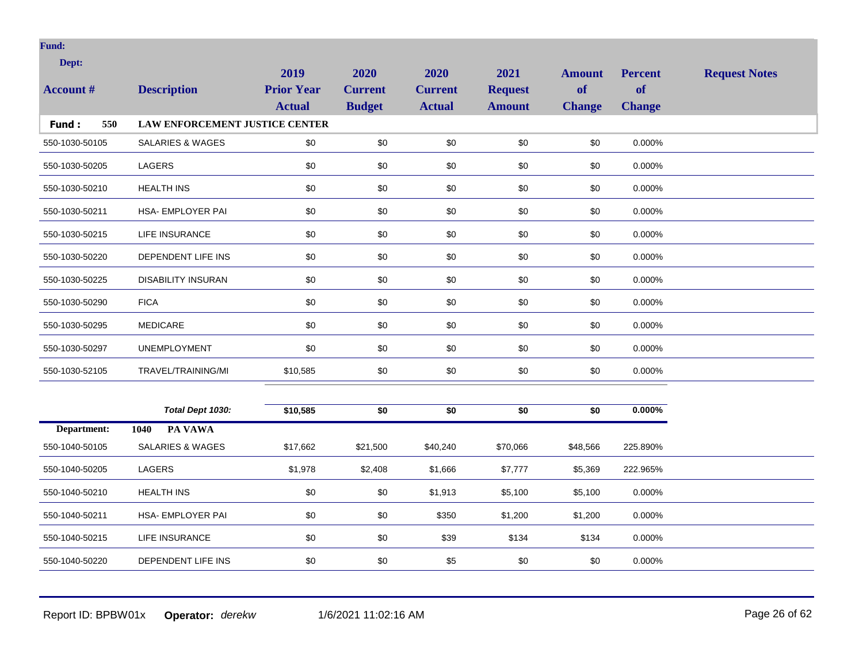| Dept:            |                                       | 2019              | 2020           | 2020           | 2021           | <b>Amount</b> | <b>Percent</b> | <b>Request Notes</b> |
|------------------|---------------------------------------|-------------------|----------------|----------------|----------------|---------------|----------------|----------------------|
| <b>Account #</b> | <b>Description</b>                    | <b>Prior Year</b> | <b>Current</b> | <b>Current</b> | <b>Request</b> | of            | <b>of</b>      |                      |
|                  |                                       | <b>Actual</b>     | <b>Budget</b>  | <b>Actual</b>  | <b>Amount</b>  | <b>Change</b> | <b>Change</b>  |                      |
| Fund:<br>550     | <b>LAW ENFORCEMENT JUSTICE CENTER</b> |                   |                |                |                |               |                |                      |
| 550-1030-50105   | SALARIES & WAGES                      | \$0               | $\$0$          | \$0            | \$0            | \$0           | 0.000%         |                      |
| 550-1030-50205   | <b>LAGERS</b>                         | \$0               | \$0            | \$0            | \$0            | \$0           | 0.000%         |                      |
| 550-1030-50210   | <b>HEALTH INS</b>                     | $\$0$             | \$0            | \$0            | \$0            | \$0           | 0.000%         |                      |
| 550-1030-50211   | HSA- EMPLOYER PAI                     | \$0               | \$0            | \$0            | \$0            | \$0           | 0.000%         |                      |
| 550-1030-50215   | <b>LIFE INSURANCE</b>                 | \$0               | \$0            | \$0            | \$0            | \$0           | 0.000%         |                      |
| 550-1030-50220   | DEPENDENT LIFE INS                    | \$0               | \$0            | \$0            | \$0            | \$0           | 0.000%         |                      |
| 550-1030-50225   | <b>DISABILITY INSURAN</b>             | \$0               | \$0            | \$0            | \$0            | \$0           | 0.000%         |                      |
| 550-1030-50290   | <b>FICA</b>                           | \$0               | \$0            | \$0            | \$0            | \$0           | 0.000%         |                      |
| 550-1030-50295   | <b>MEDICARE</b>                       | \$0               | \$0            | \$0            | \$0            | \$0           | 0.000%         |                      |
| 550-1030-50297   | <b>UNEMPLOYMENT</b>                   | \$0               | \$0            | \$0            | \$0            | \$0           | 0.000%         |                      |
| 550-1030-52105   | TRAVEL/TRAINING/MI                    | \$10,585          | \$0            | \$0            | \$0            | \$0           | 0.000%         |                      |
|                  |                                       |                   |                |                |                |               |                |                      |
|                  | Total Dept 1030:                      | \$10,585          | \$0            | \$0            | \$0            | \$0           | $0.000\%$      |                      |
| Department:      | PA VAWA<br>1040                       |                   |                |                |                |               |                |                      |
| 550-1040-50105   | SALARIES & WAGES                      | \$17,662          | \$21,500       | \$40,240       | \$70,066       | \$48,566      | 225.890%       |                      |
| 550-1040-50205   | LAGERS                                | \$1,978           | \$2,408        | \$1,666        | \$7,777        | \$5,369       | 222.965%       |                      |
| 550-1040-50210   | <b>HEALTH INS</b>                     | \$0               | \$0            | \$1,913        | \$5,100        | \$5,100       | 0.000%         |                      |
| 550-1040-50211   | HSA- EMPLOYER PAI                     | \$0               | \$0            | \$350          | \$1,200        | \$1,200       | 0.000%         |                      |
| 550-1040-50215   | <b>LIFE INSURANCE</b>                 | \$0               | \$0            | \$39           | \$134          | \$134         | 0.000%         |                      |
| 550-1040-50220   | DEPENDENT LIFE INS                    | \$0               | \$0            | \$5            | \$0            | \$0           | 0.000%         |                      |
|                  |                                       |                   |                |                |                |               |                |                      |

Report ID: BPBW01x **Operator:** *derekw* 1/6/2021 11:02:16 AM Page 26 of 62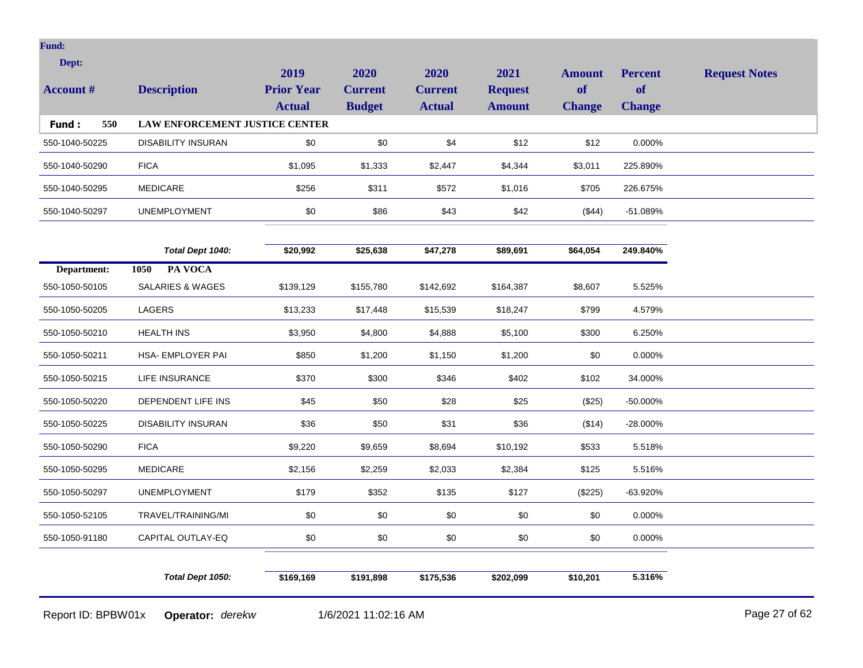| Dept:            |                                       | 2019              | 2020           | 2020           | 2021           | <b>Amount</b> | <b>Percent</b> | <b>Request Notes</b> |
|------------------|---------------------------------------|-------------------|----------------|----------------|----------------|---------------|----------------|----------------------|
| <b>Account #</b> | <b>Description</b>                    | <b>Prior Year</b> | <b>Current</b> | <b>Current</b> | <b>Request</b> | <b>of</b>     | <b>of</b>      |                      |
| Fund:<br>550     | <b>LAW ENFORCEMENT JUSTICE CENTER</b> | <b>Actual</b>     | <b>Budget</b>  | <b>Actual</b>  | <b>Amount</b>  | <b>Change</b> | <b>Change</b>  |                      |
| 550-1040-50225   | <b>DISABILITY INSURAN</b>             | \$0               | \$0            | \$4            | \$12           | \$12          | 0.000%         |                      |
| 550-1040-50290   | <b>FICA</b>                           | \$1,095           | \$1,333        | \$2,447        | \$4,344        | \$3,011       | 225.890%       |                      |
| 550-1040-50295   | <b>MEDICARE</b>                       | \$256             | \$311          | \$572          | \$1,016        | \$705         | 226.675%       |                      |
| 550-1040-50297   | <b>UNEMPLOYMENT</b>                   | \$0               | \$86           | \$43           | \$42           | (\$44)        | -51.089%       |                      |
|                  |                                       |                   |                |                |                |               |                |                      |
|                  | Total Dept 1040:                      | \$20,992          | \$25,638       | \$47,278       | \$89,691       | \$64,054      | 249.840%       |                      |
| Department:      | PA VOCA<br>1050                       |                   |                |                |                |               |                |                      |
| 550-1050-50105   | <b>SALARIES &amp; WAGES</b>           | \$139,129         | \$155,780      | \$142,692      | \$164,387      | \$8,607       | 5.525%         |                      |
| 550-1050-50205   | <b>LAGERS</b>                         | \$13,233          | \$17,448       | \$15,539       | \$18,247       | \$799         | 4.579%         |                      |
| 550-1050-50210   | <b>HEALTH INS</b>                     | \$3,950           | \$4,800        | \$4,888        | \$5,100        | \$300         | 6.250%         |                      |
| 550-1050-50211   | HSA- EMPLOYER PAI                     | \$850             | \$1,200        | \$1,150        | \$1,200        | \$0           | 0.000%         |                      |
| 550-1050-50215   | <b>LIFE INSURANCE</b>                 | \$370             | \$300          | \$346          | \$402          | \$102         | 34.000%        |                      |
| 550-1050-50220   | DEPENDENT LIFE INS                    | \$45              | \$50           | \$28           | \$25           | (\$25)        | -50.000%       |                      |
| 550-1050-50225   | <b>DISABILITY INSURAN</b>             | \$36              | \$50           | \$31           | \$36           | (\$14)        | -28.000%       |                      |
| 550-1050-50290   | <b>FICA</b>                           | \$9,220           | \$9,659        | \$8,694        | \$10,192       | \$533         | 5.518%         |                      |
| 550-1050-50295   | <b>MEDICARE</b>                       | \$2,156           | \$2,259        | \$2,033        | \$2,384        | \$125         | 5.516%         |                      |
| 550-1050-50297   | <b>UNEMPLOYMENT</b>                   | \$179             | \$352          | \$135          | \$127          | (\$225)       | -63.920%       |                      |
| 550-1050-52105   | TRAVEL/TRAINING/MI                    | \$0               | \$0            | \$0            | \$0            | \$0           | 0.000%         |                      |
| 550-1050-91180   | CAPITAL OUTLAY-EQ                     | \$0               | \$0            | \$0            | \$0            | \$0           | 0.000%         |                      |
|                  |                                       |                   |                |                |                |               |                |                      |
|                  | Total Dept 1050:                      | \$169,169         | \$191,898      | \$175,536      | \$202,099      | \$10,201      | 5.316%         |                      |

Report ID: BPBW01x **Operator:** *derekw* 1/6/2021 11:02:16 AM Page 27 of 62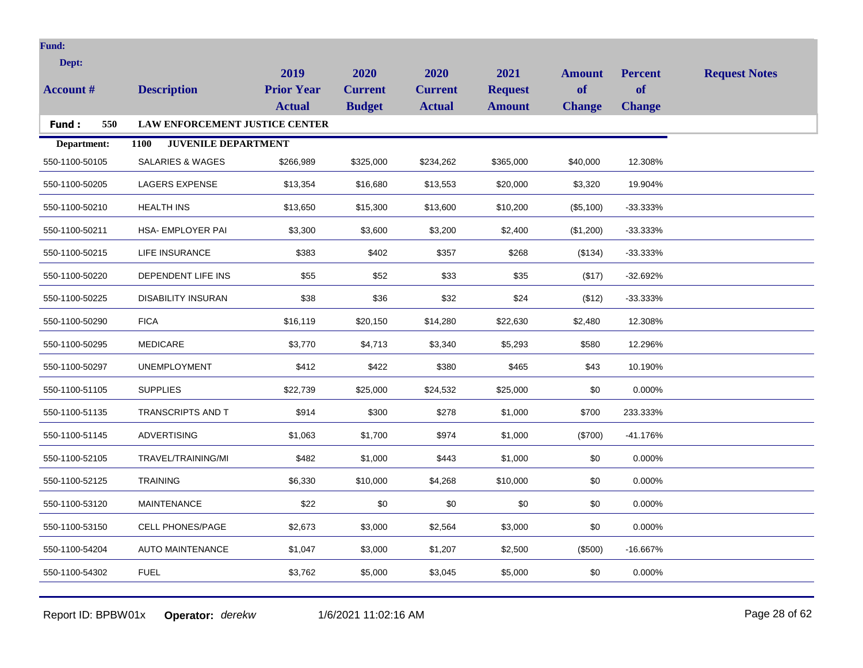| <b>Fund:</b>     |                                    |                   |                |                |                |               |                |                      |
|------------------|------------------------------------|-------------------|----------------|----------------|----------------|---------------|----------------|----------------------|
| Dept:            |                                    | 2019              | 2020           | 2020           | 2021           | <b>Amount</b> | <b>Percent</b> | <b>Request Notes</b> |
| <b>Account #</b> | <b>Description</b>                 | <b>Prior Year</b> | <b>Current</b> | <b>Current</b> | <b>Request</b> | of            | of             |                      |
|                  |                                    | <b>Actual</b>     | <b>Budget</b>  | <b>Actual</b>  | <b>Amount</b>  | <b>Change</b> | <b>Change</b>  |                      |
| 550<br>Fund:     | LAW ENFORCEMENT JUSTICE CENTER     |                   |                |                |                |               |                |                      |
| Department:      | <b>JUVENILE DEPARTMENT</b><br>1100 |                   |                |                |                |               |                |                      |
| 550-1100-50105   | SALARIES & WAGES                   | \$266,989         | \$325,000      | \$234,262      | \$365,000      | \$40,000      | 12.308%        |                      |
| 550-1100-50205   | <b>LAGERS EXPENSE</b>              | \$13,354          | \$16,680       | \$13,553       | \$20,000       | \$3,320       | 19.904%        |                      |
| 550-1100-50210   | <b>HEALTH INS</b>                  | \$13,650          | \$15,300       | \$13,600       | \$10,200       | (\$5,100)     | $-33.333\%$    |                      |
| 550-1100-50211   | HSA- EMPLOYER PAI                  | \$3,300           | \$3,600        | \$3,200        | \$2,400        | (\$1,200)     | $-33.333\%$    |                      |
| 550-1100-50215   | LIFE INSURANCE                     | \$383             | \$402          | \$357          | \$268          | (\$134)       | $-33.333\%$    |                      |
| 550-1100-50220   | DEPENDENT LIFE INS                 | \$55              | \$52           | \$33           | \$35           | (\$17)        | $-32.692%$     |                      |
| 550-1100-50225   | <b>DISABILITY INSURAN</b>          | \$38              | \$36           | \$32           | \$24           | (\$12)        | $-33.333\%$    |                      |
| 550-1100-50290   | <b>FICA</b>                        | \$16,119          | \$20,150       | \$14,280       | \$22,630       | \$2,480       | 12.308%        |                      |
| 550-1100-50295   | <b>MEDICARE</b>                    | \$3,770           | \$4,713        | \$3,340        | \$5,293        | \$580         | 12.296%        |                      |
| 550-1100-50297   | <b>UNEMPLOYMENT</b>                | \$412             | \$422          | \$380          | \$465          | \$43          | 10.190%        |                      |
| 550-1100-51105   | <b>SUPPLIES</b>                    | \$22,739          | \$25,000       | \$24,532       | \$25,000       | \$0           | 0.000%         |                      |
| 550-1100-51135   | <b>TRANSCRIPTS AND T</b>           | \$914             | \$300          | \$278          | \$1,000        | \$700         | 233.333%       |                      |
| 550-1100-51145   | <b>ADVERTISING</b>                 | \$1,063           | \$1,700        | \$974          | \$1,000        | (\$700)       | $-41.176%$     |                      |
| 550-1100-52105   | TRAVEL/TRAINING/MI                 | \$482             | \$1,000        | \$443          | \$1,000        | \$0           | 0.000%         |                      |
| 550-1100-52125   | <b>TRAINING</b>                    | \$6,330           | \$10,000       | \$4,268        | \$10,000       | \$0           | 0.000%         |                      |
| 550-1100-53120   | <b>MAINTENANCE</b>                 | \$22              | \$0            | \$0            | \$0            | \$0           | 0.000%         |                      |
| 550-1100-53150   | <b>CELL PHONES/PAGE</b>            | \$2,673           | \$3,000        | \$2,564        | \$3,000        | \$0           | 0.000%         |                      |
| 550-1100-54204   | <b>AUTO MAINTENANCE</b>            | \$1,047           | \$3,000        | \$1,207        | \$2,500        | (\$500)       | $-16.667%$     |                      |
| 550-1100-54302   | <b>FUEL</b>                        | \$3,762           | \$5,000        | \$3,045        | \$5,000        | \$0           | 0.000%         |                      |
|                  |                                    |                   |                |                |                |               |                |                      |

Report ID: BPBW01x **Operator:** *derekw* 1/6/2021 11:02:16 AM Page 28 of 62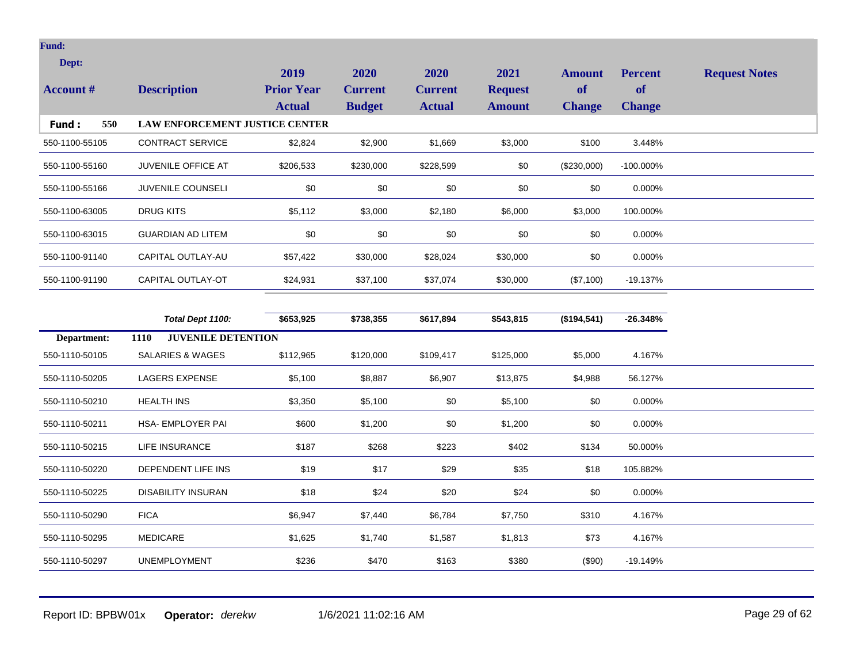| Dept:<br><b>Account #</b> | <b>Description</b>                    | 2019<br><b>Prior Year</b><br><b>Actual</b> | 2020<br><b>Current</b><br><b>Budget</b> | 2020<br><b>Current</b><br><b>Actual</b> | 2021<br><b>Request</b><br><b>Amount</b> | Amount<br>of<br><b>Change</b> | <b>Percent</b><br><b>of</b><br><b>Change</b> | <b>Request Notes</b> |
|---------------------------|---------------------------------------|--------------------------------------------|-----------------------------------------|-----------------------------------------|-----------------------------------------|-------------------------------|----------------------------------------------|----------------------|
| 550<br><b>Fund:</b>       | <b>LAW ENFORCEMENT JUSTICE CENTER</b> |                                            |                                         |                                         |                                         |                               |                                              |                      |
| 550-1100-55105            | <b>CONTRACT SERVICE</b>               | \$2,824                                    | \$2,900                                 | \$1,669                                 | \$3,000                                 | \$100                         | 3.448%                                       |                      |
| 550-1100-55160            | <b>JUVENILE OFFICE AT</b>             | \$206,533                                  | \$230,000                               | \$228,599                               | \$0                                     | (\$230,000)                   | $-100.000\%$                                 |                      |
| 550-1100-55166            | <b>JUVENILE COUNSELI</b>              | \$0                                        | \$0                                     | \$0                                     | \$0                                     | \$0                           | 0.000%                                       |                      |
| 550-1100-63005            | DRUG KITS                             | \$5,112                                    | \$3,000                                 | \$2,180                                 | \$6,000                                 | \$3,000                       | 100.000%                                     |                      |
| 550-1100-63015            | <b>GUARDIAN AD LITEM</b>              | \$0                                        | \$0                                     | \$0                                     | \$0                                     | \$0                           | 0.000%                                       |                      |
| 550-1100-91140            | CAPITAL OUTLAY-AU                     | \$57,422                                   | \$30,000                                | \$28,024                                | \$30,000                                | \$0                           | 0.000%                                       |                      |
| 550-1100-91190            | CAPITAL OUTLAY-OT                     | \$24,931                                   | \$37,100                                | \$37,074                                | \$30,000                                | (\$7,100)                     | $-19.137\%$                                  |                      |
|                           |                                       |                                            |                                         |                                         |                                         |                               |                                              |                      |

|                | Total Dept 1100:                         | \$653,925 | \$738,355 | \$617,894 | \$543,815 | (\$194,541) | $-26.348%$ |
|----------------|------------------------------------------|-----------|-----------|-----------|-----------|-------------|------------|
| Department:    | <b>JUVENILE DETENTION</b><br><b>1110</b> |           |           |           |           |             |            |
| 550-1110-50105 | SALARIES & WAGES                         | \$112,965 | \$120,000 | \$109,417 | \$125,000 | \$5,000     | 4.167%     |
| 550-1110-50205 | <b>LAGERS EXPENSE</b>                    | \$5,100   | \$8,887   | \$6,907   | \$13,875  | \$4,988     | 56.127%    |
| 550-1110-50210 | <b>HEALTH INS</b>                        | \$3,350   | \$5,100   | \$0       | \$5,100   | \$0         | 0.000%     |
| 550-1110-50211 | HSA- EMPLOYER PAI                        | \$600     | \$1,200   | \$0       | \$1,200   | \$0         | 0.000%     |
| 550-1110-50215 | LIFE INSURANCE                           | \$187     | \$268     | \$223     | \$402     | \$134       | 50.000%    |
| 550-1110-50220 | DEPENDENT LIFE INS                       | \$19      | \$17      | \$29      | \$35      | \$18        | 105.882%   |
| 550-1110-50225 | <b>DISABILITY INSURAN</b>                | \$18      | \$24      | \$20      | \$24      | \$0         | 0.000%     |
| 550-1110-50290 | <b>FICA</b>                              | \$6,947   | \$7,440   | \$6,784   | \$7,750   | \$310       | 4.167%     |
| 550-1110-50295 | MEDICARE                                 | \$1,625   | \$1,740   | \$1,587   | \$1,813   | \$73        | 4.167%     |
| 550-1110-50297 | <b>UNEMPLOYMENT</b>                      | \$236     | \$470     | \$163     | \$380     | $(\$90)$    | -19.149%   |

Report ID: BPBW01x **Operator:** *derekw* 1/6/2021 11:02:16 AM Page 29 of 62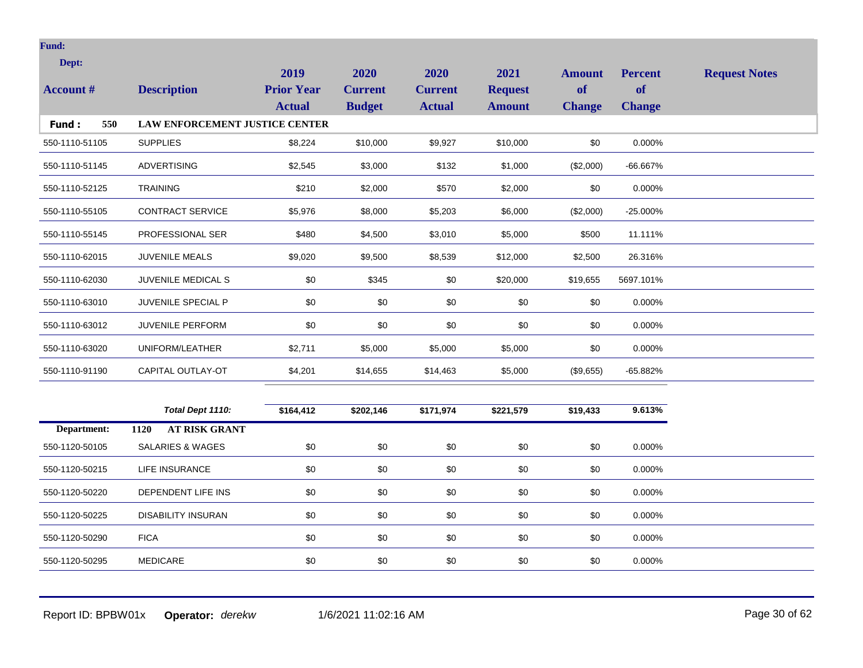| Dept:            |                                       | 2019                               | 2020                            | 2020                            | 2021                            | <b>Amount</b>       | <b>Percent</b>             | <b>Request Notes</b> |
|------------------|---------------------------------------|------------------------------------|---------------------------------|---------------------------------|---------------------------------|---------------------|----------------------------|----------------------|
| <b>Account #</b> | <b>Description</b>                    | <b>Prior Year</b><br><b>Actual</b> | <b>Current</b><br><b>Budget</b> | <b>Current</b><br><b>Actual</b> | <b>Request</b><br><b>Amount</b> | of<br><b>Change</b> | <b>of</b><br><b>Change</b> |                      |
| 550<br>Fund:     | <b>LAW ENFORCEMENT JUSTICE CENTER</b> |                                    |                                 |                                 |                                 |                     |                            |                      |
| 550-1110-51105   | <b>SUPPLIES</b>                       | \$8,224                            | \$10,000                        | \$9,927                         | \$10,000                        | \$0                 | 0.000%                     |                      |
| 550-1110-51145   | <b>ADVERTISING</b>                    | \$2,545                            | \$3,000                         | \$132                           | \$1,000                         | (\$2,000)           | -66.667%                   |                      |
| 550-1110-52125   | <b>TRAINING</b>                       | \$210                              | \$2,000                         | \$570                           | \$2,000                         | \$0                 | 0.000%                     |                      |
| 550-1110-55105   | <b>CONTRACT SERVICE</b>               | \$5,976                            | \$8,000                         | \$5,203                         | \$6,000                         | (\$2,000)           | $-25.000\%$                |                      |
| 550-1110-55145   | PROFESSIONAL SER                      | \$480                              | \$4,500                         | \$3,010                         | \$5,000                         | \$500               | 11.111%                    |                      |
| 550-1110-62015   | <b>JUVENILE MEALS</b>                 | \$9,020                            | \$9,500                         | \$8,539                         | \$12,000                        | \$2,500             | 26.316%                    |                      |
| 550-1110-62030   | <b>JUVENILE MEDICAL S</b>             | \$0                                | \$345                           | \$0                             | \$20,000                        | \$19,655            | 5697.101%                  |                      |
| 550-1110-63010   | <b>JUVENILE SPECIAL P</b>             | \$0                                | \$0                             | \$0                             | \$0                             | \$0                 | 0.000%                     |                      |
| 550-1110-63012   | <b>JUVENILE PERFORM</b>               | \$0                                | \$0                             | \$0                             | \$0                             | \$0                 | 0.000%                     |                      |
| 550-1110-63020   | UNIFORM/LEATHER                       | \$2,711                            | \$5,000                         | \$5,000                         | \$5,000                         | \$0                 | 0.000%                     |                      |
| 550-1110-91190   | CAPITAL OUTLAY-OT                     | \$4,201                            | \$14,655                        | \$14,463                        | \$5,000                         | (\$9,655)           | $-65.882%$                 |                      |
|                  | Total Dept 1110:                      | \$164,412                          | \$202,146                       | \$171,974                       | \$221,579                       | \$19,433            | 9.613%                     |                      |
| Department:      | <b>AT RISK GRANT</b><br>1120          |                                    |                                 |                                 |                                 |                     |                            |                      |

| Department:    | 1120<br>AT RISK GRANT |     |     |     |     |     |        |  |
|----------------|-----------------------|-----|-----|-----|-----|-----|--------|--|
| 550-1120-50105 | SALARIES & WAGES      | \$0 | \$0 | \$0 | \$0 | \$0 | 0.000% |  |
| 550-1120-50215 | LIFE INSURANCE        | \$0 | \$0 | \$0 | \$0 | \$0 | 0.000% |  |
| 550-1120-50220 | DEPENDENT LIFE INS    | \$0 | \$0 | \$0 | \$0 | \$0 | 0.000% |  |
| 550-1120-50225 | DISABILITY INSURAN    | \$0 | \$0 | \$0 | \$0 | \$0 | 0.000% |  |
| 550-1120-50290 | <b>FICA</b>           | \$0 | \$0 | \$0 | \$0 | \$0 | 0.000% |  |
| 550-1120-50295 | MEDICARE              | \$0 | \$0 | \$0 | \$0 | \$0 | 0.000% |  |

Report ID: BPBW01x **Operator:** *derekw* 1/6/2021 11:02:16 AM Page 30 of 62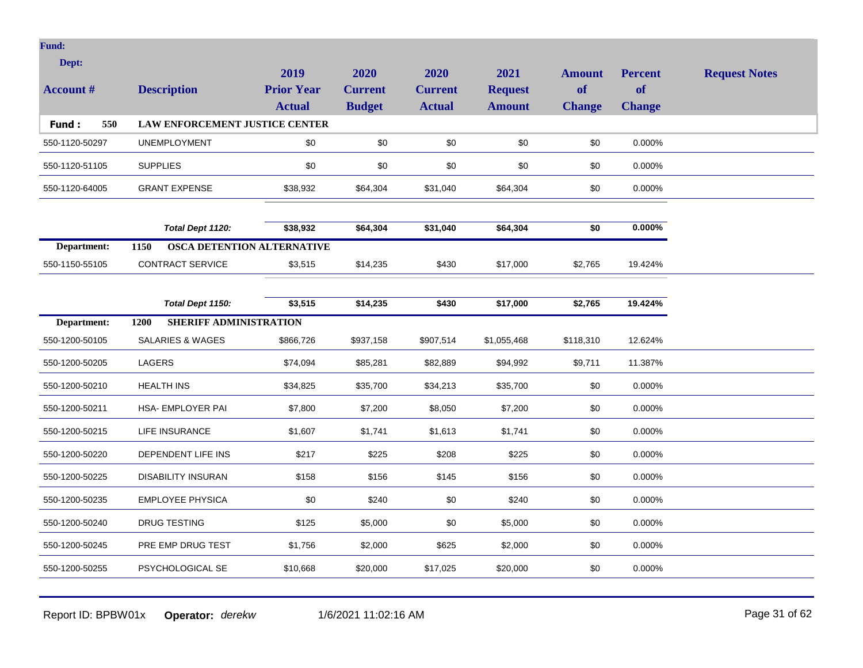| Dept:            |                                       |                                            |                                         |                                         |                                         |                                      |                                              |                      |
|------------------|---------------------------------------|--------------------------------------------|-----------------------------------------|-----------------------------------------|-----------------------------------------|--------------------------------------|----------------------------------------------|----------------------|
| <b>Account #</b> | <b>Description</b>                    | 2019<br><b>Prior Year</b><br><b>Actual</b> | 2020<br><b>Current</b><br><b>Budget</b> | 2020<br><b>Current</b><br><b>Actual</b> | 2021<br><b>Request</b><br><b>Amount</b> | <b>Amount</b><br>of<br><b>Change</b> | <b>Percent</b><br><b>of</b><br><b>Change</b> | <b>Request Notes</b> |
| 550<br>Fund:     | LAW ENFORCEMENT JUSTICE CENTER        |                                            |                                         |                                         |                                         |                                      |                                              |                      |
| 550-1120-50297   | <b>UNEMPLOYMENT</b>                   | \$0                                        | \$0                                     | \$0                                     | \$0                                     | \$0                                  | 0.000%                                       |                      |
| 550-1120-51105   | <b>SUPPLIES</b>                       | \$0                                        | \$0                                     | \$0                                     | \$0                                     | \$0                                  | 0.000%                                       |                      |
| 550-1120-64005   | <b>GRANT EXPENSE</b>                  | \$38,932                                   | \$64,304                                | \$31,040                                | \$64,304                                | \$0                                  | 0.000%                                       |                      |
|                  | Total Dept 1120:                      | \$38,932                                   | \$64,304                                | \$31,040                                | \$64,304                                | \$0                                  | $0.000\%$                                    |                      |
| Department:      | 1150                                  | <b>OSCA DETENTION ALTERNATIVE</b>          |                                         |                                         |                                         |                                      |                                              |                      |
| 550-1150-55105   | <b>CONTRACT SERVICE</b>               | \$3,515                                    | \$14,235                                | \$430                                   | \$17,000                                | \$2,765                              | 19.424%                                      |                      |
|                  |                                       |                                            |                                         |                                         |                                         |                                      |                                              |                      |
|                  | Total Dept 1150:                      | \$3,515                                    | \$14,235                                | \$430                                   | \$17,000                                | \$2,765                              | 19.424%                                      |                      |
| Department:      | <b>SHERIFF ADMINISTRATION</b><br>1200 |                                            |                                         |                                         |                                         |                                      |                                              |                      |
| 550-1200-50105   | <b>SALARIES &amp; WAGES</b>           | \$866,726                                  | \$937,158                               | \$907,514                               | \$1,055,468                             | \$118,310                            | 12.624%                                      |                      |
| 550-1200-50205   | LAGERS                                | \$74,094                                   | \$85,281                                | \$82,889                                | \$94,992                                | \$9,711                              | 11.387%                                      |                      |
| 550-1200-50210   | <b>HEALTH INS</b>                     | \$34,825                                   | \$35,700                                | \$34,213                                | \$35,700                                | \$0                                  | 0.000%                                       |                      |
| 550-1200-50211   | HSA- EMPLOYER PAI                     | \$7,800                                    | \$7,200                                 | \$8,050                                 | \$7,200                                 | \$0                                  | 0.000%                                       |                      |
| 550-1200-50215   | LIFE INSURANCE                        | \$1,607                                    | \$1,741                                 | \$1,613                                 | \$1,741                                 | \$0                                  | 0.000%                                       |                      |
| 550-1200-50220   | DEPENDENT LIFE INS                    | \$217                                      | \$225                                   | \$208                                   | \$225                                   | \$0                                  | 0.000%                                       |                      |
| 550-1200-50225   | <b>DISABILITY INSURAN</b>             | \$158                                      | \$156                                   | \$145                                   | \$156                                   | \$0                                  | 0.000%                                       |                      |
| 550-1200-50235   | <b>EMPLOYEE PHYSICA</b>               | \$0                                        | \$240                                   | \$0                                     | \$240                                   | \$0                                  | 0.000%                                       |                      |
| 550-1200-50240   | <b>DRUG TESTING</b>                   | \$125                                      | \$5,000                                 | \$0                                     | \$5,000                                 | \$0                                  | 0.000%                                       |                      |
| 550-1200-50245   | PRE EMP DRUG TEST                     | \$1,756                                    | \$2,000                                 | \$625                                   | \$2,000                                 | \$0                                  | 0.000%                                       |                      |

550-1200-50255 PSYCHOLOGICAL SE \$10,668 \$20,000 \$17,025 \$20,000 \$0 0.000%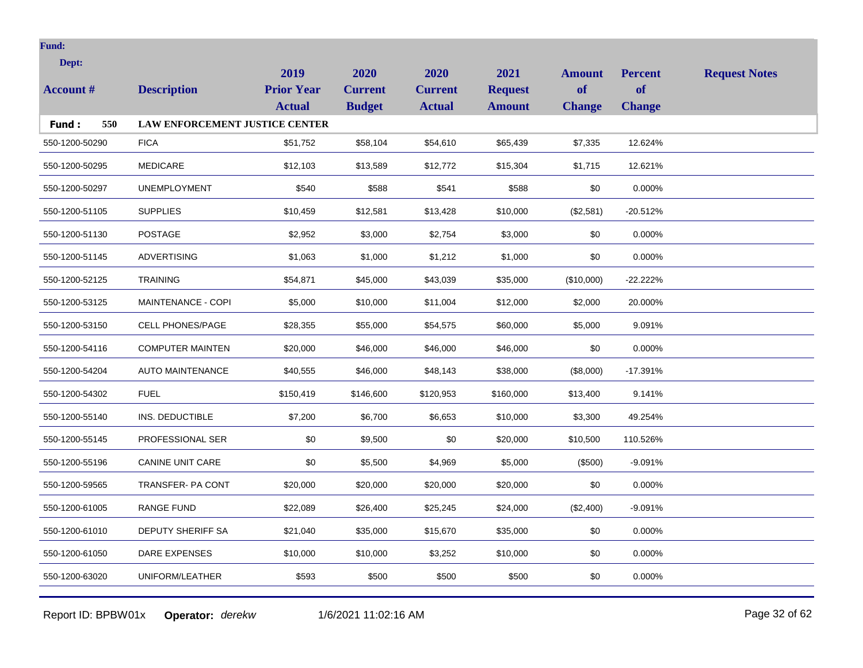| Dept:<br><b>Account #</b> | <b>Description</b>                    | 2019<br><b>Prior Year</b><br><b>Actual</b> | 2020<br><b>Current</b><br><b>Budget</b> | 2020<br><b>Current</b><br><b>Actual</b> | 2021<br><b>Request</b><br><b>Amount</b> | <b>Amount</b><br>of<br><b>Change</b> | <b>Percent</b><br><b>of</b><br><b>Change</b> | <b>Request Notes</b> |
|---------------------------|---------------------------------------|--------------------------------------------|-----------------------------------------|-----------------------------------------|-----------------------------------------|--------------------------------------|----------------------------------------------|----------------------|
| 550<br>Fund:              | <b>LAW ENFORCEMENT JUSTICE CENTER</b> |                                            |                                         |                                         |                                         |                                      |                                              |                      |
| 550-1200-50290            | <b>FICA</b>                           | \$51,752                                   | \$58,104                                | \$54,610                                | \$65,439                                | \$7,335                              | 12.624%                                      |                      |
| 550-1200-50295            | <b>MEDICARE</b>                       | \$12,103                                   | \$13,589                                | \$12,772                                | \$15,304                                | \$1,715                              | 12.621%                                      |                      |
| 550-1200-50297            | <b>UNEMPLOYMENT</b>                   | \$540                                      | \$588                                   | \$541                                   | \$588                                   | \$0                                  | 0.000%                                       |                      |
| 550-1200-51105            | <b>SUPPLIES</b>                       | \$10,459                                   | \$12,581                                | \$13,428                                | \$10,000                                | (\$2,581)                            | $-20.512%$                                   |                      |
| 550-1200-51130            | <b>POSTAGE</b>                        | \$2,952                                    | \$3,000                                 | \$2,754                                 | \$3,000                                 | \$0                                  | 0.000%                                       |                      |
| 550-1200-51145            | <b>ADVERTISING</b>                    | \$1,063                                    | \$1,000                                 | \$1,212                                 | \$1,000                                 | \$0                                  | 0.000%                                       |                      |
| 550-1200-52125            | <b>TRAINING</b>                       | \$54,871                                   | \$45,000                                | \$43,039                                | \$35,000                                | (\$10,000)                           | $-22.222%$                                   |                      |
| 550-1200-53125            | MAINTENANCE - COPI                    | \$5,000                                    | \$10,000                                | \$11,004                                | \$12,000                                | \$2,000                              | 20.000%                                      |                      |
| 550-1200-53150            | <b>CELL PHONES/PAGE</b>               | \$28,355                                   | \$55,000                                | \$54,575                                | \$60,000                                | \$5,000                              | 9.091%                                       |                      |
| 550-1200-54116            | <b>COMPUTER MAINTEN</b>               | \$20,000                                   | \$46,000                                | \$46,000                                | \$46,000                                | \$0                                  | 0.000%                                       |                      |
| 550-1200-54204            | <b>AUTO MAINTENANCE</b>               | \$40,555                                   | \$46,000                                | \$48,143                                | \$38,000                                | (\$8,000)                            | $-17.391%$                                   |                      |
| 550-1200-54302            | <b>FUEL</b>                           | \$150,419                                  | \$146,600                               | \$120,953                               | \$160,000                               | \$13,400                             | 9.141%                                       |                      |
| 550-1200-55140            | INS. DEDUCTIBLE                       | \$7,200                                    | \$6,700                                 | \$6,653                                 | \$10,000                                | \$3,300                              | 49.254%                                      |                      |
| 550-1200-55145            | PROFESSIONAL SER                      | \$0                                        | \$9,500                                 | \$0                                     | \$20,000                                | \$10,500                             | 110.526%                                     |                      |
| 550-1200-55196            | <b>CANINE UNIT CARE</b>               | \$0                                        | \$5,500                                 | \$4,969                                 | \$5,000                                 | (\$500)                              | $-9.091%$                                    |                      |
| 550-1200-59565            | <b>TRANSFER-PA CONT</b>               | \$20,000                                   | \$20,000                                | \$20,000                                | \$20,000                                | \$0                                  | 0.000%                                       |                      |
| 550-1200-61005            | <b>RANGE FUND</b>                     | \$22,089                                   | \$26,400                                | \$25,245                                | \$24,000                                | (\$2,400)                            | $-9.091%$                                    |                      |
| 550-1200-61010            | <b>DEPUTY SHERIFF SA</b>              | \$21,040                                   | \$35,000                                | \$15,670                                | \$35,000                                | \$0                                  | 0.000%                                       |                      |
| 550-1200-61050            | <b>DARE EXPENSES</b>                  | \$10,000                                   | \$10,000                                | \$3,252                                 | \$10,000                                | \$0                                  | 0.000%                                       |                      |
| 550-1200-63020            | UNIFORM/LEATHER                       | \$593                                      | \$500                                   | \$500                                   | \$500                                   | \$0                                  | 0.000%                                       |                      |
|                           |                                       |                                            |                                         |                                         |                                         |                                      |                                              |                      |

Report ID: BPBW01x **Operator:** *derekw* 1/6/2021 11:02:16 AM Page 32 of 62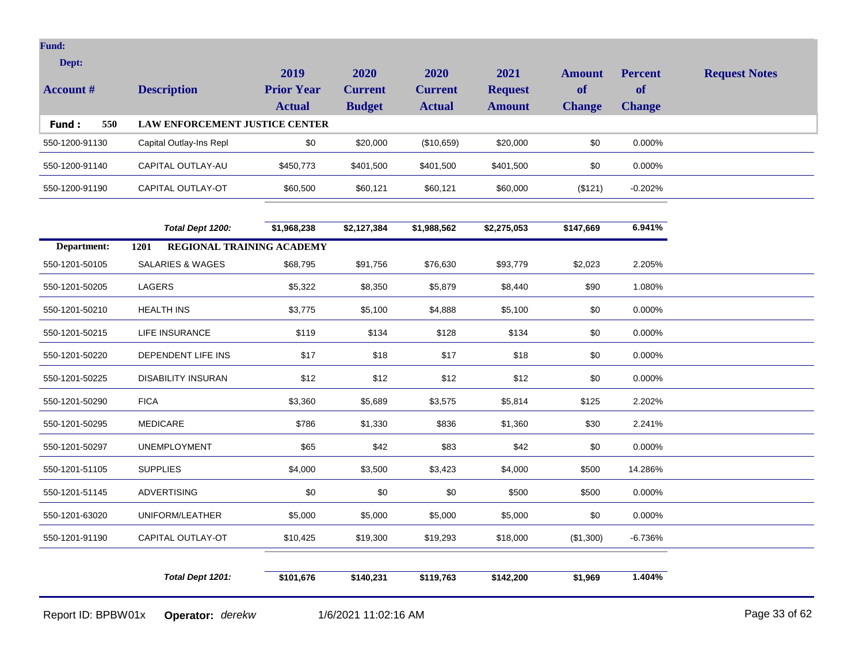| Dept:<br><b>Account</b> # | <b>Description</b>                    | 2019<br><b>Prior Year</b><br><b>Actual</b> | 2020<br><b>Current</b><br><b>Budget</b> | 2020<br><b>Current</b><br><b>Actual</b> | 2021<br><b>Request</b><br><b>Amount</b> | Amount<br><b>of</b><br><b>Change</b> | <b>Percent</b><br><b>of</b><br><b>Change</b> | <b>Request Notes</b> |
|---------------------------|---------------------------------------|--------------------------------------------|-----------------------------------------|-----------------------------------------|-----------------------------------------|--------------------------------------|----------------------------------------------|----------------------|
| 550<br>Fund:              | <b>LAW ENFORCEMENT JUSTICE CENTER</b> |                                            |                                         |                                         |                                         |                                      |                                              |                      |
| 550-1200-91130            | Capital Outlay-Ins Repl               | \$0                                        | \$20,000                                | (\$10,659)                              | \$20,000                                | \$0                                  | $0.000\%$                                    |                      |
| 550-1200-91140            | CAPITAL OUTLAY-AU                     | \$450,773                                  | \$401,500                               | \$401,500                               | \$401,500                               | \$0                                  | $0.000\%$                                    |                      |
| 550-1200-91190            | CAPITAL OUTLAY-OT                     | \$60,500                                   | \$60.121                                | \$60,121                                | \$60,000                                | (\$121)                              | $-0.202%$                                    |                      |

|                | Total Dept 1200:                         | \$1,968,238 | \$2,127,384 | \$1,988,562 | \$2,275,053 | \$147,669 | 6.941%    |
|----------------|------------------------------------------|-------------|-------------|-------------|-------------|-----------|-----------|
| Department:    | <b>REGIONAL TRAINING ACADEMY</b><br>1201 |             |             |             |             |           |           |
| 550-1201-50105 | <b>SALARIES &amp; WAGES</b>              | \$68,795    | \$91,756    | \$76,630    | \$93,779    | \$2,023   | 2.205%    |
| 550-1201-50205 | LAGERS                                   | \$5,322     | \$8,350     | \$5,879     | \$8,440     | \$90      | 1.080%    |
| 550-1201-50210 | <b>HEALTH INS</b>                        | \$3,775     | \$5,100     | \$4,888     | \$5,100     | \$0       | 0.000%    |
| 550-1201-50215 | LIFE INSURANCE                           | \$119       | \$134       | \$128       | \$134       | \$0       | 0.000%    |
| 550-1201-50220 | DEPENDENT LIFE INS                       | \$17        | \$18        | \$17        | \$18        | \$0       | 0.000%    |
| 550-1201-50225 | <b>DISABILITY INSURAN</b>                | \$12        | \$12        | \$12        | \$12        | \$0       | 0.000%    |
| 550-1201-50290 | <b>FICA</b>                              | \$3,360     | \$5,689     | \$3,575     | \$5,814     | \$125     | 2.202%    |
| 550-1201-50295 | <b>MEDICARE</b>                          | \$786       | \$1,330     | \$836       | \$1,360     | \$30      | 2.241%    |
| 550-1201-50297 | <b>UNEMPLOYMENT</b>                      | \$65        | \$42        | \$83        | \$42        | \$0       | 0.000%    |
| 550-1201-51105 | <b>SUPPLIES</b>                          | \$4,000     | \$3,500     | \$3,423     | \$4,000     | \$500     | 14.286%   |
| 550-1201-51145 | <b>ADVERTISING</b>                       | \$0         | \$0         | \$0         | \$500       | \$500     | 0.000%    |
| 550-1201-63020 | UNIFORM/LEATHER                          | \$5,000     | \$5,000     | \$5,000     | \$5,000     | \$0       | 0.000%    |
| 550-1201-91190 | CAPITAL OUTLAY-OT                        | \$10,425    | \$19,300    | \$19,293    | \$18,000    | (\$1,300) | $-6.736%$ |
|                |                                          |             |             |             |             |           |           |
|                | Total Dept 1201:                         | \$101,676   | \$140,231   | \$119,763   | \$142,200   | \$1,969   | 1.404%    |

Report ID: BPBW01x **Operator:** *derekw* 1/6/2021 11:02:16 AM Page 33 of 62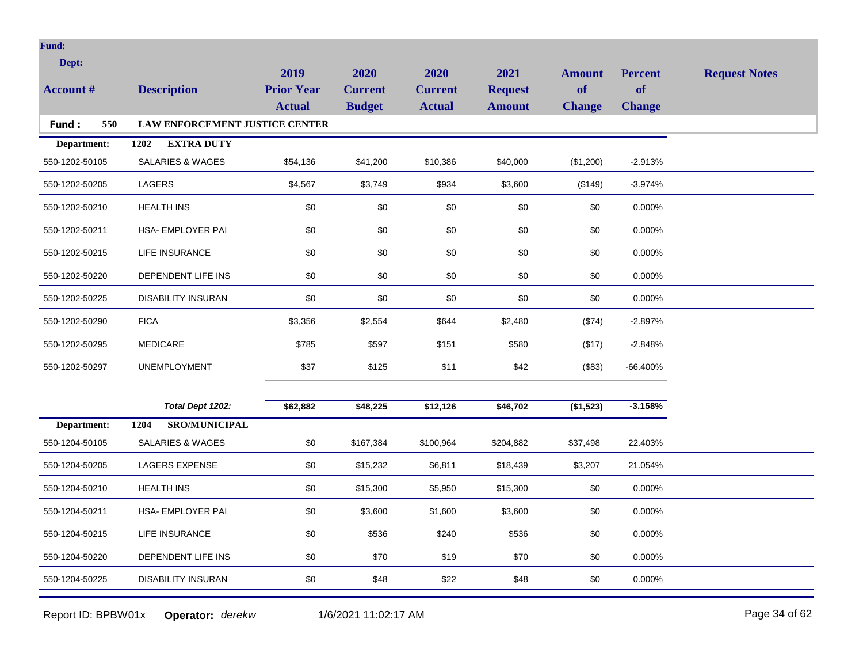| Dept:<br><b>Account #</b><br>550<br>Fund: | <b>Description</b><br>LAW ENFORCEMENT JUSTICE CENTER | 2019<br><b>Prior Year</b><br><b>Actual</b> | 2020<br><b>Current</b><br><b>Budget</b> | 2020<br><b>Current</b><br><b>Actual</b> | 2021<br><b>Request</b><br><b>Amount</b> | <b>Amount</b><br><b>of</b><br><b>Change</b> | <b>Percent</b><br>of<br><b>Change</b> | <b>Request Notes</b> |
|-------------------------------------------|------------------------------------------------------|--------------------------------------------|-----------------------------------------|-----------------------------------------|-----------------------------------------|---------------------------------------------|---------------------------------------|----------------------|
|                                           | <b>EXTRA DUTY</b>                                    |                                            |                                         |                                         |                                         |                                             |                                       |                      |
| Department:<br>550-1202-50105             | 1202<br>SALARIES & WAGES                             | \$54,136                                   | \$41,200                                | \$10,386                                | \$40,000                                | (\$1,200)                                   | $-2.913%$                             |                      |
| 550-1202-50205                            | <b>LAGERS</b>                                        | \$4,567                                    | \$3,749                                 | \$934                                   | \$3,600                                 | (\$149)                                     | $-3.974%$                             |                      |
| 550-1202-50210                            | <b>HEALTH INS</b>                                    | \$0                                        | \$0                                     | \$0                                     | \$0                                     | \$0                                         | 0.000%                                |                      |
| 550-1202-50211                            | HSA- EMPLOYER PAI                                    | \$0                                        | \$0                                     | \$0                                     | \$0                                     | \$0                                         | 0.000%                                |                      |
| 550-1202-50215                            | <b>LIFE INSURANCE</b>                                | $$0$$                                      | \$0                                     | \$0                                     | \$0                                     | \$0                                         | 0.000%                                |                      |
| 550-1202-50220                            | DEPENDENT LIFE INS                                   | \$0                                        | \$0                                     | \$0                                     | \$0                                     | \$0                                         | 0.000%                                |                      |
| 550-1202-50225                            | <b>DISABILITY INSURAN</b>                            | \$0                                        | \$0                                     | \$0                                     | \$0                                     | \$0                                         | 0.000%                                |                      |
| 550-1202-50290                            | <b>FICA</b>                                          | \$3,356                                    | \$2,554                                 | \$644                                   | \$2,480                                 | (\$74)                                      | $-2.897%$                             |                      |
| 550-1202-50295                            | <b>MEDICARE</b>                                      | \$785                                      | \$597                                   | \$151                                   | \$580                                   | (\$17)                                      | $-2.848%$                             |                      |
| 550-1202-50297                            | <b>UNEMPLOYMENT</b>                                  | \$37                                       | \$125                                   | \$11                                    | \$42                                    | (\$83)                                      | $-66.400%$                            |                      |
|                                           |                                                      |                                            |                                         |                                         |                                         |                                             |                                       |                      |
|                                           | Total Dept 1202:                                     | \$62,882                                   | \$48,225                                | \$12,126                                | \$46,702                                | (\$1,523)                                   | $-3.158%$                             |                      |
| Department:                               | <b>SRO/MUNICIPAL</b><br>1204                         |                                            |                                         |                                         |                                         |                                             |                                       |                      |
| 550-1204-50105                            | <b>SALARIES &amp; WAGES</b>                          | $$0$$                                      | \$167,384                               | \$100,964                               | \$204,882                               | \$37,498                                    | 22.403%                               |                      |
| 550-1204-50205                            | <b>LAGERS EXPENSE</b>                                | $$0$$                                      | \$15,232                                | \$6,811                                 | \$18,439                                | \$3,207                                     | 21.054%                               |                      |
| 550-1204-50210                            | <b>HEALTH INS</b>                                    | $$0$$                                      | \$15,300                                | \$5,950                                 | \$15,300                                | \$0                                         | 0.000%                                |                      |
| 550-1204-50211                            | HSA- EMPLOYER PAI                                    | \$0                                        | \$3,600                                 | \$1,600                                 | \$3,600                                 | \$0                                         | 0.000%                                |                      |
| 550-1204-50215                            | LIFE INSURANCE                                       | $$0$$                                      | \$536                                   | \$240                                   | \$536                                   | \$0                                         | 0.000%                                |                      |
| 550-1204-50220                            | DEPENDENT LIFE INS                                   | $$0$$                                      | \$70                                    | \$19                                    | \$70                                    | \$0                                         | 0.000%                                |                      |
| 550-1204-50225                            | <b>DISABILITY INSURAN</b>                            | \$0                                        | \$48                                    | \$22                                    | \$48                                    | \$0                                         | 0.000%                                |                      |

Report ID: BPBW01x **Operator:** *derekw* 1/6/2021 11:02:17 AM Page 34 of 62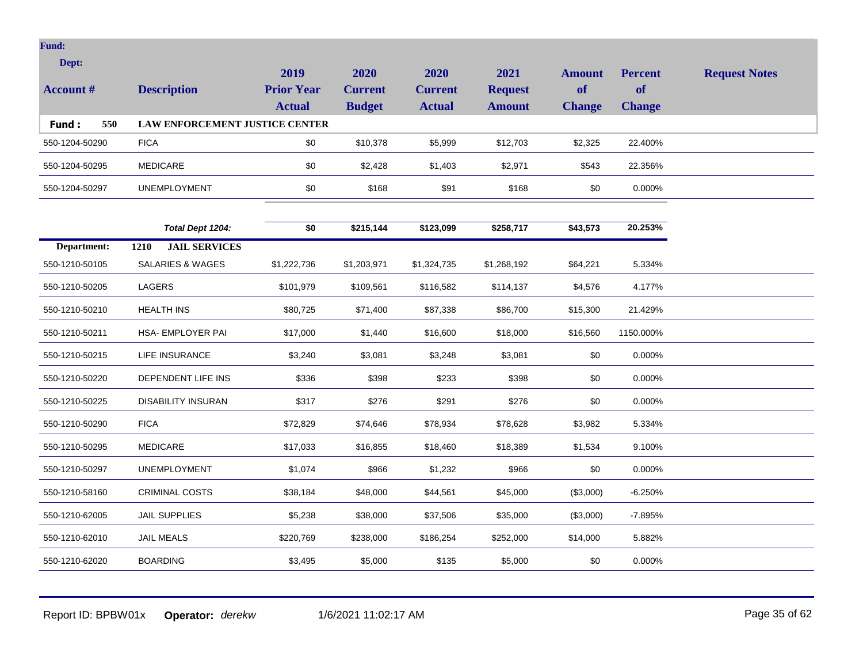| Dept:<br><b>Account</b> # | <b>Description</b>                    | 2019<br><b>Prior Year</b><br><b>Actual</b> | <b>2020</b><br><b>Current</b><br><b>Budget</b> | 2020<br><b>Current</b><br><b>Actual</b> | 2021<br><b>Request</b><br><b>Amount</b> | <b>Amount</b><br>of<br><b>Change</b> | <b>Percent</b><br><b>of</b><br><b>Change</b> | <b>Request Notes</b> |
|---------------------------|---------------------------------------|--------------------------------------------|------------------------------------------------|-----------------------------------------|-----------------------------------------|--------------------------------------|----------------------------------------------|----------------------|
| Fund:<br>550              | <b>LAW ENFORCEMENT JUSTICE CENTER</b> |                                            |                                                |                                         |                                         |                                      |                                              |                      |
| 550-1204-50290            | <b>FICA</b>                           | \$0                                        | \$10,378                                       | \$5,999                                 | \$12,703                                | \$2,325                              | 22.400%                                      |                      |
| 550-1204-50295            | <b>MEDICARE</b>                       | \$0                                        | \$2,428                                        | \$1,403                                 | \$2,971                                 | \$543                                | 22.356%                                      |                      |
| 550-1204-50297            | <b>UNEMPLOYMENT</b>                   | \$0                                        | \$168                                          | \$91                                    | \$168                                   | \$0                                  | $0.000\%$                                    |                      |

|                | Total Dept 1204:                    | \$0         | \$215,144   | \$123,099   | \$258,717   | \$43,573  | 20.253%   |
|----------------|-------------------------------------|-------------|-------------|-------------|-------------|-----------|-----------|
| Department:    | <b>JAIL SERVICES</b><br><b>1210</b> |             |             |             |             |           |           |
| 550-1210-50105 | SALARIES & WAGES                    | \$1,222,736 | \$1,203,971 | \$1,324,735 | \$1,268,192 | \$64,221  | 5.334%    |
| 550-1210-50205 | LAGERS                              | \$101,979   | \$109,561   | \$116,582   | \$114,137   | \$4,576   | 4.177%    |
| 550-1210-50210 | <b>HEALTH INS</b>                   | \$80,725    | \$71,400    | \$87,338    | \$86,700    | \$15,300  | 21.429%   |
| 550-1210-50211 | <b>HSA- EMPLOYER PAI</b>            | \$17,000    | \$1,440     | \$16,600    | \$18,000    | \$16,560  | 1150.000% |
| 550-1210-50215 | LIFE INSURANCE                      | \$3,240     | \$3,081     | \$3,248     | \$3,081     | \$0       | 0.000%    |
| 550-1210-50220 | DEPENDENT LIFE INS                  | \$336       | \$398       | \$233       | \$398       | \$0       | 0.000%    |
| 550-1210-50225 | <b>DISABILITY INSURAN</b>           | \$317       | \$276       | \$291       | \$276       | \$0       | 0.000%    |
| 550-1210-50290 | <b>FICA</b>                         | \$72,829    | \$74,646    | \$78,934    | \$78,628    | \$3,982   | 5.334%    |
| 550-1210-50295 | <b>MEDICARE</b>                     | \$17,033    | \$16,855    | \$18,460    | \$18,389    | \$1,534   | 9.100%    |
| 550-1210-50297 | <b>UNEMPLOYMENT</b>                 | \$1,074     | \$966       | \$1,232     | \$966       | \$0       | 0.000%    |
| 550-1210-58160 | <b>CRIMINAL COSTS</b>               | \$38,184    | \$48,000    | \$44,561    | \$45,000    | (\$3,000) | $-6.250%$ |
| 550-1210-62005 | <b>JAIL SUPPLIES</b>                | \$5,238     | \$38,000    | \$37,506    | \$35,000    | (\$3,000) | $-7.895%$ |
| 550-1210-62010 | <b>JAIL MEALS</b>                   | \$220,769   | \$238,000   | \$186,254   | \$252,000   | \$14,000  | 5.882%    |
| 550-1210-62020 | <b>BOARDING</b>                     | \$3,495     | \$5,000     | \$135       | \$5,000     | \$0       | 0.000%    |

Report ID: BPBW01x **Operator:** *derekw* 1/6/2021 11:02:17 AM Page 35 of 62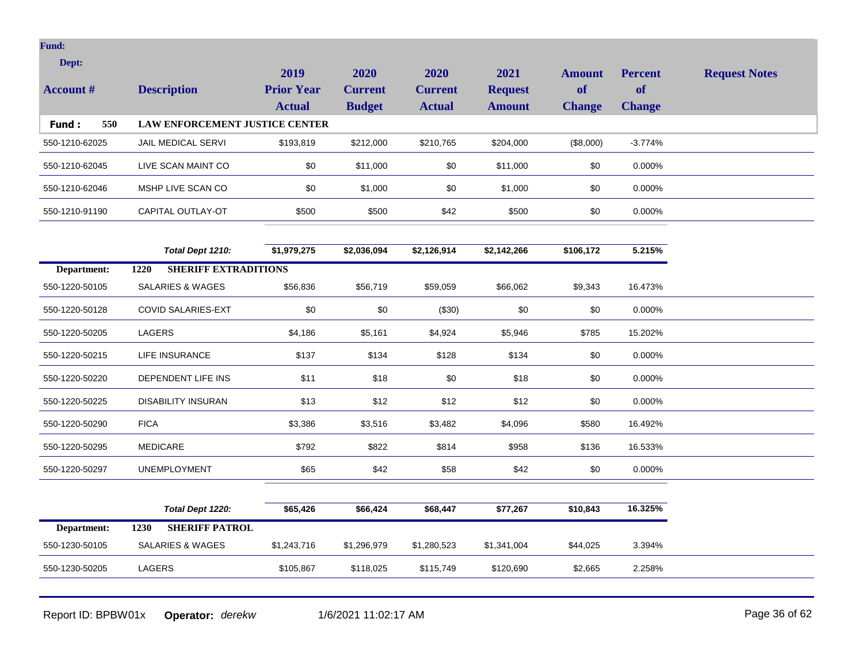| Dept:            |                                       | 2019              | 2020           | 2020           | 2021           | <b>Amount</b> | <b>Percent</b> | <b>Request Notes</b> |
|------------------|---------------------------------------|-------------------|----------------|----------------|----------------|---------------|----------------|----------------------|
| <b>Account #</b> | <b>Description</b>                    | <b>Prior Year</b> | <b>Current</b> | <b>Current</b> | <b>Request</b> | of            | <b>of</b>      |                      |
|                  |                                       | <b>Actual</b>     | <b>Budget</b>  | <b>Actual</b>  | <b>Amount</b>  | <b>Change</b> | <b>Change</b>  |                      |
| Fund:<br>550     | <b>LAW ENFORCEMENT JUSTICE CENTER</b> |                   |                |                |                |               |                |                      |
| 550-1210-62025   | JAIL MEDICAL SERVI                    | \$193,819         | \$212,000      | \$210,765      | \$204,000      | (\$8,000)     | $-3.774%$      |                      |
| 550-1210-62045   | LIVE SCAN MAINT CO                    | \$0               | \$11,000       | \$0            | \$11,000       | \$0           | 0.000%         |                      |
| 550-1210-62046   | MSHP LIVE SCAN CO                     | \$0               | \$1,000        | \$0            | \$1,000        | \$0           | 0.000%         |                      |
| 550-1210-91190   | CAPITAL OUTLAY-OT                     | \$500             | \$500          | \$42           | \$500          | \$0           | $0.000\%$      |                      |
|                  |                                       |                   |                |                |                |               |                |                      |
|                  | Total Dept 1210:                      | \$1,979,275       | \$2,036,094    | \$2,126,914    | \$2,142,266    | \$106,172     | 5.215%         |                      |
| Department:      | <b>SHERIFF EXTRADITIONS</b><br>1220   |                   |                |                |                |               |                |                      |
| 550-1220-50105   | <b>SALARIES &amp; WAGES</b>           | \$56,836          | \$56,719       | \$59,059       | \$66,062       | \$9,343       | 16.473%        |                      |
| 550-1220-50128   | <b>COVID SALARIES-EXT</b>             | \$0               | \$0            | (\$30)         | \$0            | \$0           | 0.000%         |                      |
| 550-1220-50205   | LAGERS                                | \$4,186           | \$5,161        | \$4,924        | \$5,946        | \$785         | 15.202%        |                      |
| 550-1220-50215   | LIFE INSURANCE                        | \$137             | \$134          | \$128          | \$134          | \$0           | 0.000%         |                      |
| 550-1220-50220   | DEPENDENT LIFE INS                    | \$11              | \$18           | \$0            | \$18           | \$0           | 0.000%         |                      |
| 550-1220-50225   | <b>DISABILITY INSURAN</b>             | \$13              | \$12           | \$12           | \$12           | \$0           | 0.000%         |                      |
| 550-1220-50290   | <b>FICA</b>                           | \$3,386           | \$3,516        | \$3,482        | \$4,096        | \$580         | 16.492%        |                      |
| 550-1220-50295   | <b>MEDICARE</b>                       | \$792             | \$822          | \$814          | \$958          | \$136         | 16.533%        |                      |
| 550-1220-50297   | <b>UNEMPLOYMENT</b>                   | \$65              | \$42           | \$58           | \$42           | \$0           | 0.000%         |                      |
|                  |                                       |                   |                |                |                |               |                |                      |
|                  | Total Dept 1220:                      | \$65,426          | \$66,424       | \$68,447       | \$77,267       | \$10,843      | 16.325%        |                      |
| Department:      | <b>SHERIFF PATROL</b><br>1230         |                   |                |                |                |               |                |                      |
| 550-1230-50105   | <b>SALARIES &amp; WAGES</b>           | \$1,243,716       | \$1,296,979    | \$1,280,523    | \$1,341,004    | \$44,025      | 3.394%         |                      |
| 550-1230-50205   | LAGERS                                | \$105,867         | \$118,025      | \$115,749      | \$120,690      | \$2,665       | 2.258%         |                      |
|                  |                                       |                   |                |                |                |               |                |                      |

Report ID: BPBW01x **Operator:** *derekw* 1/6/2021 11:02:17 AM **Page 36 of 62** Page 36 of 62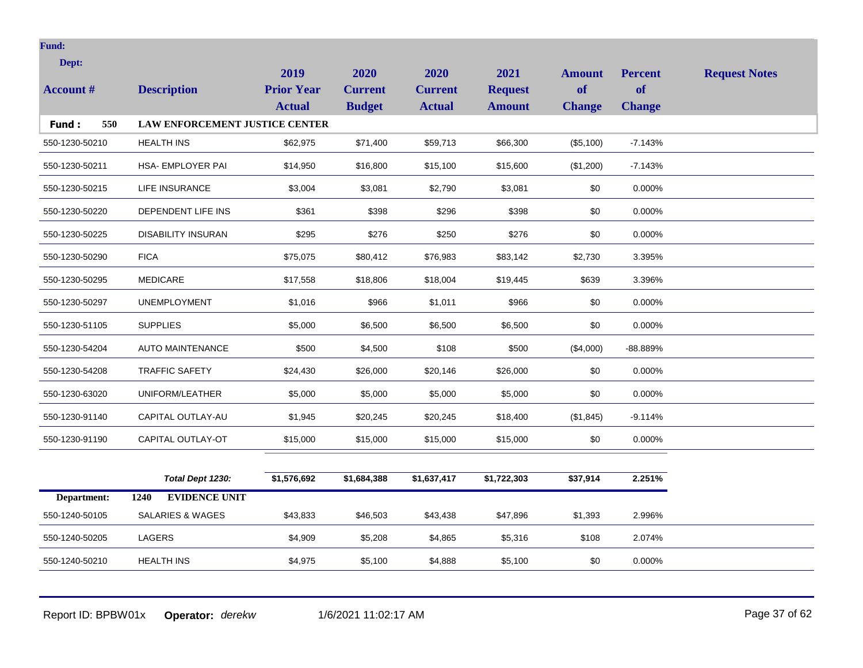| Dept:            |                                       | 2019              | 2020           | 2020           | 2021           | <b>Amount</b> | <b>Percent</b> | <b>Request Notes</b> |
|------------------|---------------------------------------|-------------------|----------------|----------------|----------------|---------------|----------------|----------------------|
| <b>Account</b> # | <b>Description</b>                    | <b>Prior Year</b> | <b>Current</b> | <b>Current</b> | <b>Request</b> | <b>of</b>     | <b>of</b>      |                      |
|                  |                                       | <b>Actual</b>     | <b>Budget</b>  | <b>Actual</b>  | <b>Amount</b>  | <b>Change</b> | <b>Change</b>  |                      |
| 550<br>Fund:     | <b>LAW ENFORCEMENT JUSTICE CENTER</b> |                   |                |                |                |               |                |                      |
| 550-1230-50210   | <b>HEALTH INS</b>                     | \$62,975          | \$71,400       | \$59,713       | \$66,300       | (\$5,100)     | $-7.143%$      |                      |
| 550-1230-50211   | HSA- EMPLOYER PAI                     | \$14,950          | \$16,800       | \$15,100       | \$15,600       | (\$1,200)     | $-7.143%$      |                      |
| 550-1230-50215   | <b>LIFE INSURANCE</b>                 | \$3,004           | \$3,081        | \$2,790        | \$3,081        | \$0           | 0.000%         |                      |
| 550-1230-50220   | DEPENDENT LIFE INS                    | \$361             | \$398          | \$296          | \$398          | \$0           | 0.000%         |                      |
| 550-1230-50225   | <b>DISABILITY INSURAN</b>             | \$295             | \$276          | \$250          | \$276          | \$0           | 0.000%         |                      |
| 550-1230-50290   | <b>FICA</b>                           | \$75,075          | \$80,412       | \$76,983       | \$83,142       | \$2,730       | 3.395%         |                      |
| 550-1230-50295   | <b>MEDICARE</b>                       | \$17,558          | \$18,806       | \$18,004       | \$19,445       | \$639         | 3.396%         |                      |
| 550-1230-50297   | <b>UNEMPLOYMENT</b>                   | \$1,016           | \$966          | \$1,011        | \$966          | \$0           | 0.000%         |                      |
| 550-1230-51105   | <b>SUPPLIES</b>                       | \$5,000           | \$6,500        | \$6,500        | \$6,500        | \$0           | 0.000%         |                      |
| 550-1230-54204   | <b>AUTO MAINTENANCE</b>               | \$500             | \$4,500        | \$108          | \$500          | (\$4,000)     | -88.889%       |                      |
| 550-1230-54208   | <b>TRAFFIC SAFETY</b>                 | \$24,430          | \$26,000       | \$20,146       | \$26,000       | \$0           | 0.000%         |                      |
| 550-1230-63020   | UNIFORM/LEATHER                       | \$5,000           | \$5,000        | \$5,000        | \$5,000        | \$0           | 0.000%         |                      |
| 550-1230-91140   | CAPITAL OUTLAY-AU                     | \$1,945           | \$20,245       | \$20,245       | \$18,400       | (\$1,845)     | $-9.114%$      |                      |
| 550-1230-91190   | CAPITAL OUTLAY-OT                     | \$15,000          | \$15,000       | \$15,000       | \$15,000       | \$0           | 0.000%         |                      |
|                  |                                       |                   |                |                |                |               |                |                      |
|                  | Total Dept 1230:                      | \$1,576,692       | \$1,684,388    | \$1,637,417    | \$1,722,303    | \$37,914      | 2.251%         |                      |
| Department:      | <b>EVIDENCE UNIT</b><br>1240          |                   |                |                |                |               |                |                      |
| 550-1240-50105   | <b>SALARIES &amp; WAGES</b>           | \$43,833          | \$46,503       | \$43,438       | \$47,896       | \$1,393       | 2.996%         |                      |
| 550-1240-50205   | <b>LAGERS</b>                         | \$4,909           | \$5,208        | \$4,865        | \$5,316        | \$108         | 2.074%         |                      |

 $550-1240-50210$  HEALTH INS \$4,975 \$5,100 \$4,888 \$5,100 \$0 0.000%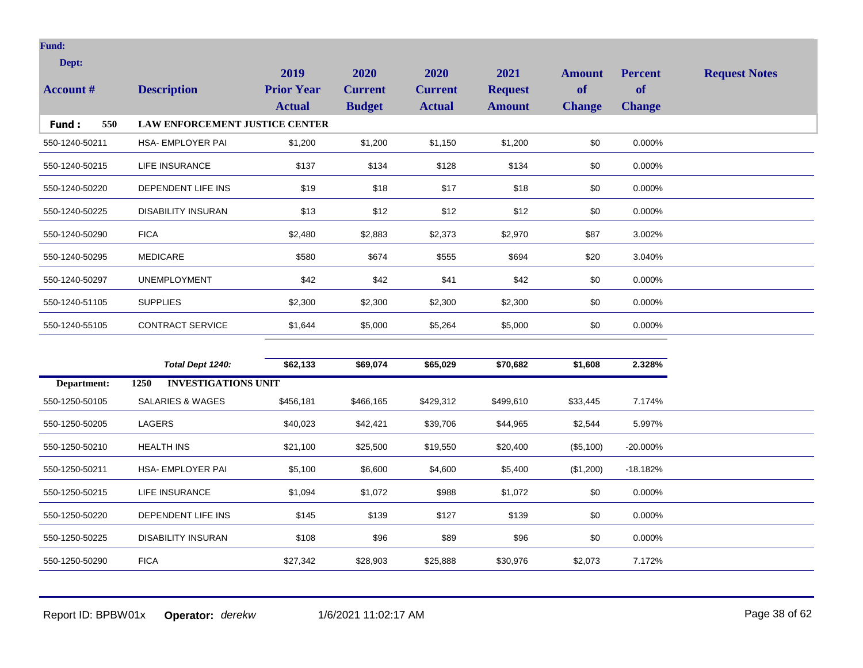| Dept:            |                                       | 2019                               | 2020                            | 2020                            | 2021                            | <b>Amount</b>              | <b>Percent</b>             | <b>Request Notes</b> |
|------------------|---------------------------------------|------------------------------------|---------------------------------|---------------------------------|---------------------------------|----------------------------|----------------------------|----------------------|
| <b>Account #</b> | <b>Description</b>                    | <b>Prior Year</b><br><b>Actual</b> | <b>Current</b><br><b>Budget</b> | <b>Current</b><br><b>Actual</b> | <b>Request</b><br><b>Amount</b> | <b>of</b><br><b>Change</b> | <b>of</b><br><b>Change</b> |                      |
| 550<br>Fund:     | <b>LAW ENFORCEMENT JUSTICE CENTER</b> |                                    |                                 |                                 |                                 |                            |                            |                      |
| 550-1240-50211   | HSA- EMPLOYER PAI                     | \$1,200                            | \$1,200                         | \$1,150                         | \$1,200                         | \$0                        | 0.000%                     |                      |
| 550-1240-50215   | LIFE INSURANCE                        | \$137                              | \$134                           | \$128                           | \$134                           | \$0                        | 0.000%                     |                      |
| 550-1240-50220   | DEPENDENT LIFE INS                    | \$19                               | \$18                            | \$17                            | \$18                            | \$0                        | 0.000%                     |                      |
| 550-1240-50225   | <b>DISABILITY INSURAN</b>             | \$13                               | \$12                            | \$12                            | \$12                            | \$0                        | 0.000%                     |                      |
| 550-1240-50290   | <b>FICA</b>                           | \$2,480                            | \$2,883                         | \$2,373                         | \$2,970                         | \$87                       | 3.002%                     |                      |
| 550-1240-50295   | <b>MEDICARE</b>                       | \$580                              | \$674                           | \$555                           | \$694                           | \$20                       | 3.040%                     |                      |
| 550-1240-50297   | <b>UNEMPLOYMENT</b>                   | \$42                               | \$42                            | \$41                            | \$42                            | \$0                        | 0.000%                     |                      |
| 550-1240-51105   | <b>SUPPLIES</b>                       | \$2,300                            | \$2,300                         | \$2,300                         | \$2,300                         | \$0                        | 0.000%                     |                      |
| 550-1240-55105   | <b>CONTRACT SERVICE</b>               | \$1,644                            | \$5,000                         | \$5,264                         | \$5,000                         | \$0                        | 0.000%                     |                      |
|                  |                                       |                                    |                                 |                                 |                                 |                            |                            |                      |
|                  | Total Dept 1240:                      | \$62,133                           | \$69,074                        | \$65,029                        | \$70,682                        | \$1,608                    | 2.328%                     |                      |
| Department:      | <b>INVESTIGATIONS UNIT</b><br>1250    |                                    |                                 |                                 |                                 |                            |                            |                      |
| 550-1250-50105   | SALARIES & WAGES                      | \$456,181                          | \$466,165                       | \$429,312                       | \$499,610                       | \$33,445                   | 7.174%                     |                      |
| 550-1250-50205   | <b>LAGERS</b>                         | \$40,023                           | \$42,421                        | \$39,706                        | \$44,965                        | \$2,544                    | 5.997%                     |                      |
| 550-1250-50210   | <b>HEALTH INS</b>                     | \$21,100                           | \$25,500                        | \$19,550                        | \$20,400                        | (\$5,100)                  | -20.000%                   |                      |
| 550-1250-50211   | <b>HSA- EMPLOYER PAI</b>              | \$5,100                            | \$6,600                         | \$4,600                         | \$5,400                         | (\$1,200)                  | $-18.182%$                 |                      |
| 550-1250-50215   | LIFE INSURANCE                        | \$1,094                            | \$1,072                         | \$988                           | \$1,072                         | \$0                        | 0.000%                     |                      |
| 550-1250-50220   | DEPENDENT LIFE INS                    | \$145                              | \$139                           | \$127                           | \$139                           | \$0                        | 0.000%                     |                      |
| 550-1250-50225   | <b>DISABILITY INSURAN</b>             | \$108                              | \$96                            | \$89                            | \$96                            | \$0                        | 0.000%                     |                      |

550-1250-50290 FICA \$27,342 \$28,903 \$25,888 \$30,976 \$2,073 7.172%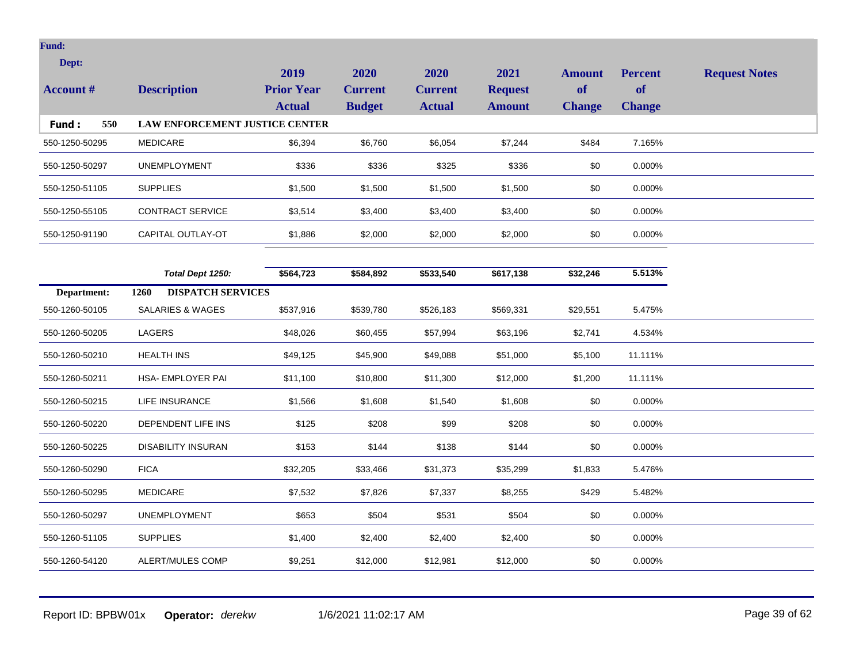| Dept:            |                                       | 2019              | 2020           | 2020           | 2021           | <b>Amount</b> | <b>Percent</b> | <b>Request Notes</b> |
|------------------|---------------------------------------|-------------------|----------------|----------------|----------------|---------------|----------------|----------------------|
| <b>Account #</b> | <b>Description</b>                    | <b>Prior Year</b> | <b>Current</b> | <b>Current</b> | <b>Request</b> | of            | of             |                      |
|                  |                                       | <b>Actual</b>     | <b>Budget</b>  | <b>Actual</b>  | <b>Amount</b>  | <b>Change</b> | <b>Change</b>  |                      |
| 550<br>Fund:     | <b>LAW ENFORCEMENT JUSTICE CENTER</b> |                   |                |                |                |               |                |                      |
| 550-1250-50295   | <b>MEDICARE</b>                       | \$6,394           | \$6,760        | \$6,054        | \$7,244        | \$484         | 7.165%         |                      |
| 550-1250-50297   | <b>UNEMPLOYMENT</b>                   | \$336             | \$336          | \$325          | \$336          | \$0           | 0.000%         |                      |
| 550-1250-51105   | <b>SUPPLIES</b>                       | \$1,500           | \$1,500        | \$1,500        | \$1,500        | \$0           | 0.000%         |                      |
| 550-1250-55105   | <b>CONTRACT SERVICE</b>               | \$3,514           | \$3,400        | \$3,400        | \$3,400        | \$0           | 0.000%         |                      |
| 550-1250-91190   | CAPITAL OUTLAY-OT                     | \$1,886           | \$2,000        | \$2,000        | \$2,000        | \$0           | 0.000%         |                      |
|                  |                                       |                   |                |                |                |               |                |                      |
|                  | Total Dept 1250:                      | \$564,723         | \$584,892      | \$533,540      | \$617,138      | \$32,246      | 5.513%         |                      |
| Department:      | <b>DISPATCH SERVICES</b><br>1260      |                   |                |                |                |               |                |                      |
| 550-1260-50105   | <b>SALARIES &amp; WAGES</b>           | \$537,916         | \$539,780      | \$526,183      | \$569,331      | \$29,551      | 5.475%         |                      |
| 550-1260-50205   | LAGERS                                | \$48,026          | \$60,455       | \$57,994       | \$63,196       | \$2,741       | 4.534%         |                      |
| 550-1260-50210   | <b>HEALTH INS</b>                     | \$49,125          | \$45,900       | \$49,088       | \$51,000       | \$5,100       | 11.111%        |                      |
| 550-1260-50211   | HSA- EMPLOYER PAI                     | \$11,100          | \$10,800       | \$11,300       | \$12,000       | \$1,200       | 11.111%        |                      |
| 550-1260-50215   | LIFE INSURANCE                        | \$1,566           | \$1,608        | \$1,540        | \$1,608        | \$0           | 0.000%         |                      |
| 550-1260-50220   | DEPENDENT LIFE INS                    | \$125             | \$208          | \$99           | \$208          | \$0           | 0.000%         |                      |
| 550-1260-50225   | <b>DISABILITY INSURAN</b>             | \$153             | \$144          | \$138          | \$144          | \$0           | 0.000%         |                      |
| 550-1260-50290   | <b>FICA</b>                           | \$32,205          | \$33,466       | \$31,373       | \$35,299       | \$1,833       | 5.476%         |                      |
| 550-1260-50295   | <b>MEDICARE</b>                       | \$7,532           | \$7,826        | \$7,337        | \$8,255        | \$429         | 5.482%         |                      |
| 550-1260-50297   | <b>UNEMPLOYMENT</b>                   | \$653             | \$504          | \$531          | \$504          | \$0           | 0.000%         |                      |
| 550-1260-51105   | <b>SUPPLIES</b>                       | \$1,400           | \$2,400        | \$2,400        | \$2,400        | \$0           | 0.000%         |                      |
| 550-1260-54120   | ALERT/MULES COMP                      | \$9,251           | \$12,000       | \$12,981       | \$12,000       | \$0           | 0.000%         |                      |

Report ID: BPBW01x **Operator:** *derekw* 1/6/2021 11:02:17 AM Page 39 of 62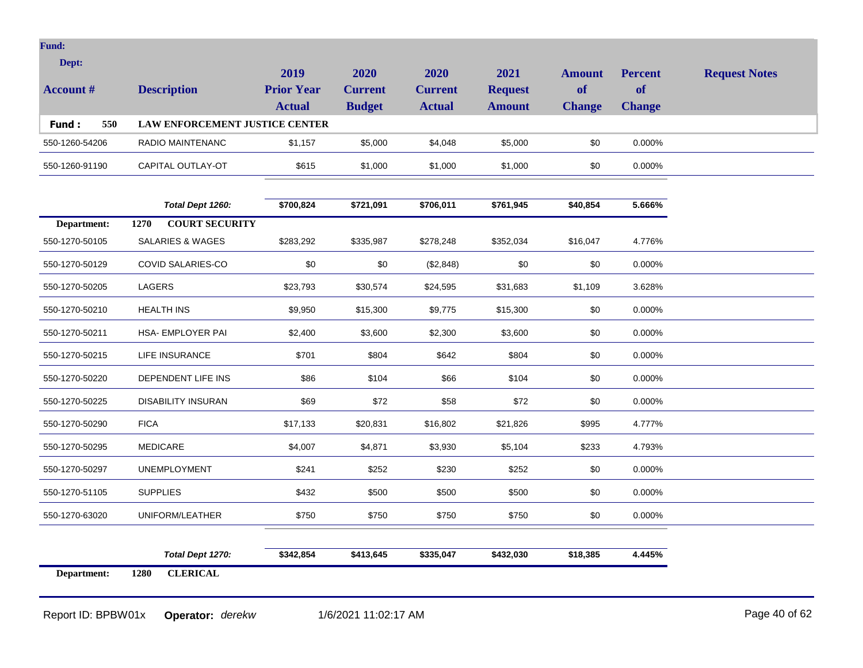| Dept:<br><b>Account</b> # | <b>Description</b>                    | 2019<br><b>Prior Year</b><br><b>Actual</b> | <b>2020</b><br><b>Current</b><br><b>Budget</b> | 2020<br><b>Current</b><br><b>Actual</b> | 2021<br><b>Request</b><br><b>Amount</b> | <b>Amount</b><br><b>of</b><br><b>Change</b> | <b>Percent</b><br><b>of</b><br>Change | <b>Request Notes</b> |
|---------------------------|---------------------------------------|--------------------------------------------|------------------------------------------------|-----------------------------------------|-----------------------------------------|---------------------------------------------|---------------------------------------|----------------------|
| 550<br>Fund:              | <b>LAW ENFORCEMENT JUSTICE CENTER</b> |                                            |                                                |                                         |                                         |                                             |                                       |                      |
| 550-1260-54206            | RADIO MAINTENANC                      | \$1.157                                    | \$5.000                                        | \$4,048                                 | \$5,000                                 | \$0                                         | $0.000\%$                             |                      |
| 550-1260-91190            | CAPITAL OUTLAY-OT                     | \$615                                      | \$1,000                                        | \$1,000                                 | \$1,000                                 | \$0                                         | $0.000\%$                             |                      |

|                | Total Dept 1260:              | \$700,824 | \$721,091 | \$706,011 | \$761,945 | \$40,854 | 5.666% |
|----------------|-------------------------------|-----------|-----------|-----------|-----------|----------|--------|
| Department:    | <b>COURT SECURITY</b><br>1270 |           |           |           |           |          |        |
| 550-1270-50105 | <b>SALARIES &amp; WAGES</b>   | \$283,292 | \$335,987 | \$278,248 | \$352,034 | \$16,047 | 4.776% |
| 550-1270-50129 | COVID SALARIES-CO             | \$0       | \$0       | (\$2,848) | \$0       | \$0      | 0.000% |
| 550-1270-50205 | LAGERS                        | \$23,793  | \$30,574  | \$24,595  | \$31,683  | \$1,109  | 3.628% |
| 550-1270-50210 | <b>HEALTH INS</b>             | \$9,950   | \$15,300  | \$9,775   | \$15,300  | \$0      | 0.000% |
| 550-1270-50211 | HSA- EMPLOYER PAI             | \$2,400   | \$3,600   | \$2,300   | \$3,600   | \$0      | 0.000% |
| 550-1270-50215 | LIFE INSURANCE                | \$701     | \$804     | \$642     | \$804     | \$0      | 0.000% |
| 550-1270-50220 | DEPENDENT LIFE INS            | \$86      | \$104     | \$66      | \$104     | \$0      | 0.000% |
| 550-1270-50225 | <b>DISABILITY INSURAN</b>     | \$69      | \$72      | \$58      | \$72      | \$0      | 0.000% |
| 550-1270-50290 | <b>FICA</b>                   | \$17,133  | \$20,831  | \$16,802  | \$21,826  | \$995    | 4.777% |
| 550-1270-50295 | <b>MEDICARE</b>               | \$4,007   | \$4,871   | \$3,930   | \$5,104   | \$233    | 4.793% |
| 550-1270-50297 | <b>UNEMPLOYMENT</b>           | \$241     | \$252     | \$230     | \$252     | \$0      | 0.000% |
| 550-1270-51105 | <b>SUPPLIES</b>               | \$432     | \$500     | \$500     | \$500     | \$0      | 0.000% |
| 550-1270-63020 | UNIFORM/LEATHER               | \$750     | \$750     | \$750     | \$750     | $\$0$    | 0.000% |
|                |                               |           |           |           |           |          |        |
|                | Total Dept 1270:              | \$342,854 | \$413,645 | \$335,047 | \$432,030 | \$18,385 | 4.445% |
| Department:    | <b>CLERICAL</b><br>1280       |           |           |           |           |          |        |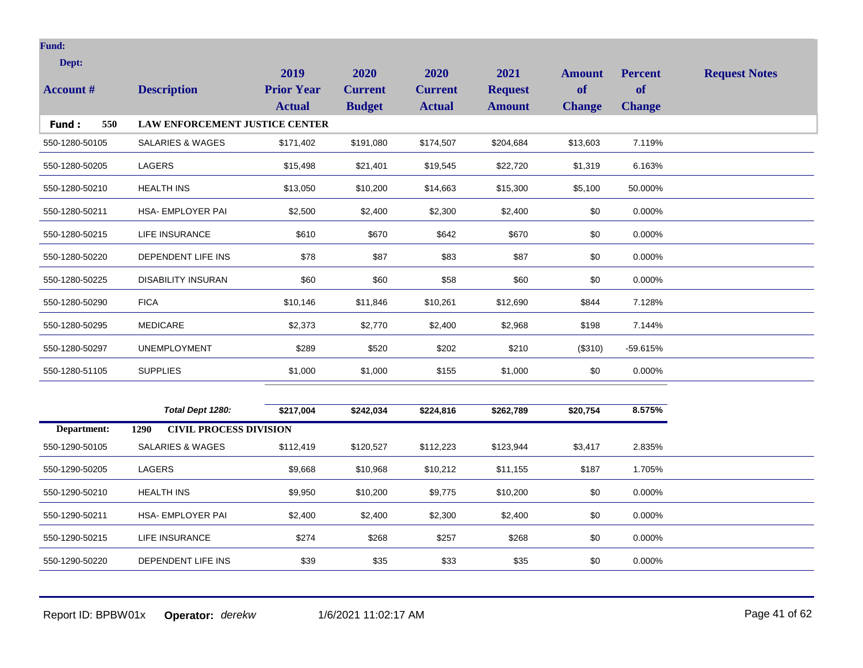| Dept:<br><b>Account #</b> | <b>Description</b>             | 2019<br><b>Prior Year</b><br><b>Actual</b> | 2020<br><b>Current</b><br><b>Budget</b> | 2020<br><b>Current</b><br><b>Actual</b> | 2021<br><b>Request</b><br><b>Amount</b> | <b>Amount</b><br>of<br><b>Change</b> | <b>Percent</b><br><b>of</b><br><b>Change</b> | <b>Request Notes</b> |
|---------------------------|--------------------------------|--------------------------------------------|-----------------------------------------|-----------------------------------------|-----------------------------------------|--------------------------------------|----------------------------------------------|----------------------|
| 550<br>Fund :             | LAW ENFORCEMENT JUSTICE CENTER |                                            |                                         |                                         |                                         |                                      |                                              |                      |
| 550-1280-50105            | <b>SALARIES &amp; WAGES</b>    | \$171,402                                  | \$191,080                               | \$174,507                               | \$204,684                               | \$13,603                             | 7.119%                                       |                      |
| 550-1280-50205            | <b>LAGERS</b>                  | \$15,498                                   | \$21,401                                | \$19,545                                | \$22,720                                | \$1,319                              | 6.163%                                       |                      |
| 550-1280-50210            | <b>HEALTH INS</b>              | \$13,050                                   | \$10,200                                | \$14,663                                | \$15,300                                | \$5,100                              | 50.000%                                      |                      |
| 550-1280-50211            | HSA- EMPLOYER PAI              | \$2,500                                    | \$2,400                                 | \$2,300                                 | \$2,400                                 | \$0                                  | 0.000%                                       |                      |
| 550-1280-50215            | <b>LIFE INSURANCE</b>          | \$610                                      | \$670                                   | \$642                                   | \$670                                   | \$0                                  | 0.000%                                       |                      |
| 550-1280-50220            | DEPENDENT LIFE INS             | \$78                                       | \$87                                    | \$83                                    | \$87                                    | \$0                                  | 0.000%                                       |                      |
| 550-1280-50225            | <b>DISABILITY INSURAN</b>      | \$60                                       | \$60                                    | \$58                                    | \$60                                    | \$0                                  | 0.000%                                       |                      |
| 550-1280-50290            | <b>FICA</b>                    | \$10,146                                   | \$11,846                                | \$10,261                                | \$12,690                                | \$844                                | 7.128%                                       |                      |
| 550-1280-50295            | <b>MEDICARE</b>                | \$2,373                                    | \$2,770                                 | \$2,400                                 | \$2,968                                 | \$198                                | 7.144%                                       |                      |
| 550-1280-50297            | <b>UNEMPLOYMENT</b>            | \$289                                      | \$520                                   | \$202                                   | \$210                                   | (\$310)                              | $-59.615%$                                   |                      |
| 550-1280-51105            | <b>SUPPLIES</b>                | \$1,000                                    | \$1,000                                 | \$155                                   | \$1,000                                 | \$0                                  | 0.000%                                       |                      |
|                           |                                |                                            |                                         |                                         |                                         |                                      |                                              |                      |

|                | Total Dept 1280:                      | \$217,004 | \$242,034 | \$224,816 | \$262,789 | \$20,754 | 8.575%    |
|----------------|---------------------------------------|-----------|-----------|-----------|-----------|----------|-----------|
| Department:    | <b>CIVIL PROCESS DIVISION</b><br>1290 |           |           |           |           |          |           |
| 550-1290-50105 | SALARIES & WAGES                      | \$112,419 | \$120,527 | \$112,223 | \$123,944 | \$3,417  | 2.835%    |
| 550-1290-50205 | LAGERS                                | \$9,668   | \$10,968  | \$10,212  | \$11,155  | \$187    | 1.705%    |
| 550-1290-50210 | <b>HEALTH INS</b>                     | \$9,950   | \$10,200  | \$9,775   | \$10,200  | \$0      | $0.000\%$ |
| 550-1290-50211 | <b>HSA- EMPLOYER PAI</b>              | \$2,400   | \$2,400   | \$2,300   | \$2,400   | \$0      | 0.000%    |
| 550-1290-50215 | LIFE INSURANCE                        | \$274     | \$268     | \$257     | \$268     | \$0      | 0.000%    |
| 550-1290-50220 | DEPENDENT LIFE INS                    | \$39      | \$35      | \$33      | \$35      | \$0      | 0.000%    |

Report ID: BPBW01x **Operator:** *derekw* 1/6/2021 11:02:17 AM Page 41 of 62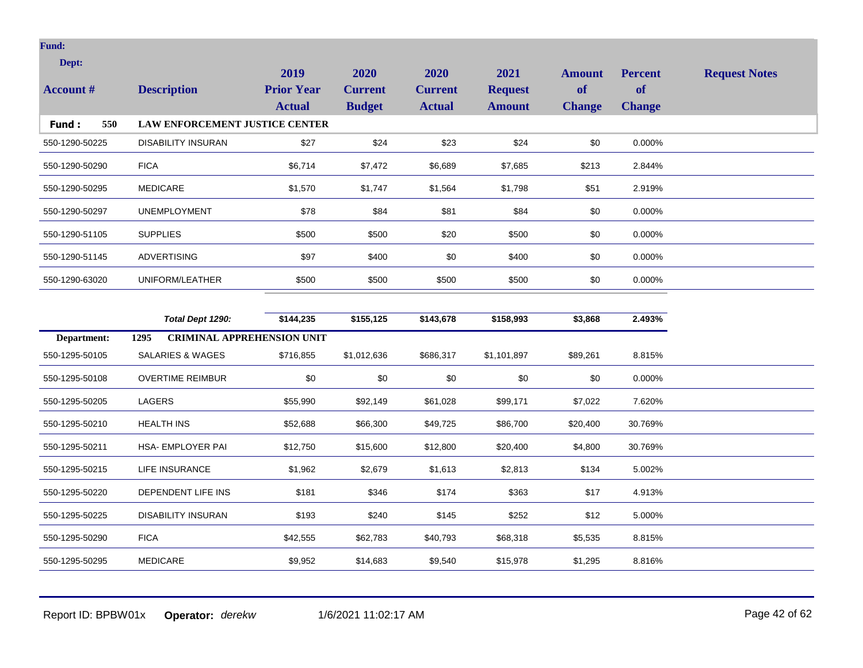| Dept:<br><b>Account #</b> | <b>Description</b>                        | 2019<br><b>Prior Year</b> | 2020<br><b>Current</b> | 2020<br><b>Current</b> | 2021<br><b>Request</b> | <b>Amount</b><br>of | <b>Percent</b><br><b>of</b> | <b>Request Notes</b> |
|---------------------------|-------------------------------------------|---------------------------|------------------------|------------------------|------------------------|---------------------|-----------------------------|----------------------|
|                           |                                           | <b>Actual</b>             | <b>Budget</b>          | <b>Actual</b>          | <b>Amount</b>          | <b>Change</b>       | <b>Change</b>               |                      |
| Fund:<br>550              | LAW ENFORCEMENT JUSTICE CENTER            |                           |                        |                        |                        |                     |                             |                      |
| 550-1290-50225            | <b>DISABILITY INSURAN</b>                 | \$27                      | \$24                   | \$23                   | \$24                   | \$0                 | 0.000%                      |                      |
| 550-1290-50290            | <b>FICA</b>                               | \$6,714                   | \$7,472                | \$6,689                | \$7,685                | \$213               | 2.844%                      |                      |
| 550-1290-50295            | <b>MEDICARE</b>                           | \$1,570                   | \$1,747                | \$1,564                | \$1,798                | \$51                | 2.919%                      |                      |
| 550-1290-50297            | <b>UNEMPLOYMENT</b>                       | \$78                      | \$84                   | \$81                   | \$84                   | \$0                 | 0.000%                      |                      |
| 550-1290-51105            | <b>SUPPLIES</b>                           | \$500                     | \$500                  | \$20                   | \$500                  | \$0                 | 0.000%                      |                      |
| 550-1290-51145            | <b>ADVERTISING</b>                        | \$97                      | \$400                  | \$0                    | \$400                  | \$0                 | 0.000%                      |                      |
| 550-1290-63020            | UNIFORM/LEATHER                           | \$500                     | \$500                  | \$500                  | \$500                  | \$0                 | 0.000%                      |                      |
|                           |                                           |                           |                        |                        |                        |                     |                             |                      |
|                           | Total Dept 1290:                          | \$144,235                 | \$155,125              | \$143,678              | \$158,993              | \$3,868             | 2.493%                      |                      |
| Department:               | <b>CRIMINAL APPREHENSION UNIT</b><br>1295 |                           |                        |                        |                        |                     |                             |                      |
| 550-1295-50105            | <b>SALARIES &amp; WAGES</b>               | \$716,855                 | \$1,012,636            | \$686,317              | \$1,101,897            | \$89,261            | 8.815%                      |                      |
| 550-1295-50108            | <b>OVERTIME REIMBUR</b>                   | \$0                       | \$0                    | \$0                    | \$0                    | \$0                 | 0.000%                      |                      |
| 550-1295-50205            | LAGERS                                    | \$55,990                  | \$92,149               | \$61,028               | \$99,171               | \$7,022             | 7.620%                      |                      |
| 550-1295-50210            | <b>HEALTH INS</b>                         | \$52,688                  | \$66,300               | \$49,725               | \$86,700               | \$20,400            | 30.769%                     |                      |
| 550-1295-50211            | HSA- EMPLOYER PAI                         | \$12,750                  | \$15,600               | \$12,800               | \$20,400               | \$4,800             | 30.769%                     |                      |
| 550-1295-50215            | LIFE INSURANCE                            | \$1,962                   | \$2,679                | \$1,613                | \$2,813                | \$134               | 5.002%                      |                      |
| 550-1295-50220            | DEPENDENT LIFE INS                        | \$181                     | \$346                  | \$174                  | \$363                  | \$17                | 4.913%                      |                      |
| 550-1295-50225            | <b>DISABILITY INSURAN</b>                 | \$193                     | \$240                  | \$145                  | \$252                  | \$12                | 5.000%                      |                      |
|                           |                                           |                           |                        |                        |                        |                     |                             |                      |
| 550-1295-50290            | <b>FICA</b>                               | \$42,555                  | \$62,783               | \$40,793               | \$68,318               | \$5,535             | 8.815%                      |                      |

Report ID: BPBW01x **Operator:** *derekw* 1/6/2021 11:02:17 AM Page 42 of 62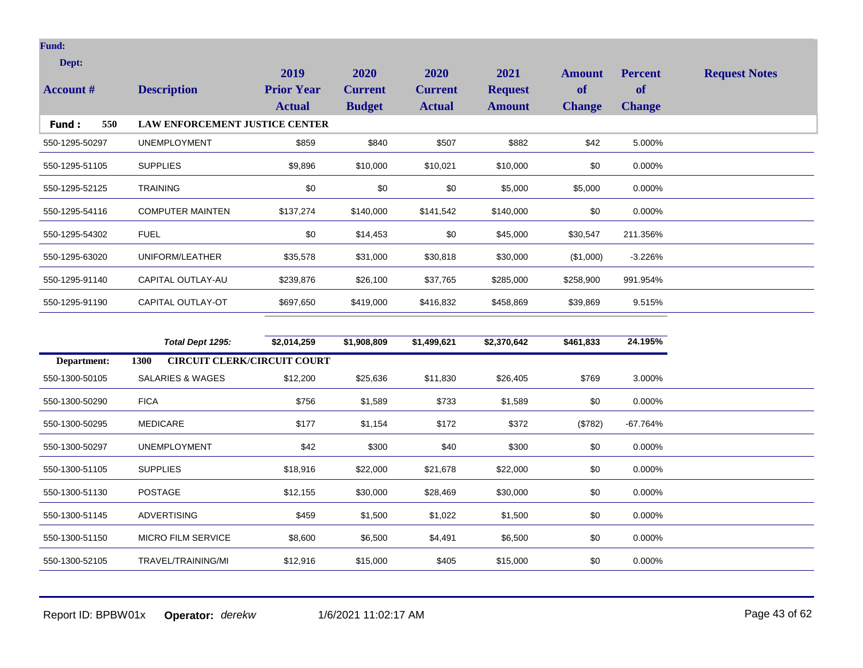| Dept:<br><b>Account</b> # | <b>Description</b>                    | 2019<br><b>Prior Year</b><br><b>Actual</b> | 2020<br><b>Current</b><br><b>Budget</b> | <b>2020</b><br><b>Current</b><br><b>Actual</b> | 2021<br><b>Request</b><br><b>Amount</b> | <b>Amount</b><br><b>of</b><br><b>Change</b> | <b>Percent</b><br>of<br><b>Change</b> | <b>Request Notes</b> |
|---------------------------|---------------------------------------|--------------------------------------------|-----------------------------------------|------------------------------------------------|-----------------------------------------|---------------------------------------------|---------------------------------------|----------------------|
| 550<br><b>Fund:</b>       | <b>LAW ENFORCEMENT JUSTICE CENTER</b> |                                            |                                         |                                                |                                         |                                             |                                       |                      |
| 550-1295-50297            | <b>UNEMPLOYMENT</b>                   | \$859                                      | \$840                                   | \$507                                          | \$882                                   | \$42                                        | 5.000%                                |                      |
| 550-1295-51105            | <b>SUPPLIES</b>                       | \$9,896                                    | \$10,000                                | \$10,021                                       | \$10,000                                | \$0                                         | 0.000%                                |                      |
| 550-1295-52125            | <b>TRAINING</b>                       | \$0                                        | \$0                                     | \$0                                            | \$5,000                                 | \$5,000                                     | 0.000%                                |                      |
| 550-1295-54116            | <b>COMPUTER MAINTEN</b>               | \$137,274                                  | \$140,000                               | \$141,542                                      | \$140,000                               | \$0                                         | 0.000%                                |                      |
| 550-1295-54302            | <b>FUEL</b>                           | \$0                                        | \$14,453                                | \$0                                            | \$45,000                                | \$30,547                                    | 211.356%                              |                      |
| 550-1295-63020            | UNIFORM/LEATHER                       | \$35,578                                   | \$31,000                                | \$30,818                                       | \$30,000                                | (\$1,000)                                   | $-3.226%$                             |                      |
| 550-1295-91140            | CAPITAL OUTLAY-AU                     | \$239,876                                  | \$26,100                                | \$37,765                                       | \$285,000                               | \$258,900                                   | 991.954%                              |                      |
| 550-1295-91190            | CAPITAL OUTLAY-OT                     | \$697,650                                  | \$419,000                               | \$416,832                                      | \$458,869                               | \$39,869                                    | 9.515%                                |                      |

|                | Total Dept 1295:                                  | \$2,014,259 | \$1,908,809 | \$1,499,621 | \$2,370,642 | \$461,833 | 24.195%  |
|----------------|---------------------------------------------------|-------------|-------------|-------------|-------------|-----------|----------|
| Department:    | <b>CIRCUIT CLERK/CIRCUIT COURT</b><br><b>1300</b> |             |             |             |             |           |          |
| 550-1300-50105 | <b>SALARIES &amp; WAGES</b>                       | \$12,200    | \$25,636    | \$11,830    | \$26,405    | \$769     | 3.000%   |
| 550-1300-50290 | <b>FICA</b>                                       | \$756       | \$1,589     | \$733       | \$1,589     | \$0       | 0.000%   |
| 550-1300-50295 | MEDICARE                                          | \$177       | \$1,154     | \$172       | \$372       | (\$782)   | -67.764% |
| 550-1300-50297 | <b>UNEMPLOYMENT</b>                               | \$42        | \$300       | \$40        | \$300       | \$0       | 0.000%   |
| 550-1300-51105 | <b>SUPPLIES</b>                                   | \$18,916    | \$22,000    | \$21,678    | \$22,000    | \$0       | 0.000%   |
| 550-1300-51130 | <b>POSTAGE</b>                                    | \$12,155    | \$30,000    | \$28,469    | \$30,000    | \$0       | 0.000%   |
| 550-1300-51145 | ADVERTISING                                       | \$459       | \$1,500     | \$1,022     | \$1,500     | \$0       | 0.000%   |
| 550-1300-51150 | <b>MICRO FILM SERVICE</b>                         | \$8,600     | \$6,500     | \$4,491     | \$6,500     | \$0       | 0.000%   |
| 550-1300-52105 | TRAVEL/TRAINING/MI                                | \$12,916    | \$15,000    | \$405       | \$15,000    | \$0       | 0.000%   |
|                |                                                   |             |             |             |             |           |          |

Report ID: BPBW01x **Operator:** *derekw* 1/6/2021 11:02:17 AM Page 43 of 62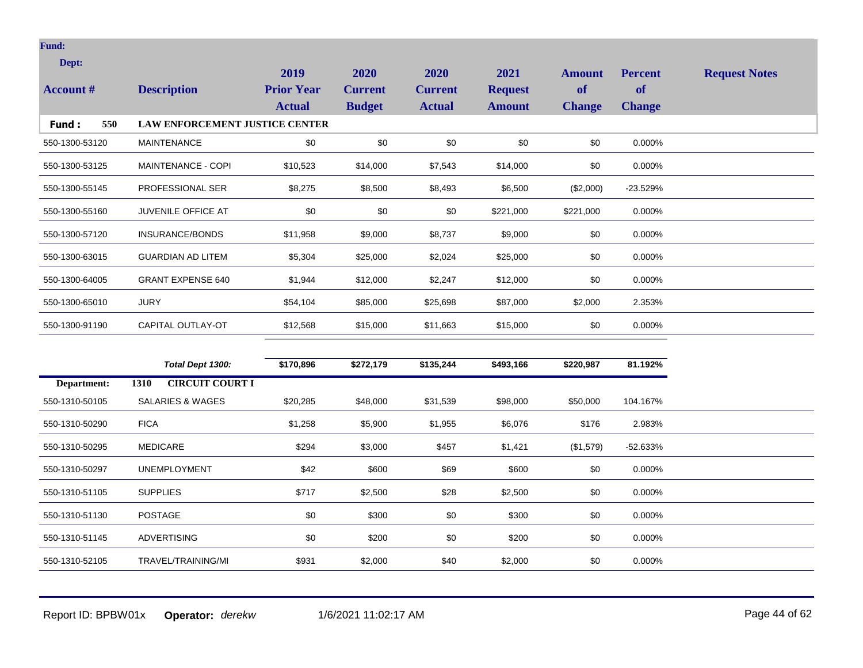| Dept:            |                                       | 2019              | 2020           | 2020           | 2021           | <b>Amount</b> | <b>Percent</b> | <b>Request Notes</b> |
|------------------|---------------------------------------|-------------------|----------------|----------------|----------------|---------------|----------------|----------------------|
| <b>Account #</b> | <b>Description</b>                    | <b>Prior Year</b> | <b>Current</b> | <b>Current</b> | <b>Request</b> | of            | <b>of</b>      |                      |
|                  |                                       | <b>Actual</b>     | <b>Budget</b>  | <b>Actual</b>  | <b>Amount</b>  | <b>Change</b> | <b>Change</b>  |                      |
| 550<br>Fund:     | <b>LAW ENFORCEMENT JUSTICE CENTER</b> |                   |                |                |                |               |                |                      |
| 550-1300-53120   | <b>MAINTENANCE</b>                    | \$0               | \$0            | \$0            | \$0            | \$0           | 0.000%         |                      |
| 550-1300-53125   | MAINTENANCE - COPI                    | \$10,523          | \$14,000       | \$7,543        | \$14,000       | \$0           | 0.000%         |                      |
| 550-1300-55145   | PROFESSIONAL SER                      | \$8,275           | \$8,500        | \$8,493        | \$6,500        | (\$2,000)     | $-23.529%$     |                      |
| 550-1300-55160   | JUVENILE OFFICE AT                    | \$0               | \$0            | \$0            | \$221,000      | \$221,000     | 0.000%         |                      |
| 550-1300-57120   | INSURANCE/BONDS                       | \$11,958          | \$9,000        | \$8,737        | \$9,000        | \$0           | 0.000%         |                      |
| 550-1300-63015   | <b>GUARDIAN AD LITEM</b>              | \$5,304           | \$25,000       | \$2,024        | \$25,000       | \$0           | 0.000%         |                      |
| 550-1300-64005   | <b>GRANT EXPENSE 640</b>              | \$1,944           | \$12,000       | \$2,247        | \$12,000       | \$0           | 0.000%         |                      |
| 550-1300-65010   | <b>JURY</b>                           | \$54,104          | \$85,000       | \$25,698       | \$87,000       | \$2,000       | 2.353%         |                      |
| 550-1300-91190   | CAPITAL OUTLAY-OT                     | \$12,568          | \$15,000       | \$11,663       | \$15,000       | \$0           | 0.000%         |                      |
|                  |                                       |                   |                |                |                |               |                |                      |
|                  | Total Dept 1300:                      | \$170,896         | \$272,179      | \$135,244      | \$493,166      | \$220,987     | 81.192%        |                      |
| Department:      | <b>CIRCUIT COURT I</b><br>1310        |                   |                |                |                |               |                |                      |
| 550-1310-50105   | <b>SALARIES &amp; WAGES</b>           | \$20,285          | \$48,000       | \$31,539       | \$98,000       | \$50,000      | 104.167%       |                      |
| 550-1310-50290   | <b>FICA</b>                           | \$1,258           | \$5,900        | \$1,955        | \$6,076        | \$176         | 2.983%         |                      |
| 550-1310-50295   | <b>MEDICARE</b>                       | \$294             | \$3,000        | \$457          | \$1,421        | (\$1,579)     | $-52.633%$     |                      |

 $\texttt{550-1310-50297} \qquad \texttt{UNEMPLOYMENT} \qquad \qquad \texttt{\$42} \qquad \qquad \texttt{\$600} \qquad \qquad \texttt{\$600} \qquad \qquad \texttt{\$600} \qquad \qquad \texttt{\$0} \qquad \qquad 0.000\%$ 

550-1310-51105 SUPPLIES \$717 \$2,500 \$2,500 \$0 0.000%

550-1310-51130 POSTAGE \$0 \$300 \$ \$300 \$0 0.000%

550-1310-51145 ADVERTISING \$0 \$200 \$0 \$200 \$0 0.000% 550-1310-52105 TRAVEL/TRAINING/MI \$931 \$2,000 \$40 \$2,000 \$0 0.000%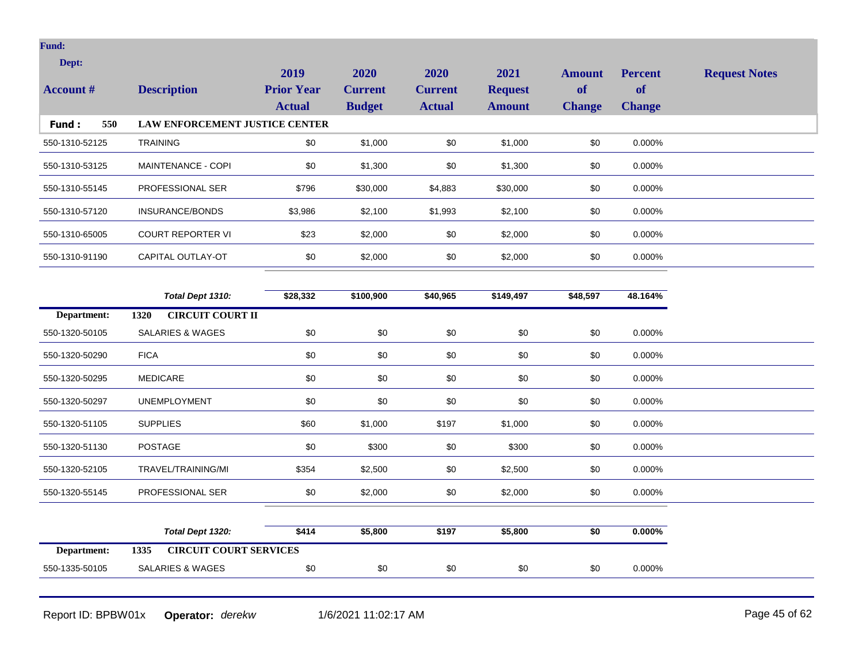| Dept:            |                                       | 2019              | 2020           | 2020           | 2021           | <b>Amount</b> | <b>Percent</b> | <b>Request Notes</b> |
|------------------|---------------------------------------|-------------------|----------------|----------------|----------------|---------------|----------------|----------------------|
| <b>Account #</b> | <b>Description</b>                    | <b>Prior Year</b> | <b>Current</b> | <b>Current</b> | <b>Request</b> | of            | <b>of</b>      |                      |
|                  |                                       | <b>Actual</b>     | <b>Budget</b>  | <b>Actual</b>  | <b>Amount</b>  | <b>Change</b> | <b>Change</b>  |                      |
| Fund:<br>550     | LAW ENFORCEMENT JUSTICE CENTER        |                   |                |                |                |               |                |                      |
| 550-1310-52125   | <b>TRAINING</b>                       | \$0               | \$1,000        | \$0            | \$1,000        | \$0           | 0.000%         |                      |
| 550-1310-53125   | MAINTENANCE - COPI                    | \$0               | \$1,300        | \$0            | \$1,300        | \$0           | 0.000%         |                      |
| 550-1310-55145   | PROFESSIONAL SER                      | \$796             | \$30,000       | \$4,883        | \$30,000       | \$0           | 0.000%         |                      |
| 550-1310-57120   | INSURANCE/BONDS                       | \$3,986           | \$2,100        | \$1,993        | \$2,100        | \$0           | 0.000%         |                      |
| 550-1310-65005   | <b>COURT REPORTER VI</b>              | \$23              | \$2,000        | \$0            | \$2,000        | \$0           | 0.000%         |                      |
| 550-1310-91190   | CAPITAL OUTLAY-OT                     | \$0               | \$2,000        | \$0            | \$2,000        | \$0           | 0.000%         |                      |
|                  |                                       |                   |                |                |                |               |                |                      |
|                  | Total Dept 1310:                      | \$28,332          | \$100,900      | \$40,965       | \$149,497      | \$48,597      | 48.164%        |                      |
| Department:      | <b>CIRCUIT COURT II</b><br>1320       |                   |                |                |                |               |                |                      |
| 550-1320-50105   | <b>SALARIES &amp; WAGES</b>           | $$0$$             | \$0            | \$0            | \$0            | \$0           | 0.000%         |                      |
| 550-1320-50290   | <b>FICA</b>                           | \$0               | \$0            | \$0            | \$0            | \$0           | 0.000%         |                      |
| 550-1320-50295   | <b>MEDICARE</b>                       | \$0               | \$0            | \$0            | \$0            | \$0           | 0.000%         |                      |
| 550-1320-50297   | <b>UNEMPLOYMENT</b>                   | \$0               | \$0            | \$0            | \$0            | \$0           | 0.000%         |                      |
| 550-1320-51105   | <b>SUPPLIES</b>                       | \$60              | \$1,000        | \$197          | \$1,000        | \$0           | 0.000%         |                      |
| 550-1320-51130   | <b>POSTAGE</b>                        | \$0               | \$300          | \$0            | \$300          | \$0           | 0.000%         |                      |
| 550-1320-52105   | TRAVEL/TRAINING/MI                    | \$354             | \$2,500        | \$0            | \$2,500        | \$0           | 0.000%         |                      |
| 550-1320-55145   | PROFESSIONAL SER                      | \$0               | \$2,000        | \$0            | \$2,000        | \$0           | 0.000%         |                      |
|                  |                                       |                   |                |                |                |               |                |                      |
|                  | Total Dept 1320:                      | \$414             | \$5,800        | \$197          | \$5,800        | \$0           | $0.000\%$      |                      |
| Department:      | <b>CIRCUIT COURT SERVICES</b><br>1335 |                   |                |                |                |               |                |                      |
| 550-1335-50105   | <b>SALARIES &amp; WAGES</b>           | \$0               | \$0            | \$0            | \$0            | \$0           | 0.000%         |                      |
|                  |                                       |                   |                |                |                |               |                |                      |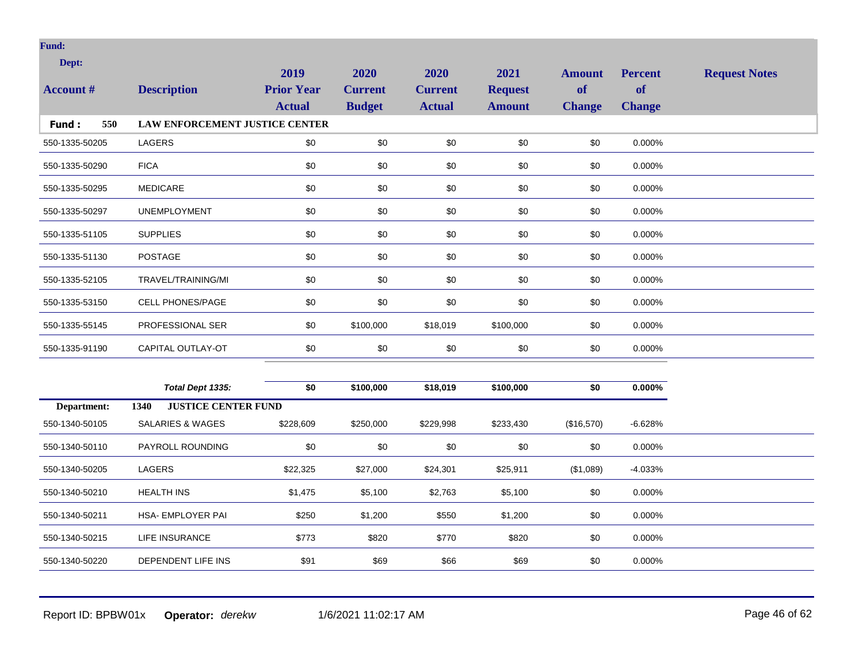| Dept:            |                                    | 2019              | 2020           | 2020           | 2021           | <b>Amount</b> | <b>Percent</b> | <b>Request Notes</b> |
|------------------|------------------------------------|-------------------|----------------|----------------|----------------|---------------|----------------|----------------------|
| <b>Account #</b> | <b>Description</b>                 | <b>Prior Year</b> | <b>Current</b> | <b>Current</b> | <b>Request</b> | of            | <b>of</b>      |                      |
|                  |                                    | <b>Actual</b>     | <b>Budget</b>  | <b>Actual</b>  | <b>Amount</b>  | <b>Change</b> | <b>Change</b>  |                      |
| 550<br>Fund:     | LAW ENFORCEMENT JUSTICE CENTER     |                   |                |                |                |               |                |                      |
| 550-1335-50205   | LAGERS                             | \$0               | \$0            | \$0            | \$0            | \$0           | 0.000%         |                      |
| 550-1335-50290   | <b>FICA</b>                        | \$0               | \$0            | \$0            | \$0            | \$0           | 0.000%         |                      |
| 550-1335-50295   | <b>MEDICARE</b>                    | \$0               | \$0            | \$0            | \$0            | \$0           | 0.000%         |                      |
| 550-1335-50297   | <b>UNEMPLOYMENT</b>                | \$0               | \$0            | \$0            | \$0            | \$0           | 0.000%         |                      |
| 550-1335-51105   | <b>SUPPLIES</b>                    | \$0               | \$0            | \$0            | \$0            | \$0           | 0.000%         |                      |
| 550-1335-51130   | <b>POSTAGE</b>                     | \$0               | \$0            | \$0            | \$0            | \$0           | 0.000%         |                      |
| 550-1335-52105   | TRAVEL/TRAINING/MI                 | \$0               | \$0            | \$0            | \$0            | \$0           | 0.000%         |                      |
| 550-1335-53150   | <b>CELL PHONES/PAGE</b>            | \$0               | \$0            | \$0            | \$0            | \$0           | 0.000%         |                      |
| 550-1335-55145   | PROFESSIONAL SER                   | \$0               | \$100,000      | \$18,019       | \$100,000      | \$0           | 0.000%         |                      |
| 550-1335-91190   | CAPITAL OUTLAY-OT                  | \$0               | \$0            | \$0            | \$0            | \$0           | 0.000%         |                      |
|                  |                                    |                   |                |                |                |               |                |                      |
|                  | Total Dept 1335:                   | \$0               | \$100,000      | \$18,019       | \$100,000      | \$0           | $0.000\%$      |                      |
| Department:      | <b>JUSTICE CENTER FUND</b><br>1340 |                   |                |                |                |               |                |                      |
| 550-1340-50105   | <b>SALARIES &amp; WAGES</b>        | \$228,609         | \$250,000      | \$229,998      | \$233,430      | (\$16,570)    | $-6.628%$      |                      |
| 550-1340-50110   | PAYROLL ROUNDING                   | \$0               | \$0            | \$0            | \$0            | \$0           | 0.000%         |                      |
| 550-1340-50205   | <b>LAGERS</b>                      | \$22,325          | \$27,000       | \$24,301       | \$25,911       | (\$1,089)     | $-4.033%$      |                      |
| 550-1340-50210   | <b>HEALTH INS</b>                  | \$1,475           | \$5,100        | \$2,763        | \$5,100        | \$0           | 0.000%         |                      |
| 550-1340-50211   | HSA- EMPLOYER PAI                  | \$250             | \$1,200        | \$550          | \$1,200        | \$0           | 0.000%         |                      |
| 550-1340-50215   | LIFE INSURANCE                     | \$773             | \$820          | \$770          | \$820          | \$0           | 0.000%         |                      |
| 550-1340-50220   | DEPENDENT LIFE INS                 | \$91              | \$69           | \$66           | \$69           | \$0           | 0.000%         |                      |

Report ID: BPBW01x **Operator:** *derekw* 1/6/2021 11:02:17 AM Page 46 of 62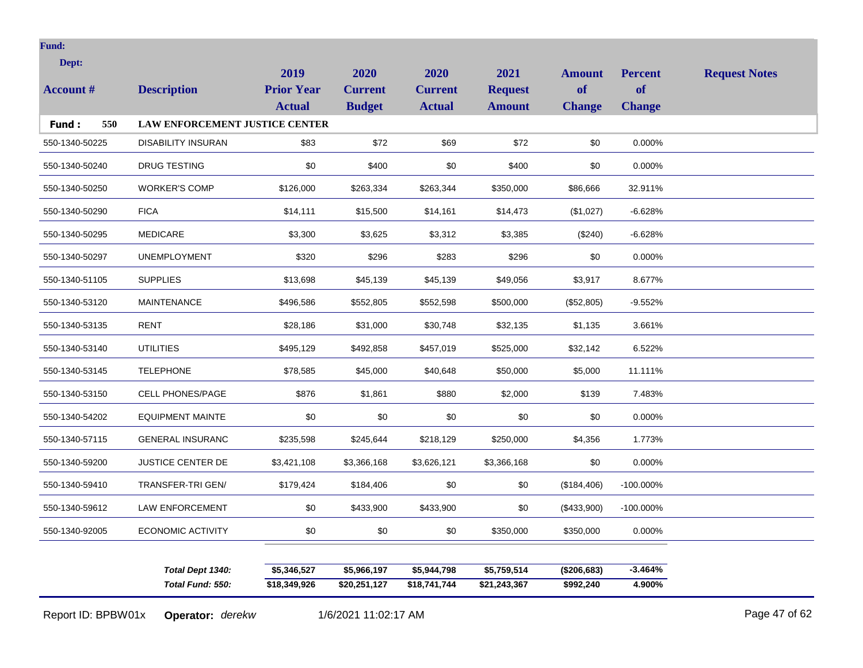| Dept:            |                                       | 2019              | 2020           | 2020           | 2021           | <b>Amount</b> | <b>Percent</b> | <b>Request Notes</b> |
|------------------|---------------------------------------|-------------------|----------------|----------------|----------------|---------------|----------------|----------------------|
| <b>Account #</b> | <b>Description</b>                    | <b>Prior Year</b> | <b>Current</b> | <b>Current</b> | <b>Request</b> | <b>of</b>     | of             |                      |
|                  |                                       | <b>Actual</b>     | <b>Budget</b>  | <b>Actual</b>  | <b>Amount</b>  | <b>Change</b> | <b>Change</b>  |                      |
| 550<br>Fund:     | <b>LAW ENFORCEMENT JUSTICE CENTER</b> |                   |                |                |                |               |                |                      |
| 550-1340-50225   | <b>DISABILITY INSURAN</b>             | \$83              | \$72           | \$69           | \$72           | \$0           | 0.000%         |                      |
| 550-1340-50240   | <b>DRUG TESTING</b>                   | \$0               | \$400          | \$0            | \$400          | \$0           | 0.000%         |                      |
| 550-1340-50250   | <b>WORKER'S COMP</b>                  | \$126,000         | \$263,334      | \$263,344      | \$350,000      | \$86,666      | 32.911%        |                      |
| 550-1340-50290   | <b>FICA</b>                           | \$14,111          | \$15,500       | \$14,161       | \$14,473       | (\$1,027)     | $-6.628%$      |                      |
| 550-1340-50295   | <b>MEDICARE</b>                       | \$3,300           | \$3,625        | \$3,312        | \$3,385        | $(\$240)$     | $-6.628%$      |                      |
| 550-1340-50297   | <b>UNEMPLOYMENT</b>                   | \$320             | \$296          | \$283          | \$296          | \$0           | 0.000%         |                      |
| 550-1340-51105   | <b>SUPPLIES</b>                       | \$13,698          | \$45,139       | \$45,139       | \$49,056       | \$3,917       | 8.677%         |                      |
| 550-1340-53120   | <b>MAINTENANCE</b>                    | \$496,586         | \$552,805      | \$552,598      | \$500,000      | (\$52,805)    | $-9.552%$      |                      |
| 550-1340-53135   | <b>RENT</b>                           | \$28,186          | \$31,000       | \$30,748       | \$32,135       | \$1,135       | 3.661%         |                      |
| 550-1340-53140   | <b>UTILITIES</b>                      | \$495,129         | \$492,858      | \$457,019      | \$525,000      | \$32,142      | 6.522%         |                      |
| 550-1340-53145   | <b>TELEPHONE</b>                      | \$78,585          | \$45,000       | \$40,648       | \$50,000       | \$5,000       | 11.111%        |                      |
| 550-1340-53150   | <b>CELL PHONES/PAGE</b>               | \$876             | \$1,861        | \$880          | \$2,000        | \$139         | 7.483%         |                      |
| 550-1340-54202   | <b>EQUIPMENT MAINTE</b>               | \$0               | \$0            | \$0            | \$0            | \$0           | 0.000%         |                      |
| 550-1340-57115   | <b>GENERAL INSURANC</b>               | \$235,598         | \$245,644      | \$218,129      | \$250,000      | \$4,356       | 1.773%         |                      |
| 550-1340-59200   | <b>JUSTICE CENTER DE</b>              | \$3,421,108       | \$3,366,168    | \$3,626,121    | \$3,366,168    | \$0           | 0.000%         |                      |
| 550-1340-59410   | TRANSFER-TRI GEN/                     | \$179,424         | \$184,406      | \$0            | \$0            | (\$184,406)   | $-100.000\%$   |                      |
| 550-1340-59612   | <b>LAW ENFORCEMENT</b>                | \$0               | \$433,900      | \$433,900      | \$0            | (\$433,900)   | $-100.000\%$   |                      |
| 550-1340-92005   | <b>ECONOMIC ACTIVITY</b>              | \$0               | \$0            | \$0            | \$350,000      | \$350,000     | 0.000%         |                      |
|                  |                                       |                   |                |                |                |               |                |                      |
|                  | Total Dept 1340:                      | \$5,346,527       | \$5,966,197    | \$5,944,798    | \$5,759,514    | (\$206,683)   | $-3.464%$      |                      |
|                  | Total Fund: 550:                      | \$18,349,926      | \$20,251,127   | \$18,741,744   | \$21,243,367   | \$992,240     | 4.900%         |                      |

Report ID: BPBW01x **Operator:** *derekw* 1/6/2021 11:02:17 AM Page 47 of 62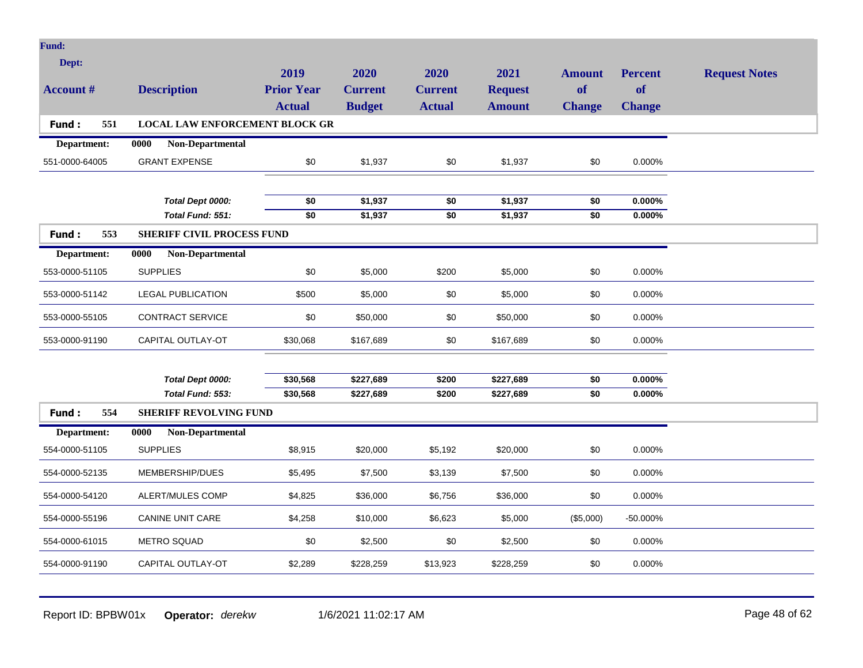| <b>Fund:</b>              |                                       |                                            |                                         |                                         |                                         |                                      |                                       |                      |
|---------------------------|---------------------------------------|--------------------------------------------|-----------------------------------------|-----------------------------------------|-----------------------------------------|--------------------------------------|---------------------------------------|----------------------|
| Dept:<br><b>Account #</b> | <b>Description</b>                    | 2019<br><b>Prior Year</b><br><b>Actual</b> | 2020<br><b>Current</b><br><b>Budget</b> | 2020<br><b>Current</b><br><b>Actual</b> | 2021<br><b>Request</b><br><b>Amount</b> | <b>Amount</b><br>of<br><b>Change</b> | <b>Percent</b><br>of<br><b>Change</b> | <b>Request Notes</b> |
| Fund:<br>551              | <b>LOCAL LAW ENFORCEMENT BLOCK GR</b> |                                            |                                         |                                         |                                         |                                      |                                       |                      |
| Department:               | Non-Departmental<br>0000              |                                            |                                         |                                         |                                         |                                      |                                       |                      |
| 551-0000-64005            | <b>GRANT EXPENSE</b>                  | $$0$$                                      | \$1,937                                 | \$0                                     | \$1,937                                 | \$0                                  | 0.000%                                |                      |
|                           |                                       |                                            |                                         |                                         |                                         |                                      |                                       |                      |
|                           | Total Dept 0000:                      | \$0                                        | \$1,937                                 | \$0                                     | \$1,937                                 | \$0                                  | $0.000\%$                             |                      |
|                           | Total Fund: 551:                      | $\overline{50}$                            | \$1,937                                 | $\overline{50}$                         | \$1,937                                 | $\overline{50}$                      | 0.000%                                |                      |
| Fund:<br>553              | <b>SHERIFF CIVIL PROCESS FUND</b>     |                                            |                                         |                                         |                                         |                                      |                                       |                      |
| Department:               | 0000<br>Non-Departmental              |                                            |                                         |                                         |                                         |                                      |                                       |                      |
| 553-0000-51105            | <b>SUPPLIES</b>                       | \$0                                        | \$5,000                                 | \$200                                   | \$5,000                                 | \$0                                  | 0.000%                                |                      |
| 553-0000-51142            | <b>LEGAL PUBLICATION</b>              | \$500                                      | \$5,000                                 | \$0                                     | \$5,000                                 | \$0                                  | 0.000%                                |                      |
| 553-0000-55105            | <b>CONTRACT SERVICE</b>               | \$0                                        | \$50,000                                | \$0                                     | \$50,000                                | \$0                                  | 0.000%                                |                      |
| 553-0000-91190            | CAPITAL OUTLAY-OT                     | \$30,068                                   | \$167,689                               | \$0                                     | \$167,689                               | \$0                                  | 0.000%                                |                      |
|                           |                                       |                                            |                                         |                                         |                                         |                                      |                                       |                      |
|                           | Total Dept 0000:                      | \$30,568                                   | \$227,689                               | \$200                                   | \$227,689                               | \$0                                  | $0.000\%$                             |                      |
|                           | Total Fund: 553:                      | \$30,568                                   | \$227,689                               | \$200                                   | \$227,689                               | \$0                                  | $0.000\%$                             |                      |
| Fund:<br>554              | <b>SHERIFF REVOLVING FUND</b>         |                                            |                                         |                                         |                                         |                                      |                                       |                      |
| Department:               | 0000<br>Non-Departmental              |                                            |                                         |                                         |                                         |                                      |                                       |                      |
| 554-0000-51105            | <b>SUPPLIES</b>                       | \$8,915                                    | \$20,000                                | \$5,192                                 | \$20,000                                | \$0                                  | 0.000%                                |                      |
| 554-0000-52135            | MEMBERSHIP/DUES                       | \$5,495                                    | \$7,500                                 | \$3,139                                 | \$7,500                                 | \$0                                  | 0.000%                                |                      |
| 554-0000-54120            | ALERT/MULES COMP                      | \$4,825                                    | \$36,000                                | \$6,756                                 | \$36,000                                | \$0                                  | 0.000%                                |                      |
| 554-0000-55196            | <b>CANINE UNIT CARE</b>               | \$4,258                                    | \$10,000                                | \$6,623                                 | \$5,000                                 | (\$5,000)                            | -50.000%                              |                      |
| 554-0000-61015            | <b>METRO SQUAD</b>                    | \$0                                        | \$2,500                                 | \$0                                     | \$2,500                                 | \$0                                  | 0.000%                                |                      |
| 554-0000-91190            | CAPITAL OUTLAY-OT                     | \$2,289                                    | \$228,259                               | \$13,923                                | \$228,259                               | \$0                                  | 0.000%                                |                      |
|                           |                                       |                                            |                                         |                                         |                                         |                                      |                                       |                      |

Report ID: BPBW01x **Operator:** *derekw* 1/6/2021 11:02:17 AM Page 48 of 62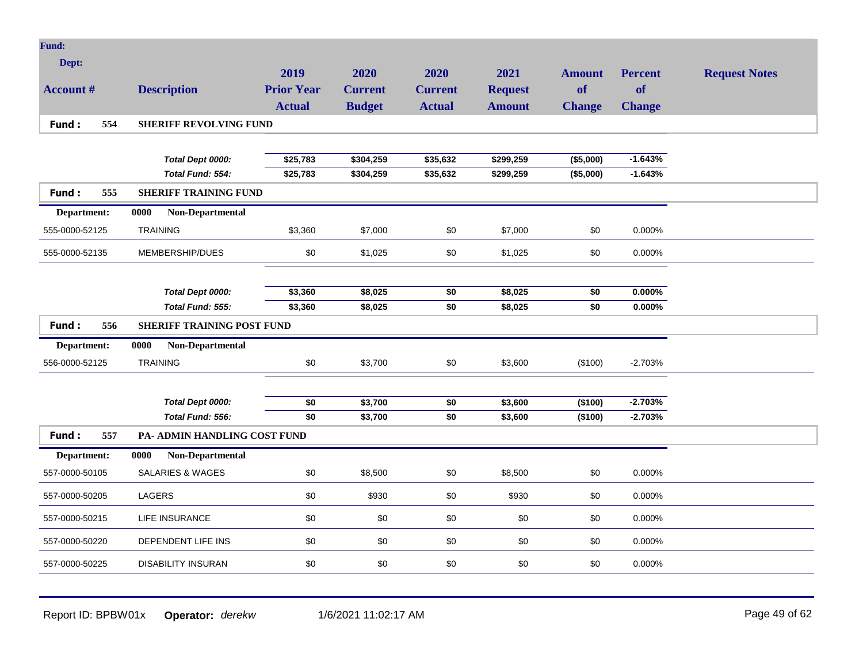| <b>Fund:</b>     |                                      |                      |                        |                      |                        |                            |                             |                      |
|------------------|--------------------------------------|----------------------|------------------------|----------------------|------------------------|----------------------------|-----------------------------|----------------------|
| Dept:            |                                      | 2019                 | 2020                   | 2020                 | 2021                   |                            |                             |                      |
| <b>Account #</b> | <b>Description</b>                   | <b>Prior Year</b>    | <b>Current</b>         | <b>Current</b>       | <b>Request</b>         | <b>Amount</b><br><b>of</b> | <b>Percent</b><br><b>of</b> | <b>Request Notes</b> |
|                  |                                      | <b>Actual</b>        | <b>Budget</b>          | <b>Actual</b>        | <b>Amount</b>          | <b>Change</b>              | <b>Change</b>               |                      |
| Fund:<br>554     | <b>SHERIFF REVOLVING FUND</b>        |                      |                        |                      |                        |                            |                             |                      |
|                  |                                      |                      |                        |                      |                        |                            |                             |                      |
|                  |                                      |                      |                        |                      |                        |                            | $-1.643%$                   |                      |
|                  | Total Dept 0000:<br>Total Fund: 554: | \$25,783<br>\$25,783 | \$304,259<br>\$304,259 | \$35,632<br>\$35,632 | \$299,259<br>\$299,259 | (\$5,000)<br>(\$5,000)     | $-1.643%$                   |                      |
| Fund:<br>555     |                                      |                      |                        |                      |                        |                            |                             |                      |
|                  | <b>SHERIFF TRAINING FUND</b>         |                      |                        |                      |                        |                            |                             |                      |
| Department:      | 0000<br>Non-Departmental             |                      |                        |                      |                        |                            |                             |                      |
| 555-0000-52125   | <b>TRAINING</b>                      | \$3,360              | \$7,000                | \$0                  | \$7,000                | \$0                        | 0.000%                      |                      |
| 555-0000-52135   | MEMBERSHIP/DUES                      | \$0                  | \$1,025                | \$0                  | \$1,025                | \$0                        | 0.000%                      |                      |
|                  |                                      |                      |                        |                      |                        |                            |                             |                      |
|                  | Total Dept 0000:                     | \$3,360              | \$8,025                | \$0                  | \$8,025                | \$0                        | $0.000\%$                   |                      |
|                  | Total Fund: 555:                     | \$3,360              | \$8,025                | $\overline{50}$      | \$8,025                | \$0                        | 0.000%                      |                      |
| Fund:<br>556     | <b>SHERIFF TRAINING POST FUND</b>    |                      |                        |                      |                        |                            |                             |                      |
| Department:      | 0000<br>Non-Departmental             |                      |                        |                      |                        |                            |                             |                      |
| 556-0000-52125   | <b>TRAINING</b>                      | \$0                  | \$3,700                | \$0                  | \$3,600                | (\$100)                    | $-2.703%$                   |                      |
|                  |                                      |                      |                        |                      |                        |                            |                             |                      |
|                  | Total Dept 0000:                     | \$0                  | \$3,700                | \$0                  | \$3,600                | (\$100)                    | $-2.703%$                   |                      |
|                  | Total Fund: 556:                     | \$0                  | \$3,700                | $\overline{50}$      | \$3,600                | (\$100)                    | $-2.703%$                   |                      |
| Fund:<br>557     | PA- ADMIN HANDLING COST FUND         |                      |                        |                      |                        |                            |                             |                      |
| Department:      | 0000<br>Non-Departmental             |                      |                        |                      |                        |                            |                             |                      |
| 557-0000-50105   | <b>SALARIES &amp; WAGES</b>          | \$0                  | \$8,500                | \$0                  | \$8,500                | \$0                        | 0.000%                      |                      |
| 557-0000-50205   | LAGERS                               | \$0                  | \$930                  | \$0                  | \$930                  | \$0                        | 0.000%                      |                      |
| 557-0000-50215   | <b>LIFE INSURANCE</b>                | \$0                  | \$0                    | \$0                  | \$0                    | \$0                        | 0.000%                      |                      |
| 557-0000-50220   | DEPENDENT LIFE INS                   | \$0                  | \$0                    | \$0                  | \$0                    | \$0                        | 0.000%                      |                      |
| 557-0000-50225   | <b>DISABILITY INSURAN</b>            | \$0                  | \$0                    | \$0                  | \$0                    | \$0                        | 0.000%                      |                      |
|                  |                                      |                      |                        |                      |                        |                            |                             |                      |

Report ID: BPBW01x **Operator:** *derekw* 1/6/2021 11:02:17 AM Page 49 of 62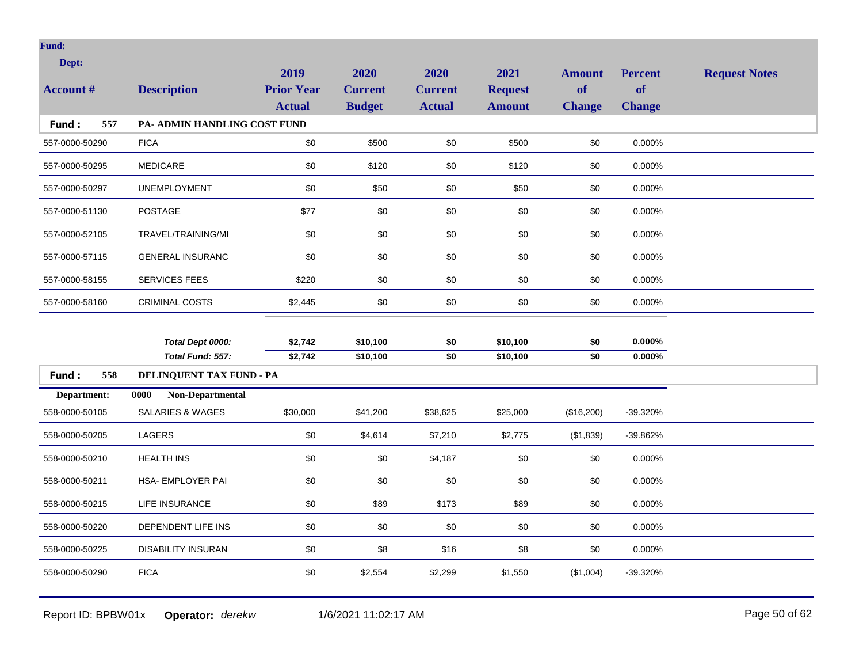| Dept:<br><b>Account #</b> | <b>Description</b>           | 2019<br><b>Prior Year</b><br><b>Actual</b> | 2020<br><b>Current</b><br><b>Budget</b> | 2020<br><b>Current</b><br><b>Actual</b> | 2021<br><b>Request</b><br><b>Amount</b> | <b>Amount</b><br>of<br><b>Change</b> | <b>Percent</b><br>of<br><b>Change</b> | <b>Request Notes</b> |
|---------------------------|------------------------------|--------------------------------------------|-----------------------------------------|-----------------------------------------|-----------------------------------------|--------------------------------------|---------------------------------------|----------------------|
| 557<br>Fund:              | PA- ADMIN HANDLING COST FUND |                                            |                                         |                                         |                                         |                                      |                                       |                      |
| 557-0000-50290            | <b>FICA</b>                  | \$0                                        | \$500                                   | \$0                                     | \$500                                   | \$0                                  | 0.000%                                |                      |
| 557-0000-50295            | <b>MEDICARE</b>              | \$0                                        | \$120                                   | \$0                                     | \$120                                   | \$0                                  | 0.000%                                |                      |
| 557-0000-50297            | <b>UNEMPLOYMENT</b>          | \$0                                        | \$50                                    | \$0                                     | \$50                                    | \$0                                  | 0.000%                                |                      |
| 557-0000-51130            | <b>POSTAGE</b>               | \$77                                       | \$0                                     | \$0                                     | \$0                                     | \$0                                  | 0.000%                                |                      |
| 557-0000-52105            | TRAVEL/TRAINING/MI           | \$0                                        | \$0                                     | \$0                                     | \$0                                     | \$0                                  | 0.000%                                |                      |
| 557-0000-57115            | <b>GENERAL INSURANC</b>      | \$0                                        | \$0                                     | \$0                                     | \$0                                     | \$0                                  | 0.000%                                |                      |
| 557-0000-58155            | <b>SERVICES FEES</b>         | \$220                                      | \$0                                     | \$0                                     | \$0                                     | \$0                                  | 0.000%                                |                      |
| 557-0000-58160            | <b>CRIMINAL COSTS</b>        | \$2,445                                    | \$0                                     | \$0                                     | \$0                                     | \$0                                  | 0.000%                                |                      |
|                           |                              |                                            |                                         |                                         |                                         |                                      |                                       |                      |
|                           | Total Dept 0000:             | \$2,742                                    | \$10,100                                | \$0                                     | \$10,100                                | \$0                                  | 0.000%                                |                      |
|                           | Total Fund: 557:             | \$2,742                                    | \$10,100                                | \$0                                     | \$10,100                                | \$0                                  | $0.000\%$                             |                      |
| 558<br>Fund:              | DELINQUENT TAX FUND - PA     |                                            |                                         |                                         |                                         |                                      |                                       |                      |
| Department:               | 0000<br>Non-Departmental     |                                            |                                         |                                         |                                         |                                      |                                       |                      |
| 558-0000-50105            | <b>SALARIES &amp; WAGES</b>  | \$30,000                                   | \$41,200                                | \$38,625                                | \$25,000                                | (\$16,200)                           | -39.320%                              |                      |
| 558-0000-50205            | LAGERS                       | \$0                                        | \$4,614                                 | \$7,210                                 | \$2,775                                 | (\$1,839)                            | -39.862%                              |                      |
| 558-0000-50210            | <b>HEALTH INS</b>            | \$0                                        | \$0                                     | \$4,187                                 | \$0                                     | \$0                                  | 0.000%                                |                      |
| 558-0000-50211            | HSA- EMPLOYER PAI            | \$0                                        | \$0                                     | \$0                                     | \$0                                     | \$0                                  | 0.000%                                |                      |
| 558-0000-50215            | LIFE INSURANCE               | \$0                                        | \$89                                    | \$173                                   | \$89                                    | \$0                                  | 0.000%                                |                      |
| 558-0000-50220            | DEPENDENT LIFE INS           | \$0                                        | \$0                                     | \$0                                     | \$0                                     | \$0                                  | 0.000%                                |                      |
| 558-0000-50225            | <b>DISABILITY INSURAN</b>    | \$0                                        | \$8                                     | \$16                                    | \$8                                     | \$0                                  | 0.000%                                |                      |
| 558-0000-50290            | <b>FICA</b>                  | \$0                                        | \$2,554                                 | \$2,299                                 | \$1,550                                 | (\$1,004)                            | -39.320%                              |                      |
|                           |                              |                                            |                                         |                                         |                                         |                                      |                                       |                      |

Report ID: BPBW01x **Operator:** *derekw* 1/6/2021 11:02:17 AM Page 50 of 62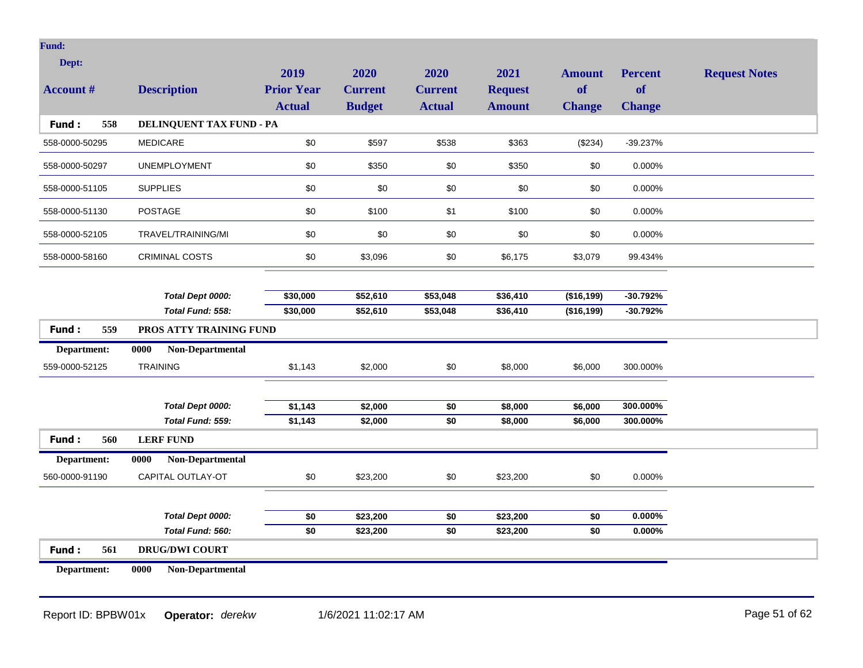| Dept:            |                          | 2019              | 2020           | 2020            | 2021           | <b>Amount</b>   | <b>Percent</b> | <b>Request Notes</b> |
|------------------|--------------------------|-------------------|----------------|-----------------|----------------|-----------------|----------------|----------------------|
| <b>Account #</b> | <b>Description</b>       | <b>Prior Year</b> | <b>Current</b> | <b>Current</b>  | <b>Request</b> | <b>of</b>       | <b>of</b>      |                      |
|                  |                          | <b>Actual</b>     | <b>Budget</b>  | <b>Actual</b>   | <b>Amount</b>  | <b>Change</b>   | <b>Change</b>  |                      |
| Fund:<br>558     | DELINQUENT TAX FUND - PA |                   |                |                 |                |                 |                |                      |
| 558-0000-50295   | <b>MEDICARE</b>          | $$0$$             | \$597          | \$538           | \$363          | (\$234)         | $-39.237%$     |                      |
| 558-0000-50297   | <b>UNEMPLOYMENT</b>      | \$0               | \$350          | \$0             | \$350          | \$0             | 0.000%         |                      |
| 558-0000-51105   | <b>SUPPLIES</b>          | $$0$$             | \$0            | \$0             | \$0            | \$0             | 0.000%         |                      |
| 558-0000-51130   | <b>POSTAGE</b>           | \$0               | \$100          | \$1             | \$100          | \$0             | 0.000%         |                      |
| 558-0000-52105   | TRAVEL/TRAINING/MI       | $$0$$             | \$0            | \$0             | \$0            | \$0             | 0.000%         |                      |
| 558-0000-58160   | <b>CRIMINAL COSTS</b>    | \$0               | \$3,096        | \$0             | \$6,175        | \$3,079         | 99.434%        |                      |
|                  |                          |                   |                |                 |                |                 |                |                      |
|                  | Total Dept 0000:         | \$30,000          | \$52,610       | \$53,048        | \$36,410       | (\$16, 199)     | $-30.792%$     |                      |
|                  | Total Fund: 558:         | \$30,000          | \$52,610       | \$53,048        | \$36,410       | (\$16,199)      | $-30.792%$     |                      |
|                  |                          |                   |                |                 |                |                 |                |                      |
| Fund:<br>559     | PROS ATTY TRAINING FUND  |                   |                |                 |                |                 |                |                      |
| Department:      | Non-Departmental<br>0000 |                   |                |                 |                |                 |                |                      |
| 559-0000-52125   | TRAINING                 | \$1,143           | \$2,000        | \$0             | \$8,000        | \$6,000         | 300.000%       |                      |
|                  |                          |                   |                |                 |                |                 |                |                      |
|                  | Total Dept 0000:         | \$1,143           | \$2,000        | \$0             | \$8,000        | \$6,000         | 300.000%       |                      |
|                  | Total Fund: 559:         | \$1,143           | \$2,000        | \$0             | \$8,000        | \$6,000         | 300.000%       |                      |
| Fund:<br>560     | <b>LERF FUND</b>         |                   |                |                 |                |                 |                |                      |
| Department:      | Non-Departmental<br>0000 |                   |                |                 |                |                 |                |                      |
| 560-0000-91190   | CAPITAL OUTLAY-OT        | $\$0$             | \$23,200       | \$0             | \$23,200       | \$0             | $0.000\%$      |                      |
|                  |                          |                   |                |                 |                |                 |                |                      |
|                  | Total Dept 0000:         | \$0               | \$23,200       | \$0             | \$23,200       | \$0             | $0.000\%$      |                      |
|                  | Total Fund: 560:         | $\overline{50}$   | \$23,200       | $\overline{50}$ | \$23,200       | $\overline{50}$ | 0.000%         |                      |
| Fund:<br>561     | <b>DRUG/DWI COURT</b>    |                   |                |                 |                |                 |                |                      |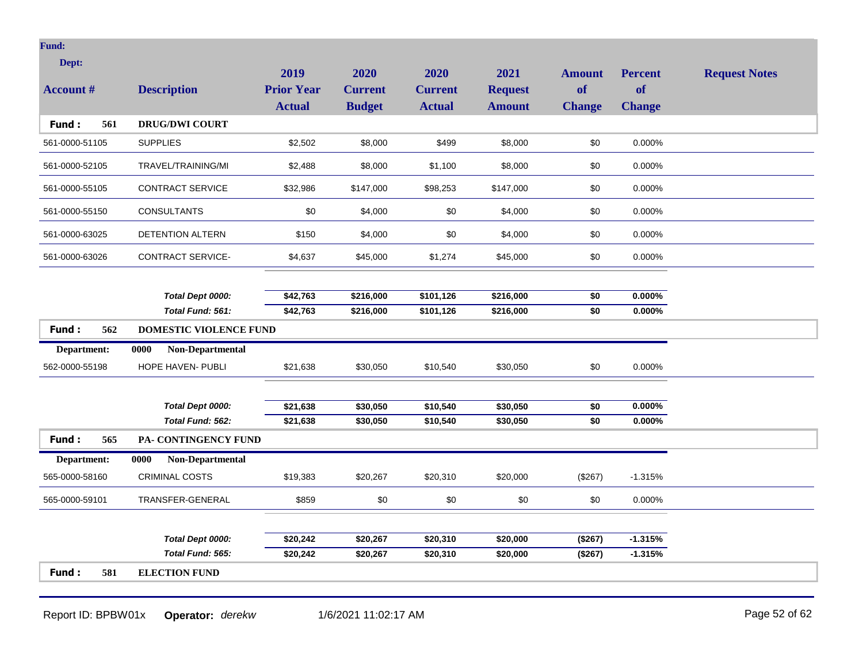| Dept:            |                          | 2019              | 2020           | 2020           | 2021           | <b>Amount</b>   | <b>Percent</b> | <b>Request Notes</b> |
|------------------|--------------------------|-------------------|----------------|----------------|----------------|-----------------|----------------|----------------------|
| <b>Account #</b> | <b>Description</b>       | <b>Prior Year</b> | <b>Current</b> | <b>Current</b> | <b>Request</b> | <b>of</b>       | of             |                      |
|                  |                          | <b>Actual</b>     | <b>Budget</b>  | <b>Actual</b>  | <b>Amount</b>  | <b>Change</b>   | <b>Change</b>  |                      |
| Fund:<br>561     | <b>DRUG/DWI COURT</b>    |                   |                |                |                |                 |                |                      |
| 561-0000-51105   | <b>SUPPLIES</b>          | \$2,502           | \$8,000        | \$499          | \$8,000        | \$0             | 0.000%         |                      |
| 561-0000-52105   | TRAVEL/TRAINING/MI       | \$2,488           | \$8,000        | \$1,100        | \$8,000        | \$0             | 0.000%         |                      |
| 561-0000-55105   | CONTRACT SERVICE         | \$32,986          | \$147,000      | \$98,253       | \$147,000      | \$0             | 0.000%         |                      |
| 561-0000-55150   | <b>CONSULTANTS</b>       | \$0               | \$4,000        | \$0            | \$4,000        | \$0             | 0.000%         |                      |
| 561-0000-63025   | DETENTION ALTERN         | \$150             | \$4,000        | \$0            | \$4,000        | \$0             | 0.000%         |                      |
| 561-0000-63026   | <b>CONTRACT SERVICE-</b> | \$4,637           | \$45,000       | \$1,274        | \$45,000       | \$0             | 0.000%         |                      |
|                  |                          |                   |                |                |                |                 |                |                      |
|                  | Total Dept 0000:         | \$42,763          | \$216,000      | \$101,126      | \$216,000      | \$0             | $0.000\%$      |                      |
|                  | Total Fund: 561:         | \$42,763          | \$216,000      | \$101,126      | \$216,000      | $\overline{50}$ | 0.000%         |                      |
| Fund:<br>562     | DOMESTIC VIOLENCE FUND   |                   |                |                |                |                 |                |                      |
| Department:      | Non-Departmental<br>0000 |                   |                |                |                |                 |                |                      |
| 562-0000-55198   | <b>HOPE HAVEN- PUBLI</b> | \$21,638          | \$30,050       | \$10,540       | \$30,050       | \$0             | 0.000%         |                      |
|                  |                          |                   |                |                |                |                 |                |                      |
|                  | Total Dept 0000:         | \$21,638          | \$30,050       | \$10,540       | \$30,050       | \$0             | $0.000\%$      |                      |
|                  | Total Fund: 562:         | \$21,638          | \$30,050       | \$10,540       | \$30,050       | $\overline{50}$ | 0.000%         |                      |
| Fund:<br>565     | PA- CONTINGENCY FUND     |                   |                |                |                |                 |                |                      |
| Department:      | Non-Departmental<br>0000 |                   |                |                |                |                 |                |                      |
| 565-0000-58160   | <b>CRIMINAL COSTS</b>    | \$19,383          | \$20,267       | \$20,310       | \$20,000       | (\$267)         | $-1.315%$      |                      |
| 565-0000-59101   | TRANSFER-GENERAL         | \$859             | \$0            | \$0            | \$0            | \$0             | $0.000\%$      |                      |
|                  |                          |                   |                |                |                |                 |                |                      |
|                  |                          |                   |                |                |                |                 |                |                      |
|                  | Total Dept 0000:         | \$20,242          | \$20,267       | \$20,310       | \$20,000       | (\$267)         | $-1.315%$      |                      |
|                  | Total Fund: 565:         | \$20,242          | \$20,267       | \$20,310       | \$20,000       | (\$267)         | $-1.315%$      |                      |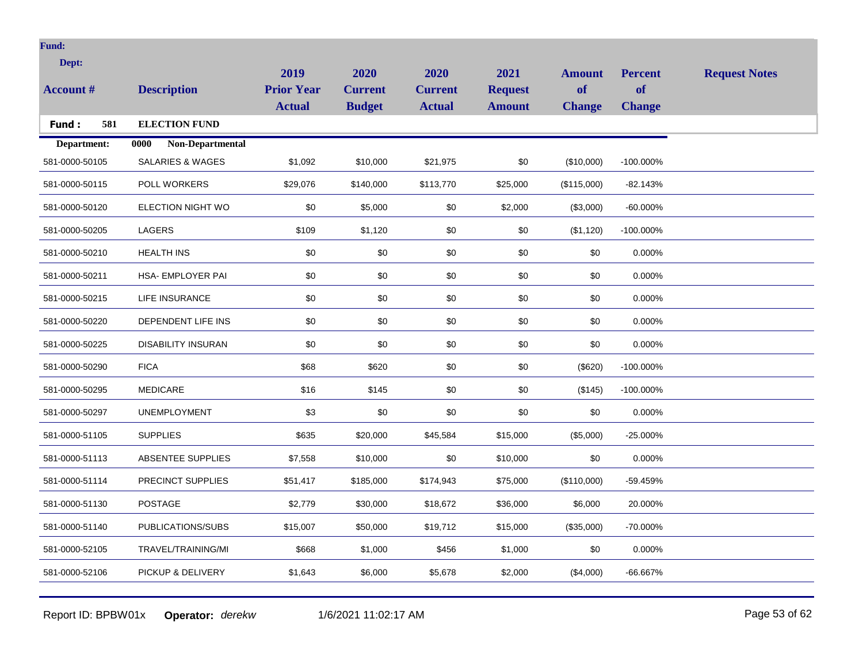| <b>Fund:</b>     |                             |                   |                |                |                |               |                |                      |
|------------------|-----------------------------|-------------------|----------------|----------------|----------------|---------------|----------------|----------------------|
| Dept:            |                             | 2019              | 2020           | 2020           | 2021           | <b>Amount</b> | <b>Percent</b> | <b>Request Notes</b> |
| <b>Account #</b> | <b>Description</b>          | <b>Prior Year</b> | <b>Current</b> | <b>Current</b> | <b>Request</b> | of            | <b>of</b>      |                      |
|                  |                             | <b>Actual</b>     | <b>Budget</b>  | <b>Actual</b>  | <b>Amount</b>  | <b>Change</b> | <b>Change</b>  |                      |
| 581<br>Fund:     | <b>ELECTION FUND</b>        |                   |                |                |                |               |                |                      |
| Department:      | 0000<br>Non-Departmental    |                   |                |                |                |               |                |                      |
| 581-0000-50105   | <b>SALARIES &amp; WAGES</b> | \$1,092           | \$10,000       | \$21,975       | \$0            | (\$10,000)    | -100.000%      |                      |
| 581-0000-50115   | <b>POLL WORKERS</b>         | \$29,076          | \$140,000      | \$113,770      | \$25,000       | (\$115,000)   | $-82.143%$     |                      |
| 581-0000-50120   | ELECTION NIGHT WO           | \$0               | \$5,000        | \$0            | \$2,000        | (\$3,000)     | $-60.000\%$    |                      |
| 581-0000-50205   | LAGERS                      | \$109             | \$1,120        | \$0            | \$0            | (\$1,120)     | -100.000%      |                      |
| 581-0000-50210   | <b>HEALTH INS</b>           | \$0               | \$0            | \$0            | \$0            | \$0           | 0.000%         |                      |
| 581-0000-50211   | HSA- EMPLOYER PAI           | \$0               | \$0            | \$0            | \$0            | \$0           | 0.000%         |                      |
| 581-0000-50215   | LIFE INSURANCE              | \$0               | \$0            | \$0            | \$0            | \$0           | 0.000%         |                      |
| 581-0000-50220   | DEPENDENT LIFE INS          | \$0               | \$0            | \$0            | \$0            | \$0           | 0.000%         |                      |
| 581-0000-50225   | <b>DISABILITY INSURAN</b>   | \$0               | \$0            | \$0            | \$0            | \$0           | 0.000%         |                      |
| 581-0000-50290   | <b>FICA</b>                 | \$68              | \$620          | \$0            | \$0            | (\$620)       | -100.000%      |                      |
| 581-0000-50295   | <b>MEDICARE</b>             | \$16              | \$145          | \$0            | \$0            | (\$145)       | -100.000%      |                      |
| 581-0000-50297   | <b>UNEMPLOYMENT</b>         | \$3               | \$0            | \$0            | \$0            | \$0           | 0.000%         |                      |
| 581-0000-51105   | <b>SUPPLIES</b>             | \$635             | \$20,000       | \$45,584       | \$15,000       | (\$5,000)     | $-25.000\%$    |                      |
| 581-0000-51113   | ABSENTEE SUPPLIES           | \$7,558           | \$10,000       | \$0            | \$10,000       | \$0           | 0.000%         |                      |
| 581-0000-51114   | PRECINCT SUPPLIES           | \$51,417          | \$185,000      | \$174,943      | \$75,000       | (\$110,000)   | -59.459%       |                      |
| 581-0000-51130   | <b>POSTAGE</b>              | \$2,779           | \$30,000       | \$18,672       | \$36,000       | \$6,000       | 20.000%        |                      |
| 581-0000-51140   | PUBLICATIONS/SUBS           | \$15,007          | \$50,000       | \$19,712       | \$15,000       | (\$35,000)    | -70.000%       |                      |
| 581-0000-52105   | TRAVEL/TRAINING/MI          | \$668             | \$1,000        | \$456          | \$1,000        | \$0           | 0.000%         |                      |
| 581-0000-52106   | PICKUP & DELIVERY           | \$1,643           | \$6,000        | \$5,678        | \$2,000        | (\$4,000)     | -66.667%       |                      |
|                  |                             |                   |                |                |                |               |                |                      |

Report ID: BPBW01x **Operator:** *derekw* 1/6/2021 11:02:17 AM Page 53 of 62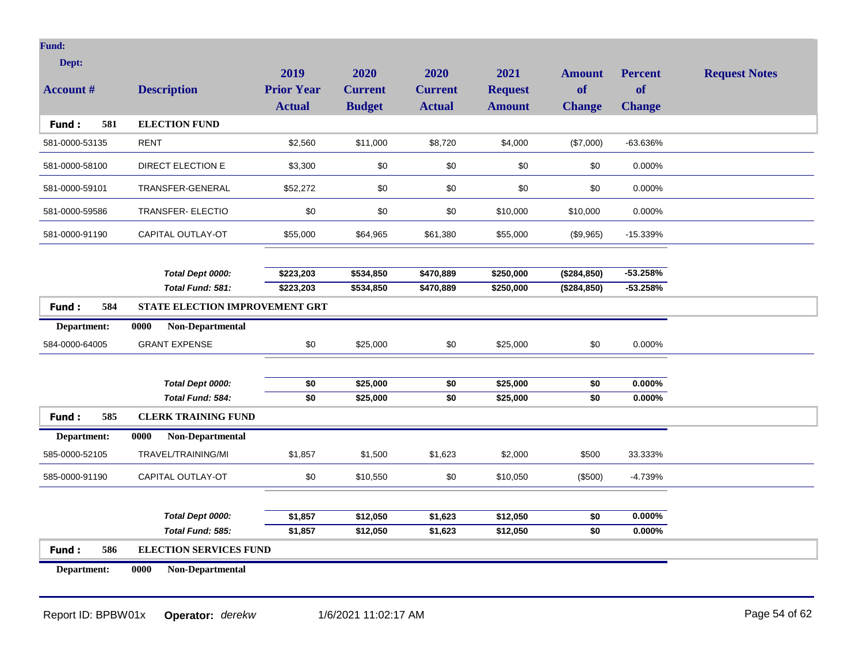| Dept:            |                                       | 2019              | 2020           | 2020            | 2021           | <b>Amount</b>   | <b>Percent</b> | <b>Request Notes</b> |
|------------------|---------------------------------------|-------------------|----------------|-----------------|----------------|-----------------|----------------|----------------------|
| <b>Account #</b> | <b>Description</b>                    | <b>Prior Year</b> | <b>Current</b> | <b>Current</b>  | <b>Request</b> | of              | of             |                      |
|                  |                                       | <b>Actual</b>     | <b>Budget</b>  | <b>Actual</b>   | <b>Amount</b>  | <b>Change</b>   | <b>Change</b>  |                      |
| Fund:<br>581     | <b>ELECTION FUND</b>                  |                   |                |                 |                |                 |                |                      |
| 581-0000-53135   | <b>RENT</b>                           | \$2,560           | \$11,000       | \$8,720         | \$4,000        | (\$7,000)       | -63.636%       |                      |
| 581-0000-58100   | DIRECT ELECTION E                     | \$3,300           | \$0            | \$0             | \$0            | \$0             | 0.000%         |                      |
| 581-0000-59101   | TRANSFER-GENERAL                      | \$52,272          | \$0            | \$0             | \$0            | \$0             | 0.000%         |                      |
| 581-0000-59586   | <b>TRANSFER- ELECTIO</b>              | \$0               | \$0            | \$0             | \$10,000       | \$10,000        | 0.000%         |                      |
| 581-0000-91190   | CAPITAL OUTLAY-OT                     | \$55,000          | \$64,965       | \$61,380        | \$55,000       | (\$9,965)       | $-15.339%$     |                      |
|                  |                                       |                   |                |                 |                |                 |                |                      |
|                  | Total Dept 0000:                      | \$223,203         | \$534,850      | \$470,889       | \$250,000      | (\$284, 850)    | $-53.258%$     |                      |
|                  | Total Fund: 581:                      | \$223,203         | \$534,850      | \$470,889       | \$250,000      | (\$284, 850)    | $-53.258%$     |                      |
| Fund:<br>584     | <b>STATE ELECTION IMPROVEMENT GRT</b> |                   |                |                 |                |                 |                |                      |
| Department:      | Non-Departmental<br>0000              |                   |                |                 |                |                 |                |                      |
| 584-0000-64005   | <b>GRANT EXPENSE</b>                  | \$0               | \$25,000       | \$0             | \$25,000       | \$0             | 0.000%         |                      |
|                  |                                       |                   |                |                 |                |                 |                |                      |
|                  | Total Dept 0000:                      | \$0               | \$25,000       | \$0             | \$25,000       | \$0             | $0.000\%$      |                      |
|                  | Total Fund: 584:                      | $\overline{50}$   | \$25,000       | $\overline{50}$ | \$25,000       | $\overline{50}$ | 0.000%         |                      |
| Fund:<br>585     | <b>CLERK TRAINING FUND</b>            |                   |                |                 |                |                 |                |                      |
| Department:      | Non-Departmental<br>0000              |                   |                |                 |                |                 |                |                      |
| 585-0000-52105   | TRAVEL/TRAINING/MI                    | \$1,857           | \$1,500        | \$1,623         | \$2,000        | \$500           | 33.333%        |                      |
| 585-0000-91190   | CAPITAL OUTLAY-OT                     | $$0$$             | \$10,550       | \$0             | \$10,050       | (\$500)         | $-4.739%$      |                      |
|                  |                                       |                   |                |                 |                |                 |                |                      |
|                  | Total Dept 0000:                      | \$1,857           | \$12,050       | \$1,623         | \$12,050       | \$0             | $0.000\%$      |                      |
|                  | Total Fund: 585:                      | \$1,857           | \$12,050       | \$1,623         | \$12,050       | $\overline{50}$ | 0.000%         |                      |
| 586<br>Fund:     | <b>ELECTION SERVICES FUND</b>         |                   |                |                 |                |                 |                |                      |
| Department:      | Non-Departmental<br>0000              |                   |                |                 |                |                 |                |                      |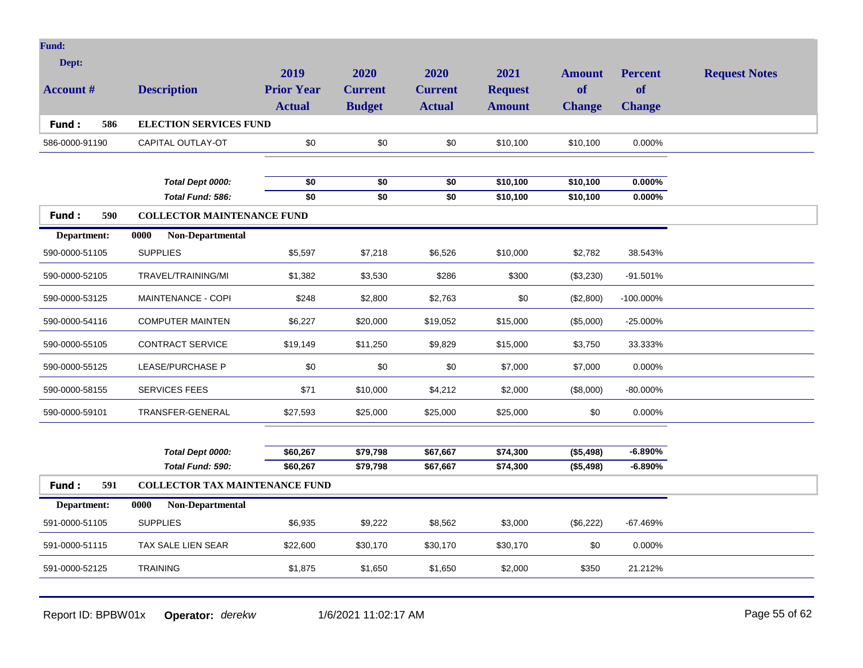| <b>Fund:</b>        |                                                           |                   |                 |                 |                |                            |                |                      |
|---------------------|-----------------------------------------------------------|-------------------|-----------------|-----------------|----------------|----------------------------|----------------|----------------------|
| Dept:               |                                                           | 2019              | 2020            | 2020            | 2021           |                            | <b>Percent</b> |                      |
| <b>Account #</b>    | <b>Description</b>                                        | <b>Prior Year</b> | <b>Current</b>  | <b>Current</b>  | <b>Request</b> | <b>Amount</b><br><b>of</b> | <b>of</b>      | <b>Request Notes</b> |
|                     |                                                           | <b>Actual</b>     | <b>Budget</b>   | <b>Actual</b>   | <b>Amount</b>  | <b>Change</b>              | <b>Change</b>  |                      |
| 586<br>Fund:        | <b>ELECTION SERVICES FUND</b>                             |                   |                 |                 |                |                            |                |                      |
| 586-0000-91190      | CAPITAL OUTLAY-OT                                         | \$0               | \$0             | \$0             | \$10,100       | \$10,100                   | 0.000%         |                      |
|                     |                                                           |                   |                 |                 |                |                            |                |                      |
|                     | Total Dept 0000:                                          | \$0               | \$0             | \$0             | \$10,100       | \$10,100                   | 0.000%         |                      |
|                     | Total Fund: 586:                                          | $\overline{50}$   | $\overline{50}$ | $\overline{50}$ | \$10,100       | \$10,100                   | $0.000\%$      |                      |
| 590<br><b>Fund:</b> | <b>COLLECTOR MAINTENANCE FUND</b>                         |                   |                 |                 |                |                            |                |                      |
| Department:         | 0000<br>Non-Departmental                                  |                   |                 |                 |                |                            |                |                      |
| 590-0000-51105      | <b>SUPPLIES</b>                                           | \$5,597           | \$7,218         | \$6,526         | \$10,000       | \$2,782                    | 38.543%        |                      |
| 590-0000-52105      | TRAVEL/TRAINING/MI                                        | \$1,382           | \$3,530         | \$286           | \$300          | (\$3,230)                  | $-91.501%$     |                      |
| 590-0000-53125      | MAINTENANCE - COPI                                        | \$248             | \$2,800         | \$2,763         | \$0            | (\$2,800)                  | $-100.000\%$   |                      |
| 590-0000-54116      | <b>COMPUTER MAINTEN</b>                                   | \$6,227           | \$20,000        | \$19,052        | \$15,000       | (\$5,000)                  | -25.000%       |                      |
| 590-0000-55105      | <b>CONTRACT SERVICE</b>                                   | \$19,149          | \$11,250        | \$9,829         | \$15,000       | \$3,750                    | 33.333%        |                      |
| 590-0000-55125      | <b>LEASE/PURCHASE P</b>                                   | \$0               | \$0             | \$0             | \$7,000        | \$7,000                    | 0.000%         |                      |
| 590-0000-58155      | <b>SERVICES FEES</b>                                      | \$71              | \$10,000        | \$4,212         | \$2,000        | (\$8,000)                  | $-80.000\%$    |                      |
| 590-0000-59101      | TRANSFER-GENERAL                                          | \$27,593          | \$25,000        | \$25,000        | \$25,000       | \$0                        | 0.000%         |                      |
|                     |                                                           |                   |                 |                 |                |                            |                |                      |
|                     | Total Dept 0000:                                          | \$60,267          | \$79,798        | \$67,667        | \$74,300       | (\$5,498)                  | $-6.890%$      |                      |
| 591                 | Total Fund: 590:<br><b>COLLECTOR TAX MAINTENANCE FUND</b> | \$60,267          | \$79,798        | \$67,667        | \$74,300       | (\$5,498)                  | $-6.890%$      |                      |
| Fund:               |                                                           |                   |                 |                 |                |                            |                |                      |
| Department:         | 0000<br>Non-Departmental                                  |                   |                 |                 |                |                            |                |                      |
| 591-0000-51105      | <b>SUPPLIES</b>                                           | \$6,935           | \$9,222         | \$8,562         | \$3,000        | (\$6,222)                  | $-67.469%$     |                      |
| 591-0000-51115      | TAX SALE LIEN SEAR                                        | \$22,600          | \$30,170        | \$30,170        | \$30,170       | \$0                        | 0.000%         |                      |
| 591-0000-52125      | <b>TRAINING</b>                                           | \$1,875           | \$1,650         | \$1,650         | \$2,000        | \$350                      | 21.212%        |                      |
|                     |                                                           |                   |                 |                 |                |                            |                |                      |

Report ID: BPBW01x **Operator:** *derekw* 1/6/2021 11:02:17 AM Page 55 of 62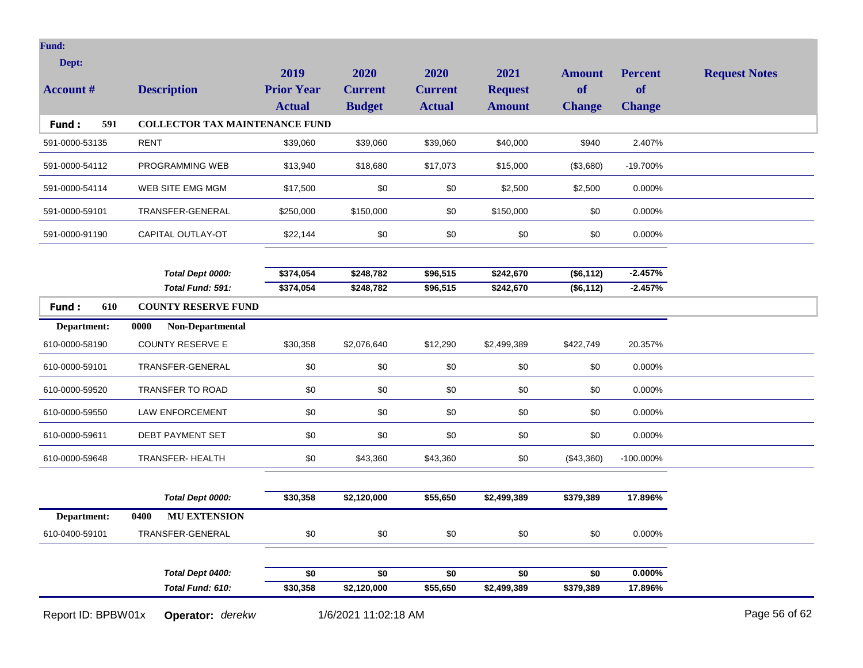| Dept:            |                                       | 2019                               | 2020                            | 2020                            | 2021                            | <b>Amount</b>       | <b>Percent</b>       | <b>Request Notes</b> |
|------------------|---------------------------------------|------------------------------------|---------------------------------|---------------------------------|---------------------------------|---------------------|----------------------|----------------------|
| <b>Account #</b> | <b>Description</b>                    | <b>Prior Year</b><br><b>Actual</b> | <b>Current</b><br><b>Budget</b> | <b>Current</b><br><b>Actual</b> | <b>Request</b><br><b>Amount</b> | of<br><b>Change</b> | of<br><b>Change</b>  |                      |
| Fund:<br>591     | <b>COLLECTOR TAX MAINTENANCE FUND</b> |                                    |                                 |                                 |                                 |                     |                      |                      |
| 591-0000-53135   | <b>RENT</b>                           | \$39,060                           | \$39,060                        | \$39,060                        | \$40,000                        | \$940               | 2.407%               |                      |
| 591-0000-54112   | PROGRAMMING WEB                       | \$13,940                           | \$18,680                        | \$17,073                        | \$15,000                        | (\$3,680)           | -19.700%             |                      |
| 591-0000-54114   | WEB SITE EMG MGM                      | \$17,500                           | \$0                             | \$0                             | \$2,500                         | \$2,500             | 0.000%               |                      |
| 591-0000-59101   | TRANSFER-GENERAL                      | \$250,000                          | \$150,000                       | \$0                             | \$150,000                       | \$0                 | 0.000%               |                      |
| 591-0000-91190   | CAPITAL OUTLAY-OT                     | \$22,144                           | \$0                             | \$0                             | \$0                             | \$0                 | $0.000\%$            |                      |
|                  |                                       |                                    |                                 |                                 |                                 |                     |                      |                      |
|                  | Total Dept 0000:                      | \$374,054                          | \$248,782                       | \$96,515                        | \$242,670                       | (\$6,112)           | $-2.457%$            |                      |
|                  | Total Fund: 591:                      | \$374,054                          | \$248,782                       | \$96,515                        | \$242,670                       | (\$6,112)           | $-2.457%$            |                      |
| 610<br>Fund:     | <b>COUNTY RESERVE FUND</b>            |                                    |                                 |                                 |                                 |                     |                      |                      |
| Department:      | 0000<br>Non-Departmental              |                                    |                                 |                                 |                                 |                     |                      |                      |
| 610-0000-58190   | <b>COUNTY RESERVE E</b>               | \$30,358                           | \$2,076,640                     | \$12,290                        | \$2,499,389                     | \$422,749           | 20.357%              |                      |
| 610-0000-59101   | TRANSFER-GENERAL                      | \$0                                | \$0                             | \$0                             | \$0                             | \$0                 | 0.000%               |                      |
| 610-0000-59520   | TRANSFER TO ROAD                      | \$0                                | \$0                             | \$0                             | \$0                             | \$0                 | 0.000%               |                      |
| 610-0000-59550   | <b>LAW ENFORCEMENT</b>                | \$0                                | \$0                             | \$0                             | \$0                             | \$0                 | 0.000%               |                      |
| 610-0000-59611   | DEBT PAYMENT SET                      | \$0                                | \$0                             | \$0                             | \$0                             | \$0                 | 0.000%               |                      |
| 610-0000-59648   | TRANSFER- HEALTH                      | \$0                                | \$43,360                        | \$43,360                        | \$0                             | (\$43,360)          | $-100.000\%$         |                      |
|                  |                                       |                                    |                                 |                                 |                                 |                     |                      |                      |
|                  | Total Dept 0000:                      | \$30,358                           | \$2,120,000                     | \$55,650                        | \$2,499,389                     | \$379,389           | 17.896%              |                      |
| Department:      | 0400<br><b>MU EXTENSION</b>           |                                    |                                 |                                 |                                 |                     |                      |                      |
| 610-0400-59101   | TRANSFER-GENERAL                      | $\$0$                              | \$0                             | \$0                             | \$0                             | \$0                 | 0.000%               |                      |
|                  |                                       |                                    |                                 |                                 |                                 |                     |                      |                      |
|                  | Total Dept 0400:<br>Total Fund: 610:  | \$0<br>\$30,358                    | \$0<br>\$2,120,000              | \$0<br>\$55,650                 | \$0<br>\$2,499,389              | \$0<br>\$379,389    | $0.000\%$<br>17.896% |                      |
|                  |                                       |                                    |                                 |                                 |                                 |                     |                      |                      |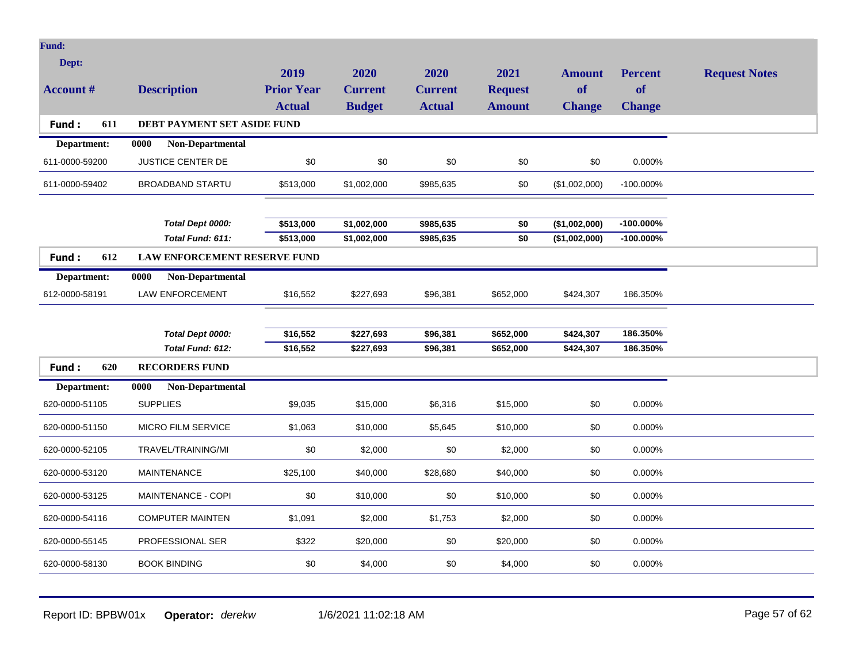| Dept:<br>2019<br>2020<br>2020<br>2021<br><b>Request Notes</b><br><b>Amount</b><br><b>Percent</b><br><b>Prior Year</b><br>of<br><b>Account #</b><br><b>Description</b><br><b>Current</b><br><b>Request</b><br>of<br><b>Current</b><br><b>Budget</b><br><b>Actual</b><br><b>Actual</b><br><b>Amount</b><br><b>Change</b><br><b>Change</b><br>Fund:<br>611<br>DEBT PAYMENT SET ASIDE FUND<br>Non-Departmental<br>Department:<br>0000<br>JUSTICE CENTER DE<br>\$0<br>\$0<br>\$0<br>\$0<br>\$0<br>611-0000-59200<br>0.000%<br><b>BROADBAND STARTU</b><br>\$513,000<br>\$1,002,000<br>\$985,635<br>\$0<br>(\$1,002,000)<br>$-100.000\%$<br>611-0000-59402<br>Total Dept 0000:<br>\$513,000<br>\$1,002,000<br>\$985,635<br>(\$1,002,000)<br>$-100.000\%$<br>\$0<br>$-100.000\%$<br>Total Fund: 611:<br>\$513,000<br>\$1,002,000<br>\$985,635<br>\$0<br>(\$1,002,000)<br>LAW ENFORCEMENT RESERVE FUND<br>Fund:<br>612<br>Non-Departmental<br>Department:<br>0000<br>LAW ENFORCEMENT<br>612-0000-58191<br>\$16,552<br>\$227,693<br>\$96,381<br>\$652,000<br>\$424,307<br>186.350%<br>Total Dept 0000:<br>\$16,552<br>\$227,693<br>\$96,381<br>\$652,000<br>\$424,307<br>186.350%<br>\$424,307<br>186.350%<br>Total Fund: 612:<br>\$16,552<br>\$227,693<br>\$96,381<br>\$652,000<br>Fund:<br>620<br><b>RECORDERS FUND</b><br>Non-Departmental<br>Department:<br>0000<br>620-0000-51105<br><b>SUPPLIES</b><br>\$9,035<br>\$15,000<br>\$15,000<br>\$0<br>\$6,316<br>0.000%<br><b>MICRO FILM SERVICE</b><br>\$1,063<br>\$10,000<br>\$10,000<br>\$0<br>0.000%<br>620-0000-51150<br>\$5,645 |
|------------------------------------------------------------------------------------------------------------------------------------------------------------------------------------------------------------------------------------------------------------------------------------------------------------------------------------------------------------------------------------------------------------------------------------------------------------------------------------------------------------------------------------------------------------------------------------------------------------------------------------------------------------------------------------------------------------------------------------------------------------------------------------------------------------------------------------------------------------------------------------------------------------------------------------------------------------------------------------------------------------------------------------------------------------------------------------------------------------------------------------------------------------------------------------------------------------------------------------------------------------------------------------------------------------------------------------------------------------------------------------------------------------------------------------------------------------------------------------------------------------------------------------------------------------------------------|
|                                                                                                                                                                                                                                                                                                                                                                                                                                                                                                                                                                                                                                                                                                                                                                                                                                                                                                                                                                                                                                                                                                                                                                                                                                                                                                                                                                                                                                                                                                                                                                              |
|                                                                                                                                                                                                                                                                                                                                                                                                                                                                                                                                                                                                                                                                                                                                                                                                                                                                                                                                                                                                                                                                                                                                                                                                                                                                                                                                                                                                                                                                                                                                                                              |
|                                                                                                                                                                                                                                                                                                                                                                                                                                                                                                                                                                                                                                                                                                                                                                                                                                                                                                                                                                                                                                                                                                                                                                                                                                                                                                                                                                                                                                                                                                                                                                              |
|                                                                                                                                                                                                                                                                                                                                                                                                                                                                                                                                                                                                                                                                                                                                                                                                                                                                                                                                                                                                                                                                                                                                                                                                                                                                                                                                                                                                                                                                                                                                                                              |
|                                                                                                                                                                                                                                                                                                                                                                                                                                                                                                                                                                                                                                                                                                                                                                                                                                                                                                                                                                                                                                                                                                                                                                                                                                                                                                                                                                                                                                                                                                                                                                              |
|                                                                                                                                                                                                                                                                                                                                                                                                                                                                                                                                                                                                                                                                                                                                                                                                                                                                                                                                                                                                                                                                                                                                                                                                                                                                                                                                                                                                                                                                                                                                                                              |
|                                                                                                                                                                                                                                                                                                                                                                                                                                                                                                                                                                                                                                                                                                                                                                                                                                                                                                                                                                                                                                                                                                                                                                                                                                                                                                                                                                                                                                                                                                                                                                              |
|                                                                                                                                                                                                                                                                                                                                                                                                                                                                                                                                                                                                                                                                                                                                                                                                                                                                                                                                                                                                                                                                                                                                                                                                                                                                                                                                                                                                                                                                                                                                                                              |
|                                                                                                                                                                                                                                                                                                                                                                                                                                                                                                                                                                                                                                                                                                                                                                                                                                                                                                                                                                                                                                                                                                                                                                                                                                                                                                                                                                                                                                                                                                                                                                              |
|                                                                                                                                                                                                                                                                                                                                                                                                                                                                                                                                                                                                                                                                                                                                                                                                                                                                                                                                                                                                                                                                                                                                                                                                                                                                                                                                                                                                                                                                                                                                                                              |
|                                                                                                                                                                                                                                                                                                                                                                                                                                                                                                                                                                                                                                                                                                                                                                                                                                                                                                                                                                                                                                                                                                                                                                                                                                                                                                                                                                                                                                                                                                                                                                              |
|                                                                                                                                                                                                                                                                                                                                                                                                                                                                                                                                                                                                                                                                                                                                                                                                                                                                                                                                                                                                                                                                                                                                                                                                                                                                                                                                                                                                                                                                                                                                                                              |
|                                                                                                                                                                                                                                                                                                                                                                                                                                                                                                                                                                                                                                                                                                                                                                                                                                                                                                                                                                                                                                                                                                                                                                                                                                                                                                                                                                                                                                                                                                                                                                              |
|                                                                                                                                                                                                                                                                                                                                                                                                                                                                                                                                                                                                                                                                                                                                                                                                                                                                                                                                                                                                                                                                                                                                                                                                                                                                                                                                                                                                                                                                                                                                                                              |
|                                                                                                                                                                                                                                                                                                                                                                                                                                                                                                                                                                                                                                                                                                                                                                                                                                                                                                                                                                                                                                                                                                                                                                                                                                                                                                                                                                                                                                                                                                                                                                              |
|                                                                                                                                                                                                                                                                                                                                                                                                                                                                                                                                                                                                                                                                                                                                                                                                                                                                                                                                                                                                                                                                                                                                                                                                                                                                                                                                                                                                                                                                                                                                                                              |
|                                                                                                                                                                                                                                                                                                                                                                                                                                                                                                                                                                                                                                                                                                                                                                                                                                                                                                                                                                                                                                                                                                                                                                                                                                                                                                                                                                                                                                                                                                                                                                              |
|                                                                                                                                                                                                                                                                                                                                                                                                                                                                                                                                                                                                                                                                                                                                                                                                                                                                                                                                                                                                                                                                                                                                                                                                                                                                                                                                                                                                                                                                                                                                                                              |
|                                                                                                                                                                                                                                                                                                                                                                                                                                                                                                                                                                                                                                                                                                                                                                                                                                                                                                                                                                                                                                                                                                                                                                                                                                                                                                                                                                                                                                                                                                                                                                              |
|                                                                                                                                                                                                                                                                                                                                                                                                                                                                                                                                                                                                                                                                                                                                                                                                                                                                                                                                                                                                                                                                                                                                                                                                                                                                                                                                                                                                                                                                                                                                                                              |
|                                                                                                                                                                                                                                                                                                                                                                                                                                                                                                                                                                                                                                                                                                                                                                                                                                                                                                                                                                                                                                                                                                                                                                                                                                                                                                                                                                                                                                                                                                                                                                              |
| 620-0000-52105<br>TRAVEL/TRAINING/MI<br>\$0<br>\$2,000<br>\$0<br>\$2,000<br>\$0<br>0.000%                                                                                                                                                                                                                                                                                                                                                                                                                                                                                                                                                                                                                                                                                                                                                                                                                                                                                                                                                                                                                                                                                                                                                                                                                                                                                                                                                                                                                                                                                    |
| \$40,000<br>620-0000-53120<br><b>MAINTENANCE</b><br>\$25,100<br>\$28,680<br>\$40,000<br>\$0<br>0.000%                                                                                                                                                                                                                                                                                                                                                                                                                                                                                                                                                                                                                                                                                                                                                                                                                                                                                                                                                                                                                                                                                                                                                                                                                                                                                                                                                                                                                                                                        |
| \$0<br>\$0<br>\$0<br>620-0000-53125<br>MAINTENANCE - COPI<br>\$10,000<br>\$10,000<br>0.000%                                                                                                                                                                                                                                                                                                                                                                                                                                                                                                                                                                                                                                                                                                                                                                                                                                                                                                                                                                                                                                                                                                                                                                                                                                                                                                                                                                                                                                                                                  |
| <b>COMPUTER MAINTEN</b><br>\$1,091<br>\$2,000<br>\$1,753<br>\$2,000<br>\$0<br>0.000%<br>620-0000-54116                                                                                                                                                                                                                                                                                                                                                                                                                                                                                                                                                                                                                                                                                                                                                                                                                                                                                                                                                                                                                                                                                                                                                                                                                                                                                                                                                                                                                                                                       |
| PROFESSIONAL SER<br>\$322<br>\$20,000<br>\$0<br>\$20,000<br>\$0<br>0.000%<br>620-0000-55145                                                                                                                                                                                                                                                                                                                                                                                                                                                                                                                                                                                                                                                                                                                                                                                                                                                                                                                                                                                                                                                                                                                                                                                                                                                                                                                                                                                                                                                                                  |
| <b>BOOK BINDING</b><br>\$0<br>\$4,000<br>\$0<br>\$4,000<br>\$0<br>0.000%<br>620-0000-58130                                                                                                                                                                                                                                                                                                                                                                                                                                                                                                                                                                                                                                                                                                                                                                                                                                                                                                                                                                                                                                                                                                                                                                                                                                                                                                                                                                                                                                                                                   |

Report ID: BPBW01x **Operator:** *derekw* 1/6/2021 11:02:18 AM Page 57 of 62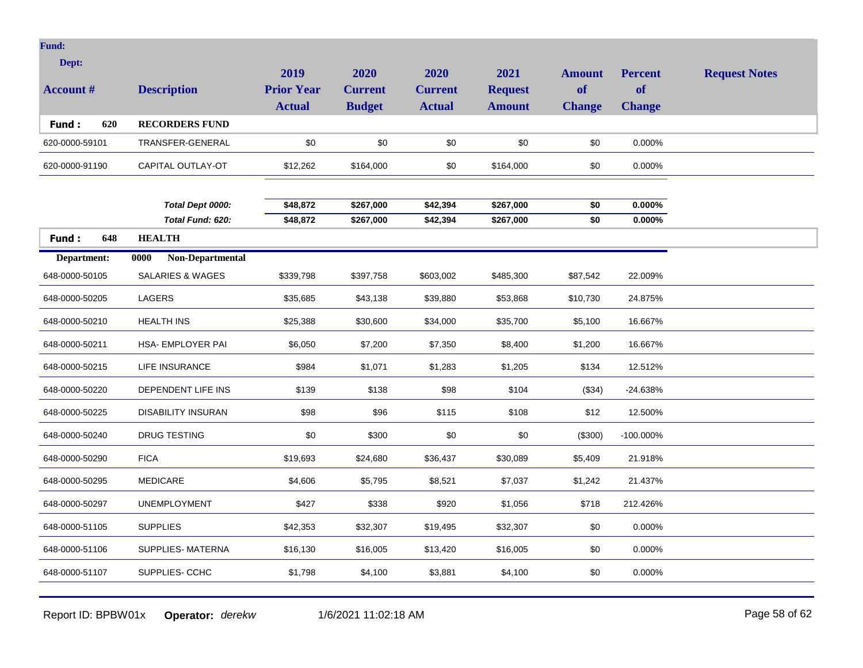| Dept:<br><b>Account #</b>     | <b>Description</b>                           | 2019<br><b>Prior Year</b><br><b>Actual</b> | 2020<br><b>Current</b><br><b>Budget</b> | 2020<br><b>Current</b><br><b>Actual</b> | 2021<br><b>Request</b><br><b>Amount</b> | <b>Amount</b><br>of<br><b>Change</b> | <b>Percent</b><br><b>of</b><br><b>Change</b> | <b>Request Notes</b> |
|-------------------------------|----------------------------------------------|--------------------------------------------|-----------------------------------------|-----------------------------------------|-----------------------------------------|--------------------------------------|----------------------------------------------|----------------------|
| Fund:<br>620                  | <b>RECORDERS FUND</b>                        |                                            |                                         |                                         |                                         |                                      |                                              |                      |
| 620-0000-59101                | TRANSFER-GENERAL                             | \$0                                        | \$0                                     | \$0                                     | \$0                                     | \$0                                  | 0.000%                                       |                      |
| 620-0000-91190                | CAPITAL OUTLAY-OT                            | \$12,262                                   | \$164,000                               | \$0                                     | \$164,000                               | \$0                                  | 0.000%                                       |                      |
|                               | Total Dept 0000:<br>Total Fund: 620:         | \$48,872<br>\$48,872                       | \$267,000<br>\$267,000                  | \$42,394<br>\$42,394                    | \$267,000<br>\$267,000                  | \$0<br>$\overline{50}$               | $0.000\%$<br>0.000%                          |                      |
| Fund:<br>648                  | <b>HEALTH</b>                                |                                            |                                         |                                         |                                         |                                      |                                              |                      |
| Department:<br>648-0000-50105 | 0000<br>Non-Departmental<br>SALARIES & WAGES | \$339,798                                  | \$397,758                               | \$603,002                               | \$485,300                               | \$87,542                             | 22.009%                                      |                      |
| 648-0000-50205                | LAGERS                                       | \$35,685                                   | \$43,138                                | \$39,880                                | \$53,868                                | \$10,730                             | 24.875%                                      |                      |
| 648-0000-50210                | <b>HEALTH INS</b>                            | \$25,388                                   | \$30,600                                | \$34,000                                | \$35,700                                | \$5,100                              | 16.667%                                      |                      |
| 648-0000-50211                | HSA- EMPLOYER PAI                            | \$6,050                                    | \$7,200                                 | \$7,350                                 | \$8,400                                 | \$1,200                              | 16.667%                                      |                      |
| 648-0000-50215                | <b>LIFE INSURANCE</b>                        | \$984                                      | \$1,071                                 | \$1,283                                 | \$1,205                                 | \$134                                | 12.512%                                      |                      |
| 648-0000-50220                | DEPENDENT LIFE INS                           | \$139                                      | \$138                                   | \$98                                    | \$104                                   | (\$34)                               | $-24.638%$                                   |                      |
| 648-0000-50225                | <b>DISABILITY INSURAN</b>                    | \$98                                       | \$96                                    | \$115                                   | \$108                                   | \$12                                 | 12.500%                                      |                      |
| 648-0000-50240                | DRUG TESTING                                 | \$0                                        | \$300                                   | \$0                                     | \$0                                     | (\$300)                              | -100.000%                                    |                      |
| 648-0000-50290                | <b>FICA</b>                                  | \$19,693                                   | \$24,680                                | \$36,437                                | \$30,089                                | \$5,409                              | 21.918%                                      |                      |
| 648-0000-50295                | <b>MEDICARE</b>                              | \$4,606                                    | \$5,795                                 | \$8,521                                 | \$7,037                                 | \$1,242                              | 21.437%                                      |                      |
| 648-0000-50297                | <b>UNEMPLOYMENT</b>                          | \$427                                      | \$338                                   | \$920                                   | \$1,056                                 | \$718                                | 212.426%                                     |                      |
| 648-0000-51105                | <b>SUPPLIES</b>                              | \$42,353                                   | \$32,307                                | \$19,495                                | \$32,307                                | \$0                                  | 0.000%                                       |                      |
| 648-0000-51106                | SUPPLIES- MATERNA                            | \$16,130                                   | \$16,005                                | \$13,420                                | \$16,005                                | \$0                                  | 0.000%                                       |                      |
| 648-0000-51107                | SUPPLIES- CCHC                               | \$1,798                                    | \$4,100                                 | \$3,881                                 | \$4,100                                 | \$0                                  | 0.000%                                       |                      |
|                               |                                              |                                            |                                         |                                         |                                         |                                      |                                              |                      |

Report ID: BPBW01x **Operator:** *derekw* 1/6/2021 11:02:18 AM Page 58 of 62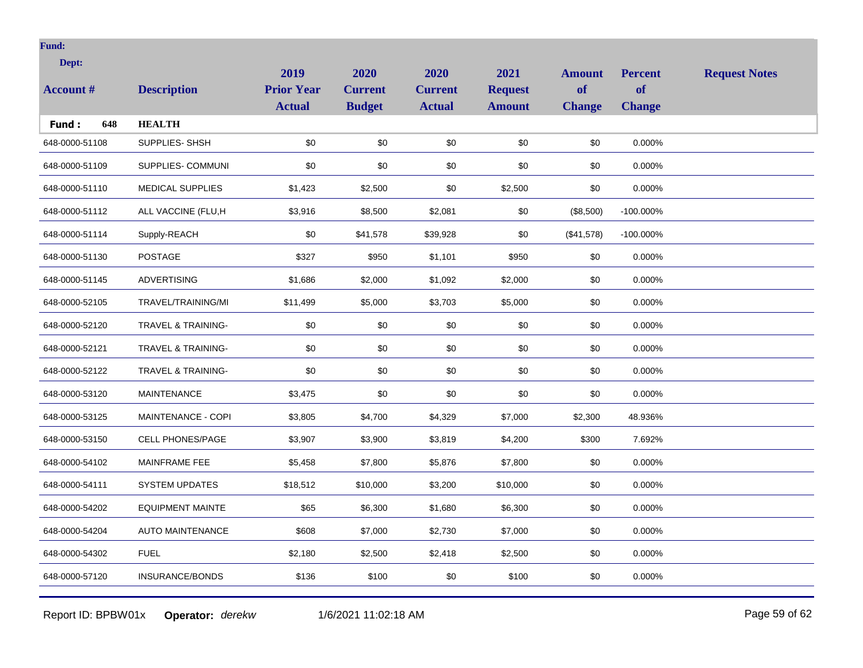| Dept:            |                               | 2019              | 2020           | 2020           | 2021           | <b>Amount</b> | <b>Percent</b> | <b>Request Notes</b> |
|------------------|-------------------------------|-------------------|----------------|----------------|----------------|---------------|----------------|----------------------|
| <b>Account #</b> | <b>Description</b>            | <b>Prior Year</b> | <b>Current</b> | <b>Current</b> | <b>Request</b> | <b>of</b>     | <b>of</b>      |                      |
|                  |                               | <b>Actual</b>     | <b>Budget</b>  | <b>Actual</b>  | <b>Amount</b>  | <b>Change</b> | <b>Change</b>  |                      |
| 648<br>Fund:     | <b>HEALTH</b>                 |                   |                |                |                |               |                |                      |
| 648-0000-51108   | SUPPLIES-SHSH                 | \$0               | \$0            | \$0            | \$0            | \$0           | 0.000%         |                      |
| 648-0000-51109   | SUPPLIES- COMMUNI             | \$0               | \$0            | \$0            | \$0            | \$0           | 0.000%         |                      |
| 648-0000-51110   | <b>MEDICAL SUPPLIES</b>       | \$1,423           | \$2,500        | \$0            | \$2,500        | \$0           | 0.000%         |                      |
| 648-0000-51112   | ALL VACCINE (FLU,H            | \$3,916           | \$8,500        | \$2,081        | \$0            | (\$8,500)     | $-100.000\%$   |                      |
| 648-0000-51114   | Supply-REACH                  | \$0               | \$41,578       | \$39,928       | \$0            | (\$41,578)    | $-100.000\%$   |                      |
| 648-0000-51130   | <b>POSTAGE</b>                | \$327             | \$950          | \$1,101        | \$950          | \$0           | 0.000%         |                      |
| 648-0000-51145   | <b>ADVERTISING</b>            | \$1,686           | \$2,000        | \$1,092        | \$2,000        | \$0           | 0.000%         |                      |
| 648-0000-52105   | TRAVEL/TRAINING/MI            | \$11,499          | \$5,000        | \$3,703        | \$5,000        | \$0           | 0.000%         |                      |
| 648-0000-52120   | <b>TRAVEL &amp; TRAINING-</b> | \$0               | \$0            | \$0            | \$0            | \$0           | 0.000%         |                      |
| 648-0000-52121   | <b>TRAVEL &amp; TRAINING-</b> | \$0               | \$0            | \$0            | \$0            | \$0           | 0.000%         |                      |
| 648-0000-52122   | TRAVEL & TRAINING-            | \$0               | \$0            | \$0            | \$0            | \$0           | 0.000%         |                      |
| 648-0000-53120   | MAINTENANCE                   | \$3,475           | \$0            | \$0            | \$0            | \$0           | 0.000%         |                      |
| 648-0000-53125   | MAINTENANCE - COPI            | \$3,805           | \$4,700        | \$4,329        | \$7,000        | \$2,300       | 48.936%        |                      |
| 648-0000-53150   | <b>CELL PHONES/PAGE</b>       | \$3,907           | \$3,900        | \$3,819        | \$4,200        | \$300         | 7.692%         |                      |
| 648-0000-54102   | MAINFRAME FEE                 | \$5,458           | \$7,800        | \$5,876        | \$7,800        | \$0           | 0.000%         |                      |
| 648-0000-54111   | <b>SYSTEM UPDATES</b>         | \$18,512          | \$10,000       | \$3,200        | \$10,000       | \$0           | 0.000%         |                      |
| 648-0000-54202   | <b>EQUIPMENT MAINTE</b>       | \$65              | \$6,300        | \$1,680        | \$6,300        | \$0           | 0.000%         |                      |
| 648-0000-54204   | <b>AUTO MAINTENANCE</b>       | \$608             | \$7,000        | \$2,730        | \$7,000        | \$0           | 0.000%         |                      |
| 648-0000-54302   | <b>FUEL</b>                   | \$2,180           | \$2,500        | \$2,418        | \$2,500        | \$0           | 0.000%         |                      |
| 648-0000-57120   | <b>INSURANCE/BONDS</b>        | \$136             | \$100          | \$0            | \$100          | \$0           | 0.000%         |                      |
|                  |                               |                   |                |                |                |               |                |                      |

Report ID: BPBW01x **Operator:** *derekw* 1/6/2021 11:02:18 AM Page 59 of 62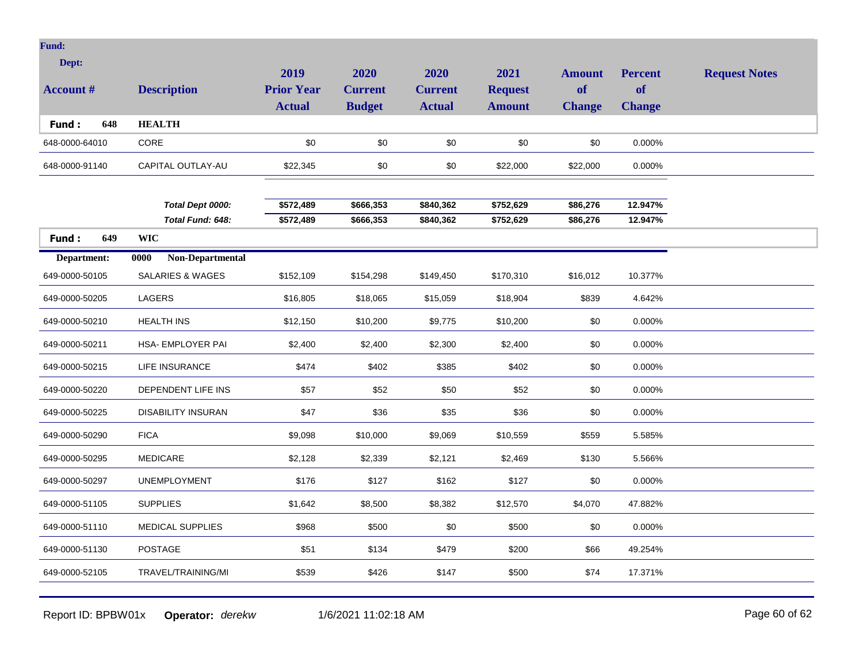| Dept:            |                             | 2019              | 2020           | 2020           | 2021           | <b>Amount</b> | <b>Percent</b> | <b>Request Notes</b> |
|------------------|-----------------------------|-------------------|----------------|----------------|----------------|---------------|----------------|----------------------|
| <b>Account #</b> | <b>Description</b>          | <b>Prior Year</b> | <b>Current</b> | <b>Current</b> | <b>Request</b> | <b>of</b>     | <b>of</b>      |                      |
|                  |                             | <b>Actual</b>     | <b>Budget</b>  | <b>Actual</b>  | <b>Amount</b>  | <b>Change</b> | <b>Change</b>  |                      |
| 648<br>Fund:     | <b>HEALTH</b>               |                   |                |                |                |               |                |                      |
| 648-0000-64010   | CORE                        | \$0               | \$0            | \$0            | \$0            | \$0           | 0.000%         |                      |
| 648-0000-91140   | CAPITAL OUTLAY-AU           | \$22,345          | \$0            | \$0            | \$22,000       | \$22,000      | 0.000%         |                      |
|                  |                             |                   |                |                |                |               |                |                      |
|                  | Total Dept 0000:            | \$572,489         | \$666,353      | \$840,362      | \$752,629      | \$86,276      | 12.947%        |                      |
|                  | Total Fund: 648:            | \$572,489         | \$666,353      | \$840,362      | \$752,629      | \$86,276      | 12.947%        |                      |
| 649<br>Fund:     | <b>WIC</b>                  |                   |                |                |                |               |                |                      |
| Department:      | Non-Departmental<br>0000    |                   |                |                |                |               |                |                      |
| 649-0000-50105   | <b>SALARIES &amp; WAGES</b> | \$152,109         | \$154,298      | \$149,450      | \$170,310      | \$16,012      | 10.377%        |                      |
| 649-0000-50205   | LAGERS                      | \$16,805          | \$18,065       | \$15,059       | \$18,904       | \$839         | 4.642%         |                      |
| 649-0000-50210   | <b>HEALTH INS</b>           | \$12,150          | \$10,200       | \$9,775        | \$10,200       | \$0           | 0.000%         |                      |
| 649-0000-50211   | <b>HSA- EMPLOYER PAI</b>    | \$2,400           | \$2,400        | \$2,300        | \$2,400        | \$0           | 0.000%         |                      |
| 649-0000-50215   | <b>LIFE INSURANCE</b>       | \$474             | \$402          | \$385          | \$402          | \$0           | 0.000%         |                      |
| 649-0000-50220   | DEPENDENT LIFE INS          | \$57              | \$52           | \$50           | \$52           | \$0           | 0.000%         |                      |
| 649-0000-50225   | <b>DISABILITY INSURAN</b>   | \$47              | \$36           | \$35           | \$36           | \$0           | 0.000%         |                      |
| 649-0000-50290   | <b>FICA</b>                 | \$9,098           | \$10,000       | \$9,069        | \$10,559       | \$559         | 5.585%         |                      |
| 649-0000-50295   | <b>MEDICARE</b>             | \$2,128           | \$2,339        | \$2,121        | \$2,469        | \$130         | 5.566%         |                      |
| 649-0000-50297   | <b>UNEMPLOYMENT</b>         | \$176             | \$127          | \$162          | \$127          | \$0           | 0.000%         |                      |
| 649-0000-51105   | <b>SUPPLIES</b>             | \$1,642           | \$8,500        | \$8,382        | \$12,570       | \$4,070       | 47.882%        |                      |
| 649-0000-51110   | <b>MEDICAL SUPPLIES</b>     | \$968             | \$500          | \$0            | \$500          | \$0           | 0.000%         |                      |
| 649-0000-51130   | <b>POSTAGE</b>              | \$51              | \$134          | \$479          | \$200          | \$66          | 49.254%        |                      |
| 649-0000-52105   | TRAVEL/TRAINING/MI          | \$539             | \$426          | \$147          | \$500          | \$74          | 17.371%        |                      |
|                  |                             |                   |                |                |                |               |                |                      |

Report ID: BPBW01x **Operator:** *derekw* 1/6/2021 11:02:18 AM Page 60 of 62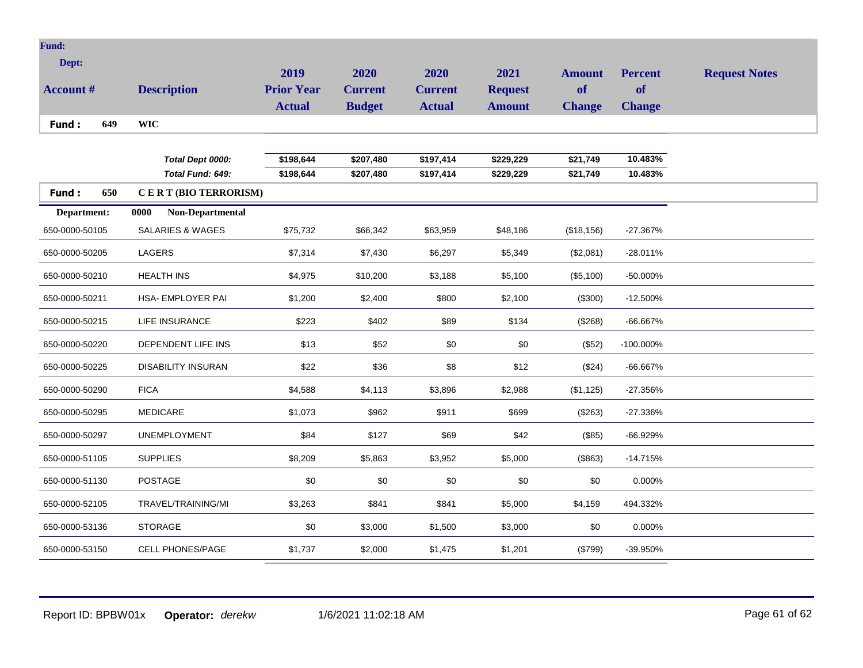| <b>Fund:</b>     |                             |                   |                |                |                |               |                |                      |
|------------------|-----------------------------|-------------------|----------------|----------------|----------------|---------------|----------------|----------------------|
| Dept:            |                             | 2019              | 2020           | 2020           | 2021           | <b>Amount</b> | <b>Percent</b> | <b>Request Notes</b> |
| <b>Account #</b> | <b>Description</b>          | <b>Prior Year</b> | <b>Current</b> | <b>Current</b> | <b>Request</b> | of            | of             |                      |
|                  |                             | <b>Actual</b>     | <b>Budget</b>  | <b>Actual</b>  | <b>Amount</b>  | <b>Change</b> | <b>Change</b>  |                      |
| 649<br>Fund:     | <b>WIC</b>                  |                   |                |                |                |               |                |                      |
|                  |                             |                   |                |                |                |               |                |                      |
|                  | Total Dept 0000:            | \$198,644         | \$207,480      | \$197,414      | \$229,229      | \$21,749      | 10.483%        |                      |
|                  | Total Fund: 649:            | \$198,644         | \$207,480      | \$197,414      | \$229,229      | \$21,749      | 10.483%        |                      |
| Fund:<br>650     | CERT (BIO TERRORISM)        |                   |                |                |                |               |                |                      |
| Department:      | Non-Departmental<br>0000    |                   |                |                |                |               |                |                      |
| 650-0000-50105   | <b>SALARIES &amp; WAGES</b> | \$75,732          | \$66,342       | \$63,959       | \$48,186       | (\$18, 156)   | $-27.367%$     |                      |
| 650-0000-50205   | <b>LAGERS</b>               | \$7,314           | \$7,430        | \$6,297        | \$5,349        | (\$2,081)     | $-28.011%$     |                      |
| 650-0000-50210   | <b>HEALTH INS</b>           | \$4,975           | \$10,200       | \$3,188        | \$5,100        | (\$5,100)     | $-50.000\%$    |                      |
| 650-0000-50211   | HSA- EMPLOYER PAI           | \$1,200           | \$2,400        | \$800          | \$2,100        | (\$300)       | $-12.500%$     |                      |
| 650-0000-50215   | LIFE INSURANCE              | \$223             | \$402          | \$89           | \$134          | (\$268)       | $-66.667%$     |                      |
| 650-0000-50220   | DEPENDENT LIFE INS          | \$13              | \$52           | \$0            | \$0            | (\$52)        | -100.000%      |                      |
| 650-0000-50225   | <b>DISABILITY INSURAN</b>   | \$22              | \$36           | \$8            | \$12           | (\$24)        | -66.667%       |                      |
| 650-0000-50290   | <b>FICA</b>                 | \$4,588           | \$4,113        | \$3,896        | \$2,988        | (\$1,125)     | $-27.356%$     |                      |
| 650-0000-50295   | <b>MEDICARE</b>             | \$1,073           | \$962          | \$911          | \$699          | (\$263)       | -27.336%       |                      |
| 650-0000-50297   | <b>UNEMPLOYMENT</b>         | \$84              | \$127          | \$69           | \$42           | (\$85)        | -66.929%       |                      |
| 650-0000-51105   | <b>SUPPLIES</b>             | \$8,209           | \$5,863        | \$3,952        | \$5,000        | (\$863)       | $-14.715%$     |                      |
| 650-0000-51130   | <b>POSTAGE</b>              | \$0               | \$0            | \$0            | \$0            | \$0           | 0.000%         |                      |
| 650-0000-52105   | TRAVEL/TRAINING/MI          | \$3,263           | \$841          | \$841          | \$5,000        | \$4,159       | 494.332%       |                      |
| 650-0000-53136   | <b>STORAGE</b>              | \$0               | \$3,000        | \$1,500        | \$3,000        | \$0           | 0.000%         |                      |
| 650-0000-53150   | <b>CELL PHONES/PAGE</b>     | \$1,737           | \$2,000        | \$1,475        | \$1,201        | (\$799)       | -39.950%       |                      |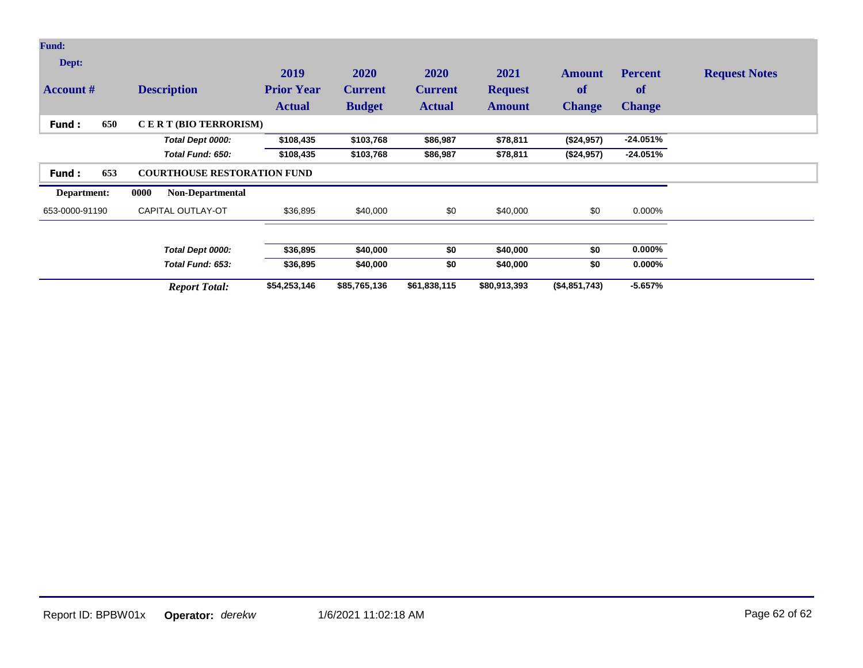| Fund:            |     |                                    |                   |                |                |                |                     |                     |                      |
|------------------|-----|------------------------------------|-------------------|----------------|----------------|----------------|---------------------|---------------------|----------------------|
| Dept:            |     |                                    | 2019              | 2020           | <b>2020</b>    | 2021           | <b>Amount</b><br>of | <b>Percent</b>      | <b>Request Notes</b> |
| <b>Account #</b> |     | <b>Description</b>                 | <b>Prior Year</b> | <b>Current</b> | <b>Current</b> | <b>Request</b> |                     | of<br><b>Change</b> |                      |
|                  |     |                                    | <b>Actual</b>     | <b>Budget</b>  | <b>Actual</b>  | <b>Amount</b>  | <b>Change</b>       |                     |                      |
| Fund:            | 650 | CERT (BIO TERRORISM)               |                   |                |                |                |                     |                     |                      |
|                  |     | Total Dept 0000:                   | \$108,435         | \$103,768      | \$86,987       | \$78,811       | (\$24,957)          | $-24.051%$          |                      |
|                  |     | Total Fund: 650:                   | \$108,435         | \$103,768      | \$86,987       | \$78,811       | (\$24,957)          | $-24.051%$          |                      |
| Fund:            | 653 | <b>COURTHOUSE RESTORATION FUND</b> |                   |                |                |                |                     |                     |                      |
| Department:      |     | <b>Non-Departmental</b><br>0000    |                   |                |                |                |                     |                     |                      |
| 653-0000-91190   |     | CAPITAL OUTLAY-OT                  | \$36,895          | \$40,000       | \$0            | \$40,000       | \$0                 | 0.000%              |                      |
|                  |     | Total Dept 0000:                   | \$36,895          | \$40,000       | \$0            | \$40,000       | \$0                 | $0.000\%$           |                      |
|                  |     | Total Fund: 653:                   | \$36,895          | \$40,000       | \$0            | \$40,000       | \$0                 | $0.000\%$           |                      |
|                  |     | <b>Report Total:</b>               | \$54,253,146      | \$85,765,136   | \$61,838,115   | \$80,913,393   | (\$4,851,743)       | $-5.657%$           |                      |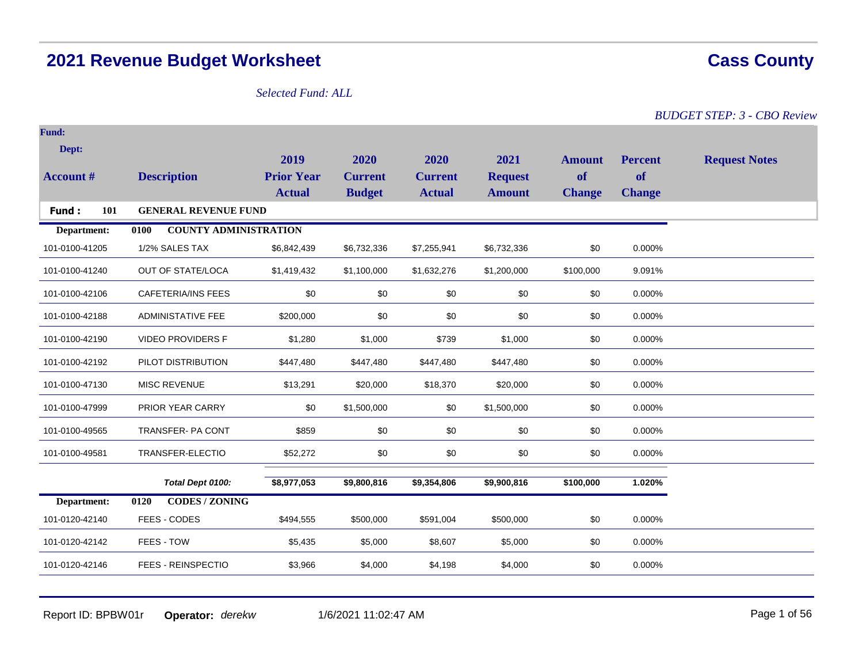# **2021 Revenue Budget Worksheet Cass County**

# *Selected Fund: ALL*

*BUDGET STEP: 3 - CBO Review*

| <b>Fund:</b>     |                                      |                   |                |                |                |               |                |                      |
|------------------|--------------------------------------|-------------------|----------------|----------------|----------------|---------------|----------------|----------------------|
| Dept:            |                                      | 2019              | 2020           | 2020           | 2021           | <b>Amount</b> | <b>Percent</b> | <b>Request Notes</b> |
| <b>Account #</b> | <b>Description</b>                   | <b>Prior Year</b> | <b>Current</b> | <b>Current</b> | <b>Request</b> | of            | <b>of</b>      |                      |
|                  |                                      | <b>Actual</b>     | <b>Budget</b>  | <b>Actual</b>  | <b>Amount</b>  | <b>Change</b> | <b>Change</b>  |                      |
| 101<br>Fund:     | <b>GENERAL REVENUE FUND</b>          |                   |                |                |                |               |                |                      |
| Department:      | <b>COUNTY ADMINISTRATION</b><br>0100 |                   |                |                |                |               |                |                      |
| 101-0100-41205   | 1/2% SALES TAX                       | \$6,842,439       | \$6,732,336    | \$7,255,941    | \$6,732,336    | \$0           | 0.000%         |                      |
| 101-0100-41240   | OUT OF STATE/LOCA                    | \$1,419,432       | \$1,100,000    | \$1,632,276    | \$1,200,000    | \$100,000     | 9.091%         |                      |
| 101-0100-42106   | <b>CAFETERIA/INS FEES</b>            | \$0               | \$0            | \$0            | \$0            | \$0           | 0.000%         |                      |
| 101-0100-42188   | <b>ADMINISTATIVE FEE</b>             | \$200,000         | \$0            | \$0            | \$0            | \$0           | 0.000%         |                      |
| 101-0100-42190   | <b>VIDEO PROVIDERS F</b>             | \$1,280           | \$1,000        | \$739          | \$1,000        | \$0           | 0.000%         |                      |
| 101-0100-42192   | PILOT DISTRIBUTION                   | \$447,480         | \$447,480      | \$447,480      | \$447,480      | \$0           | 0.000%         |                      |
| 101-0100-47130   | <b>MISC REVENUE</b>                  | \$13,291          | \$20,000       | \$18,370       | \$20,000       | \$0           | 0.000%         |                      |
| 101-0100-47999   | PRIOR YEAR CARRY                     | \$0               | \$1,500,000    | \$0            | \$1,500,000    | \$0           | 0.000%         |                      |
| 101-0100-49565   | TRANSFER- PA CONT                    | \$859             | \$0            | \$0            | \$0            | \$0           | 0.000%         |                      |
| 101-0100-49581   | TRANSFER-ELECTIO                     | \$52,272          | \$0            | \$0            | \$0            | \$0           | 0.000%         |                      |
|                  | Total Dept 0100:                     | \$8,977,053       | \$9,800,816    | \$9,354,806    | \$9,900,816    | \$100,000     | 1.020%         |                      |
| Department:      | <b>CODES / ZONING</b><br>0120        |                   |                |                |                |               |                |                      |
| 101-0120-42140   | FEES - CODES                         | \$494,555         | \$500,000      | \$591,004      | \$500,000      | \$0           | 0.000%         |                      |
| 101-0120-42142   | FEES - TOW                           | \$5,435           | \$5,000        | \$8,607        | \$5,000        | \$0           | 0.000%         |                      |
| 101-0120-42146   | FEES - REINSPECTIO                   | \$3,966           | \$4,000        | \$4,198        | \$4,000        | \$0           | 0.000%         |                      |

Report ID: BPBW01r **Operator:** *derekw* 1/6/2021 11:02:47 AM Page 1 of 56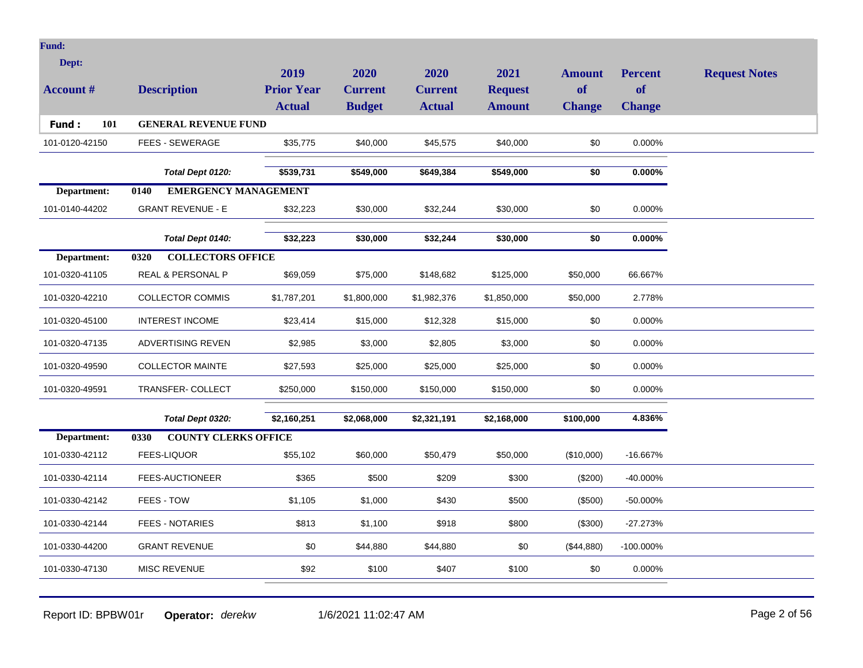| <b>Fund:</b>     |                                     |                   |                |                |                |               |                |                      |
|------------------|-------------------------------------|-------------------|----------------|----------------|----------------|---------------|----------------|----------------------|
| Dept:            |                                     |                   |                |                |                |               |                |                      |
|                  |                                     | 2019              | 2020           | 2020           | 2021           | <b>Amount</b> | <b>Percent</b> | <b>Request Notes</b> |
| <b>Account #</b> | <b>Description</b>                  | <b>Prior Year</b> | <b>Current</b> | <b>Current</b> | <b>Request</b> | of            | of             |                      |
|                  |                                     | <b>Actual</b>     | <b>Budget</b>  | <b>Actual</b>  | <b>Amount</b>  | <b>Change</b> | <b>Change</b>  |                      |
| 101<br>Fund:     | <b>GENERAL REVENUE FUND</b>         |                   |                |                |                |               |                |                      |
| 101-0120-42150   | <b>FEES - SEWERAGE</b>              | \$35,775          | \$40,000       | \$45,575       | \$40,000       | \$0           | $0.000\%$      |                      |
|                  | Total Dept 0120:                    | \$539,731         | \$549,000      | \$649,384      | \$549,000      | \$0           | $0.000\%$      |                      |
| Department:      | <b>EMERGENCY MANAGEMENT</b><br>0140 |                   |                |                |                |               |                |                      |
| 101-0140-44202   | <b>GRANT REVENUE - E</b>            | \$32,223          | \$30,000       | \$32,244       | \$30,000       | \$0           | 0.000%         |                      |
|                  | Total Dept 0140:                    | \$32,223          | \$30,000       | \$32,244       | \$30,000       | \$0           | $0.000\%$      |                      |
| Department:      | 0320<br><b>COLLECTORS OFFICE</b>    |                   |                |                |                |               |                |                      |
| 101-0320-41105   | REAL & PERSONAL P                   | \$69,059          | \$75,000       | \$148,682      | \$125,000      | \$50,000      | 66.667%        |                      |
| 101-0320-42210   | <b>COLLECTOR COMMIS</b>             | \$1,787,201       | \$1,800,000    | \$1,982,376    | \$1,850,000    | \$50,000      | 2.778%         |                      |
| 101-0320-45100   | <b>INTEREST INCOME</b>              | \$23,414          | \$15,000       | \$12,328       | \$15,000       | \$0           | 0.000%         |                      |
| 101-0320-47135   | <b>ADVERTISING REVEN</b>            | \$2,985           | \$3,000        | \$2,805        | \$3,000        | \$0           | 0.000%         |                      |
| 101-0320-49590   | <b>COLLECTOR MAINTE</b>             | \$27,593          | \$25,000       | \$25,000       | \$25,000       | \$0           | 0.000%         |                      |
| 101-0320-49591   | TRANSFER- COLLECT                   | \$250,000         | \$150,000      | \$150,000      | \$150,000      | \$0           | 0.000%         |                      |
|                  | Total Dept 0320:                    | \$2,160,251       | \$2,068,000    | \$2,321,191    | \$2,168,000    | \$100,000     | 4.836%         |                      |
| Department:      | <b>COUNTY CLERKS OFFICE</b><br>0330 |                   |                |                |                |               |                |                      |
| 101-0330-42112   | <b>FEES-LIQUOR</b>                  | \$55,102          | \$60,000       | \$50,479       | \$50,000       | (\$10,000)    | -16.667%       |                      |
| 101-0330-42114   | FEES-AUCTIONEER                     | \$365             | \$500          | \$209          | \$300          | $(\$200)$     | -40.000%       |                      |
| 101-0330-42142   | FEES - TOW                          | \$1,105           | \$1,000        | \$430          | \$500          | (\$500)       | -50.000%       |                      |
| 101-0330-42144   | <b>FEES - NOTARIES</b>              | \$813             | \$1,100        | \$918          | \$800          | (\$300)       | $-27.273%$     |                      |
| 101-0330-44200   | <b>GRANT REVENUE</b>                | \$0               | \$44,880       | \$44,880       | \$0            | (\$44,880)    | -100.000%      |                      |
| 101-0330-47130   | <b>MISC REVENUE</b>                 | \$92              | \$100          | \$407          | \$100          | \$0           | 0.000%         |                      |
|                  |                                     |                   |                |                |                |               |                |                      |

Report ID: BPBW01r **Operator:** *derekw* 1/6/2021 11:02:47 AM Page 2 of 56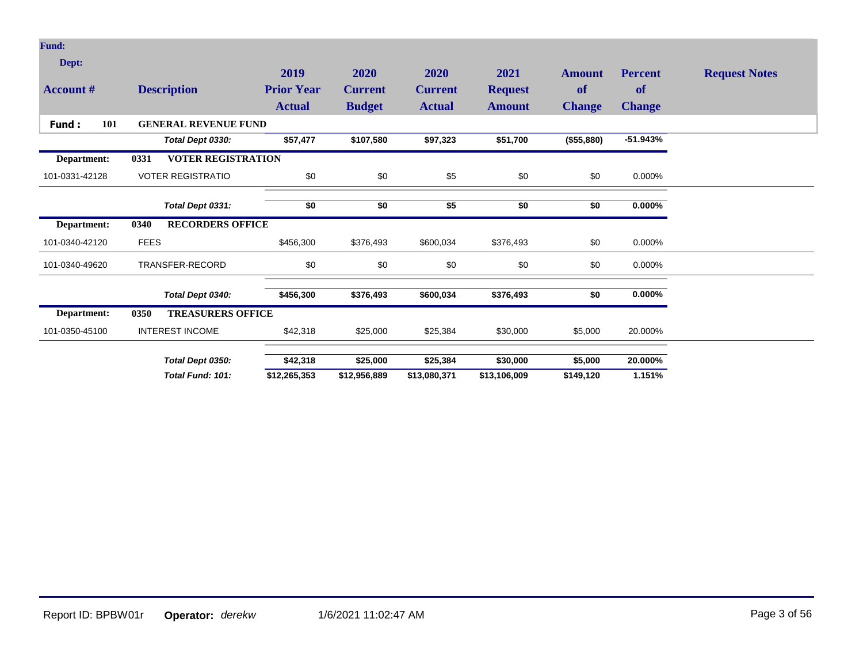| <b>Fund:</b>              |                                   |                           |                        |                        |                        |                     |                      |                      |
|---------------------------|-----------------------------------|---------------------------|------------------------|------------------------|------------------------|---------------------|----------------------|----------------------|
| Dept:<br><b>Account #</b> | <b>Description</b>                | 2019<br><b>Prior Year</b> | 2020<br><b>Current</b> | 2020<br><b>Current</b> | 2021<br><b>Request</b> | <b>Amount</b><br>of | <b>Percent</b><br>of | <b>Request Notes</b> |
|                           |                                   | <b>Actual</b>             | <b>Budget</b>          | <b>Actual</b>          | <b>Amount</b>          | <b>Change</b>       | <b>Change</b>        |                      |
| 101<br>Fund:              | <b>GENERAL REVENUE FUND</b>       |                           |                        |                        |                        |                     |                      |                      |
|                           | Total Dept 0330:                  | \$57,477                  | \$107,580              | \$97,323               | \$51,700               | (\$55,880)          | $-51.943%$           |                      |
| Department:               | <b>VOTER REGISTRATION</b><br>0331 |                           |                        |                        |                        |                     |                      |                      |
| 101-0331-42128            | <b>VOTER REGISTRATIO</b>          | \$0                       | \$0                    | \$5                    | \$0                    | \$0                 | 0.000%               |                      |
|                           | Total Dept 0331:                  | \$0                       | \$0                    | \$5                    | \$0                    | \$0                 | $0.000\%$            |                      |
| Department:               | 0340<br><b>RECORDERS OFFICE</b>   |                           |                        |                        |                        |                     |                      |                      |
| 101-0340-42120            | <b>FEES</b>                       | \$456,300                 | \$376,493              | \$600,034              | \$376,493              | \$0                 | 0.000%               |                      |
| 101-0340-49620            | TRANSFER-RECORD                   | \$0                       | \$0                    | \$0                    | \$0                    | \$0                 | 0.000%               |                      |
|                           | Total Dept 0340:                  | \$456,300                 | \$376,493              | \$600,034              | \$376,493              | \$0                 | 0.000%               |                      |
| Department:               | <b>TREASURERS OFFICE</b><br>0350  |                           |                        |                        |                        |                     |                      |                      |
| 101-0350-45100            | <b>INTEREST INCOME</b>            | \$42,318                  | \$25,000               | \$25,384               | \$30,000               | \$5,000             | 20.000%              |                      |
|                           | Total Dept 0350:                  | \$42,318                  | \$25,000               | \$25,384               | \$30,000               | \$5,000             | 20.000%              |                      |
|                           | Total Fund: 101:                  | \$12,265,353              | \$12,956,889           | \$13,080,371           | \$13,106,009           | \$149,120           | 1.151%               |                      |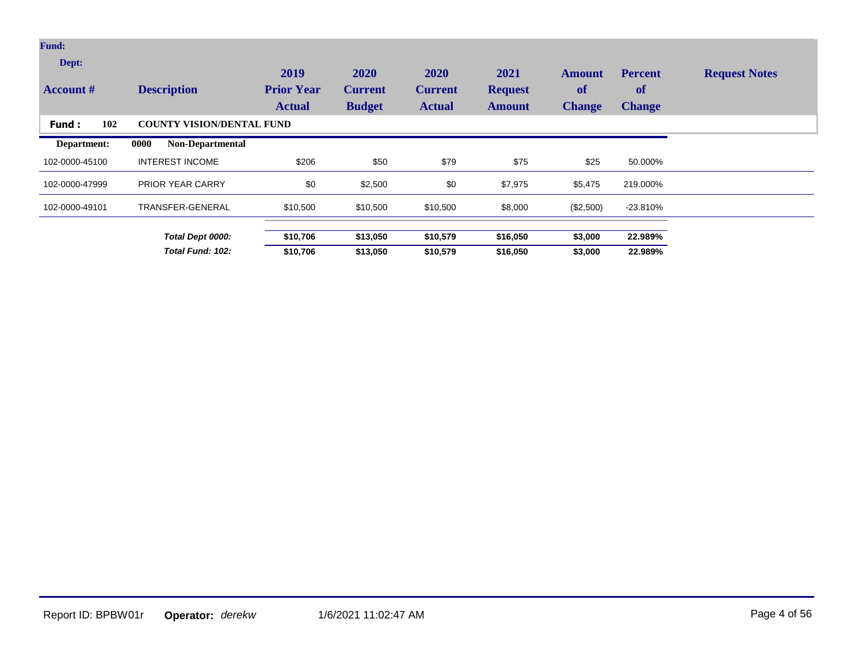| <b>Fund:</b>              |                                  |                                            |                                         |                                         |                                         |                                      |                                              |                      |
|---------------------------|----------------------------------|--------------------------------------------|-----------------------------------------|-----------------------------------------|-----------------------------------------|--------------------------------------|----------------------------------------------|----------------------|
| Dept:<br><b>Account</b> # | <b>Description</b>               | 2019<br><b>Prior Year</b><br><b>Actual</b> | 2020<br><b>Current</b><br><b>Budget</b> | 2020<br><b>Current</b><br><b>Actual</b> | 2021<br><b>Request</b><br><b>Amount</b> | Amount<br><b>of</b><br><b>Change</b> | <b>Percent</b><br><b>of</b><br><b>Change</b> | <b>Request Notes</b> |
| 102<br><b>Fund:</b>       | <b>COUNTY VISION/DENTAL FUND</b> |                                            |                                         |                                         |                                         |                                      |                                              |                      |
| Department:               | <b>Non-Departmental</b><br>0000  |                                            |                                         |                                         |                                         |                                      |                                              |                      |
| 102-0000-45100            | <b>INTEREST INCOME</b>           | \$206                                      | \$50                                    | \$79                                    | \$75                                    | \$25                                 | 50.000%                                      |                      |
| 102-0000-47999            | <b>PRIOR YEAR CARRY</b>          | \$0                                        | \$2,500                                 | \$0                                     | \$7,975                                 | \$5,475                              | 219.000%                                     |                      |
| 102-0000-49101            | TRANSFER-GENERAL                 | \$10,500                                   | \$10,500                                | \$10,500                                | \$8,000                                 | (\$2,500)                            | $-23.810%$                                   |                      |
|                           | Total Dept 0000:                 | \$10,706                                   | \$13,050                                | \$10,579                                | \$16,050                                | \$3,000                              | 22.989%                                      |                      |
|                           | Total Fund: 102:                 | \$10,706                                   | \$13,050                                | \$10,579                                | \$16,050                                | \$3,000                              | 22.989%                                      |                      |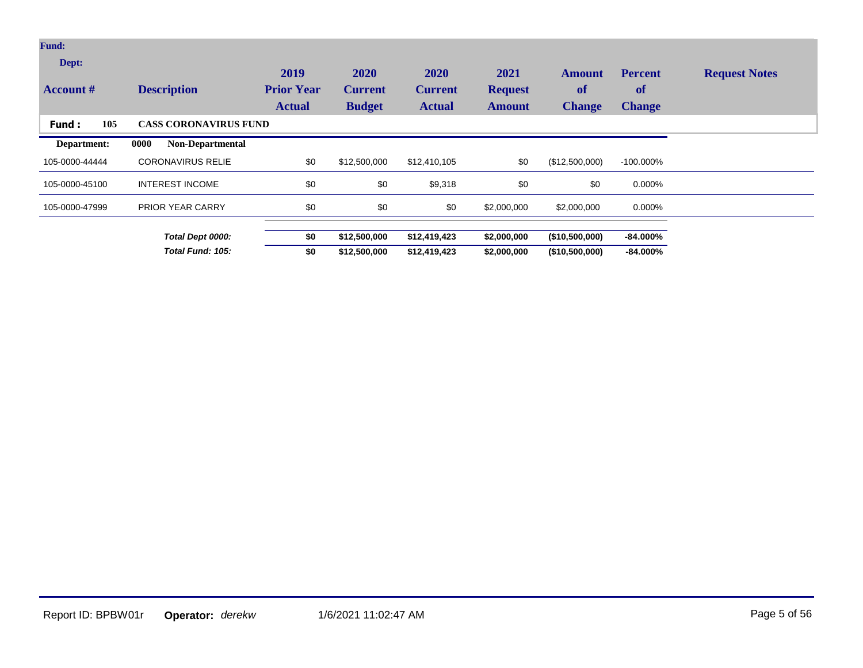| <b>Fund:</b>              |                                 |                                            |                                         |                                         |                                         |                                      |                                       |                      |
|---------------------------|---------------------------------|--------------------------------------------|-----------------------------------------|-----------------------------------------|-----------------------------------------|--------------------------------------|---------------------------------------|----------------------|
| Dept:<br><b>Account</b> # | <b>Description</b>              | 2019<br><b>Prior Year</b><br><b>Actual</b> | 2020<br><b>Current</b><br><b>Budget</b> | 2020<br><b>Current</b><br><b>Actual</b> | 2021<br><b>Request</b><br><b>Amount</b> | Amount<br><b>of</b><br><b>Change</b> | <b>Percent</b><br>of<br><b>Change</b> | <b>Request Notes</b> |
| 105<br><b>Fund:</b>       | <b>CASS CORONAVIRUS FUND</b>    |                                            |                                         |                                         |                                         |                                      |                                       |                      |
| Department:               | 0000<br><b>Non-Departmental</b> |                                            |                                         |                                         |                                         |                                      |                                       |                      |
| 105-0000-44444            | <b>CORONAVIRUS RELIE</b>        | \$0                                        | \$12,500,000                            | \$12,410,105                            | \$0                                     | (\$12,500,000)                       | $-100.000\%$                          |                      |
| 105-0000-45100            | <b>INTEREST INCOME</b>          | \$0                                        | \$0                                     | \$9,318                                 | \$0                                     | \$0                                  | 0.000%                                |                      |
| 105-0000-47999            | <b>PRIOR YEAR CARRY</b>         | \$0                                        | \$0                                     | \$0                                     | \$2,000,000                             | \$2,000,000                          | 0.000%                                |                      |
|                           | Total Dept 0000:                | \$0                                        | \$12,500,000                            | \$12,419,423                            | \$2,000,000                             | (\$10,500,000)                       | $-84.000\%$                           |                      |
|                           | Total Fund: 105:                | \$0                                        | \$12,500,000                            | \$12,419,423                            | \$2,000,000                             | (\$10,500,000)                       | $-84.000\%$                           |                      |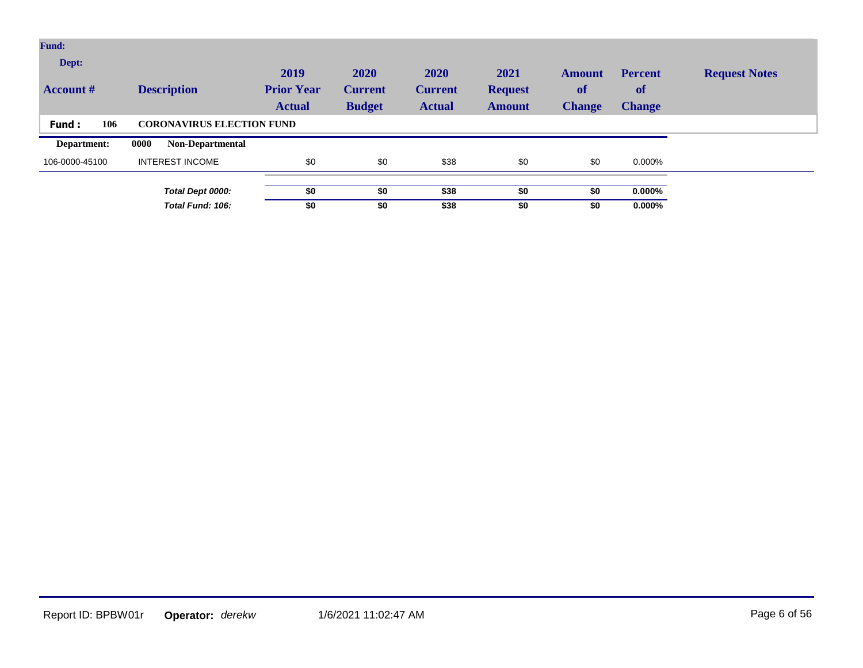| Fund:                     |                                  |                                            |                                         |                                         |                                         |                                             |                                              |                      |
|---------------------------|----------------------------------|--------------------------------------------|-----------------------------------------|-----------------------------------------|-----------------------------------------|---------------------------------------------|----------------------------------------------|----------------------|
| Dept:<br><b>Account</b> # | <b>Description</b>               | 2019<br><b>Prior Year</b><br><b>Actual</b> | 2020<br><b>Current</b><br><b>Budget</b> | 2020<br><b>Current</b><br><b>Actual</b> | 2021<br><b>Request</b><br><b>Amount</b> | <b>Amount</b><br><b>of</b><br><b>Change</b> | <b>Percent</b><br><b>of</b><br><b>Change</b> | <b>Request Notes</b> |
| 106<br>Fund:              | <b>CORONAVIRUS ELECTION FUND</b> |                                            |                                         |                                         |                                         |                                             |                                              |                      |
| Department:               | 0000<br><b>Non-Departmental</b>  |                                            |                                         |                                         |                                         |                                             |                                              |                      |
| 106-0000-45100            | <b>INTEREST INCOME</b>           | \$0                                        | \$0                                     | \$38                                    | \$0                                     | \$0                                         | 0.000%                                       |                      |
|                           |                                  |                                            |                                         |                                         |                                         |                                             |                                              |                      |
|                           | Total Dept 0000:                 | \$0                                        | \$0                                     | \$38                                    | \$0                                     | \$0                                         | $0.000\%$                                    |                      |
|                           | Total Fund: 106:                 | \$0                                        | \$0                                     | \$38                                    | \$0                                     | \$0                                         | $0.000\%$                                    |                      |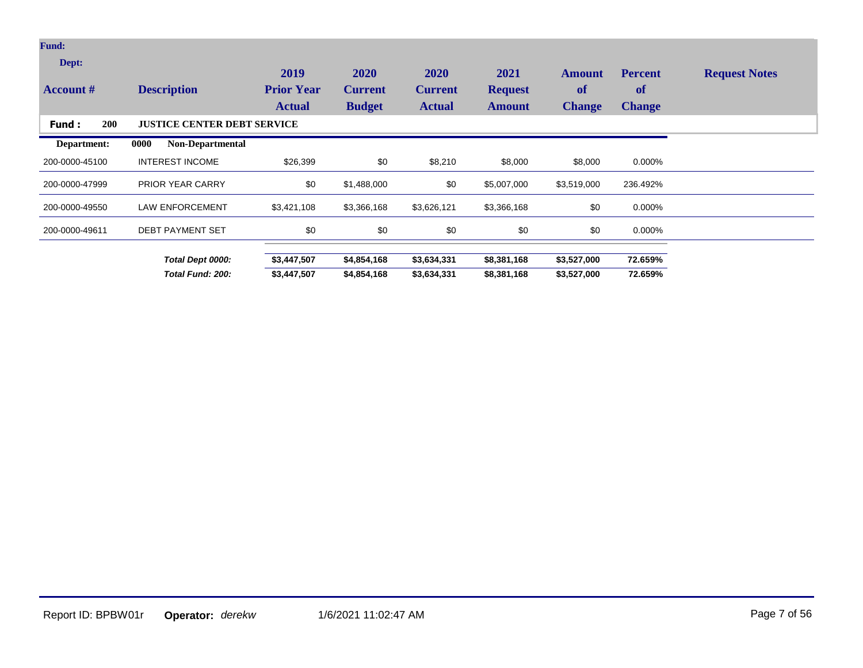| <b>Fund:</b>              |                                    |                                            |                                         |                                         |                                         |                                             |                                       |                      |
|---------------------------|------------------------------------|--------------------------------------------|-----------------------------------------|-----------------------------------------|-----------------------------------------|---------------------------------------------|---------------------------------------|----------------------|
| Dept:<br><b>Account</b> # | <b>Description</b>                 | 2019<br><b>Prior Year</b><br><b>Actual</b> | 2020<br><b>Current</b><br><b>Budget</b> | 2020<br><b>Current</b><br><b>Actual</b> | 2021<br><b>Request</b><br><b>Amount</b> | <b>Amount</b><br><b>of</b><br><b>Change</b> | <b>Percent</b><br>of<br><b>Change</b> | <b>Request Notes</b> |
| <b>200</b><br>Fund:       | <b>JUSTICE CENTER DEBT SERVICE</b> |                                            |                                         |                                         |                                         |                                             |                                       |                      |
| Department:               | 0000<br><b>Non-Departmental</b>    |                                            |                                         |                                         |                                         |                                             |                                       |                      |
| 200-0000-45100            | <b>INTEREST INCOME</b>             | \$26,399                                   | \$0                                     | \$8,210                                 | \$8,000                                 | \$8,000                                     | 0.000%                                |                      |
| 200-0000-47999            | <b>PRIOR YEAR CARRY</b>            | \$0                                        | \$1,488,000                             | \$0                                     | \$5,007,000                             | \$3,519,000                                 | 236.492%                              |                      |
| 200-0000-49550            | <b>LAW ENFORCEMENT</b>             | \$3,421,108                                | \$3,366,168                             | \$3,626,121                             | \$3,366,168                             | \$0                                         | 0.000%                                |                      |
| 200-0000-49611            | <b>DEBT PAYMENT SET</b>            | \$0                                        | \$0                                     | \$0                                     | \$0                                     | \$0                                         | 0.000%                                |                      |
|                           | Total Dept 0000:                   | \$3,447,507                                | \$4,854,168                             | \$3,634,331                             | \$8,381,168                             | \$3,527,000                                 | 72.659%                               |                      |
|                           | Total Fund: 200:                   | \$3,447,507                                | \$4,854,168                             | \$3,634,331                             | \$8,381,168                             | \$3,527,000                                 | 72.659%                               |                      |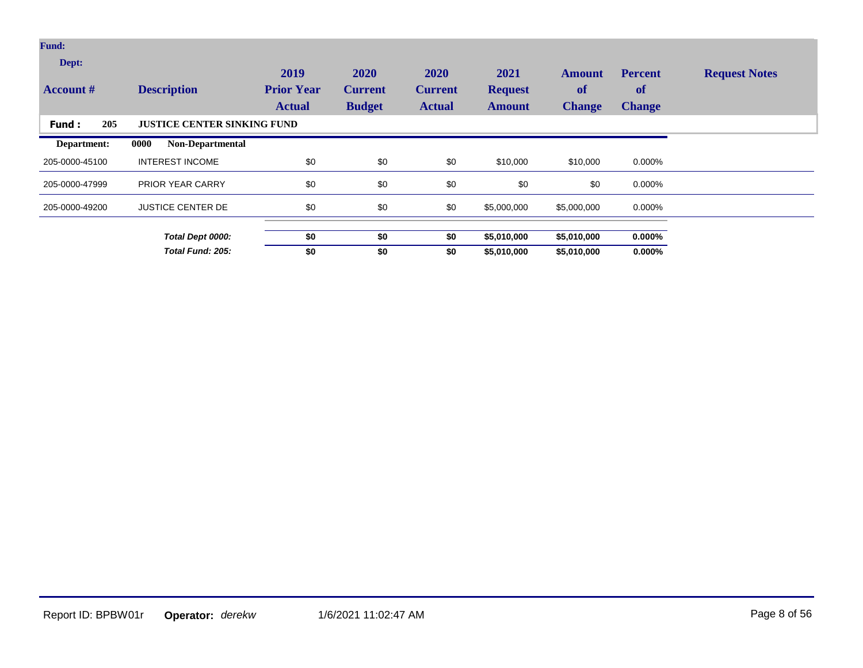| Fund:<br>Dept:<br><b>Account</b> # | <b>Description</b>                   | 2019<br><b>Prior Year</b><br><b>Actual</b> | 2020<br><b>Current</b><br><b>Budget</b> | 2020<br><b>Current</b><br><b>Actual</b> | 2021<br><b>Request</b><br><b>Amount</b> | <b>Amount</b><br>of<br><b>Change</b> | <b>Percent</b><br>of<br><b>Change</b> | <b>Request Notes</b> |
|------------------------------------|--------------------------------------|--------------------------------------------|-----------------------------------------|-----------------------------------------|-----------------------------------------|--------------------------------------|---------------------------------------|----------------------|
| 205<br>Fund:                       | <b>JUSTICE CENTER SINKING FUND</b>   |                                            |                                         |                                         |                                         |                                      |                                       |                      |
| Department:                        | 0000<br><b>Non-Departmental</b>      |                                            |                                         |                                         |                                         |                                      |                                       |                      |
| 205-0000-45100                     | <b>INTEREST INCOME</b>               | \$0                                        | \$0                                     | \$0                                     | \$10,000                                | \$10,000                             | 0.000%                                |                      |
| 205-0000-47999                     | PRIOR YEAR CARRY                     | \$0                                        | \$0                                     | \$0                                     | \$0                                     | \$0                                  | 0.000%                                |                      |
| 205-0000-49200                     | <b>JUSTICE CENTER DE</b>             | \$0                                        | \$0                                     | \$0                                     | \$5,000,000                             | \$5,000,000                          | 0.000%                                |                      |
|                                    |                                      |                                            |                                         |                                         |                                         |                                      | $0.000\%$                             |                      |
|                                    | Total Dept 0000:<br>Total Fund: 205: | \$0<br>\$0                                 | \$0<br>\$0                              | \$0<br>\$0                              | \$5,010,000<br>\$5,010,000              | \$5,010,000<br>\$5,010,000           | $0.000\%$                             |                      |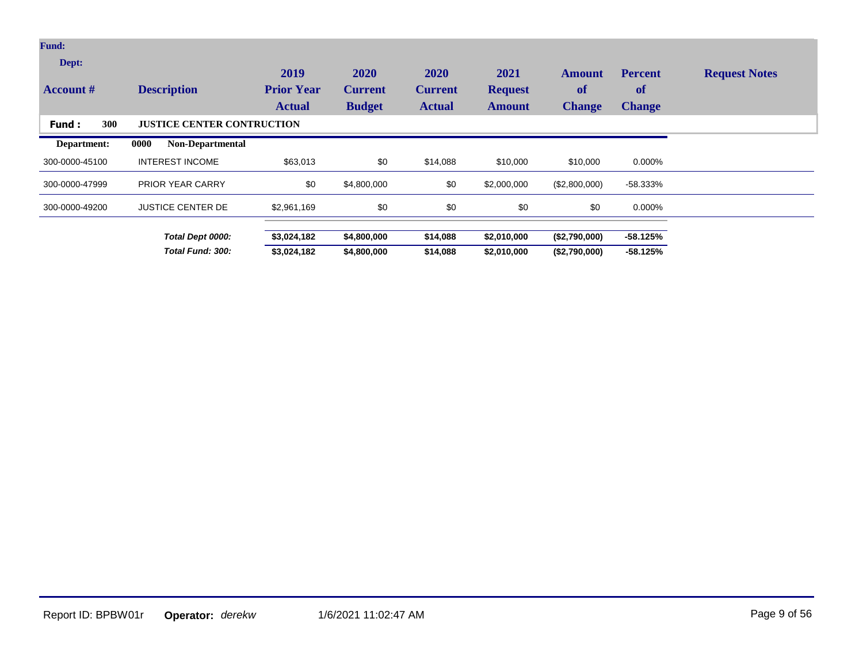| Fund:                     |                                   |                                            |                                         |                                         |                                         |                                             |                                       |                      |
|---------------------------|-----------------------------------|--------------------------------------------|-----------------------------------------|-----------------------------------------|-----------------------------------------|---------------------------------------------|---------------------------------------|----------------------|
| Dept:<br><b>Account</b> # | <b>Description</b>                | 2019<br><b>Prior Year</b><br><b>Actual</b> | 2020<br><b>Current</b><br><b>Budget</b> | 2020<br><b>Current</b><br><b>Actual</b> | 2021<br><b>Request</b><br><b>Amount</b> | <b>Amount</b><br><b>of</b><br><b>Change</b> | <b>Percent</b><br>of<br><b>Change</b> | <b>Request Notes</b> |
| 300<br>Fund:              | <b>JUSTICE CENTER CONTRUCTION</b> |                                            |                                         |                                         |                                         |                                             |                                       |                      |
| Department:               | <b>Non-Departmental</b><br>0000   |                                            |                                         |                                         |                                         |                                             |                                       |                      |
| 300-0000-45100            | <b>INTEREST INCOME</b>            | \$63,013                                   | \$0                                     | \$14,088                                | \$10,000                                | \$10,000                                    | 0.000%                                |                      |
| 300-0000-47999            | <b>PRIOR YEAR CARRY</b>           | \$0                                        | \$4,800,000                             | \$0                                     | \$2,000,000                             | (\$2,800,000)                               | -58.333%                              |                      |
| 300-0000-49200            | <b>JUSTICE CENTER DE</b>          | \$2,961,169                                | \$0                                     | \$0                                     | \$0                                     | \$0                                         | 0.000%                                |                      |
|                           | Total Dept 0000:                  | \$3,024,182                                | \$4,800,000                             | \$14,088                                | \$2,010,000                             | (\$2,790,000)                               | $-58.125%$                            |                      |
|                           | Total Fund: 300:                  | \$3,024,182                                | \$4,800,000                             | \$14,088                                | \$2,010,000                             | (\$2,790,000)                               | $-58.125%$                            |                      |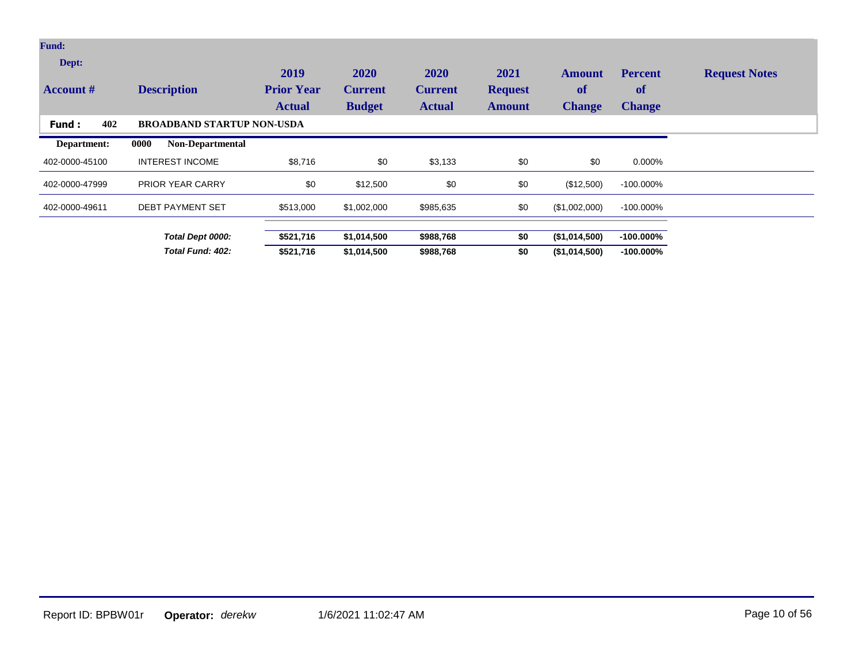| <b>Fund:</b>              |                                   |                                            |                                         |                                         |                                         |                                      |                                       |                      |
|---------------------------|-----------------------------------|--------------------------------------------|-----------------------------------------|-----------------------------------------|-----------------------------------------|--------------------------------------|---------------------------------------|----------------------|
| Dept:<br><b>Account</b> # | <b>Description</b>                | 2019<br><b>Prior Year</b><br><b>Actual</b> | 2020<br><b>Current</b><br><b>Budget</b> | 2020<br><b>Current</b><br><b>Actual</b> | 2021<br><b>Request</b><br><b>Amount</b> | <b>Amount</b><br>of<br><b>Change</b> | <b>Percent</b><br>of<br><b>Change</b> | <b>Request Notes</b> |
| 402<br>Fund:              | <b>BROADBAND STARTUP NON-USDA</b> |                                            |                                         |                                         |                                         |                                      |                                       |                      |
| Department:               | 0000<br><b>Non-Departmental</b>   |                                            |                                         |                                         |                                         |                                      |                                       |                      |
| 402-0000-45100            | <b>INTEREST INCOME</b>            | \$8,716                                    | \$0                                     | \$3,133                                 | \$0                                     | \$0                                  | 0.000%                                |                      |
| 402-0000-47999            | <b>PRIOR YEAR CARRY</b>           | \$0                                        | \$12,500                                | \$0                                     | \$0                                     | (\$12,500)                           | $-100.000\%$                          |                      |
| 402-0000-49611            | <b>DEBT PAYMENT SET</b>           | \$513,000                                  | \$1,002,000                             | \$985,635                               | \$0                                     | (\$1,002,000)                        | $-100.000\%$                          |                      |
|                           | Total Dept 0000:                  | \$521,716                                  | \$1,014,500                             | \$988,768                               | \$0                                     | (\$1,014,500)                        | $-100.000\%$                          |                      |
|                           | Total Fund: 402:                  | \$521,716                                  | \$1,014,500                             | \$988,768                               | \$0                                     | (\$1,014,500)                        | $-100.000\%$                          |                      |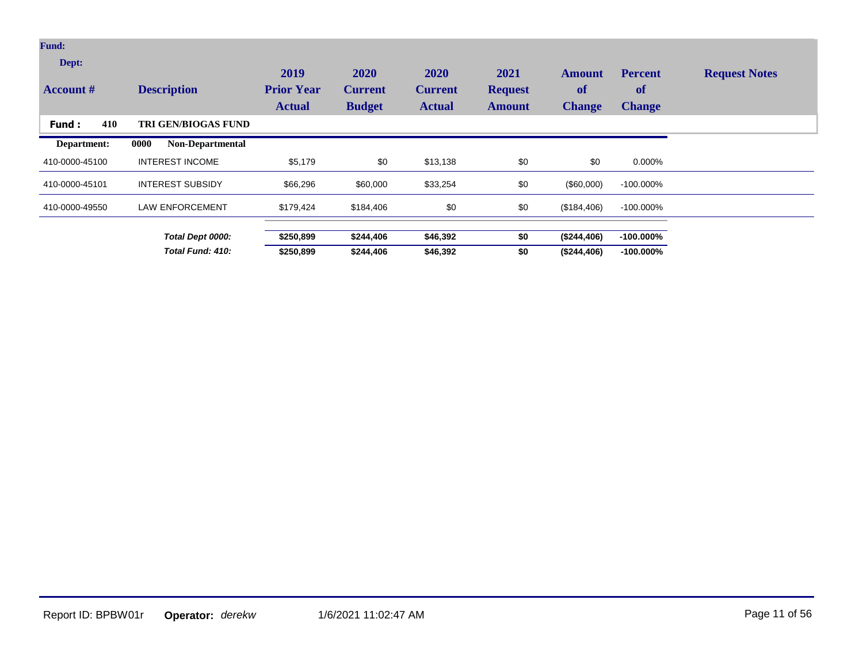| <b>Fund:</b>              |                                 |                                            |                                         |                                                |                                         |                                      |                                       |                      |
|---------------------------|---------------------------------|--------------------------------------------|-----------------------------------------|------------------------------------------------|-----------------------------------------|--------------------------------------|---------------------------------------|----------------------|
| Dept:<br><b>Account #</b> | <b>Description</b>              | 2019<br><b>Prior Year</b><br><b>Actual</b> | 2020<br><b>Current</b><br><b>Budget</b> | <b>2020</b><br><b>Current</b><br><b>Actual</b> | 2021<br><b>Request</b><br><b>Amount</b> | <b>Amount</b><br>of<br><b>Change</b> | <b>Percent</b><br>of<br><b>Change</b> | <b>Request Notes</b> |
| 410<br>Fund:              | TRI GEN/BIOGAS FUND             |                                            |                                         |                                                |                                         |                                      |                                       |                      |
| Department:               | 0000<br><b>Non-Departmental</b> |                                            |                                         |                                                |                                         |                                      |                                       |                      |
| 410-0000-45100            | <b>INTEREST INCOME</b>          | \$5,179                                    | \$0                                     | \$13,138                                       | \$0                                     | \$0                                  | 0.000%                                |                      |
| 410-0000-45101            | <b>INTEREST SUBSIDY</b>         | \$66,296                                   | \$60,000                                | \$33,254                                       | \$0                                     | $(\$60,000)$                         | $-100.000\%$                          |                      |
| 410-0000-49550            | <b>LAW ENFORCEMENT</b>          | \$179,424                                  | \$184,406                               | \$0                                            | \$0                                     | (\$184,406)                          | $-100.000\%$                          |                      |
|                           | Total Dept 0000:                | \$250,899                                  | \$244,406                               | \$46,392                                       | \$0                                     | (\$244,406)                          | $-100.000\%$                          |                      |
|                           | Total Fund: 410:                | \$250,899                                  | \$244,406                               | \$46,392                                       | \$0                                     | (\$244,406)                          | $-100.000\%$                          |                      |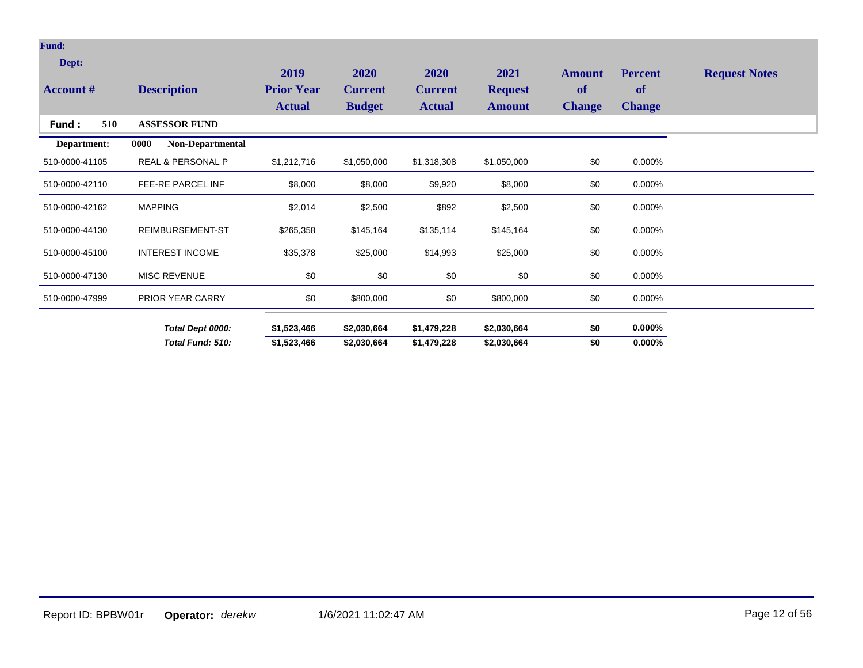| <b>Fund:</b>     |                              |                   |                |                |                |               |                |                      |
|------------------|------------------------------|-------------------|----------------|----------------|----------------|---------------|----------------|----------------------|
| Dept:            |                              | 2019              | 2020           | 2020           | 2021           | <b>Amount</b> | <b>Percent</b> | <b>Request Notes</b> |
| <b>Account #</b> | <b>Description</b>           | <b>Prior Year</b> | <b>Current</b> | <b>Current</b> | <b>Request</b> | <b>of</b>     | of             |                      |
|                  |                              | <b>Actual</b>     | <b>Budget</b>  | <b>Actual</b>  | <b>Amount</b>  | <b>Change</b> | <b>Change</b>  |                      |
| 510<br>Fund:     | <b>ASSESSOR FUND</b>         |                   |                |                |                |               |                |                      |
| Department:      | 0000<br>Non-Departmental     |                   |                |                |                |               |                |                      |
| 510-0000-41105   | <b>REAL &amp; PERSONAL P</b> | \$1,212,716       | \$1,050,000    | \$1,318,308    | \$1,050,000    | \$0           | 0.000%         |                      |
| 510-0000-42110   | <b>FEE-RE PARCEL INF</b>     | \$8,000           | \$8,000        | \$9,920        | \$8,000        | \$0           | 0.000%         |                      |
| 510-0000-42162   | <b>MAPPING</b>               | \$2,014           | \$2,500        | \$892          | \$2,500        | \$0           | 0.000%         |                      |
| 510-0000-44130   | <b>REIMBURSEMENT-ST</b>      | \$265,358         | \$145,164      | \$135,114      | \$145,164      | \$0           | 0.000%         |                      |
| 510-0000-45100   | <b>INTEREST INCOME</b>       | \$35,378          | \$25,000       | \$14,993       | \$25,000       | \$0           | 0.000%         |                      |
| 510-0000-47130   | <b>MISC REVENUE</b>          | \$0               | \$0            | \$0            | \$0            | \$0           | 0.000%         |                      |
| 510-0000-47999   | PRIOR YEAR CARRY             | \$0               | \$800,000      | \$0            | \$800,000      | \$0           | 0.000%         |                      |
|                  | Total Dept 0000:             | \$1,523,466       | \$2,030,664    | \$1,479,228    | \$2,030,664    | \$0           | $0.000\%$      |                      |
|                  | Total Fund: 510:             | \$1,523,466       | \$2,030,664    | \$1,479,228    | \$2,030,664    | \$0           | $0.000\%$      |                      |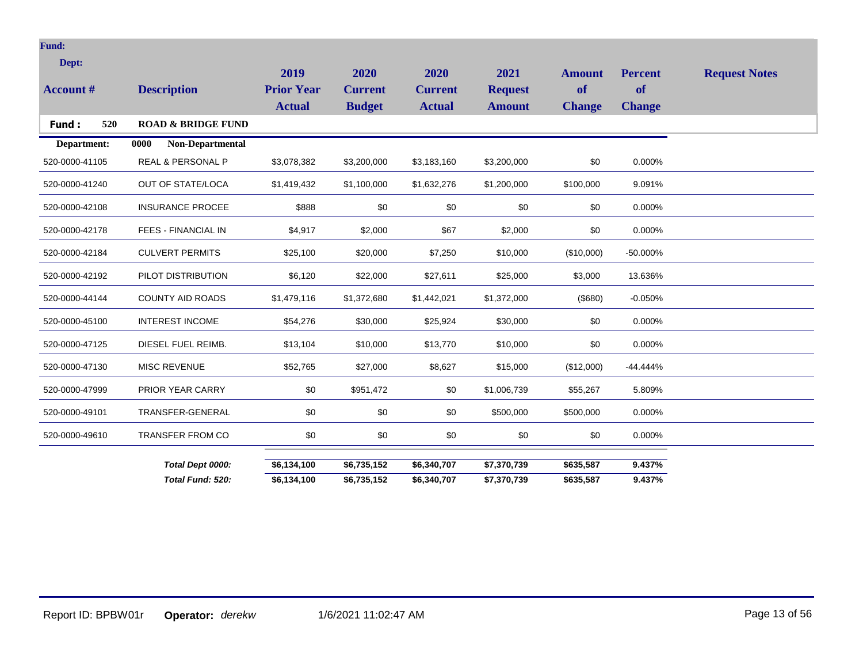| <b>Fund:</b>     |                               |                                    |                                 |                                 |                                 |                            |                     |                      |
|------------------|-------------------------------|------------------------------------|---------------------------------|---------------------------------|---------------------------------|----------------------------|---------------------|----------------------|
| Dept:            |                               | 2019                               | 2020                            | 2020                            | 2021                            | <b>Amount</b>              | <b>Percent</b>      | <b>Request Notes</b> |
| <b>Account #</b> | <b>Description</b>            | <b>Prior Year</b><br><b>Actual</b> | <b>Current</b><br><b>Budget</b> | <b>Current</b><br><b>Actual</b> | <b>Request</b><br><b>Amount</b> | <b>of</b><br><b>Change</b> | of<br><b>Change</b> |                      |
| 520<br>Fund:     | <b>ROAD &amp; BRIDGE FUND</b> |                                    |                                 |                                 |                                 |                            |                     |                      |
| Department:      | 0000<br>Non-Departmental      |                                    |                                 |                                 |                                 |                            |                     |                      |
| 520-0000-41105   | REAL & PERSONAL P             | \$3,078,382                        | \$3,200,000                     | \$3,183,160                     | \$3,200,000                     | \$0                        | 0.000%              |                      |
| 520-0000-41240   | OUT OF STATE/LOCA             | \$1,419,432                        | \$1,100,000                     | \$1,632,276                     | \$1,200,000                     | \$100,000                  | 9.091%              |                      |
| 520-0000-42108   | <b>INSURANCE PROCEE</b>       | \$888                              | \$0                             | \$0                             | \$0                             | \$0                        | 0.000%              |                      |
| 520-0000-42178   | <b>FEES - FINANCIAL IN</b>    | \$4,917                            | \$2,000                         | \$67                            | \$2,000                         | \$0                        | 0.000%              |                      |
| 520-0000-42184   | <b>CULVERT PERMITS</b>        | \$25,100                           | \$20,000                        | \$7,250                         | \$10,000                        | (\$10,000)                 | -50.000%            |                      |
| 520-0000-42192   | PILOT DISTRIBUTION            | \$6,120                            | \$22,000                        | \$27,611                        | \$25,000                        | \$3,000                    | 13.636%             |                      |
| 520-0000-44144   | <b>COUNTY AID ROADS</b>       | \$1,479,116                        | \$1,372,680                     | \$1,442,021                     | \$1,372,000                     | (\$680)                    | $-0.050%$           |                      |
| 520-0000-45100   | <b>INTEREST INCOME</b>        | \$54,276                           | \$30,000                        | \$25,924                        | \$30,000                        | \$0                        | 0.000%              |                      |
| 520-0000-47125   | DIESEL FUEL REIMB.            | \$13,104                           | \$10,000                        | \$13,770                        | \$10,000                        | \$0                        | 0.000%              |                      |
| 520-0000-47130   | MISC REVENUE                  | \$52,765                           | \$27,000                        | \$8,627                         | \$15,000                        | (\$12,000)                 | $-44.444%$          |                      |
| 520-0000-47999   | PRIOR YEAR CARRY              | \$0                                | \$951,472                       | \$0                             | \$1,006,739                     | \$55,267                   | 5.809%              |                      |
| 520-0000-49101   | TRANSFER-GENERAL              | \$0                                | \$0                             | \$0                             | \$500,000                       | \$500,000                  | 0.000%              |                      |
| 520-0000-49610   | <b>TRANSFER FROM CO</b>       | \$0                                | \$0                             | \$0                             | \$0                             | \$0                        | 0.000%              |                      |
|                  | Total Dept 0000:              | \$6,134,100                        | \$6,735,152                     | \$6,340,707                     | \$7,370,739                     | \$635,587                  | 9.437%              |                      |
|                  | Total Fund: 520:              | \$6,134,100                        | \$6,735,152                     | \$6,340,707                     | \$7,370,739                     | \$635,587                  | 9.437%              |                      |
|                  |                               |                                    |                                 |                                 |                                 |                            |                     |                      |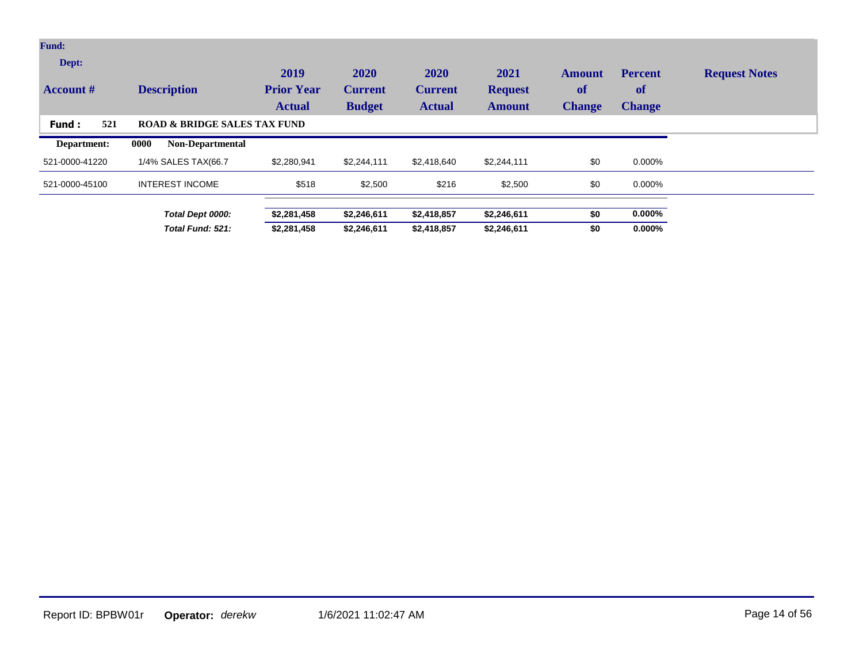| <b>Fund:</b>              |                                         |                                            |                                         |                                         |                                         |                                             |                                              |                      |
|---------------------------|-----------------------------------------|--------------------------------------------|-----------------------------------------|-----------------------------------------|-----------------------------------------|---------------------------------------------|----------------------------------------------|----------------------|
| Dept:<br><b>Account</b> # | <b>Description</b>                      | 2019<br><b>Prior Year</b><br><b>Actual</b> | 2020<br><b>Current</b><br><b>Budget</b> | 2020<br><b>Current</b><br><b>Actual</b> | 2021<br><b>Request</b><br><b>Amount</b> | <b>Amount</b><br><b>of</b><br><b>Change</b> | <b>Percent</b><br><b>of</b><br><b>Change</b> | <b>Request Notes</b> |
| 521<br>Fund:              | <b>ROAD &amp; BRIDGE SALES TAX FUND</b> |                                            |                                         |                                         |                                         |                                             |                                              |                      |
| Department:               | 0000<br><b>Non-Departmental</b>         |                                            |                                         |                                         |                                         |                                             |                                              |                      |
| 521-0000-41220            | 1/4% SALES TAX(66.7                     | \$2,280,941                                | \$2,244,111                             | \$2,418,640                             | \$2,244,111                             | \$0                                         | 0.000%                                       |                      |
| 521-0000-45100            | <b>INTEREST INCOME</b>                  | \$518                                      | \$2,500                                 | \$216                                   | \$2,500                                 | \$0                                         | 0.000%                                       |                      |
|                           | Total Dept 0000:                        | \$2,281,458                                | \$2,246,611                             | \$2,418,857                             | \$2,246,611                             | \$0                                         | $0.000\%$                                    |                      |
|                           | Total Fund: 521:                        | \$2,281,458                                | \$2,246,611                             | \$2,418,857                             | \$2,246,611                             | \$0                                         | $0.000\%$                                    |                      |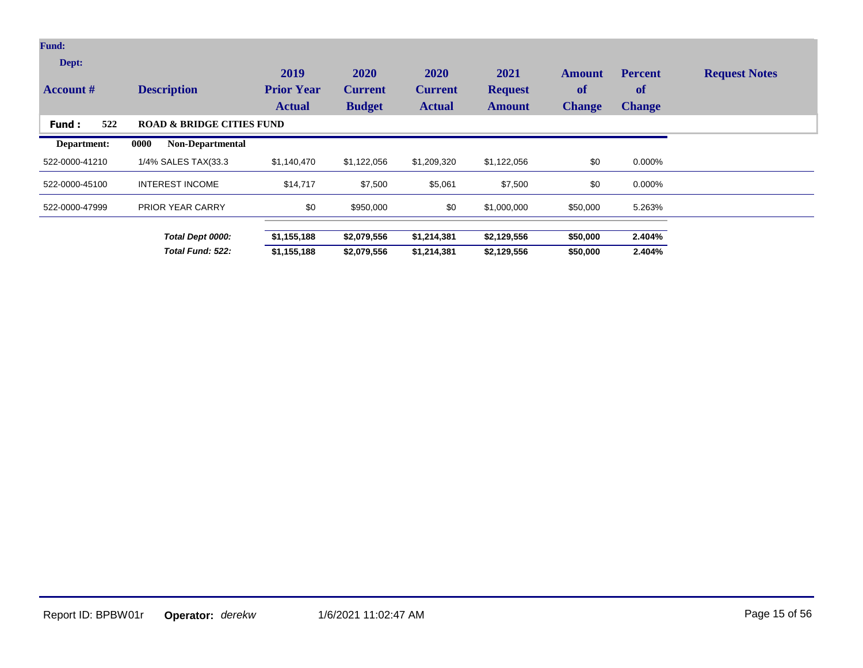| <b>Fund:</b>              |                                      |                                            |                                         |                                         |                                         |                                             |                                              |                      |
|---------------------------|--------------------------------------|--------------------------------------------|-----------------------------------------|-----------------------------------------|-----------------------------------------|---------------------------------------------|----------------------------------------------|----------------------|
| Dept:<br><b>Account</b> # | <b>Description</b>                   | 2019<br><b>Prior Year</b><br><b>Actual</b> | 2020<br><b>Current</b><br><b>Budget</b> | 2020<br><b>Current</b><br><b>Actual</b> | 2021<br><b>Request</b><br><b>Amount</b> | <b>Amount</b><br><b>of</b><br><b>Change</b> | <b>Percent</b><br><b>of</b><br><b>Change</b> | <b>Request Notes</b> |
| 522<br>Fund :             | <b>ROAD &amp; BRIDGE CITIES FUND</b> |                                            |                                         |                                         |                                         |                                             |                                              |                      |
| Department:               | <b>Non-Departmental</b><br>0000      |                                            |                                         |                                         |                                         |                                             |                                              |                      |
| 522-0000-41210            | 1/4% SALES TAX(33.3                  | \$1,140,470                                | \$1,122,056                             | \$1,209,320                             | \$1,122,056                             | \$0                                         | 0.000%                                       |                      |
| 522-0000-45100            | <b>INTEREST INCOME</b>               | \$14,717                                   | \$7,500                                 | \$5,061                                 | \$7,500                                 | \$0                                         | 0.000%                                       |                      |
| 522-0000-47999            | <b>PRIOR YEAR CARRY</b>              | \$0                                        | \$950,000                               | \$0                                     | \$1,000,000                             | \$50,000                                    | 5.263%                                       |                      |
|                           | Total Dept 0000:                     | \$1,155,188                                | \$2,079,556                             | \$1,214,381                             | \$2,129,556                             | \$50,000                                    | 2.404%                                       |                      |
|                           | Total Fund: 522:                     | \$1,155,188                                | \$2,079,556                             | \$1,214,381                             | \$2,129,556                             | \$50,000                                    | 2.404%                                       |                      |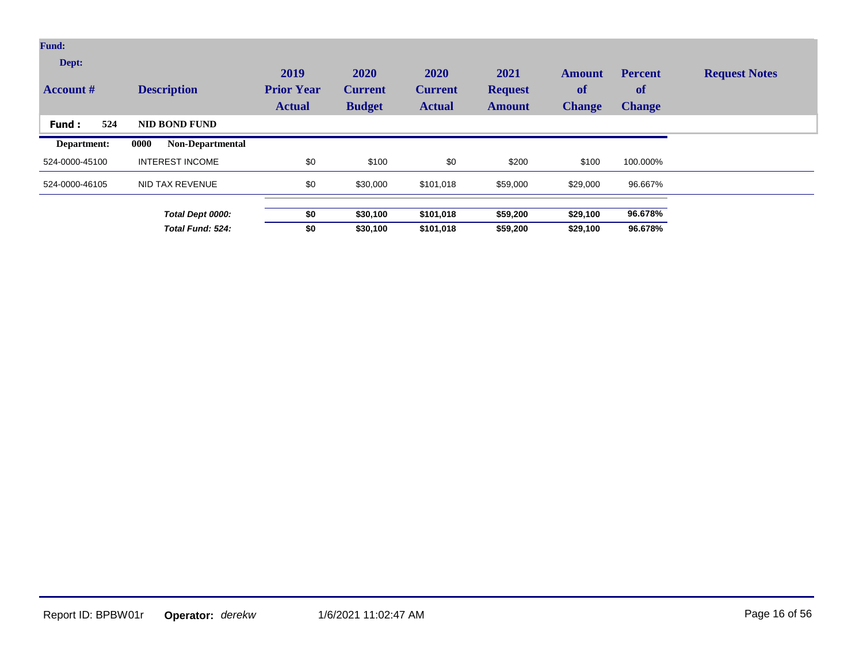| <b>Fund:</b>              |                                 |                                            |                                         |                                         |                                         |                                      |                                              |                      |
|---------------------------|---------------------------------|--------------------------------------------|-----------------------------------------|-----------------------------------------|-----------------------------------------|--------------------------------------|----------------------------------------------|----------------------|
| Dept:<br><b>Account</b> # | <b>Description</b>              | 2019<br><b>Prior Year</b><br><b>Actual</b> | 2020<br><b>Current</b><br><b>Budget</b> | 2020<br><b>Current</b><br><b>Actual</b> | 2021<br><b>Request</b><br><b>Amount</b> | <b>Amount</b><br>of<br><b>Change</b> | <b>Percent</b><br><b>of</b><br><b>Change</b> | <b>Request Notes</b> |
| 524<br>Fund:              | <b>NID BOND FUND</b>            |                                            |                                         |                                         |                                         |                                      |                                              |                      |
| Department:               | 0000<br><b>Non-Departmental</b> |                                            |                                         |                                         |                                         |                                      |                                              |                      |
| 524-0000-45100            | <b>INTEREST INCOME</b>          | \$0                                        | \$100                                   | \$0                                     | \$200                                   | \$100                                | 100.000%                                     |                      |
| 524-0000-46105            | NID TAX REVENUE                 | \$0                                        | \$30,000                                | \$101,018                               | \$59,000                                | \$29,000                             | 96.667%                                      |                      |
|                           | Total Dept 0000:                | \$0                                        | \$30,100                                | \$101,018                               | \$59,200                                | \$29,100                             | 96.678%                                      |                      |
|                           | Total Fund: 524:                | \$0                                        | \$30,100                                | \$101,018                               | \$59,200                                | \$29,100                             | 96.678%                                      |                      |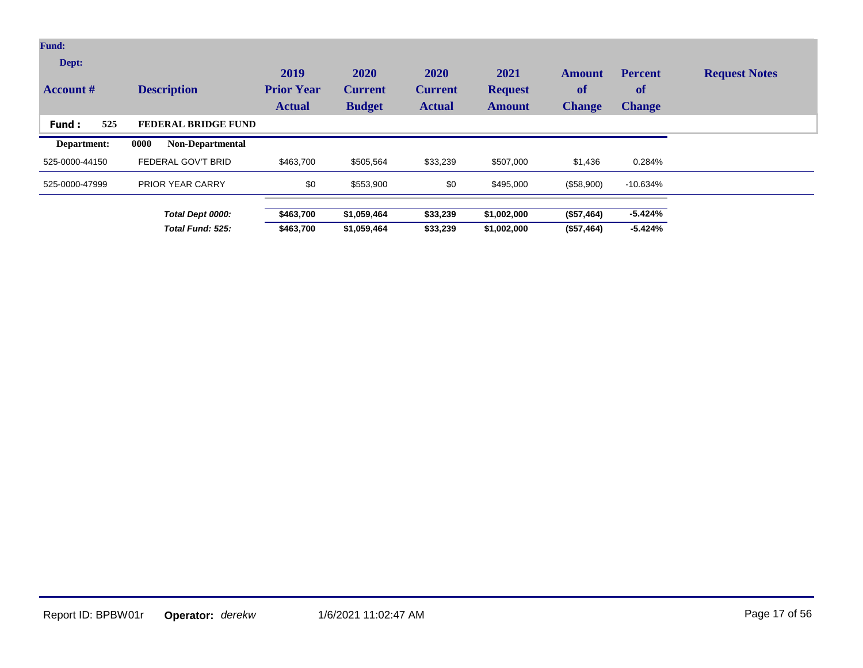| <b>Fund:</b>              |                                 |                                            |                                         |                                         |                                         |                                             |                                              |                      |
|---------------------------|---------------------------------|--------------------------------------------|-----------------------------------------|-----------------------------------------|-----------------------------------------|---------------------------------------------|----------------------------------------------|----------------------|
| Dept:<br><b>Account</b> # | <b>Description</b>              | 2019<br><b>Prior Year</b><br><b>Actual</b> | 2020<br><b>Current</b><br><b>Budget</b> | 2020<br><b>Current</b><br><b>Actual</b> | 2021<br><b>Request</b><br><b>Amount</b> | <b>Amount</b><br><b>of</b><br><b>Change</b> | <b>Percent</b><br><b>of</b><br><b>Change</b> | <b>Request Notes</b> |
| 525<br>Fund:              | FEDERAL BRIDGE FUND             |                                            |                                         |                                         |                                         |                                             |                                              |                      |
| Department:               | 0000<br><b>Non-Departmental</b> |                                            |                                         |                                         |                                         |                                             |                                              |                      |
| 525-0000-44150            | FEDERAL GOV'T BRID              | \$463,700                                  | \$505,564                               | \$33,239                                | \$507,000                               | \$1,436                                     | 0.284%                                       |                      |
| 525-0000-47999            | <b>PRIOR YEAR CARRY</b>         | \$0                                        | \$553,900                               | \$0                                     | \$495,000                               | (\$58,900)                                  | $-10.634%$                                   |                      |
|                           | Total Dept 0000:                | \$463,700                                  | \$1,059,464                             | \$33,239                                | \$1,002,000                             | (\$57,464)                                  | $-5.424%$                                    |                      |
|                           | Total Fund: 525:                | \$463,700                                  | \$1,059,464                             | \$33,239                                | \$1,002,000                             | (\$57,464)                                  | $-5.424%$                                    |                      |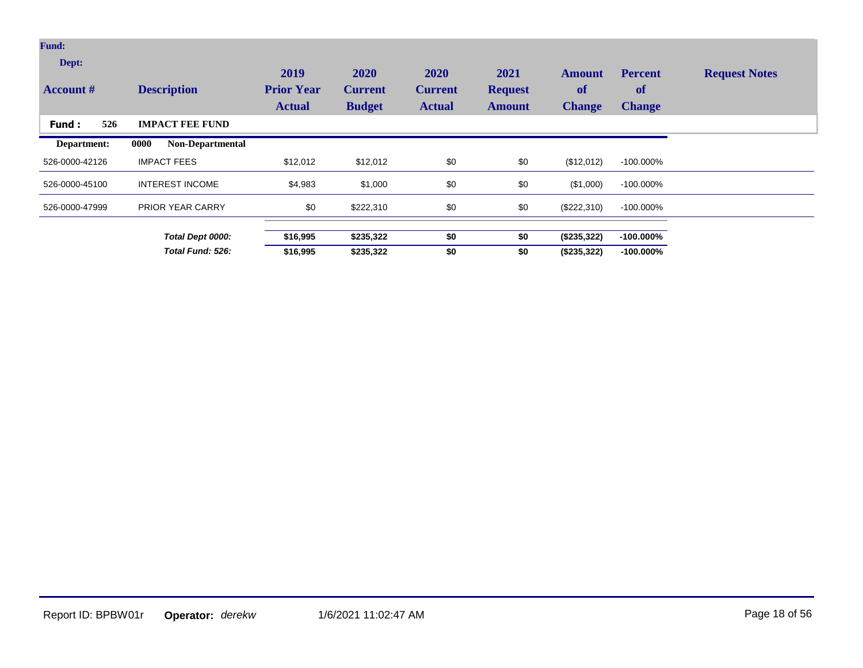| <b>Fund:</b>              |                                 |                                            |                                         |                                                |                                         |                                             |                                       |                      |
|---------------------------|---------------------------------|--------------------------------------------|-----------------------------------------|------------------------------------------------|-----------------------------------------|---------------------------------------------|---------------------------------------|----------------------|
| Dept:<br><b>Account #</b> | <b>Description</b>              | 2019<br><b>Prior Year</b><br><b>Actual</b> | 2020<br><b>Current</b><br><b>Budget</b> | <b>2020</b><br><b>Current</b><br><b>Actual</b> | 2021<br><b>Request</b><br><b>Amount</b> | <b>Amount</b><br><b>of</b><br><b>Change</b> | <b>Percent</b><br>of<br><b>Change</b> | <b>Request Notes</b> |
| 526<br><b>Fund:</b>       | <b>IMPACT FEE FUND</b>          |                                            |                                         |                                                |                                         |                                             |                                       |                      |
| Department:               | 0000<br><b>Non-Departmental</b> |                                            |                                         |                                                |                                         |                                             |                                       |                      |
| 526-0000-42126            | <b>IMPACT FEES</b>              | \$12,012                                   | \$12,012                                | \$0                                            | \$0                                     | (\$12,012)                                  | $-100.000\%$                          |                      |
| 526-0000-45100            | <b>INTEREST INCOME</b>          | \$4,983                                    | \$1,000                                 | \$0                                            | \$0                                     | (\$1,000)                                   | $-100.000\%$                          |                      |
| 526-0000-47999            | <b>PRIOR YEAR CARRY</b>         | \$0                                        | \$222,310                               | \$0                                            | \$0                                     | (\$222,310)                                 | $-100.000\%$                          |                      |
|                           | Total Dept 0000:                | \$16,995                                   | \$235,322                               | \$0                                            | \$0                                     | (\$235,322)                                 | $-100.000\%$                          |                      |
|                           | Total Fund: 526:                | \$16,995                                   | \$235,322                               | \$0                                            | \$0                                     | (\$235,322)                                 | $-100.000\%$                          |                      |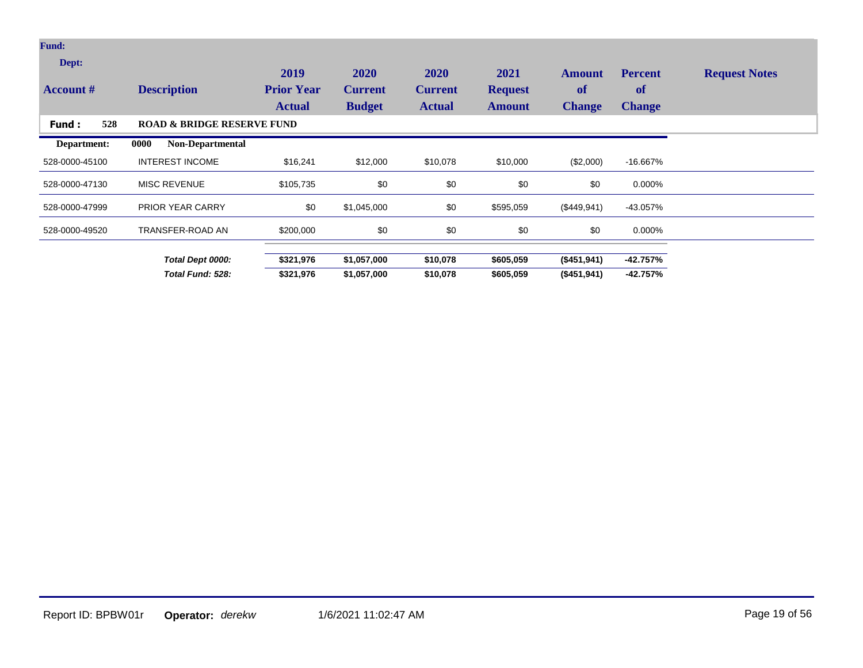| <b>Fund:</b>              |                                       |                                            |                                         |                                         |                                         |                                             |                                       |                      |
|---------------------------|---------------------------------------|--------------------------------------------|-----------------------------------------|-----------------------------------------|-----------------------------------------|---------------------------------------------|---------------------------------------|----------------------|
| Dept:<br><b>Account</b> # | <b>Description</b>                    | 2019<br><b>Prior Year</b><br><b>Actual</b> | 2020<br><b>Current</b><br><b>Budget</b> | 2020<br><b>Current</b><br><b>Actual</b> | 2021<br><b>Request</b><br><b>Amount</b> | <b>Amount</b><br><b>of</b><br><b>Change</b> | <b>Percent</b><br>of<br><b>Change</b> | <b>Request Notes</b> |
| 528<br><b>Fund:</b>       | <b>ROAD &amp; BRIDGE RESERVE FUND</b> |                                            |                                         |                                         |                                         |                                             |                                       |                      |
| Department:               | 0000<br><b>Non-Departmental</b>       |                                            |                                         |                                         |                                         |                                             |                                       |                      |
| 528-0000-45100            | <b>INTEREST INCOME</b>                | \$16,241                                   | \$12,000                                | \$10,078                                | \$10,000                                | (\$2,000)                                   | -16.667%                              |                      |
| 528-0000-47130            | <b>MISC REVENUE</b>                   | \$105,735                                  | \$0                                     | \$0                                     | \$0                                     | \$0                                         | 0.000%                                |                      |
| 528-0000-47999            | PRIOR YEAR CARRY                      | \$0                                        | \$1,045,000                             | \$0                                     | \$595,059                               | (\$449,941)                                 | $-43.057\%$                           |                      |
| 528-0000-49520            | TRANSFER-ROAD AN                      | \$200,000                                  | \$0                                     | \$0                                     | \$0                                     | \$0                                         | 0.000%                                |                      |
|                           | Total Dept 0000:                      | \$321,976                                  | \$1,057,000                             | \$10,078                                | \$605,059                               | (\$451,941)                                 | $-42.757%$                            |                      |
|                           | Total Fund: 528:                      | \$321,976                                  | \$1,057,000                             | \$10,078                                | \$605,059                               | (\$451,941)                                 | $-42.757%$                            |                      |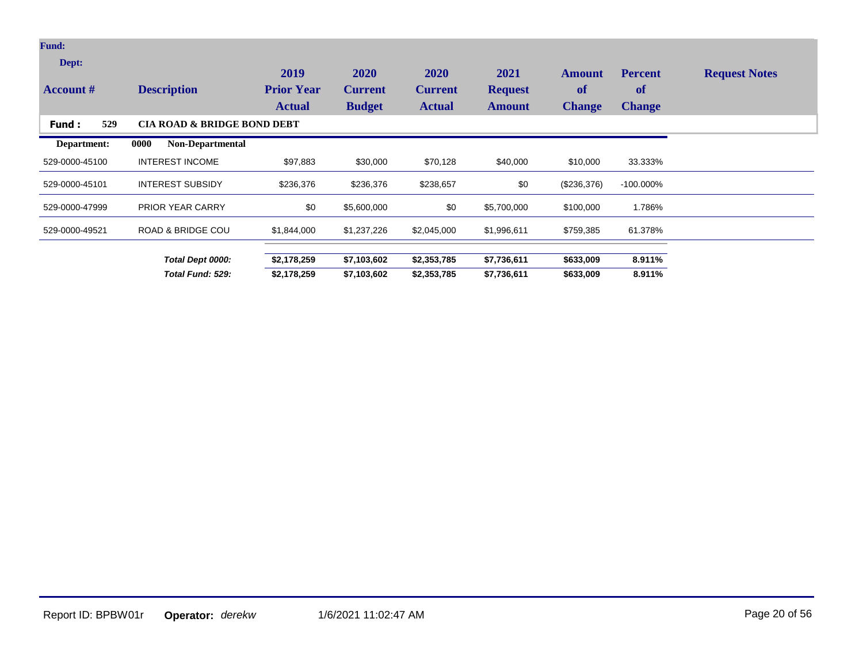| <b>Fund:</b>              |                                        |                                            |                                         |                                         |                                         |                                             |                                       |                      |
|---------------------------|----------------------------------------|--------------------------------------------|-----------------------------------------|-----------------------------------------|-----------------------------------------|---------------------------------------------|---------------------------------------|----------------------|
| Dept:<br><b>Account</b> # | <b>Description</b>                     | 2019<br><b>Prior Year</b><br><b>Actual</b> | 2020<br><b>Current</b><br><b>Budget</b> | 2020<br><b>Current</b><br><b>Actual</b> | 2021<br><b>Request</b><br><b>Amount</b> | <b>Amount</b><br><b>of</b><br><b>Change</b> | <b>Percent</b><br>of<br><b>Change</b> | <b>Request Notes</b> |
| 529<br>Fund:              | <b>CIA ROAD &amp; BRIDGE BOND DEBT</b> |                                            |                                         |                                         |                                         |                                             |                                       |                      |
| Department:               | 0000<br><b>Non-Departmental</b>        |                                            |                                         |                                         |                                         |                                             |                                       |                      |
| 529-0000-45100            | <b>INTEREST INCOME</b>                 | \$97,883                                   | \$30,000                                | \$70,128                                | \$40,000                                | \$10,000                                    | 33.333%                               |                      |
| 529-0000-45101            | <b>INTEREST SUBSIDY</b>                | \$236,376                                  | \$236,376                               | \$238,657                               | \$0                                     | (\$236,376)                                 | $-100.000\%$                          |                      |
| 529-0000-47999            | <b>PRIOR YEAR CARRY</b>                | \$0                                        | \$5,600,000                             | \$0                                     | \$5,700,000                             | \$100,000                                   | 1.786%                                |                      |
| 529-0000-49521            | <b>ROAD &amp; BRIDGE COU</b>           | \$1,844,000                                | \$1,237,226                             | \$2,045,000                             | \$1,996,611                             | \$759,385                                   | 61.378%                               |                      |
|                           | Total Dept 0000:                       | \$2,178,259                                | \$7,103,602                             | \$2,353,785                             | \$7,736,611                             | \$633,009                                   | 8.911%                                |                      |
|                           | Total Fund: 529:                       | \$2,178,259                                | \$7,103,602                             | \$2,353,785                             | \$7,736,611                             | \$633,009                                   | 8.911%                                |                      |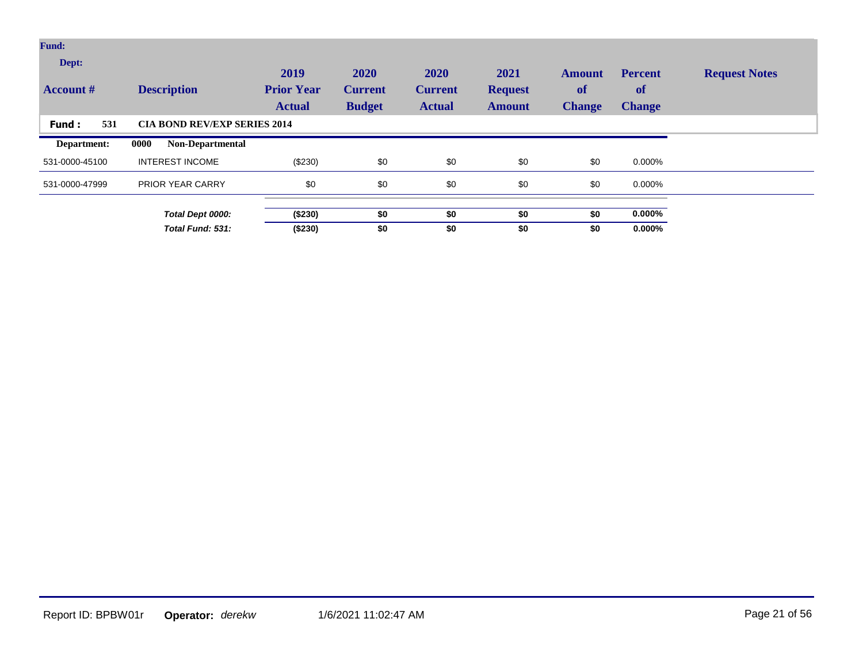| <b>Fund:</b>              |                                     |                                            |                                         |                                         |                                         |                                             |                                       |                      |
|---------------------------|-------------------------------------|--------------------------------------------|-----------------------------------------|-----------------------------------------|-----------------------------------------|---------------------------------------------|---------------------------------------|----------------------|
| Dept:<br><b>Account</b> # | <b>Description</b>                  | 2019<br><b>Prior Year</b><br><b>Actual</b> | 2020<br><b>Current</b><br><b>Budget</b> | 2020<br><b>Current</b><br><b>Actual</b> | 2021<br><b>Request</b><br><b>Amount</b> | <b>Amount</b><br><b>of</b><br><b>Change</b> | <b>Percent</b><br>of<br><b>Change</b> | <b>Request Notes</b> |
| 531<br>Fund:              | <b>CIA BOND REV/EXP SERIES 2014</b> |                                            |                                         |                                         |                                         |                                             |                                       |                      |
| Department:               | 0000<br>Non-Departmental            |                                            |                                         |                                         |                                         |                                             |                                       |                      |
| 531-0000-45100            | <b>INTEREST INCOME</b>              | (\$230)                                    | \$0                                     | \$0                                     | \$0                                     | \$0                                         | 0.000%                                |                      |
| 531-0000-47999            | <b>PRIOR YEAR CARRY</b>             | \$0                                        | \$0                                     | \$0                                     | \$0                                     | \$0                                         | 0.000%                                |                      |
|                           | Total Dept 0000:                    | (\$230)                                    | \$0                                     | \$0                                     | \$0                                     | \$0                                         | $0.000\%$                             |                      |
|                           | Total Fund: 531:                    | (\$230)                                    | \$0                                     | \$0                                     | \$0                                     | \$0                                         | $0.000\%$                             |                      |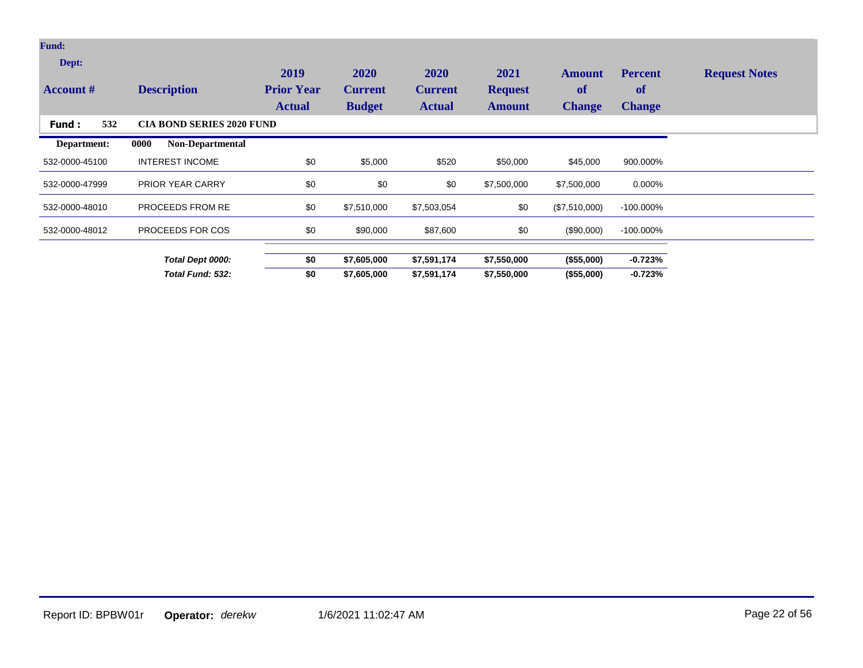| <b>Fund:</b>              |                                  |                                            |                                         |                                         |                                         |                                             |                                              |                      |
|---------------------------|----------------------------------|--------------------------------------------|-----------------------------------------|-----------------------------------------|-----------------------------------------|---------------------------------------------|----------------------------------------------|----------------------|
| Dept:<br><b>Account #</b> | <b>Description</b>               | 2019<br><b>Prior Year</b><br><b>Actual</b> | 2020<br><b>Current</b><br><b>Budget</b> | 2020<br><b>Current</b><br><b>Actual</b> | 2021<br><b>Request</b><br><b>Amount</b> | <b>Amount</b><br><b>of</b><br><b>Change</b> | <b>Percent</b><br><b>of</b><br><b>Change</b> | <b>Request Notes</b> |
| 532<br>Fund:              | <b>CIA BOND SERIES 2020 FUND</b> |                                            |                                         |                                         |                                         |                                             |                                              |                      |
| Department:               | Non-Departmental<br>0000         |                                            |                                         |                                         |                                         |                                             |                                              |                      |
| 532-0000-45100            | <b>INTEREST INCOME</b>           | \$0                                        | \$5,000                                 | \$520                                   | \$50,000                                | \$45,000                                    | 900.000%                                     |                      |
| 532-0000-47999            | <b>PRIOR YEAR CARRY</b>          | \$0                                        | \$0                                     | \$0                                     | \$7,500,000                             | \$7,500,000                                 | 0.000%                                       |                      |
| 532-0000-48010            | PROCEEDS FROM RE                 | \$0                                        | \$7,510,000                             | \$7,503,054                             | \$0                                     | (\$7,510,000)                               | $-100.000\%$                                 |                      |
| 532-0000-48012            | PROCEEDS FOR COS                 | \$0                                        | \$90,000                                | \$87,600                                | \$0                                     | $(\$90,000)$                                | $-100.000\%$                                 |                      |
|                           | Total Dept 0000:                 | \$0                                        | \$7,605,000                             | \$7,591,174                             | \$7,550,000                             | (\$55,000)                                  | $-0.723%$                                    |                      |
|                           | Total Fund: 532:                 | \$0                                        | \$7,605,000                             | \$7,591,174                             | \$7,550,000                             | (\$55,000)                                  | $-0.723%$                                    |                      |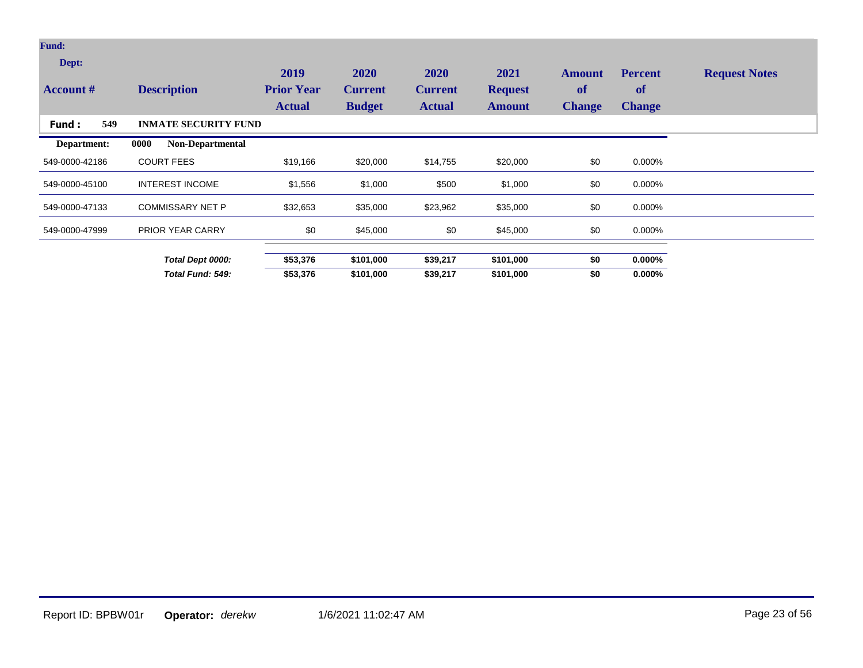| <b>Fund:</b>              |                             |                           |                        |                        |                        |                            |                             |                      |
|---------------------------|-----------------------------|---------------------------|------------------------|------------------------|------------------------|----------------------------|-----------------------------|----------------------|
| Dept:<br><b>Account #</b> | <b>Description</b>          | 2019<br><b>Prior Year</b> | 2020<br><b>Current</b> | 2020<br><b>Current</b> | 2021<br><b>Request</b> | <b>Amount</b><br><b>of</b> | <b>Percent</b><br><b>of</b> | <b>Request Notes</b> |
|                           |                             | <b>Actual</b>             | <b>Budget</b>          | <b>Actual</b>          | <b>Amount</b>          | <b>Change</b>              | <b>Change</b>               |                      |
| 549<br>Fund:              | <b>INMATE SECURITY FUND</b> |                           |                        |                        |                        |                            |                             |                      |
| Department:               | Non-Departmental<br>0000    |                           |                        |                        |                        |                            |                             |                      |
| 549-0000-42186            | <b>COURT FEES</b>           | \$19,166                  | \$20,000               | \$14,755               | \$20,000               | \$0                        | 0.000%                      |                      |
| 549-0000-45100            | <b>INTEREST INCOME</b>      | \$1,556                   | \$1,000                | \$500                  | \$1,000                | \$0                        | 0.000%                      |                      |
| 549-0000-47133            | <b>COMMISSARY NET P</b>     | \$32,653                  | \$35,000               | \$23,962               | \$35,000               | \$0                        | 0.000%                      |                      |
| 549-0000-47999            | <b>PRIOR YEAR CARRY</b>     | \$0                       | \$45,000               | \$0                    | \$45,000               | \$0                        | 0.000%                      |                      |
|                           |                             |                           |                        |                        |                        |                            |                             |                      |
|                           | Total Dept 0000:            | \$53,376                  | \$101,000              | \$39,217               | \$101,000              | \$0                        | $0.000\%$                   |                      |
|                           | Total Fund: 549:            | \$53,376                  | \$101,000              | \$39,217               | \$101,000              | \$0                        | $0.000\%$                   |                      |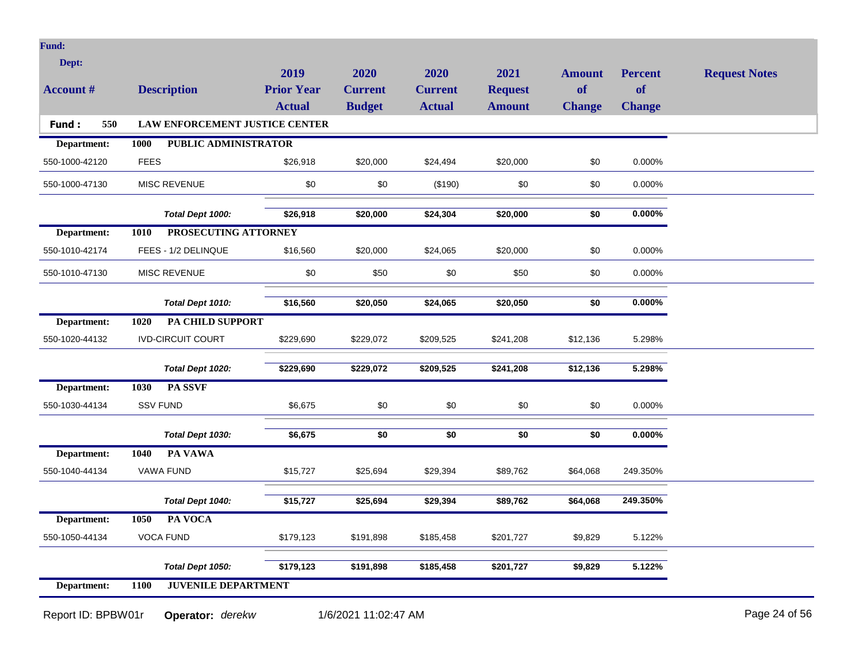| <b>Fund:</b>       |             |                                       |                                    |                                 |                                 |                                 |                     |                            |                      |
|--------------------|-------------|---------------------------------------|------------------------------------|---------------------------------|---------------------------------|---------------------------------|---------------------|----------------------------|----------------------|
| Dept:              |             |                                       | 2019                               | 2020                            | 2020                            | 2021                            | <b>Amount</b>       | <b>Percent</b>             | <b>Request Notes</b> |
| <b>Account #</b>   |             | <b>Description</b>                    | <b>Prior Year</b><br><b>Actual</b> | <b>Current</b><br><b>Budget</b> | <b>Current</b><br><b>Actual</b> | <b>Request</b><br><b>Amount</b> | of<br><b>Change</b> | <b>of</b><br><b>Change</b> |                      |
| 550<br>Fund:       |             | <b>LAW ENFORCEMENT JUSTICE CENTER</b> |                                    |                                 |                                 |                                 |                     |                            |                      |
| Department:        | 1000        | PUBLIC ADMINISTRATOR                  |                                    |                                 |                                 |                                 |                     |                            |                      |
| 550-1000-42120     | <b>FEES</b> |                                       | \$26,918                           | \$20,000                        | \$24,494                        | \$20,000                        | \$0                 | 0.000%                     |                      |
| 550-1000-47130     |             | MISC REVENUE                          | \$0                                | \$0                             | (\$190)                         | \$0                             | \$0                 | 0.000%                     |                      |
|                    |             | Total Dept 1000:                      | \$26,918                           | \$20,000                        | \$24,304                        | \$20,000                        | \$0                 | $0.000\%$                  |                      |
| Department:        | 1010        | PROSECUTING ATTORNEY                  |                                    |                                 |                                 |                                 |                     |                            |                      |
| 550-1010-42174     |             | FEES - 1/2 DELINQUE                   | \$16,560                           | \$20,000                        | \$24,065                        | \$20,000                        | \$0                 | 0.000%                     |                      |
| 550-1010-47130     |             | MISC REVENUE                          | \$0                                | \$50                            | $\$0$                           | \$50                            | \$0                 | 0.000%                     |                      |
|                    |             | Total Dept 1010:                      | \$16,560                           | \$20,050                        | \$24,065                        | \$20,050                        | \$0                 | $0.000\%$                  |                      |
| Department:        | 1020        | PA CHILD SUPPORT                      |                                    |                                 |                                 |                                 |                     |                            |                      |
| 550-1020-44132     |             | <b>IVD-CIRCUIT COURT</b>              | \$229,690                          | \$229,072                       | \$209,525                       | \$241,208                       | \$12,136            | 5.298%                     |                      |
|                    |             | Total Dept 1020:                      | \$229,690                          | \$229,072                       | \$209,525                       | \$241,208                       | \$12,136            | 5.298%                     |                      |
| Department:        | 1030        | PA SSVF                               |                                    |                                 |                                 |                                 |                     |                            |                      |
| 550-1030-44134     |             | <b>SSV FUND</b>                       | \$6,675                            | \$0                             | \$0                             | \$0                             | \$0                 | 0.000%                     |                      |
|                    |             | Total Dept 1030:                      | \$6,675                            | \$0                             | \$0                             | \$0                             | \$0                 | $0.000\%$                  |                      |
| Department:        | 1040        | PA VAWA                               |                                    |                                 |                                 |                                 |                     |                            |                      |
| 550-1040-44134     |             | VAWA FUND                             | \$15,727                           | \$25,694                        | \$29,394                        | \$89,762                        | \$64,068            | 249.350%                   |                      |
|                    |             | Total Dept 1040:                      | \$15,727                           | \$25,694                        | \$29,394                        | \$89,762                        | \$64,068            | 249.350%                   |                      |
| Department:        | 1050        | PA VOCA                               |                                    |                                 |                                 |                                 |                     |                            |                      |
| 550-1050-44134     |             | <b>VOCA FUND</b>                      | \$179,123                          | \$191,898                       | \$185,458                       | \$201,727                       | \$9,829             | 5.122%                     |                      |
|                    |             | Total Dept 1050:                      | \$179,123                          | \$191,898                       | \$185,458                       | \$201,727                       | \$9,829             | 5.122%                     |                      |
| Department:        | <b>1100</b> | <b>JUVENILE DEPARTMENT</b>            |                                    |                                 |                                 |                                 |                     |                            |                      |
| Report ID: BPBW01r |             | Operator: derekw                      |                                    | 1/6/2021 11:02:47 AM            |                                 |                                 |                     |                            | Page 24 of 56        |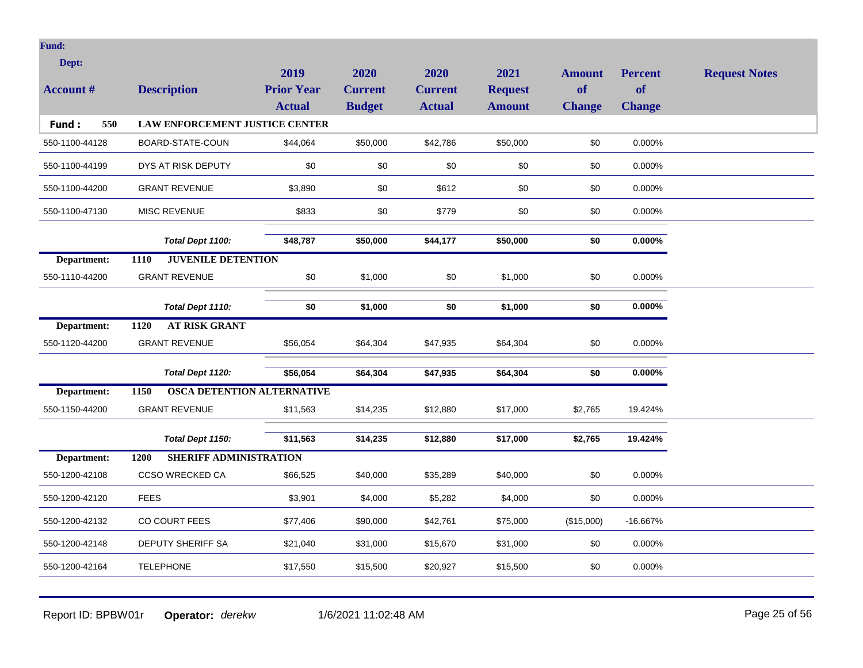| ı |  |
|---|--|
|   |  |
|   |  |

| Dept:<br><b>Account #</b> | <b>Description</b>                    | 2019<br><b>Prior Year</b><br><b>Actual</b> | 2020<br><b>Current</b><br><b>Budget</b> | 2020<br><b>Current</b><br><b>Actual</b> | 2021<br><b>Request</b><br><b>Amount</b> | <b>Amount</b><br>of | <b>Percent</b><br><b>of</b> | <b>Request Notes</b> |
|---------------------------|---------------------------------------|--------------------------------------------|-----------------------------------------|-----------------------------------------|-----------------------------------------|---------------------|-----------------------------|----------------------|
| 550<br>Fund:              | <b>LAW ENFORCEMENT JUSTICE CENTER</b> |                                            |                                         |                                         |                                         | <b>Change</b>       | <b>Change</b>               |                      |
| 550-1100-44128            | BOARD-STATE-COUN                      | \$44,064                                   | \$50,000                                | \$42,786                                | \$50,000                                | \$0                 | 0.000%                      |                      |
| 550-1100-44199            | DYS AT RISK DEPUTY                    | \$0                                        | \$0                                     | \$0                                     | \$0                                     | \$0                 | 0.000%                      |                      |
| 550-1100-44200            | <b>GRANT REVENUE</b>                  | \$3,890                                    | \$0                                     | \$612                                   | \$0                                     | \$0                 | 0.000%                      |                      |
| 550-1100-47130            | MISC REVENUE                          | \$833                                      | \$0                                     | \$779                                   | \$0                                     | \$0                 | 0.000%                      |                      |
|                           | Total Dept 1100:                      | \$48,787                                   | \$50,000                                | \$44,177                                | \$50,000                                | \$0                 | $0.000\%$                   |                      |
| Department:               | <b>JUVENILE DETENTION</b><br>1110     |                                            |                                         |                                         |                                         |                     |                             |                      |
| 550-1110-44200            | <b>GRANT REVENUE</b>                  | \$0                                        | \$1,000                                 | \$0                                     | \$1,000                                 | \$0                 | 0.000%                      |                      |
|                           | Total Dept 1110:                      | \$0                                        | \$1,000                                 | \$0                                     | \$1,000                                 | \$0                 | $0.000\%$                   |                      |
| Department:               | <b>AT RISK GRANT</b><br>1120          |                                            |                                         |                                         |                                         |                     |                             |                      |
| 550-1120-44200            | <b>GRANT REVENUE</b>                  | \$56,054                                   | \$64,304                                | \$47,935                                | \$64,304                                | \$0                 | 0.000%                      |                      |
|                           | Total Dept 1120:                      | \$56,054                                   | \$64,304                                | \$47,935                                | \$64,304                                | \$0                 | $0.000\%$                   |                      |
| Department:               | 1150<br>OSCA DETENTION ALTERNATIVE    |                                            |                                         |                                         |                                         |                     |                             |                      |
| 550-1150-44200            | <b>GRANT REVENUE</b>                  | \$11,563                                   | \$14,235                                | \$12,880                                | \$17,000                                | \$2,765             | 19.424%                     |                      |
|                           | Total Dept 1150:                      | \$11,563                                   | \$14,235                                | \$12,880                                | \$17,000                                | \$2,765             | 19.424%                     |                      |
| Department:               | 1200<br><b>SHERIFF ADMINISTRATION</b> |                                            |                                         |                                         |                                         |                     |                             |                      |
| 550-1200-42108            | CCSO WRECKED CA                       | \$66,525                                   | \$40,000                                | \$35,289                                | \$40,000                                | \$0                 | 0.000%                      |                      |
| 550-1200-42120            | <b>FEES</b>                           | \$3,901                                    | \$4,000                                 | \$5,282                                 | \$4,000                                 | \$0                 | 0.000%                      |                      |
| 550-1200-42132            | CO COURT FEES                         | \$77,406                                   | \$90,000                                | \$42,761                                | \$75,000                                | (\$15,000)          | -16.667%                    |                      |
| 550-1200-42148            | DEPUTY SHERIFF SA                     | \$21,040                                   | \$31,000                                | \$15,670                                | \$31,000                                | \$0                 | 0.000%                      |                      |
| 550-1200-42164            | <b>TELEPHONE</b>                      | \$17,550                                   | \$15,500                                | \$20,927                                | \$15,500                                | \$0                 | 0.000%                      |                      |

Report ID: BPBW01r **Operator:** *derekw* 1/6/2021 11:02:48 AM Page 25 of 56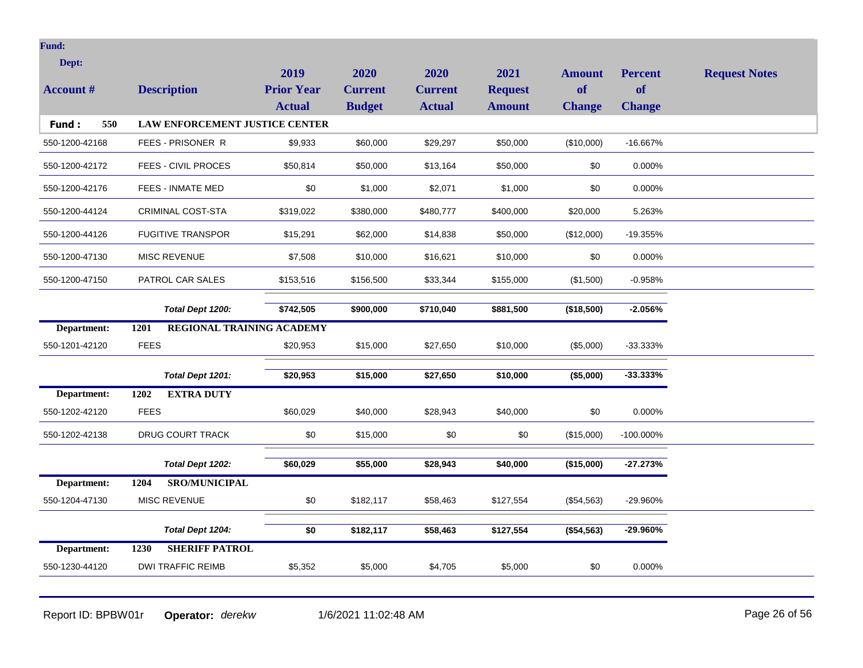| Dept:            |                                       | 2019                      | 2020           | 2020           | 2021           | <b>Amount</b> | <b>Percent</b> | <b>Request Notes</b> |
|------------------|---------------------------------------|---------------------------|----------------|----------------|----------------|---------------|----------------|----------------------|
| <b>Account #</b> | <b>Description</b>                    | <b>Prior Year</b>         | <b>Current</b> | <b>Current</b> | <b>Request</b> | of            | of             |                      |
|                  |                                       | <b>Actual</b>             | <b>Budget</b>  | <b>Actual</b>  | <b>Amount</b>  | <b>Change</b> | <b>Change</b>  |                      |
| Fund:<br>550     | <b>LAW ENFORCEMENT JUSTICE CENTER</b> |                           |                |                |                |               |                |                      |
| 550-1200-42168   | FEES - PRISONER R                     | \$9,933                   | \$60,000       | \$29,297       | \$50,000       | (\$10,000)    | $-16.667%$     |                      |
| 550-1200-42172   | <b>FEES - CIVIL PROCES</b>            | \$50,814                  | \$50,000       | \$13,164       | \$50,000       | \$0           | 0.000%         |                      |
| 550-1200-42176   | <b>FEES - INMATE MED</b>              | \$0                       | \$1,000        | \$2,071        | \$1,000        | \$0           | 0.000%         |                      |
| 550-1200-44124   | <b>CRIMINAL COST-STA</b>              | \$319,022                 | \$380,000      | \$480,777      | \$400,000      | \$20,000      | 5.263%         |                      |
| 550-1200-44126   | <b>FUGITIVE TRANSPOR</b>              | \$15,291                  | \$62,000       | \$14,838       | \$50,000       | (\$12,000)    | -19.355%       |                      |
| 550-1200-47130   | <b>MISC REVENUE</b>                   | \$7,508                   | \$10,000       | \$16,621       | \$10,000       | \$0           | 0.000%         |                      |
| 550-1200-47150   | PATROL CAR SALES                      | \$153,516                 | \$156,500      | \$33,344       | \$155,000      | (\$1,500)     | -0.958%        |                      |
|                  | Total Dept 1200:                      | \$742,505                 | \$900,000      | \$710,040      | \$881,500      | (\$18,500)    | $-2.056%$      |                      |
| Department:      | 1201                                  | REGIONAL TRAINING ACADEMY |                |                |                |               |                |                      |
| 550-1201-42120   | <b>FEES</b>                           | \$20,953                  | \$15,000       | \$27,650       | \$10,000       | (\$5,000)     | $-33.333\%$    |                      |
|                  | Total Dept 1201:                      | \$20,953                  | \$15,000       | \$27,650       | \$10,000       | (\$5,000)     | $-33.333%$     |                      |
| Department:      | 1202<br><b>EXTRA DUTY</b>             |                           |                |                |                |               |                |                      |
| 550-1202-42120   | <b>FEES</b>                           | \$60,029                  | \$40,000       | \$28,943       | \$40,000       | \$0           | 0.000%         |                      |
| 550-1202-42138   | DRUG COURT TRACK                      | \$0                       | \$15,000       | \$0            | \$0            | (\$15,000)    | -100.000%      |                      |
|                  | Total Dept 1202:                      | \$60,029                  | \$55,000       | \$28,943       | \$40,000       | (\$15,000)    | $-27.273%$     |                      |
| Department:      | <b>SRO/MUNICIPAL</b><br>1204          |                           |                |                |                |               |                |                      |
| 550-1204-47130   | MISC REVENUE                          | \$0                       | \$182,117      | \$58,463       | \$127,554      | (\$54,563)    | -29.960%       |                      |
|                  | Total Dept 1204:                      | \$0                       | \$182,117      | \$58,463       | \$127,554      | (\$54,563)    | -29.960%       |                      |
| Department:      | <b>SHERIFF PATROL</b><br>1230         |                           |                |                |                |               |                |                      |
| 550-1230-44120   | <b>DWI TRAFFIC REIMB</b>              | \$5,352                   | \$5,000        | \$4,705        | \$5,000        | \$0           | 0.000%         |                      |
|                  |                                       |                           |                |                |                |               |                |                      |

Report ID: BPBW01r **Operator:** *derekw* 1/6/2021 11:02:48 AM **Page 26 of 56**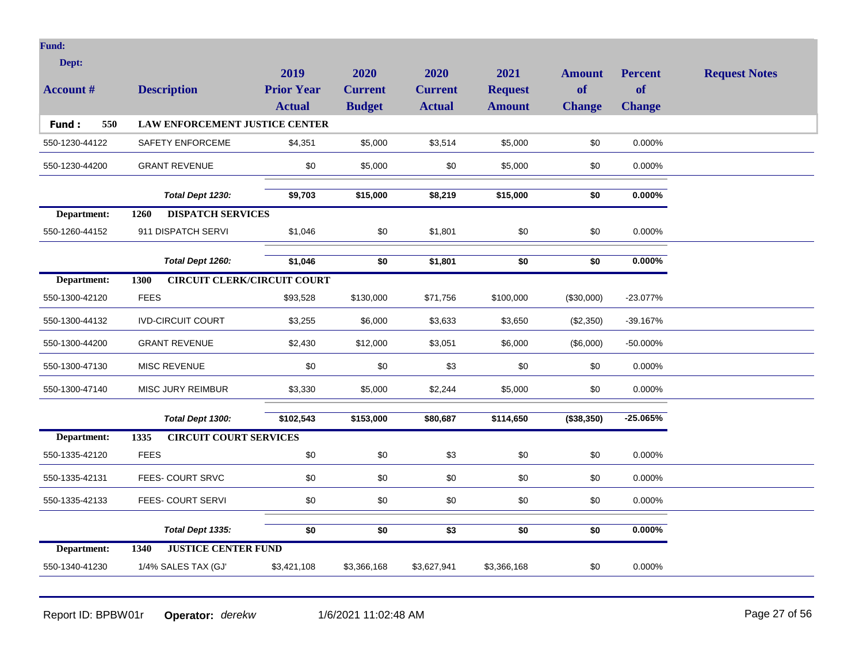| Dept:<br><b>Account #</b> | <b>Description</b>                         | 2019<br><b>Prior Year</b><br><b>Actual</b> | 2020<br><b>Current</b><br><b>Budget</b> | 2020<br><b>Current</b><br><b>Actual</b> | 2021<br><b>Request</b><br><b>Amount</b> | <b>Amount</b><br>of<br><b>Change</b> | <b>Percent</b><br><b>of</b><br><b>Change</b> | <b>Request Notes</b> |
|---------------------------|--------------------------------------------|--------------------------------------------|-----------------------------------------|-----------------------------------------|-----------------------------------------|--------------------------------------|----------------------------------------------|----------------------|
| 550<br>Fund:              | <b>LAW ENFORCEMENT JUSTICE CENTER</b>      |                                            |                                         |                                         |                                         |                                      |                                              |                      |
| 550-1230-44122            | SAFETY ENFORCEME                           | \$4,351                                    | \$5,000                                 | \$3,514                                 | \$5,000                                 | \$0                                  | 0.000%                                       |                      |
| 550-1230-44200            | <b>GRANT REVENUE</b>                       | \$0                                        | \$5,000                                 | \$0                                     | \$5,000                                 | \$0                                  | 0.000%                                       |                      |
|                           | Total Dept 1230:                           | \$9,703                                    | \$15,000                                | \$8,219                                 | \$15,000                                | \$0                                  | $0.000\%$                                    |                      |
| Department:               | <b>DISPATCH SERVICES</b><br>1260           |                                            |                                         |                                         |                                         |                                      |                                              |                      |
| 550-1260-44152            | 911 DISPATCH SERVI                         | \$1,046                                    | \$0                                     | \$1,801                                 | \$0                                     | \$0                                  | 0.000%                                       |                      |
|                           | Total Dept 1260:                           | \$1,046                                    | \$0                                     | \$1,801                                 | \$0                                     | \$0                                  | $0.000\%$                                    |                      |
| Department:               | <b>CIRCUIT CLERK/CIRCUIT COURT</b><br>1300 |                                            |                                         |                                         |                                         |                                      |                                              |                      |
| 550-1300-42120            | <b>FEES</b>                                | \$93,528                                   | \$130,000                               | \$71,756                                | \$100,000                               | (\$30,000)                           | $-23.077%$                                   |                      |
| 550-1300-44132            | <b>IVD-CIRCUIT COURT</b>                   | \$3,255                                    | \$6,000                                 | \$3,633                                 | \$3,650                                 | (\$2,350)                            | -39.167%                                     |                      |
| 550-1300-44200            | <b>GRANT REVENUE</b>                       | \$2,430                                    | \$12,000                                | \$3,051                                 | \$6,000                                 | (\$6,000)                            | $-50.000\%$                                  |                      |
| 550-1300-47130            | MISC REVENUE                               | \$0                                        | \$0                                     | \$3                                     | \$0                                     | \$0                                  | 0.000%                                       |                      |
| 550-1300-47140            | <b>MISC JURY REIMBUR</b>                   | \$3,330                                    | \$5,000                                 | \$2,244                                 | \$5,000                                 | \$0                                  | 0.000%                                       |                      |
|                           | Total Dept 1300:                           | \$102,543                                  | \$153,000                               | \$80,687                                | \$114,650                               | (\$38,350)                           | $-25.065%$                                   |                      |
| Department:               | <b>CIRCUIT COURT SERVICES</b><br>1335      |                                            |                                         |                                         |                                         |                                      |                                              |                      |
| 550-1335-42120            | <b>FEES</b>                                | \$0                                        | \$0                                     | \$3                                     | \$0                                     | \$0                                  | 0.000%                                       |                      |
| 550-1335-42131            | FEES- COURT SRVC                           | \$0                                        | \$0                                     | \$0                                     | \$0                                     | \$0                                  | 0.000%                                       |                      |
| 550-1335-42133            | FEES- COURT SERVI                          | \$0                                        | \$0                                     | \$0                                     | \$0                                     | \$0                                  | 0.000%                                       |                      |
|                           | Total Dept 1335:                           | \$0                                        | \$0                                     | \$3                                     | \$0                                     | \$0                                  | $0.000\%$                                    |                      |
| Department:               | <b>JUSTICE CENTER FUND</b><br>1340         |                                            |                                         |                                         |                                         |                                      |                                              |                      |
| 550-1340-41230            | 1/4% SALES TAX (GJ'                        | \$3,421,108                                | \$3,366,168                             | \$3,627,941                             | \$3,366,168                             | \$0                                  | 0.000%                                       |                      |

Report ID: BPBW01r **Operator:** *derekw* 1/6/2021 11:02:48 AM Page 27 of 56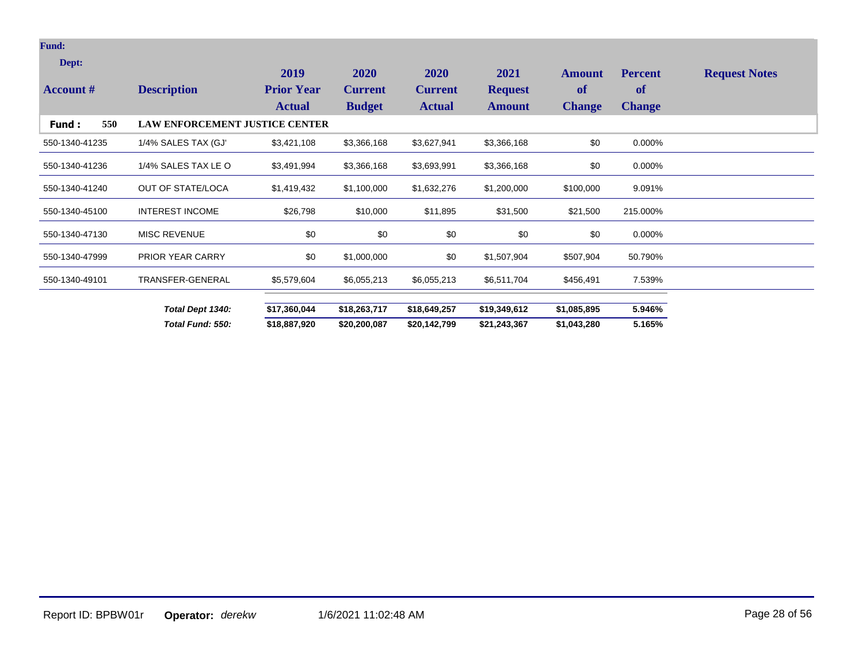## **Fund:**

| Dept:            |                                       | 2019              | 2020           | <b>2020</b>    | 2021           | <b>Amount</b> | <b>Percent</b> | <b>Request Notes</b> |
|------------------|---------------------------------------|-------------------|----------------|----------------|----------------|---------------|----------------|----------------------|
| <b>Account #</b> | <b>Description</b>                    | <b>Prior Year</b> | <b>Current</b> | <b>Current</b> | <b>Request</b> | of            | <b>of</b>      |                      |
|                  |                                       | <b>Actual</b>     | <b>Budget</b>  | <b>Actual</b>  | <b>Amount</b>  | <b>Change</b> | <b>Change</b>  |                      |
| 550<br>Fund :    | <b>LAW ENFORCEMENT JUSTICE CENTER</b> |                   |                |                |                |               |                |                      |
| 550-1340-41235   | 1/4% SALES TAX (GJ'                   | \$3,421,108       | \$3,366,168    | \$3,627,941    | \$3,366,168    | \$0           | 0.000%         |                      |
| 550-1340-41236   | 1/4% SALES TAX LE O                   | \$3,491,994       | \$3,366,168    | \$3,693,991    | \$3,366,168    | \$0           | 0.000%         |                      |
| 550-1340-41240   | OUT OF STATE/LOCA                     | \$1,419,432       | \$1,100,000    | \$1,632,276    | \$1,200,000    | \$100,000     | 9.091%         |                      |
| 550-1340-45100   | <b>INTEREST INCOME</b>                | \$26,798          | \$10,000       | \$11,895       | \$31,500       | \$21,500      | 215.000%       |                      |
| 550-1340-47130   | <b>MISC REVENUE</b>                   | \$0               | \$0            | \$0            | \$0            | \$0           | 0.000%         |                      |
| 550-1340-47999   | <b>PRIOR YEAR CARRY</b>               | \$0               | \$1,000,000    | \$0            | \$1,507,904    | \$507,904     | 50.790%        |                      |
| 550-1340-49101   | TRANSFER-GENERAL                      | \$5,579,604       | \$6,055,213    | \$6,055,213    | \$6,511,704    | \$456,491     | 7.539%         |                      |
|                  | Total Dept 1340:                      | \$17,360,044      | \$18,263,717   | \$18,649,257   | \$19,349,612   | \$1,085,895   | 5.946%         |                      |
|                  | Total Fund: 550:                      | \$18,887,920      | \$20,200,087   | \$20,142,799   | \$21,243,367   | \$1,043,280   | 5.165%         |                      |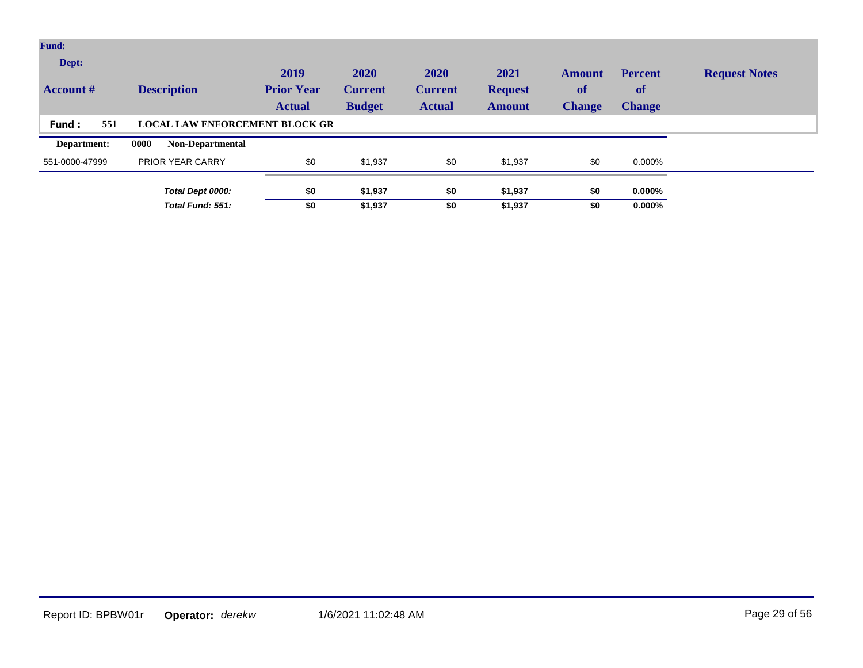| <b>Fund:</b>              |                                       |                                            |                                         |                                         |                                         |                                             |                                       |                      |
|---------------------------|---------------------------------------|--------------------------------------------|-----------------------------------------|-----------------------------------------|-----------------------------------------|---------------------------------------------|---------------------------------------|----------------------|
| Dept:<br><b>Account</b> # | <b>Description</b>                    | 2019<br><b>Prior Year</b><br><b>Actual</b> | 2020<br><b>Current</b><br><b>Budget</b> | 2020<br><b>Current</b><br><b>Actual</b> | 2021<br><b>Request</b><br><b>Amount</b> | <b>Amount</b><br><b>of</b><br><b>Change</b> | <b>Percent</b><br>of<br><b>Change</b> | <b>Request Notes</b> |
| 551<br><b>Fund:</b>       | <b>LOCAL LAW ENFORCEMENT BLOCK GR</b> |                                            |                                         |                                         |                                         |                                             |                                       |                      |
| Department:               | 0000<br><b>Non-Departmental</b>       |                                            |                                         |                                         |                                         |                                             |                                       |                      |
| 551-0000-47999            | <b>PRIOR YEAR CARRY</b>               | \$0                                        | \$1,937                                 | \$0                                     | \$1,937                                 | \$0                                         | 0.000%                                |                      |
|                           |                                       |                                            |                                         |                                         |                                         |                                             |                                       |                      |
|                           | Total Dept 0000:                      | \$0                                        | \$1,937                                 | \$0                                     | \$1,937                                 | \$0                                         | $0.000\%$                             |                      |
|                           | Total Fund: 551:                      | \$0                                        | \$1,937                                 | \$0                                     | \$1,937                                 | \$0                                         | $0.000\%$                             |                      |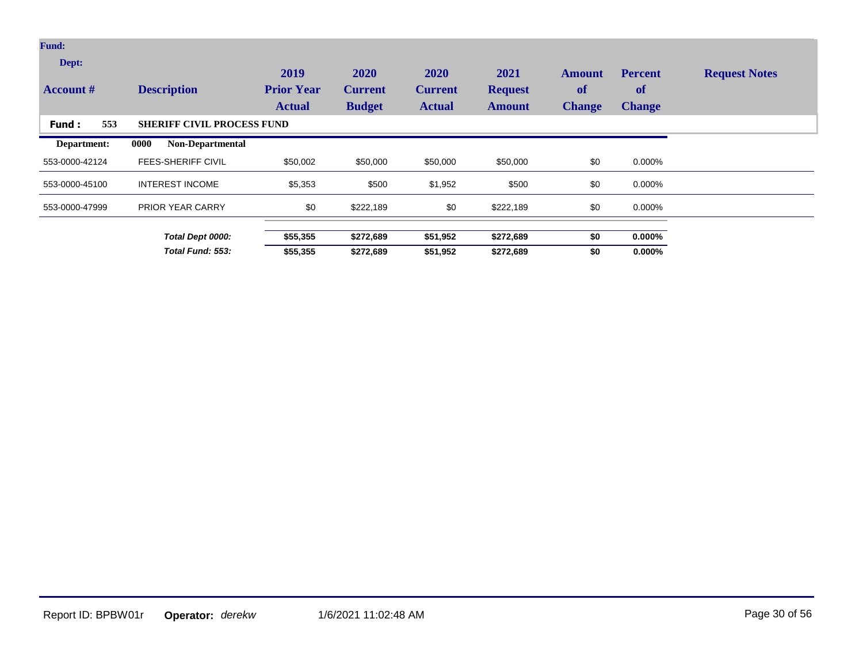| <b>Fund:</b>              |                                   |                                            |                                         |                                         |                                         |                                      |                                       |                      |
|---------------------------|-----------------------------------|--------------------------------------------|-----------------------------------------|-----------------------------------------|-----------------------------------------|--------------------------------------|---------------------------------------|----------------------|
| Dept:<br><b>Account</b> # | <b>Description</b>                | 2019<br><b>Prior Year</b><br><b>Actual</b> | 2020<br><b>Current</b><br><b>Budget</b> | 2020<br><b>Current</b><br><b>Actual</b> | 2021<br><b>Request</b><br><b>Amount</b> | <b>Amount</b><br>of<br><b>Change</b> | <b>Percent</b><br>of<br><b>Change</b> | <b>Request Notes</b> |
| 553<br>Fund:              | <b>SHERIFF CIVIL PROCESS FUND</b> |                                            |                                         |                                         |                                         |                                      |                                       |                      |
| Department:               | 0000<br><b>Non-Departmental</b>   |                                            |                                         |                                         |                                         |                                      |                                       |                      |
| 553-0000-42124            | <b>FEES-SHERIFF CIVIL</b>         | \$50,002                                   | \$50,000                                | \$50,000                                | \$50,000                                | \$0                                  | 0.000%                                |                      |
| 553-0000-45100            | <b>INTEREST INCOME</b>            | \$5,353                                    | \$500                                   | \$1,952                                 | \$500                                   | \$0                                  | 0.000%                                |                      |
| 553-0000-47999            | <b>PRIOR YEAR CARRY</b>           | \$0                                        | \$222,189                               | \$0                                     | \$222,189                               | \$0                                  | 0.000%                                |                      |
|                           | Total Dept 0000:                  | \$55,355                                   | \$272,689                               | \$51,952                                | \$272,689                               | \$0                                  | $0.000\%$                             |                      |
|                           | Total Fund: 553:                  | \$55,355                                   | \$272,689                               | \$51,952                                | \$272,689                               | \$0                                  | $0.000\%$                             |                      |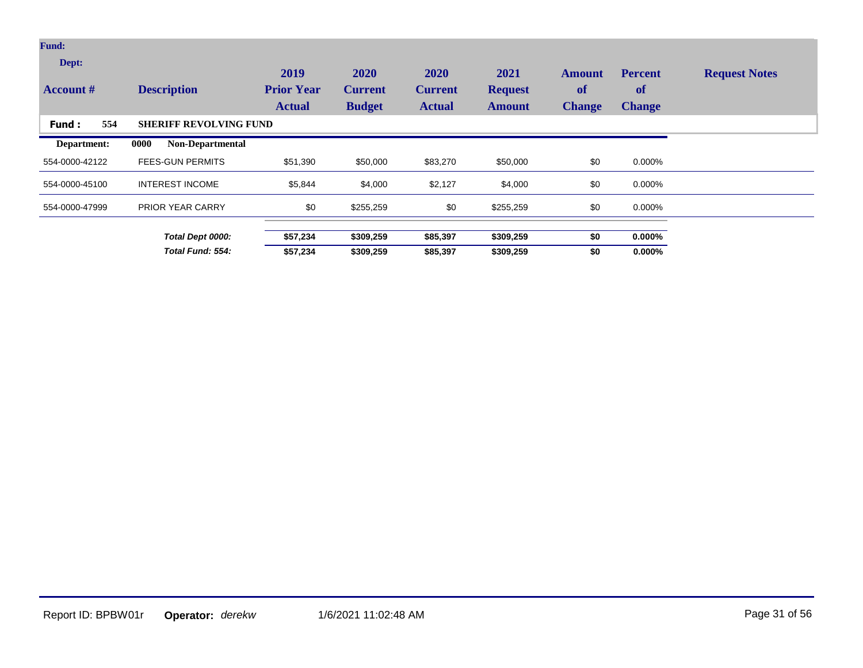| <b>Fund:</b>              |                                 |                                            |                                         |                                         |                                         |                                      |                                       |                      |
|---------------------------|---------------------------------|--------------------------------------------|-----------------------------------------|-----------------------------------------|-----------------------------------------|--------------------------------------|---------------------------------------|----------------------|
| Dept:<br><b>Account</b> # | <b>Description</b>              | 2019<br><b>Prior Year</b><br><b>Actual</b> | 2020<br><b>Current</b><br><b>Budget</b> | 2020<br><b>Current</b><br><b>Actual</b> | 2021<br><b>Request</b><br><b>Amount</b> | <b>Amount</b><br>of<br><b>Change</b> | <b>Percent</b><br>of<br><b>Change</b> | <b>Request Notes</b> |
| 554<br><b>Fund:</b>       | <b>SHERIFF REVOLVING FUND</b>   |                                            |                                         |                                         |                                         |                                      |                                       |                      |
| Department:               | 0000<br><b>Non-Departmental</b> |                                            |                                         |                                         |                                         |                                      |                                       |                      |
| 554-0000-42122            | <b>FEES-GUN PERMITS</b>         | \$51,390                                   | \$50,000                                | \$83,270                                | \$50,000                                | \$0                                  | 0.000%                                |                      |
| 554-0000-45100            | <b>INTEREST INCOME</b>          | \$5,844                                    | \$4,000                                 | \$2,127                                 | \$4,000                                 | \$0                                  | 0.000%                                |                      |
| 554-0000-47999            | <b>PRIOR YEAR CARRY</b>         | \$0                                        | \$255,259                               | \$0                                     | \$255,259                               | \$0                                  | 0.000%                                |                      |
|                           | Total Dept 0000:                | \$57,234                                   | \$309,259                               | \$85,397                                | \$309,259                               | \$0                                  | $0.000\%$                             |                      |
|                           | Total Fund: 554:                | \$57,234                                   | \$309,259                               | \$85,397                                | \$309,259                               | \$0                                  | $0.000\%$                             |                      |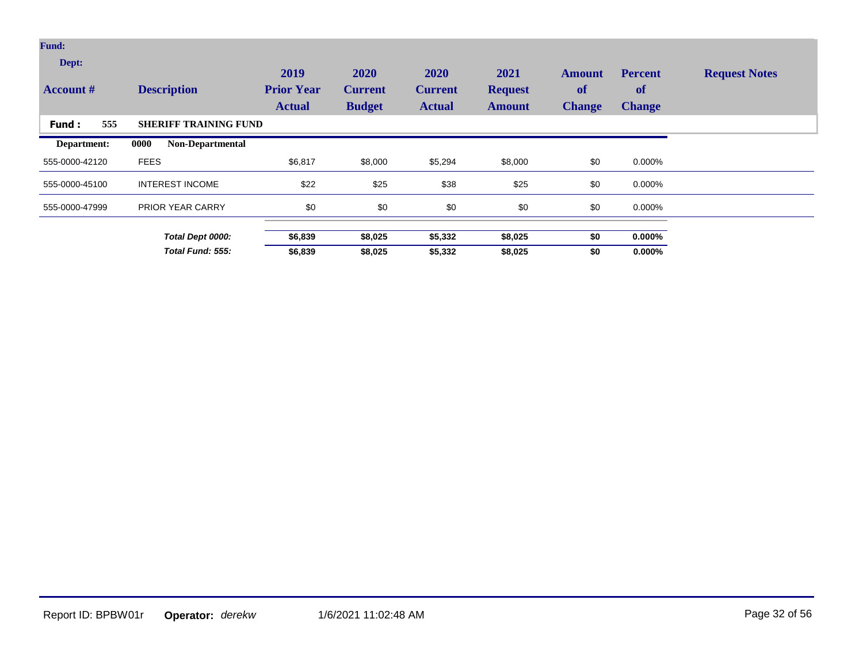| <b>Fund:</b>              |                                 |                                            |                                         |                                         |                                         |                                      |                                       |                      |
|---------------------------|---------------------------------|--------------------------------------------|-----------------------------------------|-----------------------------------------|-----------------------------------------|--------------------------------------|---------------------------------------|----------------------|
| Dept:<br><b>Account</b> # | <b>Description</b>              | 2019<br><b>Prior Year</b><br><b>Actual</b> | 2020<br><b>Current</b><br><b>Budget</b> | 2020<br><b>Current</b><br><b>Actual</b> | 2021<br><b>Request</b><br><b>Amount</b> | <b>Amount</b><br>of<br><b>Change</b> | <b>Percent</b><br>of<br><b>Change</b> | <b>Request Notes</b> |
| 555<br>Fund:              | <b>SHERIFF TRAINING FUND</b>    |                                            |                                         |                                         |                                         |                                      |                                       |                      |
| Department:               | 0000<br><b>Non-Departmental</b> |                                            |                                         |                                         |                                         |                                      |                                       |                      |
| 555-0000-42120            | <b>FEES</b>                     | \$6,817                                    | \$8,000                                 | \$5,294                                 | \$8,000                                 | \$0                                  | 0.000%                                |                      |
| 555-0000-45100            | <b>INTEREST INCOME</b>          | \$22                                       | \$25                                    | \$38                                    | \$25                                    | \$0                                  | 0.000%                                |                      |
| 555-0000-47999            | PRIOR YEAR CARRY                | \$0                                        | \$0                                     | \$0                                     | \$0                                     | \$0                                  | 0.000%                                |                      |
|                           | Total Dept 0000:                | \$6,839                                    | \$8,025                                 | \$5,332                                 | \$8,025                                 | \$0                                  | $0.000\%$                             |                      |
|                           | Total Fund: 555:                | \$6,839                                    | \$8,025                                 | \$5,332                                 | \$8,025                                 | \$0                                  | $0.000\%$                             |                      |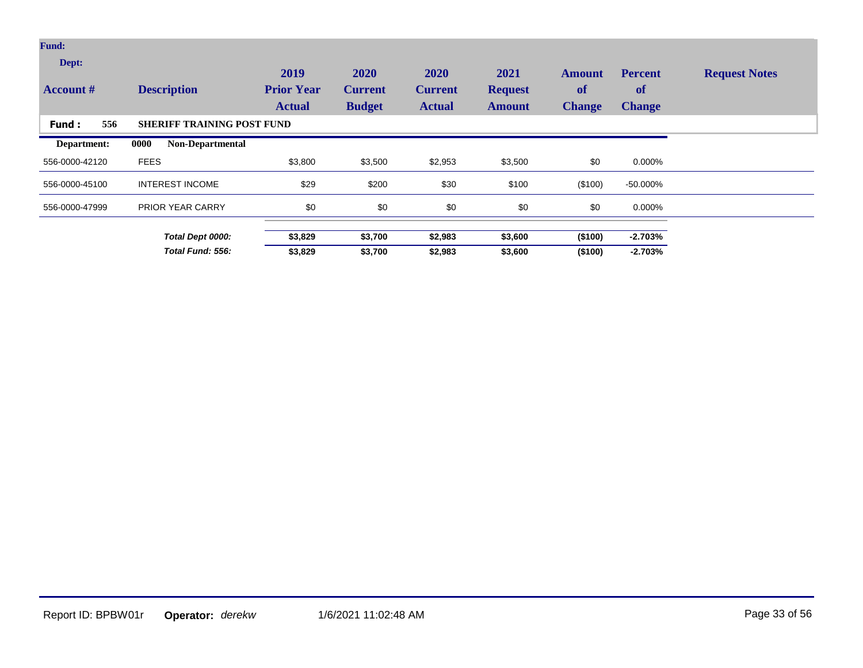| <b>Fund:</b><br>Dept:<br><b>Account #</b> | <b>Description</b>                | 2019<br><b>Prior Year</b><br><b>Actual</b> | 2020<br><b>Current</b><br><b>Budget</b> | 2020<br><b>Current</b><br><b>Actual</b> | 2021<br><b>Request</b><br><b>Amount</b> | <b>Amount</b><br>of<br><b>Change</b> | <b>Percent</b><br><b>of</b><br><b>Change</b> | <b>Request Notes</b> |
|-------------------------------------------|-----------------------------------|--------------------------------------------|-----------------------------------------|-----------------------------------------|-----------------------------------------|--------------------------------------|----------------------------------------------|----------------------|
| 556<br><b>Fund:</b>                       | <b>SHERIFF TRAINING POST FUND</b> |                                            |                                         |                                         |                                         |                                      |                                              |                      |
| Department:                               | 0000<br><b>Non-Departmental</b>   |                                            |                                         |                                         |                                         |                                      |                                              |                      |
| 556-0000-42120                            | <b>FEES</b>                       | \$3,800                                    | \$3,500                                 | \$2,953                                 | \$3,500                                 | \$0                                  | 0.000%                                       |                      |
| 556-0000-45100                            | <b>INTEREST INCOME</b>            | \$29                                       | \$200                                   | \$30                                    | \$100                                   | (\$100)                              | $-50.000\%$                                  |                      |
| 556-0000-47999                            | <b>PRIOR YEAR CARRY</b>           | \$0                                        | \$0                                     | \$0                                     | \$0                                     | \$0                                  | 0.000%                                       |                      |
|                                           | Total Dept 0000:                  | \$3,829                                    | \$3,700                                 | \$2,983                                 | \$3,600                                 | (\$100)                              | $-2.703%$                                    |                      |
|                                           | Total Fund: 556:                  | \$3,829                                    | \$3,700                                 | \$2,983                                 | \$3,600                                 | (\$100)                              | $-2.703%$                                    |                      |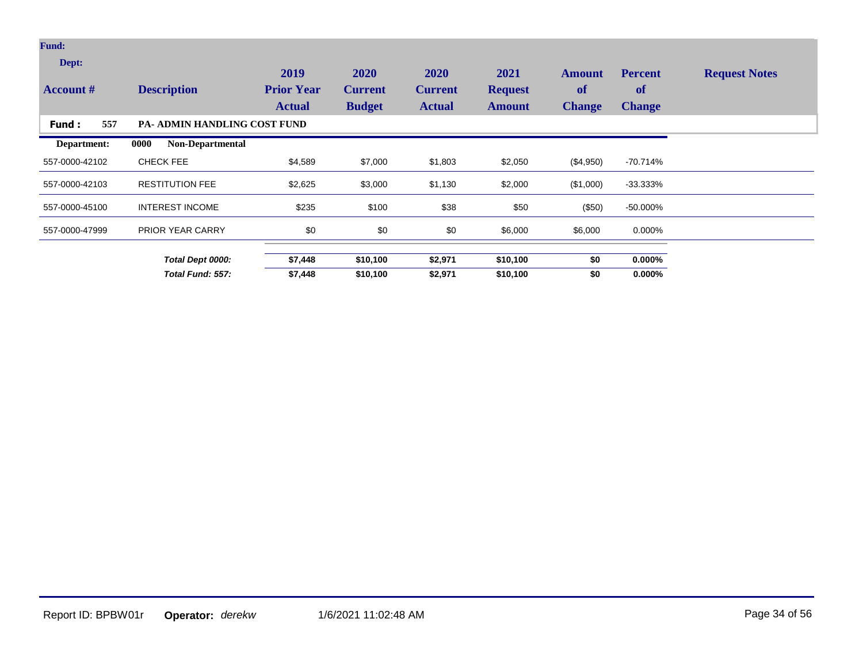| <b>Fund:</b>              |                                     |                                            |                                         |                                         |                                         |                                      |                                              |                      |
|---------------------------|-------------------------------------|--------------------------------------------|-----------------------------------------|-----------------------------------------|-----------------------------------------|--------------------------------------|----------------------------------------------|----------------------|
| Dept:<br><b>Account #</b> | <b>Description</b>                  | 2019<br><b>Prior Year</b><br><b>Actual</b> | 2020<br><b>Current</b><br><b>Budget</b> | 2020<br><b>Current</b><br><b>Actual</b> | 2021<br><b>Request</b><br><b>Amount</b> | <b>Amount</b><br>of<br><b>Change</b> | <b>Percent</b><br><b>of</b><br><b>Change</b> | <b>Request Notes</b> |
| 557<br>Fund:              | <b>PA- ADMIN HANDLING COST FUND</b> |                                            |                                         |                                         |                                         |                                      |                                              |                      |
| Department:               | <b>Non-Departmental</b><br>0000     |                                            |                                         |                                         |                                         |                                      |                                              |                      |
| 557-0000-42102            | <b>CHECK FEE</b>                    | \$4,589                                    | \$7,000                                 | \$1,803                                 | \$2,050                                 | (\$4,950)                            | $-70.714%$                                   |                      |
| 557-0000-42103            | <b>RESTITUTION FEE</b>              | \$2,625                                    | \$3,000                                 | \$1,130                                 | \$2,000                                 | (\$1,000)                            | $-33.333\%$                                  |                      |
| 557-0000-45100            | <b>INTEREST INCOME</b>              | \$235                                      | \$100                                   | \$38                                    | \$50                                    | (\$50)                               | $-50.000\%$                                  |                      |
| 557-0000-47999            | PRIOR YEAR CARRY                    | \$0                                        | \$0                                     | \$0                                     | \$6,000                                 | \$6,000                              | 0.000%                                       |                      |
|                           | Total Dept 0000:                    | \$7,448                                    | \$10,100                                | \$2,971                                 | \$10,100                                | \$0                                  | $0.000\%$                                    |                      |
|                           | Total Fund: 557:                    | \$7,448                                    | \$10,100                                | \$2,971                                 | \$10,100                                | \$0                                  | $0.000\%$                                    |                      |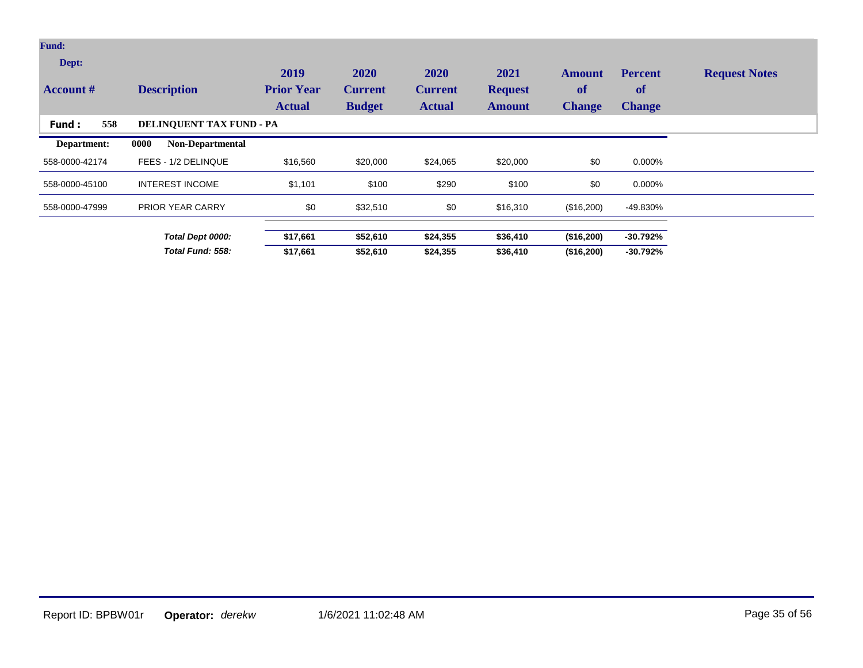| <b>Fund:</b>              |                                 |                                            |                                         |                                         |                                         |                                      |                                       |                      |
|---------------------------|---------------------------------|--------------------------------------------|-----------------------------------------|-----------------------------------------|-----------------------------------------|--------------------------------------|---------------------------------------|----------------------|
| Dept:<br><b>Account #</b> | <b>Description</b>              | 2019<br><b>Prior Year</b><br><b>Actual</b> | 2020<br><b>Current</b><br><b>Budget</b> | 2020<br><b>Current</b><br><b>Actual</b> | 2021<br><b>Request</b><br><b>Amount</b> | <b>Amount</b><br>of<br><b>Change</b> | <b>Percent</b><br>of<br><b>Change</b> | <b>Request Notes</b> |
| 558<br>Fund:              | <b>DELINQUENT TAX FUND - PA</b> |                                            |                                         |                                         |                                         |                                      |                                       |                      |
| Department:               | 0000<br><b>Non-Departmental</b> |                                            |                                         |                                         |                                         |                                      |                                       |                      |
| 558-0000-42174            | FEES - 1/2 DELINQUE             | \$16,560                                   | \$20,000                                | \$24,065                                | \$20,000                                | \$0                                  | 0.000%                                |                      |
| 558-0000-45100            | <b>INTEREST INCOME</b>          | \$1,101                                    | \$100                                   | \$290                                   | \$100                                   | \$0                                  | 0.000%                                |                      |
| 558-0000-47999            | <b>PRIOR YEAR CARRY</b>         | \$0                                        | \$32,510                                | \$0                                     | \$16,310                                | (\$16,200)                           | -49.830%                              |                      |
|                           | Total Dept 0000:                | \$17,661                                   | \$52,610                                | \$24,355                                | \$36,410                                | (\$16,200)                           | -30.792%                              |                      |
|                           | Total Fund: 558:                | \$17,661                                   | \$52,610                                | \$24,355                                | \$36,410                                | (\$16,200)                           | $-30.792%$                            |                      |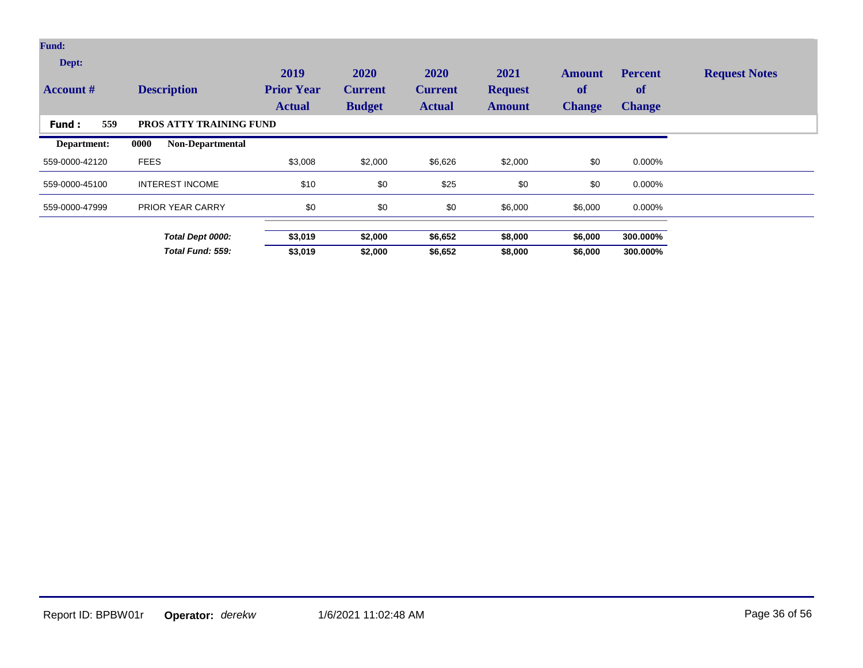| <b>Fund:</b>              |                                 |                                            |                                         |                                         |                                         |                                      |                                              |                      |
|---------------------------|---------------------------------|--------------------------------------------|-----------------------------------------|-----------------------------------------|-----------------------------------------|--------------------------------------|----------------------------------------------|----------------------|
| Dept:<br><b>Account #</b> | <b>Description</b>              | 2019<br><b>Prior Year</b><br><b>Actual</b> | 2020<br><b>Current</b><br><b>Budget</b> | 2020<br><b>Current</b><br><b>Actual</b> | 2021<br><b>Request</b><br><b>Amount</b> | <b>Amount</b><br>of<br><b>Change</b> | <b>Percent</b><br><b>of</b><br><b>Change</b> | <b>Request Notes</b> |
| 559<br>Fund:              | PROS ATTY TRAINING FUND         |                                            |                                         |                                         |                                         |                                      |                                              |                      |
| Department:               | 0000<br><b>Non-Departmental</b> |                                            |                                         |                                         |                                         |                                      |                                              |                      |
| 559-0000-42120            | <b>FEES</b>                     | \$3,008                                    | \$2,000                                 | \$6,626                                 | \$2,000                                 | \$0                                  | 0.000%                                       |                      |
| 559-0000-45100            | <b>INTEREST INCOME</b>          | \$10                                       | \$0                                     | \$25                                    | \$0                                     | \$0                                  | 0.000%                                       |                      |
| 559-0000-47999            | <b>PRIOR YEAR CARRY</b>         | \$0                                        | \$0                                     | \$0                                     | \$6,000                                 | \$6,000                              | 0.000%                                       |                      |
|                           | Total Dept 0000:                | \$3,019                                    | \$2,000                                 | \$6,652                                 | \$8,000                                 | \$6,000                              | 300.000%                                     |                      |
|                           | Total Fund: 559:                | \$3,019                                    | \$2,000                                 | \$6,652                                 | \$8,000                                 | \$6,000                              | 300.000%                                     |                      |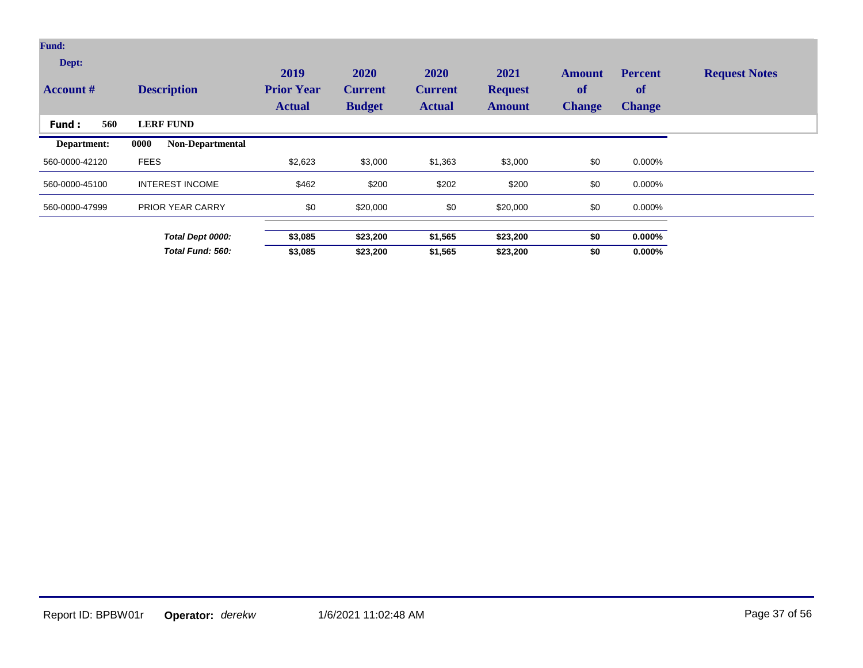| Fund:<br>Dept:<br><b>Account</b> # | <b>Description</b>              | 2019<br><b>Prior Year</b><br><b>Actual</b> | 2020<br><b>Current</b><br><b>Budget</b> | 2020<br><b>Current</b><br><b>Actual</b> | 2021<br><b>Request</b><br><b>Amount</b> | Amount<br>of<br><b>Change</b> | <b>Percent</b><br><b>of</b><br><b>Change</b> | <b>Request Notes</b> |
|------------------------------------|---------------------------------|--------------------------------------------|-----------------------------------------|-----------------------------------------|-----------------------------------------|-------------------------------|----------------------------------------------|----------------------|
| 560<br>Fund:                       | <b>LERF FUND</b>                |                                            |                                         |                                         |                                         |                               |                                              |                      |
| Department:                        | <b>Non-Departmental</b><br>0000 |                                            |                                         |                                         |                                         |                               |                                              |                      |
| 560-0000-42120                     | <b>FEES</b>                     | \$2,623                                    | \$3,000                                 | \$1,363                                 | \$3,000                                 | \$0                           | 0.000%                                       |                      |
| 560-0000-45100                     | <b>INTEREST INCOME</b>          | \$462                                      | \$200                                   | \$202                                   | \$200                                   | \$0                           | 0.000%                                       |                      |
| 560-0000-47999                     | <b>PRIOR YEAR CARRY</b>         | \$0                                        | \$20,000                                | \$0                                     | \$20,000                                | \$0                           | 0.000%                                       |                      |
|                                    | Total Dept 0000:                | \$3,085                                    | \$23,200                                | \$1,565                                 | \$23,200                                | \$0                           | $0.000\%$                                    |                      |
|                                    | Total Fund: 560:                | \$3,085                                    | \$23,200                                | \$1,565                                 | \$23,200                                | \$0                           | $0.000\%$                                    |                      |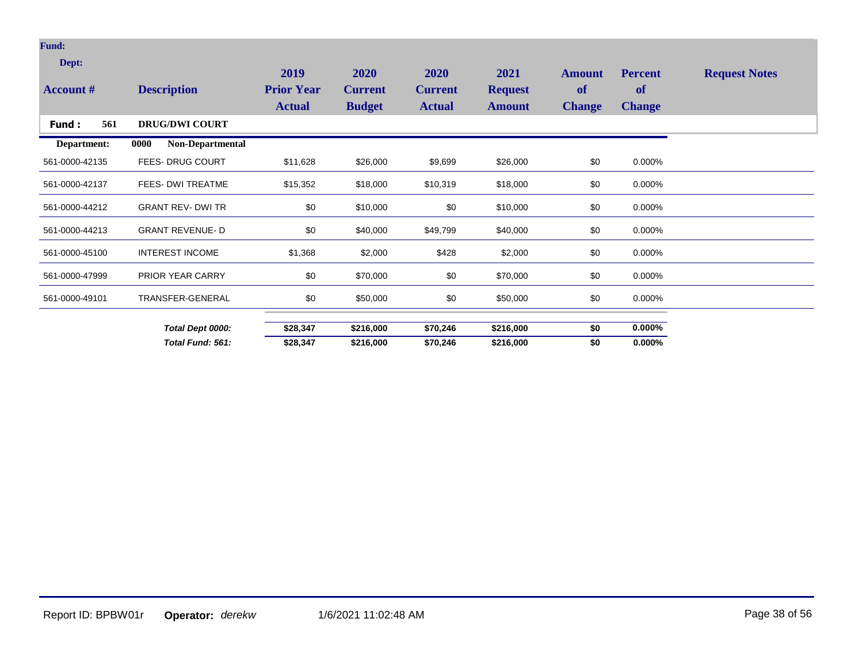| Dept:            |                          | 2019                               | 2020                            | 2020                            | 2021                            | <b>Amount</b>       | <b>Percent</b>      | <b>Request Notes</b> |
|------------------|--------------------------|------------------------------------|---------------------------------|---------------------------------|---------------------------------|---------------------|---------------------|----------------------|
| <b>Account #</b> | <b>Description</b>       | <b>Prior Year</b><br><b>Actual</b> | <b>Current</b><br><b>Budget</b> | <b>Current</b><br><b>Actual</b> | <b>Request</b><br><b>Amount</b> | of<br><b>Change</b> | of<br><b>Change</b> |                      |
| 561<br>Fund:     | <b>DRUG/DWI COURT</b>    |                                    |                                 |                                 |                                 |                     |                     |                      |
| Department:      | Non-Departmental<br>0000 |                                    |                                 |                                 |                                 |                     |                     |                      |
| 561-0000-42135   | <b>FEES-DRUG COURT</b>   | \$11,628                           | \$26,000                        | \$9,699                         | \$26,000                        | \$0                 | 0.000%              |                      |
| 561-0000-42137   | FEES- DWI TREATME        | \$15,352                           | \$18,000                        | \$10,319                        | \$18,000                        | \$0                 | 0.000%              |                      |
| 561-0000-44212   | <b>GRANT REV- DWI TR</b> | \$0                                | \$10,000                        | \$0                             | \$10,000                        | \$0                 | 0.000%              |                      |
| 561-0000-44213   | <b>GRANT REVENUE-D</b>   | \$0                                | \$40,000                        | \$49,799                        | \$40,000                        | \$0                 | 0.000%              |                      |
| 561-0000-45100   | <b>INTEREST INCOME</b>   | \$1,368                            | \$2,000                         | \$428                           | \$2,000                         | \$0                 | 0.000%              |                      |
| 561-0000-47999   | PRIOR YEAR CARRY         | \$0                                | \$70,000                        | \$0                             | \$70,000                        | \$0                 | 0.000%              |                      |
| 561-0000-49101   | TRANSFER-GENERAL         | \$0                                | \$50,000                        | \$0                             | \$50,000                        | \$0                 | 0.000%              |                      |
|                  | Total Dept 0000:         | \$28,347                           | \$216,000                       | \$70,246                        | \$216,000                       | \$0                 | $0.000\%$           |                      |
|                  | Total Fund: 561:         | \$28,347                           | \$216,000                       | \$70,246                        | \$216,000                       | \$0                 | $0.000\%$           |                      |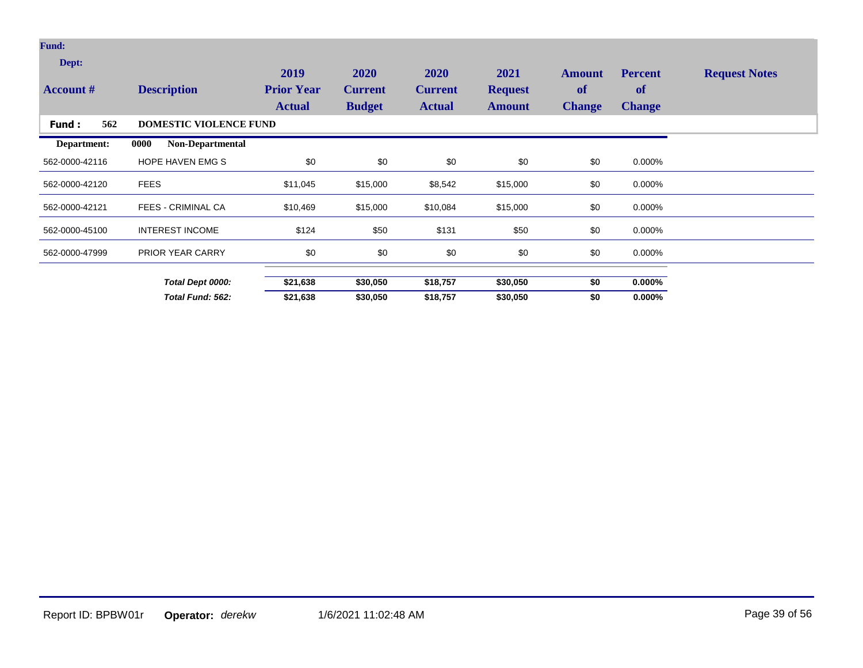| <b>Fund:</b>              |                                 |                                            |                                         |                                         |                                         |                                             |                                       |                      |
|---------------------------|---------------------------------|--------------------------------------------|-----------------------------------------|-----------------------------------------|-----------------------------------------|---------------------------------------------|---------------------------------------|----------------------|
| Dept:<br><b>Account #</b> | <b>Description</b>              | 2019<br><b>Prior Year</b><br><b>Actual</b> | 2020<br><b>Current</b><br><b>Budget</b> | 2020<br><b>Current</b><br><b>Actual</b> | 2021<br><b>Request</b><br><b>Amount</b> | <b>Amount</b><br><b>of</b><br><b>Change</b> | <b>Percent</b><br>of<br><b>Change</b> | <b>Request Notes</b> |
| 562<br>Fund :             | <b>DOMESTIC VIOLENCE FUND</b>   |                                            |                                         |                                         |                                         |                                             |                                       |                      |
| Department:               | <b>Non-Departmental</b><br>0000 |                                            |                                         |                                         |                                         |                                             |                                       |                      |
| 562-0000-42116            | HOPE HAVEN EMG S                | \$0                                        | \$0                                     | \$0                                     | \$0                                     | \$0                                         | 0.000%                                |                      |
| 562-0000-42120            | <b>FEES</b>                     | \$11,045                                   | \$15,000                                | \$8,542                                 | \$15,000                                | \$0                                         | 0.000%                                |                      |
| 562-0000-42121            | <b>FEES - CRIMINAL CA</b>       | \$10,469                                   | \$15,000                                | \$10,084                                | \$15,000                                | \$0                                         | 0.000%                                |                      |
| 562-0000-45100            | <b>INTEREST INCOME</b>          | \$124                                      | \$50                                    | \$131                                   | \$50                                    | \$0                                         | 0.000%                                |                      |
| 562-0000-47999            | PRIOR YEAR CARRY                | \$0                                        | \$0                                     | \$0                                     | \$0                                     | \$0                                         | 0.000%                                |                      |
|                           | Total Dept 0000:                | \$21,638                                   | \$30,050                                | \$18,757                                | \$30,050                                | \$0                                         | $0.000\%$                             |                      |
|                           | Total Fund: 562:                | \$21,638                                   | \$30,050                                | \$18,757                                | \$30,050                                | \$0                                         | $0.000\%$                             |                      |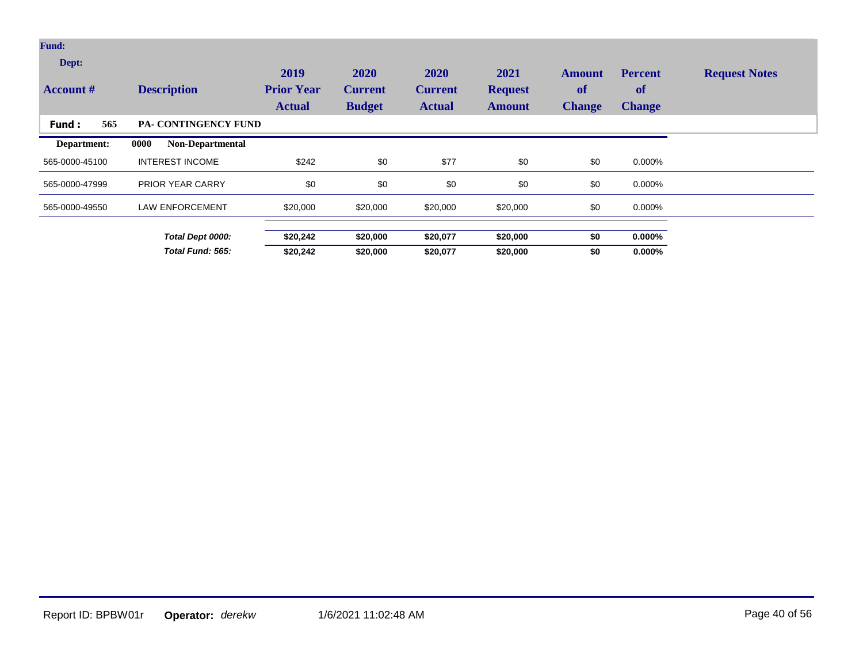| <b>Fund:</b>              |                             |                                            |                                         |                                                |                                         |                                             |                                       |                      |
|---------------------------|-----------------------------|--------------------------------------------|-----------------------------------------|------------------------------------------------|-----------------------------------------|---------------------------------------------|---------------------------------------|----------------------|
| Dept:<br><b>Account #</b> | <b>Description</b>          | 2019<br><b>Prior Year</b><br><b>Actual</b> | 2020<br><b>Current</b><br><b>Budget</b> | <b>2020</b><br><b>Current</b><br><b>Actual</b> | 2021<br><b>Request</b><br><b>Amount</b> | <b>Amount</b><br><b>of</b><br><b>Change</b> | <b>Percent</b><br>of<br><b>Change</b> | <b>Request Notes</b> |
| 565<br>Fund:              | <b>PA- CONTINGENCY FUND</b> |                                            |                                         |                                                |                                         |                                             |                                       |                      |
| Department:               | Non-Departmental<br>0000    |                                            |                                         |                                                |                                         |                                             |                                       |                      |
| 565-0000-45100            | <b>INTEREST INCOME</b>      | \$242                                      | \$0                                     | \$77                                           | \$0                                     | \$0                                         | 0.000%                                |                      |
| 565-0000-47999            | <b>PRIOR YEAR CARRY</b>     | \$0                                        | \$0                                     | \$0                                            | \$0                                     | \$0                                         | 0.000%                                |                      |
| 565-0000-49550            | <b>LAW ENFORCEMENT</b>      | \$20,000                                   | \$20,000                                | \$20,000                                       | \$20,000                                | \$0                                         | 0.000%                                |                      |
|                           | Total Dept 0000:            | \$20,242                                   | \$20,000                                | \$20,077                                       | \$20,000                                | \$0                                         | $0.000\%$                             |                      |
|                           | Total Fund: 565:            | \$20,242                                   | \$20,000                                | \$20,077                                       | \$20,000                                | \$0                                         | $0.000\%$                             |                      |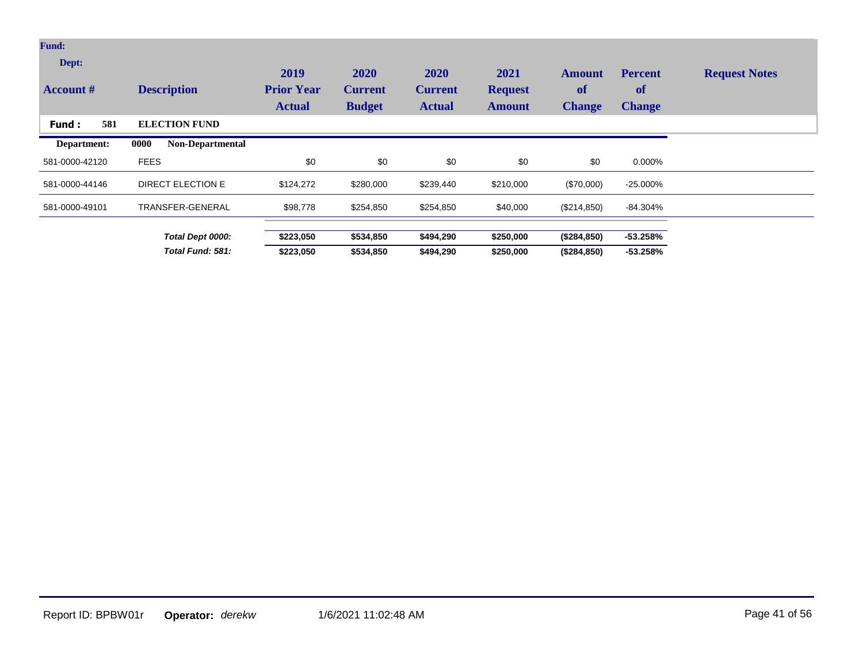| Fund:<br>Dept:<br><b>Account</b> # | <b>Description</b>              | 2019<br><b>Prior Year</b><br><b>Actual</b> | 2020<br><b>Current</b><br><b>Budget</b> | 2020<br><b>Current</b><br><b>Actual</b> | 2021<br><b>Request</b><br><b>Amount</b> | Amount<br><b>of</b><br><b>Change</b> | <b>Percent</b><br>of<br><b>Change</b> | <b>Request Notes</b> |
|------------------------------------|---------------------------------|--------------------------------------------|-----------------------------------------|-----------------------------------------|-----------------------------------------|--------------------------------------|---------------------------------------|----------------------|
| 581<br>Fund:                       | <b>ELECTION FUND</b>            |                                            |                                         |                                         |                                         |                                      |                                       |                      |
| Department:                        | 0000<br><b>Non-Departmental</b> |                                            |                                         |                                         |                                         |                                      |                                       |                      |
| 581-0000-42120                     | <b>FEES</b>                     | \$0                                        | \$0                                     | \$0                                     | \$0                                     | \$0                                  | 0.000%                                |                      |
| 581-0000-44146                     | <b>DIRECT ELECTION E</b>        | \$124,272                                  | \$280,000                               | \$239,440                               | \$210,000                               | $(\$70,000)$                         | $-25.000\%$                           |                      |
| 581-0000-49101                     | TRANSFER-GENERAL                | \$98,778                                   | \$254,850                               | \$254,850                               | \$40,000                                | (\$214,850)                          | -84.304%                              |                      |
|                                    | Total Dept 0000:                | \$223,050                                  | \$534,850                               | \$494,290                               | \$250,000                               | (\$284, 850)                         | $-53.258%$                            |                      |
|                                    | Total Fund: 581:                | \$223,050                                  | \$534,850                               | \$494,290                               | \$250,000                               | (\$284, 850)                         | $-53.258%$                            |                      |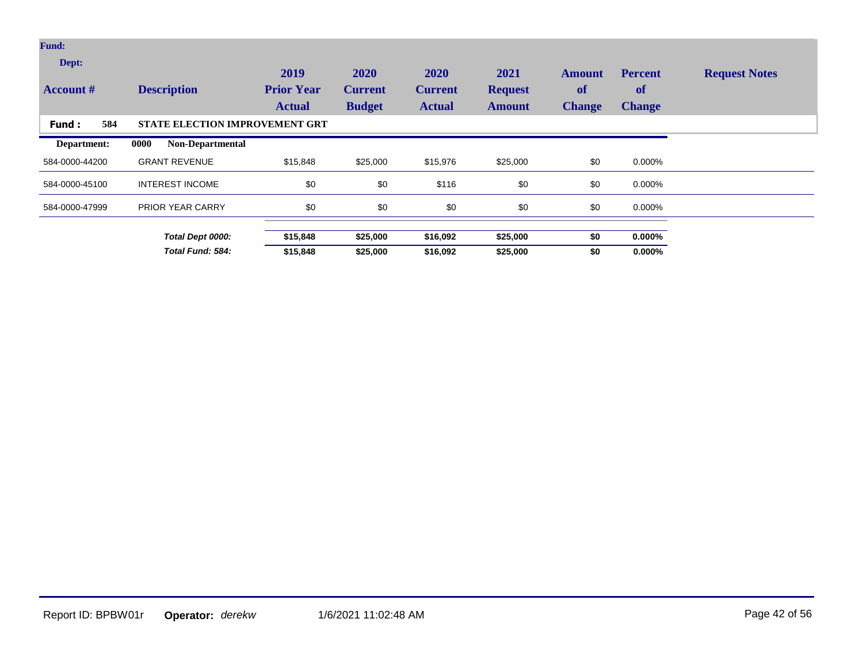| <b>Fund:</b>              |                                       |                                            |                                         |                                         |                                         |                                             |                                              |                      |
|---------------------------|---------------------------------------|--------------------------------------------|-----------------------------------------|-----------------------------------------|-----------------------------------------|---------------------------------------------|----------------------------------------------|----------------------|
| Dept:<br><b>Account</b> # | <b>Description</b>                    | 2019<br><b>Prior Year</b><br><b>Actual</b> | 2020<br><b>Current</b><br><b>Budget</b> | 2020<br><b>Current</b><br><b>Actual</b> | 2021<br><b>Request</b><br><b>Amount</b> | <b>Amount</b><br><b>of</b><br><b>Change</b> | <b>Percent</b><br><b>of</b><br><b>Change</b> | <b>Request Notes</b> |
| 584<br>Fund:              | <b>STATE ELECTION IMPROVEMENT GRT</b> |                                            |                                         |                                         |                                         |                                             |                                              |                      |
| Department:               | Non-Departmental<br>0000              |                                            |                                         |                                         |                                         |                                             |                                              |                      |
| 584-0000-44200            | <b>GRANT REVENUE</b>                  | \$15,848                                   | \$25,000                                | \$15,976                                | \$25,000                                | \$0                                         | 0.000%                                       |                      |
| 584-0000-45100            | <b>INTEREST INCOME</b>                | \$0                                        | \$0                                     | \$116                                   | \$0                                     | \$0                                         | 0.000%                                       |                      |
| 584-0000-47999            | <b>PRIOR YEAR CARRY</b>               | \$0                                        | \$0                                     | \$0                                     | \$0                                     | \$0                                         | 0.000%                                       |                      |
|                           | Total Dept 0000:                      | \$15,848                                   | \$25,000                                | \$16,092                                | \$25,000                                | \$0                                         | $0.000\%$                                    |                      |
|                           | Total Fund: 584:                      | \$15,848                                   | \$25,000                                | \$16,092                                | \$25,000                                | \$0                                         | $0.000\%$                                    |                      |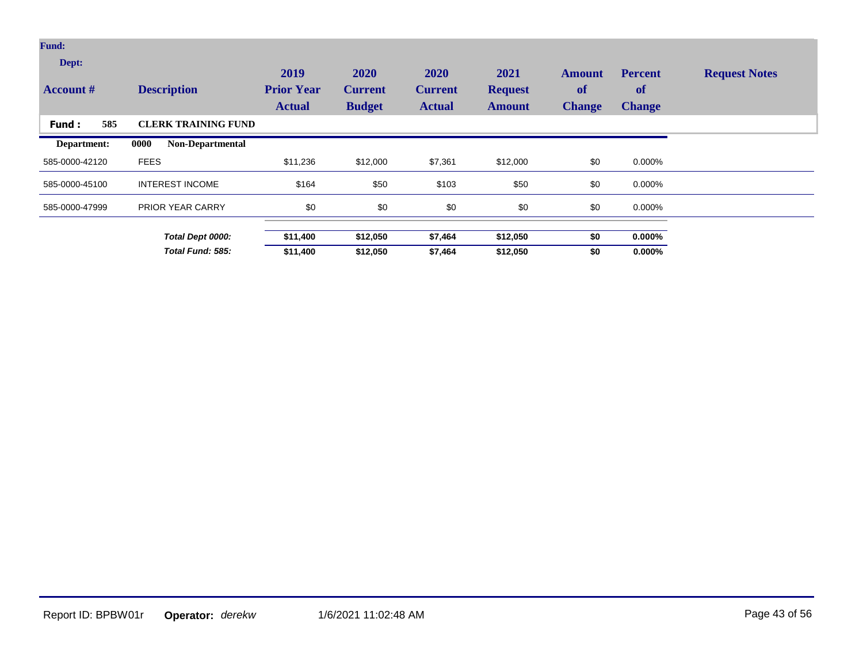| <b>Fund:</b>              |                                 |                                            |                                         |                                                |                                         |                                             |                                              |                      |
|---------------------------|---------------------------------|--------------------------------------------|-----------------------------------------|------------------------------------------------|-----------------------------------------|---------------------------------------------|----------------------------------------------|----------------------|
| Dept:<br><b>Account #</b> | <b>Description</b>              | 2019<br><b>Prior Year</b><br><b>Actual</b> | 2020<br><b>Current</b><br><b>Budget</b> | <b>2020</b><br><b>Current</b><br><b>Actual</b> | 2021<br><b>Request</b><br><b>Amount</b> | <b>Amount</b><br><b>of</b><br><b>Change</b> | <b>Percent</b><br><b>of</b><br><b>Change</b> | <b>Request Notes</b> |
| 585<br>Fund:              | <b>CLERK TRAINING FUND</b>      |                                            |                                         |                                                |                                         |                                             |                                              |                      |
| Department:               | 0000<br><b>Non-Departmental</b> |                                            |                                         |                                                |                                         |                                             |                                              |                      |
| 585-0000-42120            | <b>FEES</b>                     | \$11,236                                   | \$12,000                                | \$7,361                                        | \$12,000                                | \$0                                         | 0.000%                                       |                      |
| 585-0000-45100            | <b>INTEREST INCOME</b>          | \$164                                      | \$50                                    | \$103                                          | \$50                                    | \$0                                         | 0.000%                                       |                      |
| 585-0000-47999            | <b>PRIOR YEAR CARRY</b>         | \$0                                        | \$0                                     | \$0                                            | \$0                                     | \$0                                         | 0.000%                                       |                      |
|                           | Total Dept 0000:                | \$11,400                                   | \$12,050                                | \$7,464                                        | \$12,050                                | \$0                                         | $0.000\%$                                    |                      |
|                           | Total Fund: 585:                | \$11,400                                   | \$12,050                                | \$7,464                                        | \$12,050                                | \$0                                         | $0.000\%$                                    |                      |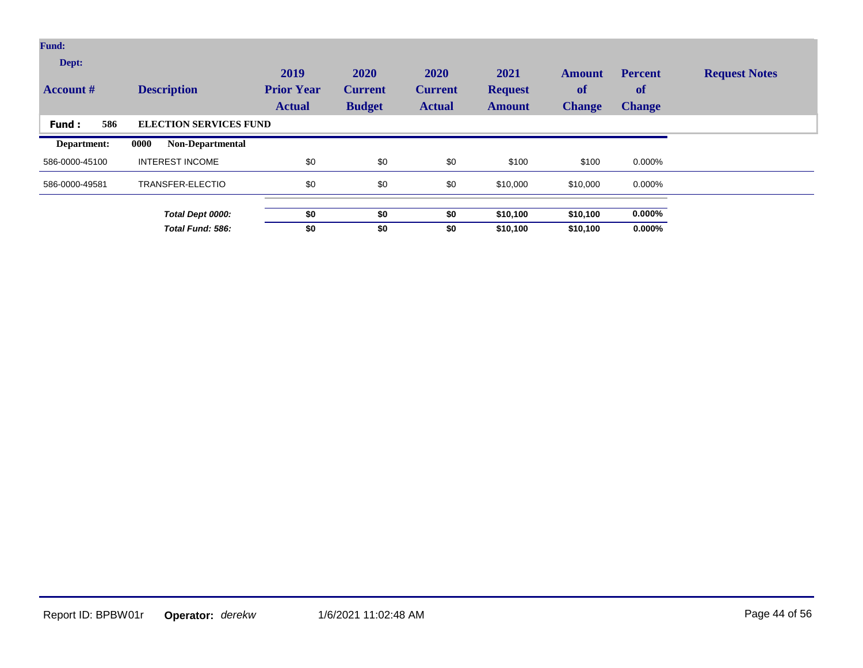| Fund:                     |                                 |                                            |                                         |                                         |                                         |                                      |                                              |                      |
|---------------------------|---------------------------------|--------------------------------------------|-----------------------------------------|-----------------------------------------|-----------------------------------------|--------------------------------------|----------------------------------------------|----------------------|
| Dept:<br><b>Account</b> # | <b>Description</b>              | 2019<br><b>Prior Year</b><br><b>Actual</b> | 2020<br><b>Current</b><br><b>Budget</b> | 2020<br><b>Current</b><br><b>Actual</b> | 2021<br><b>Request</b><br><b>Amount</b> | <b>Amount</b><br>of<br><b>Change</b> | <b>Percent</b><br><b>of</b><br><b>Change</b> | <b>Request Notes</b> |
| 586<br>Fund:              | <b>ELECTION SERVICES FUND</b>   |                                            |                                         |                                         |                                         |                                      |                                              |                      |
| Department:               | 0000<br><b>Non-Departmental</b> |                                            |                                         |                                         |                                         |                                      |                                              |                      |
| 586-0000-45100            | <b>INTEREST INCOME</b>          | \$0                                        | \$0                                     | \$0                                     | \$100                                   | \$100                                | 0.000%                                       |                      |
| 586-0000-49581            | TRANSFER-ELECTIO                | \$0                                        | \$0                                     | \$0                                     | \$10,000                                | \$10,000                             | $0.000\%$                                    |                      |
|                           | Total Dept 0000:                | \$0                                        | \$0                                     | \$0                                     | \$10,100                                | \$10,100                             | $0.000\%$                                    |                      |
|                           | Total Fund: 586:                | \$0                                        | \$0                                     | \$0                                     | \$10,100                                | \$10,100                             | $0.000\%$                                    |                      |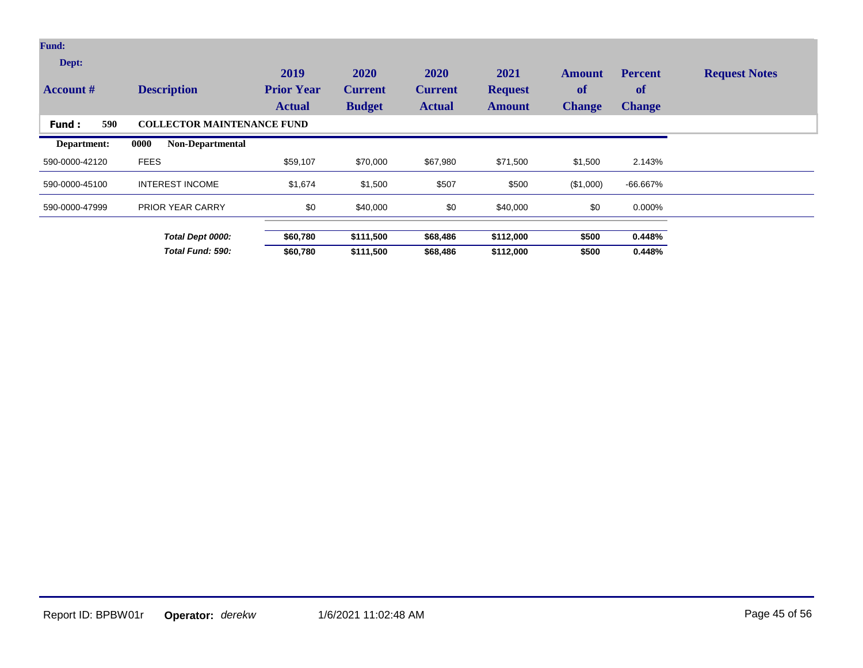| <b>Fund:</b>              |                                   |                                            |                                         |                                         |                                         |                                             |                                              |                      |
|---------------------------|-----------------------------------|--------------------------------------------|-----------------------------------------|-----------------------------------------|-----------------------------------------|---------------------------------------------|----------------------------------------------|----------------------|
| Dept:<br><b>Account #</b> | <b>Description</b>                | 2019<br><b>Prior Year</b><br><b>Actual</b> | 2020<br><b>Current</b><br><b>Budget</b> | 2020<br><b>Current</b><br><b>Actual</b> | 2021<br><b>Request</b><br><b>Amount</b> | <b>Amount</b><br><b>of</b><br><b>Change</b> | <b>Percent</b><br><b>of</b><br><b>Change</b> | <b>Request Notes</b> |
| 590<br>Fund:              | <b>COLLECTOR MAINTENANCE FUND</b> |                                            |                                         |                                         |                                         |                                             |                                              |                      |
| Department:               | Non-Departmental<br>0000          |                                            |                                         |                                         |                                         |                                             |                                              |                      |
| 590-0000-42120            | <b>FEES</b>                       | \$59,107                                   | \$70,000                                | \$67,980                                | \$71,500                                | \$1,500                                     | 2.143%                                       |                      |
| 590-0000-45100            | <b>INTEREST INCOME</b>            | \$1,674                                    | \$1,500                                 | \$507                                   | \$500                                   | (\$1,000)                                   | -66.667%                                     |                      |
| 590-0000-47999            | <b>PRIOR YEAR CARRY</b>           | \$0                                        | \$40,000                                | \$0                                     | \$40,000                                | \$0                                         | 0.000%                                       |                      |
|                           | Total Dept 0000:                  | \$60,780                                   | \$111,500                               | \$68,486                                | \$112,000                               | \$500                                       | 0.448%                                       |                      |
|                           | Total Fund: 590:                  | \$60,780                                   | \$111,500                               | \$68,486                                | \$112,000                               | \$500                                       | 0.448%                                       |                      |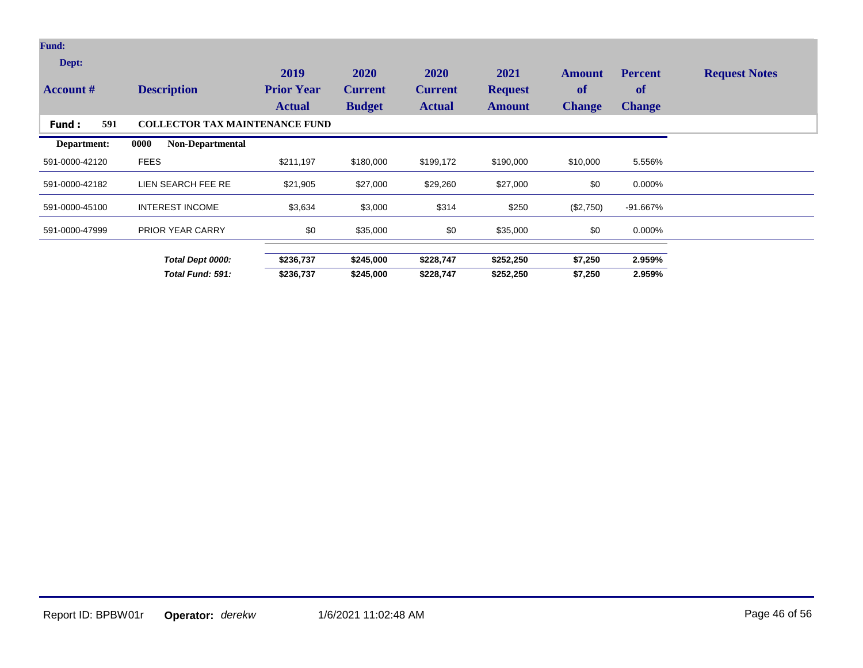| <b>Fund:</b>              |                                       |                                            |                                         |                                         |                                         |                                             |                                              |                      |
|---------------------------|---------------------------------------|--------------------------------------------|-----------------------------------------|-----------------------------------------|-----------------------------------------|---------------------------------------------|----------------------------------------------|----------------------|
| Dept:<br><b>Account</b> # | <b>Description</b>                    | 2019<br><b>Prior Year</b><br><b>Actual</b> | 2020<br><b>Current</b><br><b>Budget</b> | 2020<br><b>Current</b><br><b>Actual</b> | 2021<br><b>Request</b><br><b>Amount</b> | <b>Amount</b><br><b>of</b><br><b>Change</b> | <b>Percent</b><br><b>of</b><br><b>Change</b> | <b>Request Notes</b> |
| 591<br>Fund :             | <b>COLLECTOR TAX MAINTENANCE FUND</b> |                                            |                                         |                                         |                                         |                                             |                                              |                      |
| Department:               | 0000<br><b>Non-Departmental</b>       |                                            |                                         |                                         |                                         |                                             |                                              |                      |
| 591-0000-42120            | <b>FEES</b>                           | \$211,197                                  | \$180,000                               | \$199,172                               | \$190,000                               | \$10,000                                    | 5.556%                                       |                      |
| 591-0000-42182            | LIEN SEARCH FEE RE                    | \$21,905                                   | \$27,000                                | \$29,260                                | \$27,000                                | \$0                                         | 0.000%                                       |                      |
| 591-0000-45100            | <b>INTEREST INCOME</b>                | \$3,634                                    | \$3,000                                 | \$314                                   | \$250                                   | (\$2,750)                                   | -91.667%                                     |                      |
| 591-0000-47999            | <b>PRIOR YEAR CARRY</b>               | \$0                                        | \$35,000                                | \$0                                     | \$35,000                                | \$0                                         | 0.000%                                       |                      |
|                           | Total Dept 0000:                      | \$236,737                                  | \$245,000                               | \$228,747                               | \$252,250                               | \$7,250                                     | 2.959%                                       |                      |
|                           | Total Fund: 591:                      | \$236,737                                  | \$245,000                               | \$228,747                               | \$252,250                               | \$7,250                                     | 2.959%                                       |                      |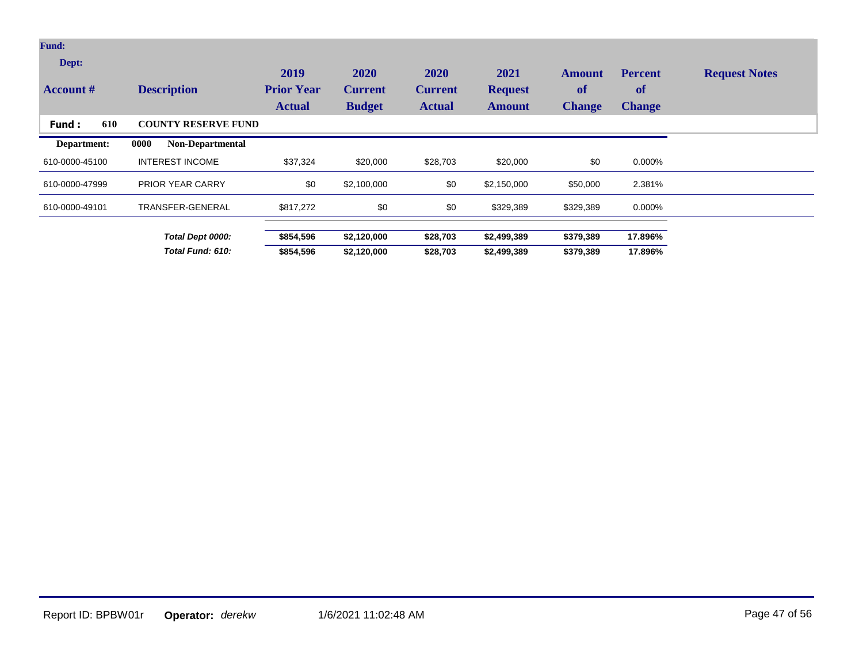| <b>Fund:</b>              |                                 |                                            |                                         |                                         |                                         |                                      |                                              |                      |
|---------------------------|---------------------------------|--------------------------------------------|-----------------------------------------|-----------------------------------------|-----------------------------------------|--------------------------------------|----------------------------------------------|----------------------|
| Dept:<br><b>Account #</b> | <b>Description</b>              | 2019<br><b>Prior Year</b><br><b>Actual</b> | 2020<br><b>Current</b><br><b>Budget</b> | 2020<br><b>Current</b><br><b>Actual</b> | 2021<br><b>Request</b><br><b>Amount</b> | Amount<br><b>of</b><br><b>Change</b> | <b>Percent</b><br><b>of</b><br><b>Change</b> | <b>Request Notes</b> |
| 610<br>Fund:              | <b>COUNTY RESERVE FUND</b>      |                                            |                                         |                                         |                                         |                                      |                                              |                      |
| Department:               | 0000<br><b>Non-Departmental</b> |                                            |                                         |                                         |                                         |                                      |                                              |                      |
| 610-0000-45100            | <b>INTEREST INCOME</b>          | \$37,324                                   | \$20,000                                | \$28,703                                | \$20,000                                | \$0                                  | 0.000%                                       |                      |
| 610-0000-47999            | <b>PRIOR YEAR CARRY</b>         | \$0                                        | \$2,100,000                             | \$0                                     | \$2,150,000                             | \$50,000                             | 2.381%                                       |                      |
| 610-0000-49101            | TRANSFER-GENERAL                | \$817,272                                  | \$0                                     | \$0                                     | \$329,389                               | \$329,389                            | 0.000%                                       |                      |
|                           | Total Dept 0000:                | \$854,596                                  | \$2,120,000                             | \$28,703                                | \$2,499,389                             | \$379,389                            | 17.896%                                      |                      |
|                           | Total Fund: 610:                | \$854,596                                  | \$2,120,000                             | \$28,703                                | \$2,499,389                             | \$379,389                            | 17.896%                                      |                      |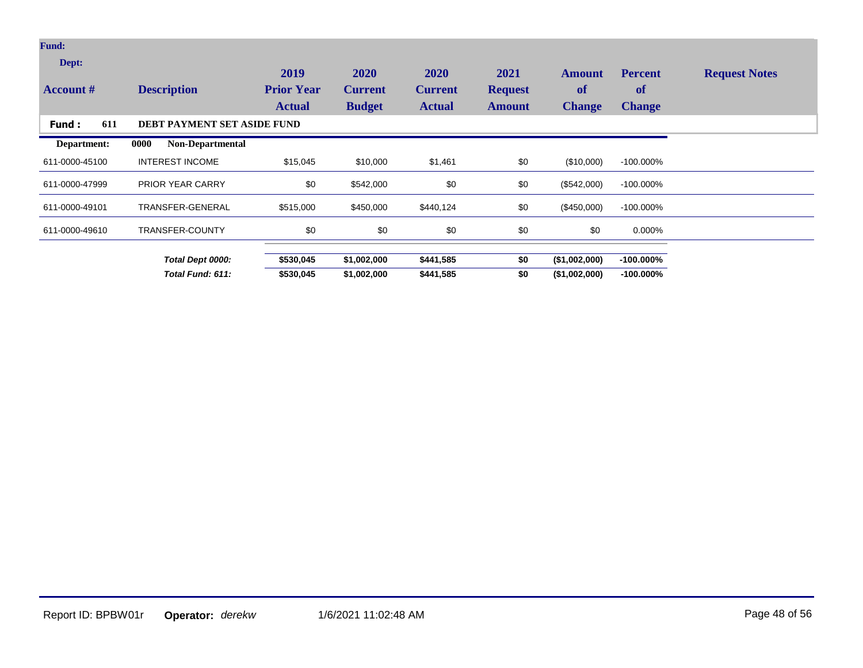| <b>Fund:</b>              |                                    |                                            |                                         |                                                |                                         |                                             |                                       |                      |
|---------------------------|------------------------------------|--------------------------------------------|-----------------------------------------|------------------------------------------------|-----------------------------------------|---------------------------------------------|---------------------------------------|----------------------|
| Dept:<br><b>Account</b> # | <b>Description</b>                 | 2019<br><b>Prior Year</b><br><b>Actual</b> | 2020<br><b>Current</b><br><b>Budget</b> | <b>2020</b><br><b>Current</b><br><b>Actual</b> | 2021<br><b>Request</b><br><b>Amount</b> | <b>Amount</b><br><b>of</b><br><b>Change</b> | <b>Percent</b><br>of<br><b>Change</b> | <b>Request Notes</b> |
| 611<br>Fund:              | <b>DEBT PAYMENT SET ASIDE FUND</b> |                                            |                                         |                                                |                                         |                                             |                                       |                      |
| Department:               | 0000<br><b>Non-Departmental</b>    |                                            |                                         |                                                |                                         |                                             |                                       |                      |
| 611-0000-45100            | <b>INTEREST INCOME</b>             | \$15,045                                   | \$10,000                                | \$1,461                                        | \$0                                     | (\$10,000)                                  | $-100.000\%$                          |                      |
| 611-0000-47999            | <b>PRIOR YEAR CARRY</b>            | \$0                                        | \$542,000                               | \$0                                            | \$0                                     | (\$542,000)                                 | $-100.000\%$                          |                      |
| 611-0000-49101            | TRANSFER-GENERAL                   | \$515,000                                  | \$450,000                               | \$440,124                                      | \$0                                     | (\$450,000)                                 | $-100.000\%$                          |                      |
| 611-0000-49610            | <b>TRANSFER-COUNTY</b>             | \$0                                        | \$0                                     | \$0                                            | \$0                                     | \$0                                         | 0.000%                                |                      |
|                           | Total Dept 0000:                   | \$530,045                                  | \$1,002,000                             | \$441,585                                      | \$0                                     | (\$1,002,000)                               | $-100.000\%$                          |                      |
|                           | Total Fund: 611:                   | \$530,045                                  | \$1,002,000                             | \$441,585                                      | \$0                                     | (\$1,002,000)                               | $-100.000\%$                          |                      |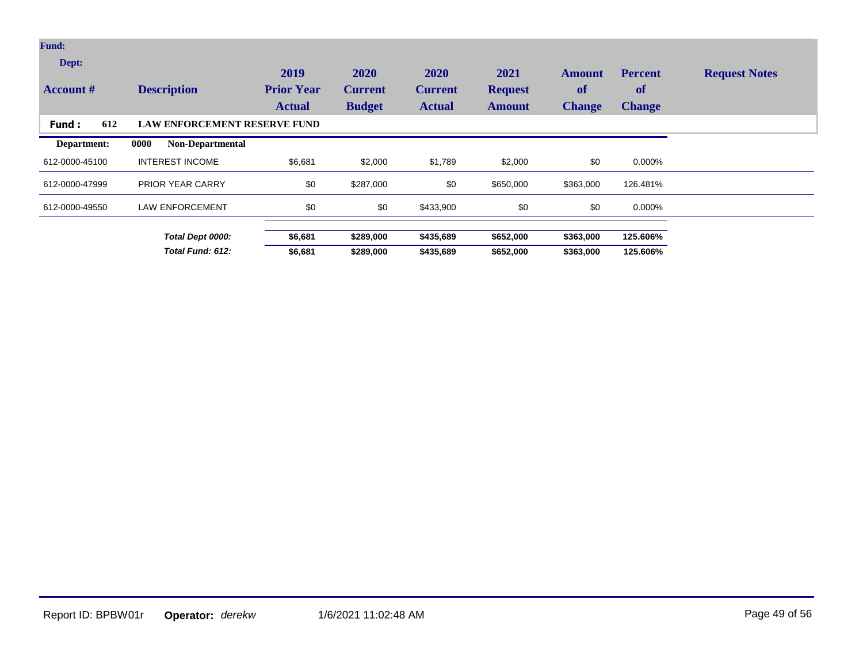| <b>Fund:</b>              |                                     |                                            |                                         |                                                |                                  |                                             |                                              |                      |
|---------------------------|-------------------------------------|--------------------------------------------|-----------------------------------------|------------------------------------------------|----------------------------------|---------------------------------------------|----------------------------------------------|----------------------|
| Dept:<br><b>Account</b> # | <b>Description</b>                  | 2019<br><b>Prior Year</b><br><b>Actual</b> | 2020<br><b>Current</b><br><b>Budget</b> | <b>2020</b><br><b>Current</b><br><b>Actual</b> | 2021<br><b>Request</b><br>Amount | <b>Amount</b><br><b>of</b><br><b>Change</b> | <b>Percent</b><br><b>of</b><br><b>Change</b> | <b>Request Notes</b> |
| 612<br><b>Fund:</b>       | <b>LAW ENFORCEMENT RESERVE FUND</b> |                                            |                                         |                                                |                                  |                                             |                                              |                      |
| Department:               | Non-Departmental<br>0000            |                                            |                                         |                                                |                                  |                                             |                                              |                      |
| 612-0000-45100            | <b>INTEREST INCOME</b>              | \$6,681                                    | \$2,000                                 | \$1,789                                        | \$2,000                          | \$0                                         | 0.000%                                       |                      |
| 612-0000-47999            | <b>PRIOR YEAR CARRY</b>             | \$0                                        | \$287,000                               | \$0                                            | \$650,000                        | \$363,000                                   | 126.481%                                     |                      |
| 612-0000-49550            | <b>LAW ENFORCEMENT</b>              | \$0                                        | \$0                                     | \$433,900                                      | \$0                              | \$0                                         | 0.000%                                       |                      |
|                           | Total Dept 0000:                    | \$6,681                                    | \$289,000                               | \$435,689                                      | \$652,000                        | \$363,000                                   | 125.606%                                     |                      |
|                           | Total Fund: 612:                    | \$6,681                                    | \$289,000                               | \$435,689                                      | \$652,000                        | \$363,000                                   | 125.606%                                     |                      |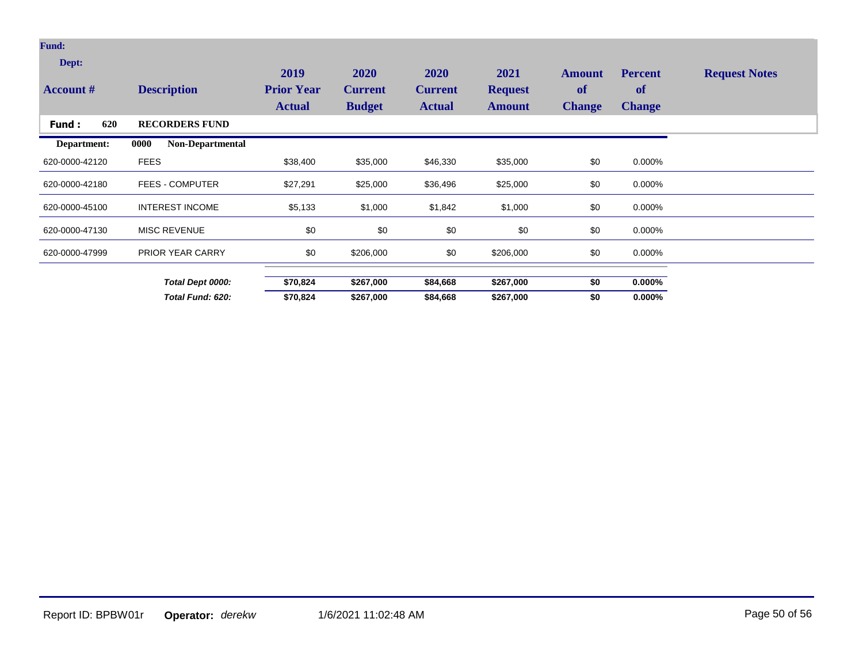| <b>Fund:</b>              |                                 |                                            |                                         |                                                |                                         |                                      |                                       |                      |
|---------------------------|---------------------------------|--------------------------------------------|-----------------------------------------|------------------------------------------------|-----------------------------------------|--------------------------------------|---------------------------------------|----------------------|
| Dept:<br><b>Account #</b> | <b>Description</b>              | 2019<br><b>Prior Year</b><br><b>Actual</b> | 2020<br><b>Current</b><br><b>Budget</b> | <b>2020</b><br><b>Current</b><br><b>Actual</b> | 2021<br><b>Request</b><br><b>Amount</b> | <b>Amount</b><br>of<br><b>Change</b> | <b>Percent</b><br>of<br><b>Change</b> | <b>Request Notes</b> |
| 620<br>Fund:              | <b>RECORDERS FUND</b>           |                                            |                                         |                                                |                                         |                                      |                                       |                      |
| Department:               | <b>Non-Departmental</b><br>0000 |                                            |                                         |                                                |                                         |                                      |                                       |                      |
| 620-0000-42120            | <b>FEES</b>                     | \$38,400                                   | \$35,000                                | \$46,330                                       | \$35,000                                | \$0                                  | 0.000%                                |                      |
| 620-0000-42180            | <b>FEES - COMPUTER</b>          | \$27,291                                   | \$25,000                                | \$36,496                                       | \$25,000                                | \$0                                  | 0.000%                                |                      |
| 620-0000-45100            | <b>INTEREST INCOME</b>          | \$5,133                                    | \$1,000                                 | \$1,842                                        | \$1,000                                 | \$0                                  | 0.000%                                |                      |
| 620-0000-47130            | <b>MISC REVENUE</b>             | \$0                                        | \$0                                     | \$0                                            | \$0                                     | \$0                                  | 0.000%                                |                      |
| 620-0000-47999            | <b>PRIOR YEAR CARRY</b>         | \$0                                        | \$206,000                               | \$0                                            | \$206,000                               | \$0                                  | 0.000%                                |                      |
|                           | Total Dept 0000:                | \$70,824                                   | \$267,000                               | \$84,668                                       | \$267,000                               | \$0                                  | $0.000\%$                             |                      |
|                           | Total Fund: 620:                | \$70,824                                   | \$267,000                               | \$84,668                                       | \$267,000                               | \$0                                  | $0.000\%$                             |                      |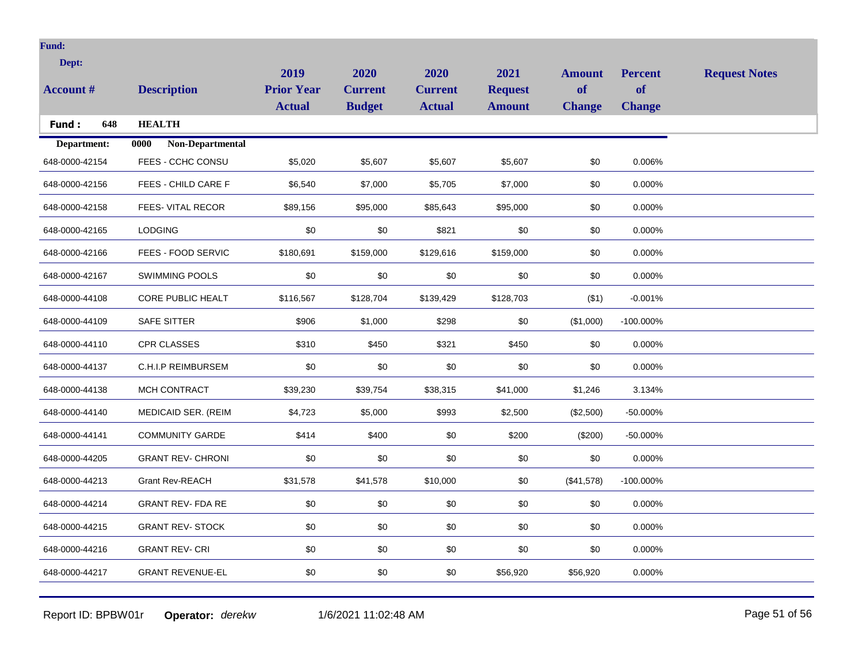| <b>Fund:</b>     |                                       |                           |                        |                        |                        |                     |                      |                      |
|------------------|---------------------------------------|---------------------------|------------------------|------------------------|------------------------|---------------------|----------------------|----------------------|
| Dept:            |                                       |                           |                        |                        |                        |                     |                      |                      |
| <b>Account #</b> | <b>Description</b>                    | 2019<br><b>Prior Year</b> | 2020<br><b>Current</b> | 2020<br><b>Current</b> | 2021<br><b>Request</b> | <b>Amount</b><br>of | <b>Percent</b><br>of | <b>Request Notes</b> |
|                  |                                       | <b>Actual</b>             | <b>Budget</b>          | <b>Actual</b>          | <b>Amount</b>          | <b>Change</b>       | <b>Change</b>        |                      |
| 648<br>Fund:     | <b>HEALTH</b>                         |                           |                        |                        |                        |                     |                      |                      |
| Department:      | $\overline{0000}$<br>Non-Departmental |                           |                        |                        |                        |                     |                      |                      |
| 648-0000-42154   | FEES - CCHC CONSU                     | \$5,020                   | \$5,607                | \$5,607                | \$5,607                | \$0                 | 0.006%               |                      |
| 648-0000-42156   | FEES - CHILD CARE F                   | \$6,540                   | \$7,000                | \$5,705                | \$7,000                | \$0                 | 0.000%               |                      |
| 648-0000-42158   | FEES-VITAL RECOR                      | \$89,156                  | \$95,000               | \$85,643               | \$95,000               | \$0                 | 0.000%               |                      |
| 648-0000-42165   | <b>LODGING</b>                        | \$0                       | \$0                    | \$821                  | \$0                    | \$0                 | 0.000%               |                      |
| 648-0000-42166   | FEES - FOOD SERVIC                    | \$180,691                 | \$159,000              | \$129,616              | \$159,000              | \$0                 | 0.000%               |                      |
| 648-0000-42167   | <b>SWIMMING POOLS</b>                 | \$0                       | \$0                    | \$0                    | \$0                    | \$0                 | 0.000%               |                      |
| 648-0000-44108   | CORE PUBLIC HEALT                     | \$116,567                 | \$128,704              | \$139,429              | \$128,703              | ( \$1)              | $-0.001%$            |                      |
| 648-0000-44109   | <b>SAFE SITTER</b>                    | \$906                     | \$1,000                | \$298                  | \$0                    | (\$1,000)           | -100.000%            |                      |
| 648-0000-44110   | <b>CPR CLASSES</b>                    | \$310                     | \$450                  | \$321                  | \$450                  | \$0                 | 0.000%               |                      |
| 648-0000-44137   | C.H.I.P REIMBURSEM                    | \$0                       | \$0                    | \$0                    | \$0                    | \$0                 | 0.000%               |                      |
| 648-0000-44138   | MCH CONTRACT                          | \$39,230                  | \$39,754               | \$38,315               | \$41,000               | \$1,246             | 3.134%               |                      |
| 648-0000-44140   | MEDICAID SER. (REIM                   | \$4,723                   | \$5,000                | \$993                  | \$2,500                | (\$2,500)           | -50.000%             |                      |
| 648-0000-44141   | <b>COMMUNITY GARDE</b>                | \$414                     | \$400                  | \$0                    | \$200                  | (\$200)             | -50.000%             |                      |
| 648-0000-44205   | <b>GRANT REV- CHRONI</b>              | $\$0$                     | \$0                    | \$0                    | \$0                    | \$0                 | 0.000%               |                      |
| 648-0000-44213   | <b>Grant Rev-REACH</b>                | \$31,578                  | \$41,578               | \$10,000               | \$0                    | (\$41,578)          | $-100.000\%$         |                      |
| 648-0000-44214   | <b>GRANT REV- FDA RE</b>              | \$0                       | \$0                    | \$0                    | \$0                    | \$0                 | 0.000%               |                      |
| 648-0000-44215   | <b>GRANT REV- STOCK</b>               | \$0                       | \$0                    | \$0                    | \$0                    | \$0                 | 0.000%               |                      |
| 648-0000-44216   | <b>GRANT REV-CRI</b>                  | \$0                       | \$0                    | \$0                    | \$0                    | \$0                 | 0.000%               |                      |
| 648-0000-44217   | <b>GRANT REVENUE-EL</b>               | \$0                       | \$0                    | \$0                    | \$56,920               | \$56,920            | 0.000%               |                      |
|                  |                                       |                           |                        |                        |                        |                     |                      |                      |

Report ID: BPBW01r **Operator:** *derekw* 1/6/2021 11:02:48 AM Page 51 of 56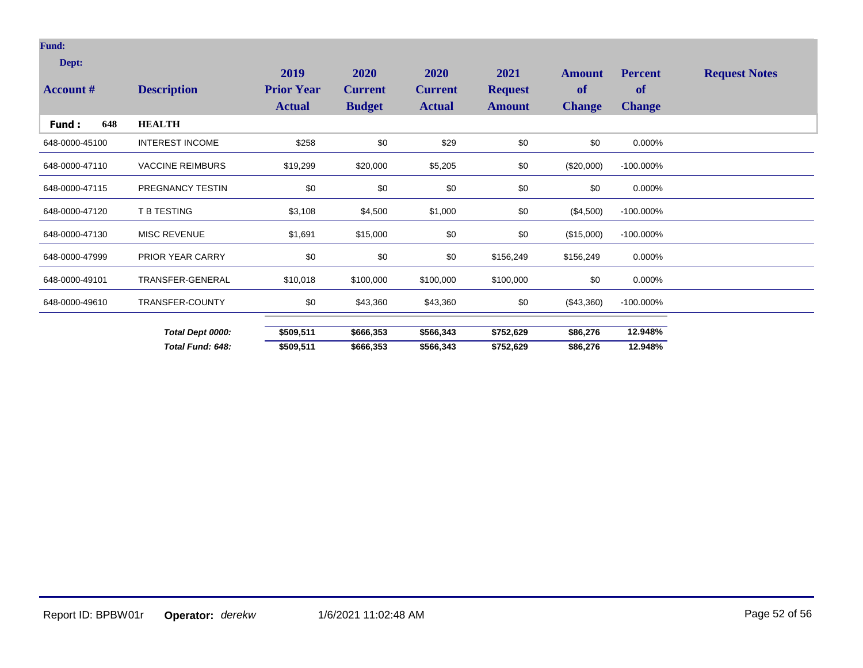## **Fund:**

| Dept:<br><b>Account #</b> | <b>Description</b>      | 2019<br><b>Prior Year</b><br><b>Actual</b> | 2020<br><b>Current</b><br><b>Budget</b> | <b>2020</b><br><b>Current</b><br><b>Actual</b> | 2021<br><b>Request</b><br><b>Amount</b> | <b>Amount</b><br><b>of</b><br><b>Change</b> | <b>Percent</b><br>of<br><b>Change</b> | <b>Request Notes</b> |
|---------------------------|-------------------------|--------------------------------------------|-----------------------------------------|------------------------------------------------|-----------------------------------------|---------------------------------------------|---------------------------------------|----------------------|
| 648<br>Fund :             | <b>HEALTH</b>           |                                            |                                         |                                                |                                         |                                             |                                       |                      |
| 648-0000-45100            | <b>INTEREST INCOME</b>  | \$258                                      | \$0                                     | \$29                                           | \$0                                     | \$0                                         | 0.000%                                |                      |
| 648-0000-47110            | <b>VACCINE REIMBURS</b> | \$19,299                                   | \$20,000                                | \$5,205                                        | \$0                                     | $(\$20,000)$                                | $-100.000\%$                          |                      |
| 648-0000-47115            | PREGNANCY TESTIN        | \$0                                        | \$0                                     | \$0                                            | \$0                                     | \$0                                         | 0.000%                                |                      |
| 648-0000-47120            | T B TESTING             | \$3,108                                    | \$4,500                                 | \$1,000                                        | \$0                                     | $(\$4,500)$                                 | $-100.000\%$                          |                      |
| 648-0000-47130            | <b>MISC REVENUE</b>     | \$1,691                                    | \$15,000                                | \$0                                            | \$0                                     | (\$15,000)                                  | $-100.000\%$                          |                      |
| 648-0000-47999            | PRIOR YEAR CARRY        | \$0                                        | \$0                                     | \$0                                            | \$156,249                               | \$156,249                                   | 0.000%                                |                      |
| 648-0000-49101            | TRANSFER-GENERAL        | \$10,018                                   | \$100,000                               | \$100,000                                      | \$100,000                               | \$0                                         | 0.000%                                |                      |
| 648-0000-49610            | TRANSFER-COUNTY         | \$0                                        | \$43,360                                | \$43,360                                       | \$0                                     | $(\$43,360)$                                | $-100.000\%$                          |                      |
|                           | Total Dept 0000:        | \$509,511                                  | \$666,353                               | \$566,343                                      | \$752,629                               | \$86,276                                    | 12.948%                               |                      |
|                           | Total Fund: 648:        | \$509,511                                  | \$666,353                               | \$566,343                                      | \$752,629                               | \$86,276                                    | 12.948%                               |                      |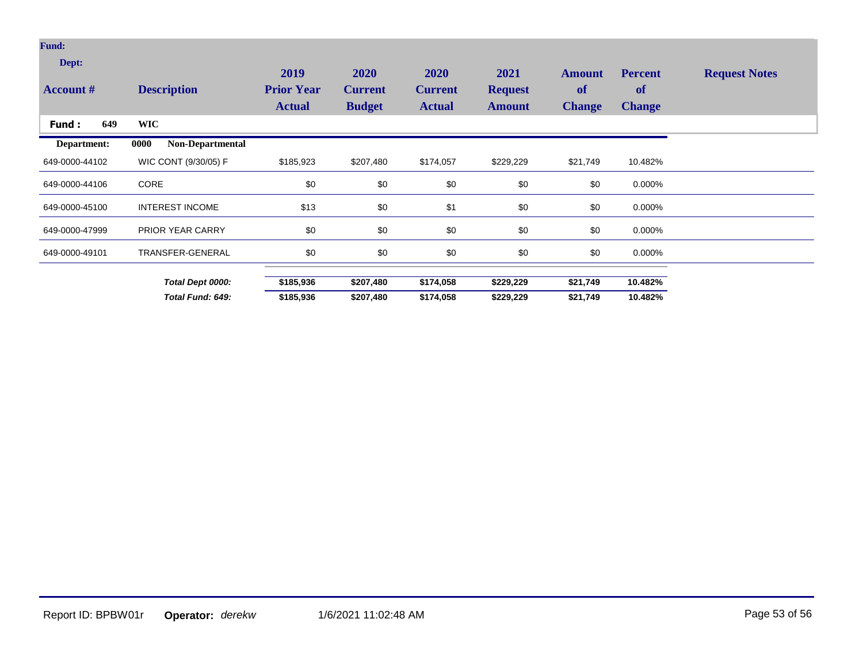| <b>Fund:</b>              |                          |                                            |                                         |                                                |                                         |                                      |                                       |                      |
|---------------------------|--------------------------|--------------------------------------------|-----------------------------------------|------------------------------------------------|-----------------------------------------|--------------------------------------|---------------------------------------|----------------------|
| Dept:<br><b>Account #</b> | <b>Description</b>       | 2019<br><b>Prior Year</b><br><b>Actual</b> | 2020<br><b>Current</b><br><b>Budget</b> | <b>2020</b><br><b>Current</b><br><b>Actual</b> | 2021<br><b>Request</b><br><b>Amount</b> | <b>Amount</b><br>of<br><b>Change</b> | <b>Percent</b><br>of<br><b>Change</b> | <b>Request Notes</b> |
| 649<br>Fund:              | <b>WIC</b>               |                                            |                                         |                                                |                                         |                                      |                                       |                      |
| Department:               | Non-Departmental<br>0000 |                                            |                                         |                                                |                                         |                                      |                                       |                      |
| 649-0000-44102            | WIC CONT (9/30/05) F     | \$185,923                                  | \$207,480                               | \$174,057                                      | \$229,229                               | \$21,749                             | 10.482%                               |                      |
| 649-0000-44106            | <b>CORE</b>              | \$0                                        | \$0                                     | \$0                                            | \$0                                     | \$0                                  | 0.000%                                |                      |
| 649-0000-45100            | <b>INTEREST INCOME</b>   | \$13                                       | \$0                                     | \$1                                            | \$0                                     | \$0                                  | 0.000%                                |                      |
| 649-0000-47999            | PRIOR YEAR CARRY         | \$0                                        | \$0                                     | \$0                                            | \$0                                     | \$0                                  | 0.000%                                |                      |
| 649-0000-49101            | TRANSFER-GENERAL         | \$0                                        | \$0                                     | \$0                                            | \$0                                     | \$0                                  | 0.000%                                |                      |
|                           | Total Dept 0000:         | \$185,936                                  | \$207,480                               | \$174,058                                      | \$229,229                               | \$21,749                             | 10.482%                               |                      |
|                           | Total Fund: 649:         | \$185,936                                  | \$207,480                               | \$174,058                                      | \$229,229                               | \$21,749                             | 10.482%                               |                      |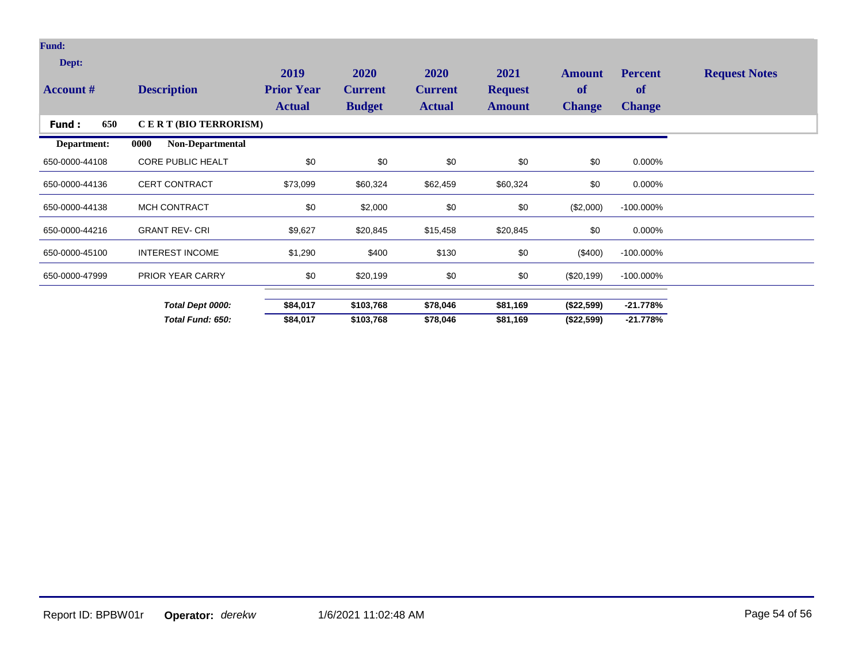| Fund:                     |                                 |                                            |                                         |                                                |                                         |                                      |                                              |                      |
|---------------------------|---------------------------------|--------------------------------------------|-----------------------------------------|------------------------------------------------|-----------------------------------------|--------------------------------------|----------------------------------------------|----------------------|
| Dept:<br><b>Account #</b> | <b>Description</b>              | 2019<br><b>Prior Year</b><br><b>Actual</b> | 2020<br><b>Current</b><br><b>Budget</b> | <b>2020</b><br><b>Current</b><br><b>Actual</b> | 2021<br><b>Request</b><br><b>Amount</b> | <b>Amount</b><br>of<br><b>Change</b> | <b>Percent</b><br><b>of</b><br><b>Change</b> | <b>Request Notes</b> |
| 650<br>Fund:              | CERT (BIO TERRORISM)            |                                            |                                         |                                                |                                         |                                      |                                              |                      |
| Department:               | 0000<br><b>Non-Departmental</b> |                                            |                                         |                                                |                                         |                                      |                                              |                      |
| 650-0000-44108            | <b>CORE PUBLIC HEALT</b>        | \$0                                        | \$0                                     | \$0                                            | \$0                                     | \$0                                  | 0.000%                                       |                      |
| 650-0000-44136            | <b>CERT CONTRACT</b>            | \$73,099                                   | \$60,324                                | \$62,459                                       | \$60,324                                | \$0                                  | 0.000%                                       |                      |
| 650-0000-44138            | MCH CONTRACT                    | \$0                                        | \$2,000                                 | \$0                                            | \$0                                     | (\$2,000)                            | $-100.000\%$                                 |                      |
| 650-0000-44216            | <b>GRANT REV- CRI</b>           | \$9,627                                    | \$20,845                                | \$15,458                                       | \$20,845                                | \$0                                  | 0.000%                                       |                      |
| 650-0000-45100            | <b>INTEREST INCOME</b>          | \$1,290                                    | \$400                                   | \$130                                          | \$0                                     | $(\$400)$                            | $-100.000\%$                                 |                      |
| 650-0000-47999            | PRIOR YEAR CARRY                | \$0                                        | \$20,199                                | \$0                                            | \$0                                     | $(\$20, 199)$                        | $-100.000\%$                                 |                      |
|                           | Total Dept 0000:                | \$84,017                                   | \$103,768                               | \$78,046                                       | \$81,169                                | (\$22,599)                           | $-21.778%$                                   |                      |
|                           | Total Fund: 650:                | \$84,017                                   | \$103,768                               | \$78,046                                       | \$81,169                                | (\$22,599)                           | $-21.778%$                                   |                      |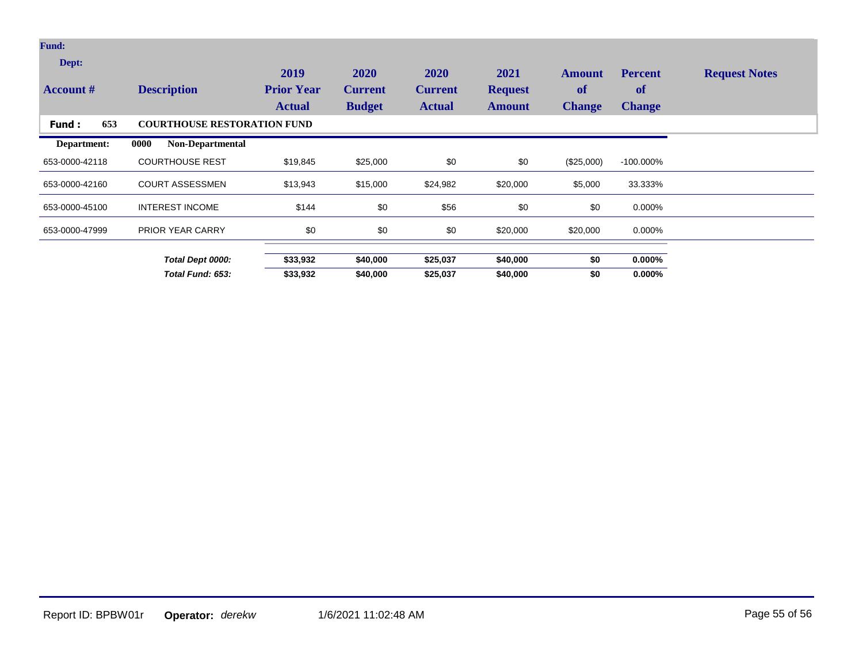| <b>Fund:</b>              |                                    |                                            |                                         |                                         |                                  |                                             |                                       |                      |
|---------------------------|------------------------------------|--------------------------------------------|-----------------------------------------|-----------------------------------------|----------------------------------|---------------------------------------------|---------------------------------------|----------------------|
| Dept:<br><b>Account</b> # | <b>Description</b>                 | 2019<br><b>Prior Year</b><br><b>Actual</b> | 2020<br><b>Current</b><br><b>Budget</b> | 2020<br><b>Current</b><br><b>Actual</b> | 2021<br><b>Request</b><br>Amount | <b>Amount</b><br><b>of</b><br><b>Change</b> | <b>Percent</b><br>of<br><b>Change</b> | <b>Request Notes</b> |
| 653<br>Fund:              | <b>COURTHOUSE RESTORATION FUND</b> |                                            |                                         |                                         |                                  |                                             |                                       |                      |
| Department:               | <b>Non-Departmental</b><br>0000    |                                            |                                         |                                         |                                  |                                             |                                       |                      |
| 653-0000-42118            | <b>COURTHOUSE REST</b>             | \$19,845                                   | \$25,000                                | \$0                                     | \$0                              | (\$25,000)                                  | $-100.000\%$                          |                      |
| 653-0000-42160            | <b>COURT ASSESSMEN</b>             | \$13,943                                   | \$15,000                                | \$24,982                                | \$20,000                         | \$5,000                                     | 33.333%                               |                      |
| 653-0000-45100            | <b>INTEREST INCOME</b>             | \$144                                      | \$0                                     | \$56                                    | \$0                              | \$0                                         | 0.000%                                |                      |
| 653-0000-47999            | <b>PRIOR YEAR CARRY</b>            | \$0                                        | \$0                                     | \$0                                     | \$20,000                         | \$20,000                                    | 0.000%                                |                      |
|                           | Total Dept 0000:                   | \$33,932                                   | \$40,000                                | \$25,037                                | \$40,000                         | \$0                                         | $0.000\%$                             |                      |
|                           | Total Fund: 653:                   | \$33,932                                   | \$40,000                                | \$25,037                                | \$40,000                         | \$0                                         | $0.000\%$                             |                      |